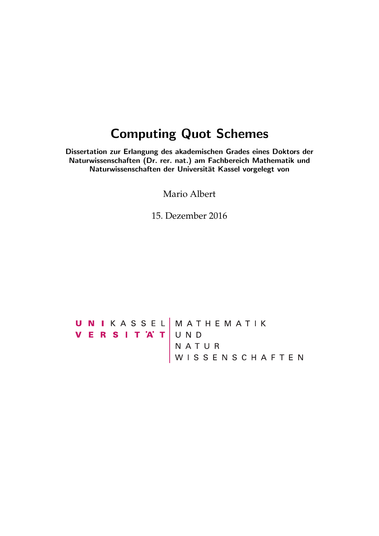## Computing Quot Schemes

Dissertation zur Erlangung des akademischen Grades eines Doktors der Naturwissenschaften (Dr. rer. nat.) am Fachbereich Mathematik und Naturwissenschaften der Universität Kassel vorgelegt von

Mario Albert

15. Dezember 2016

UNIKASSEL MATHEMATIK<br>VERSITAT UND<br>NATUR<br>WISSENSCHAFTEN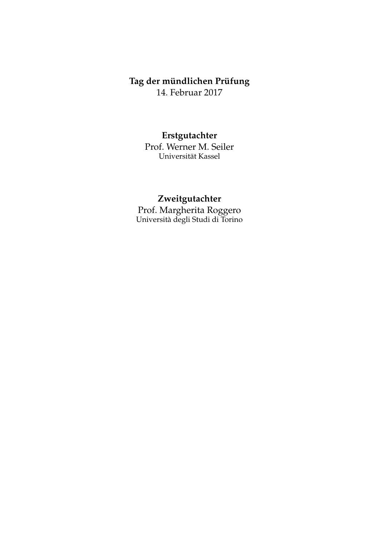## **Tag der mündlichen Prüfung** 14. Februar 2017

**Erstgutachter**

Prof. Werner M. Seiler Universität Kassel

## **Zweitgutachter**

Prof. Margherita Roggero Università degli Studi di Torino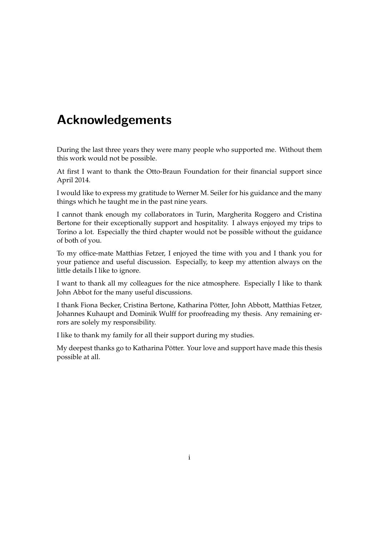# Acknowledgements

During the last three years they were many people who supported me. Without them this work would not be possible.

At first I want to thank the Otto-Braun Foundation for their financial support since April 2014.

I would like to express my gratitude to Werner M. Seiler for his guidance and the many things which he taught me in the past nine years.

I cannot thank enough my collaborators in Turin, Margherita Roggero and Cristina Bertone for their exceptionally support and hospitality. I always enjoyed my trips to Torino a lot. Especially the third chapter would not be possible without the guidance of both of you.

To my office-mate Matthias Fetzer, I enjoyed the time with you and I thank you for your patience and useful discussion. Especially, to keep my attention always on the little details I like to ignore.

I want to thank all my colleagues for the nice atmosphere. Especially I like to thank John Abbot for the many useful discussions.

I thank Fiona Becker, Cristina Bertone, Katharina Pötter, John Abbott, Matthias Fetzer, Johannes Kuhaupt and Dominik Wulff for proofreading my thesis. Any remaining errors are solely my responsibility.

I like to thank my family for all their support during my studies.

My deepest thanks go to Katharina Pötter. Your love and support have made this thesis possible at all.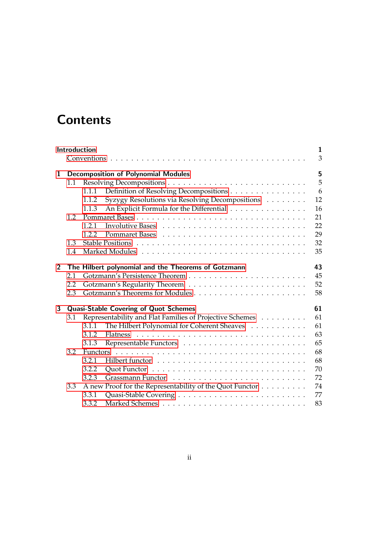# **Contents**

| 1.1                                                       |       | <b>Decomposition of Polynomial Modules</b>      | 3<br>5                                                                                                                                                                                                              |  |  |  |  |  |
|-----------------------------------------------------------|-------|-------------------------------------------------|---------------------------------------------------------------------------------------------------------------------------------------------------------------------------------------------------------------------|--|--|--|--|--|
|                                                           |       |                                                 |                                                                                                                                                                                                                     |  |  |  |  |  |
|                                                           |       |                                                 |                                                                                                                                                                                                                     |  |  |  |  |  |
|                                                           |       |                                                 | 5                                                                                                                                                                                                                   |  |  |  |  |  |
|                                                           | 1.1.1 | Definition of Resolving Decompositions          | 6                                                                                                                                                                                                                   |  |  |  |  |  |
|                                                           | 1.1.2 | Syzygy Resolutions via Resolving Decompositions | 12                                                                                                                                                                                                                  |  |  |  |  |  |
|                                                           | 1.1.3 | An Explicit Formula for the Differential        | 16                                                                                                                                                                                                                  |  |  |  |  |  |
| 1.2                                                       |       |                                                 | 21                                                                                                                                                                                                                  |  |  |  |  |  |
|                                                           | 1.2.1 |                                                 | 22                                                                                                                                                                                                                  |  |  |  |  |  |
|                                                           | 1.2.2 |                                                 | 29                                                                                                                                                                                                                  |  |  |  |  |  |
| 1.3                                                       |       |                                                 | 32                                                                                                                                                                                                                  |  |  |  |  |  |
| 1.4                                                       |       |                                                 | 35                                                                                                                                                                                                                  |  |  |  |  |  |
| 43<br>The Hilbert polynomial and the Theorems of Gotzmann |       |                                                 |                                                                                                                                                                                                                     |  |  |  |  |  |
| 2.1                                                       |       |                                                 | 45                                                                                                                                                                                                                  |  |  |  |  |  |
| 2.2                                                       |       |                                                 | 52                                                                                                                                                                                                                  |  |  |  |  |  |
| 2.3                                                       |       |                                                 | 58                                                                                                                                                                                                                  |  |  |  |  |  |
| 61                                                        |       |                                                 |                                                                                                                                                                                                                     |  |  |  |  |  |
| 3.1                                                       |       |                                                 |                                                                                                                                                                                                                     |  |  |  |  |  |
|                                                           | 3.1.1 |                                                 | 61                                                                                                                                                                                                                  |  |  |  |  |  |
|                                                           | 3.1.2 |                                                 | 63                                                                                                                                                                                                                  |  |  |  |  |  |
|                                                           | 3.1.3 |                                                 | 65                                                                                                                                                                                                                  |  |  |  |  |  |
| 3.2                                                       |       |                                                 | 68                                                                                                                                                                                                                  |  |  |  |  |  |
|                                                           | 3.2.1 |                                                 | 68                                                                                                                                                                                                                  |  |  |  |  |  |
|                                                           | 3.2.2 |                                                 | 70                                                                                                                                                                                                                  |  |  |  |  |  |
|                                                           | 3.2.3 | Grassmann Functor                               | 72                                                                                                                                                                                                                  |  |  |  |  |  |
| 3.3                                                       |       |                                                 | 74                                                                                                                                                                                                                  |  |  |  |  |  |
|                                                           | 3.3.1 |                                                 | 77                                                                                                                                                                                                                  |  |  |  |  |  |
|                                                           | 3.3.2 |                                                 | 83                                                                                                                                                                                                                  |  |  |  |  |  |
|                                                           |       |                                                 | <b>Quasi-Stable Covering of Quot Schemes</b><br>Representability and Flat Families of Projective Schemes<br>The Hilbert Polynomial for Coherent Sheaves<br>A new Proof for the Representability of the Quot Functor |  |  |  |  |  |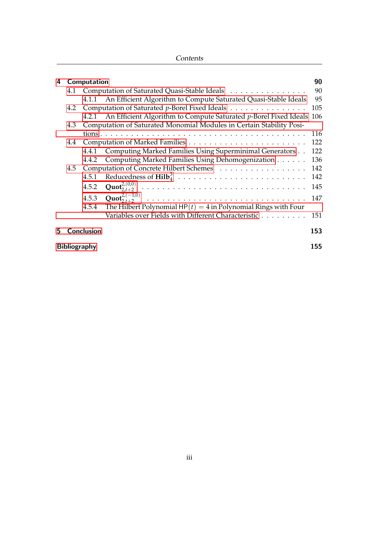| Contents |
|----------|
|----------|

| 4   | Computation                                                                 |                                              | 90                                                                         |     |  |  |
|-----|-----------------------------------------------------------------------------|----------------------------------------------|----------------------------------------------------------------------------|-----|--|--|
|     | 4.1                                                                         | Computation of Saturated Quasi-Stable Ideals |                                                                            |     |  |  |
|     |                                                                             |                                              | 4.1.1 An Efficient Algorithm to Compute Saturated Quasi-Stable Ideals      | 95  |  |  |
| 4.2 |                                                                             |                                              | Computation of Saturated p-Borel Fixed Ideals                              | 105 |  |  |
|     |                                                                             |                                              | 4.2.1 An Efficient Algorithm to Compute Saturated p-Borel Fixed Ideals 106 |     |  |  |
|     | Computation of Saturated Monomial Modules in Certain Stability Posi-<br>4.3 |                                              |                                                                            |     |  |  |
|     |                                                                             |                                              |                                                                            | 116 |  |  |
| 4.4 |                                                                             |                                              |                                                                            | 122 |  |  |
|     |                                                                             | 4.4.1                                        | Computing Marked Families Using Superminimal Generators                    | 122 |  |  |
|     |                                                                             | 4.4.2                                        | Computing Marked Families Using Dehomogenization                           | 136 |  |  |
|     | Computation of Concrete Hilbert Schemes<br>4.5                              |                                              |                                                                            |     |  |  |
|     |                                                                             | 4.5.1                                        |                                                                            | 142 |  |  |
|     |                                                                             | 4.5.2                                        |                                                                            | 145 |  |  |
|     |                                                                             | 4.5.3                                        |                                                                            | 147 |  |  |
|     |                                                                             | 4.5.4                                        | The Hilbert Polynomial $HP(t) = 4$ in Polynomial Rings with Four           |     |  |  |
|     |                                                                             |                                              | Variables over Fields with Different Characteristic                        | 151 |  |  |
| 5   |                                                                             | <b>Conclusion</b>                            |                                                                            | 153 |  |  |
|     | <b>Bibliography</b>                                                         |                                              |                                                                            |     |  |  |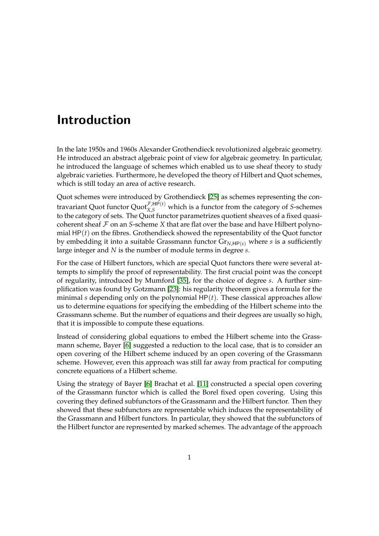## <span id="page-5-0"></span>Introduction

In the late 1950s and 1960s Alexander Grothendieck revolutionized algebraic geometry. He introduced an abstract algebraic point of view for algebraic geometry. In particular, he introduced the language of schemes which enabled us to use sheaf theory to study algebraic varieties. Furthermore, he developed the theory of Hilbert and Quot schemes, which is still today an area of active research.

Quot schemes were introduced by Grothendieck [\[25\]](#page-161-0) as schemes representing the contravariant Quot functor  $\text{Quot}_{X,S}^{\mathcal{F},HP(t)}$  which is a functor from the category of *S*-schemes to the category of sets. The Quot functor parametrizes quotient sheaves of a fixed quasicoherent sheaf  $\mathcal F$  on an *S*-scheme *X* that are flat over the base and have Hilbert polynomial HP(*t*) on the fibres. Grothendieck showed the representability of the Quot functor by embedding it into a suitable Grassmann functor  $Gr_{N,HP(s)}$  where *s* is a sufficiently large integer and *N* is the number of module terms in degree *s*.

For the case of Hilbert functors, which are special Quot functors there were several attempts to simplify the proof of representability. The first crucial point was the concept of regularity, introduced by Mumford [\[35\]](#page-161-1), for the choice of degree *s*. A further simplification was found by Gotzmann [\[23\]](#page-160-0): his regularity theorem gives a formula for the minimal *s* depending only on the polynomial HP(*t*). These classical approaches allow us to determine equations for specifying the embedding of the Hilbert scheme into the Grassmann scheme. But the number of equations and their degrees are usually so high, that it is impossible to compute these equations.

Instead of considering global equations to embed the Hilbert scheme into the Grassmann scheme, Bayer [\[6\]](#page-159-1) suggested a reduction to the local case, that is to consider an open covering of the Hilbert scheme induced by an open covering of the Grassmann scheme. However, even this approach was still far away from practical for computing concrete equations of a Hilbert scheme.

Using the strategy of Bayer [\[6\]](#page-159-1) Brachat et al. [\[11\]](#page-160-1) constructed a special open covering of the Grassmann functor which is called the Borel fixed open covering. Using this covering they defined subfunctors of the Grassmann and the Hilbert functor. Then they showed that these subfunctors are representable which induces the representability of the Grassmann and Hilbert functors. In particular, they showed that the subfunctors of the Hilbert functor are represented by marked schemes. The advantage of the approach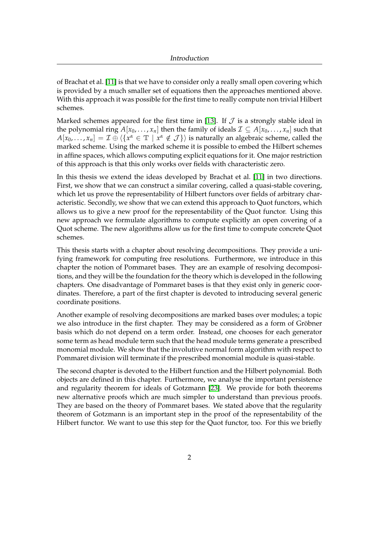of Brachat et al. [\[11\]](#page-160-1) is that we have to consider only a really small open covering which is provided by a much smaller set of equations then the approaches mentioned above. With this approach it was possible for the first time to really compute non trivial Hilbert schemes.

Marked schemes appeared for the first time in [\[13\]](#page-160-2). If  $J$  is a strongly stable ideal in the polynomial ring  $A[x_0, \ldots, x_n]$  then the family of ideals  $\mathcal{I} \subseteq A[x_0, \ldots, x_n]$  such that  $A[x_0,\ldots,x_n]=\mathcal{I}\oplus\langle\{x^\alpha\in\mathbb{T}\,\,|\,\,x^\alpha\notin\mathcal{J}\}\rangle$  is naturally an algebraic scheme, called the marked scheme. Using the marked scheme it is possible to embed the Hilbert schemes in affine spaces, which allows computing explicit equations for it. One major restriction of this approach is that this only works over fields with characteristic zero.

In this thesis we extend the ideas developed by Brachat et al. [\[11\]](#page-160-1) in two directions. First, we show that we can construct a similar covering, called a quasi-stable covering, which let us prove the representability of Hilbert functors over fields of arbitrary characteristic. Secondly, we show that we can extend this approach to Quot functors, which allows us to give a new proof for the representability of the Quot functor. Using this new approach we formulate algorithms to compute explicitly an open covering of a Quot scheme. The new algorithms allow us for the first time to compute concrete Quot schemes.

This thesis starts with a chapter about resolving decompositions. They provide a unifying framework for computing free resolutions. Furthermore, we introduce in this chapter the notion of Pommaret bases. They are an example of resolving decompositions, and they will be the foundation for the theory which is developed in the following chapters. One disadvantage of Pommaret bases is that they exist only in generic coordinates. Therefore, a part of the first chapter is devoted to introducing several generic coordinate positions.

Another example of resolving decompositions are marked bases over modules; a topic we also introduce in the first chapter. They may be considered as a form of Gröbner basis which do not depend on a term order. Instead, one chooses for each generator some term as head module term such that the head module terms generate a prescribed monomial module. We show that the involutive normal form algorithm with respect to Pommaret division will terminate if the prescribed monomial module is quasi-stable.

The second chapter is devoted to the Hilbert function and the Hilbert polynomial. Both objects are defined in this chapter. Furthermore, we analyse the important persistence and regularity theorem for ideals of Gotzmann [\[23\]](#page-160-0). We provide for both theorems new alternative proofs which are much simpler to understand than previous proofs. They are based on the theory of Pommaret bases. We stated above that the regularity theorem of Gotzmann is an important step in the proof of the representability of the Hilbert functor. We want to use this step for the Quot functor, too. For this we briefly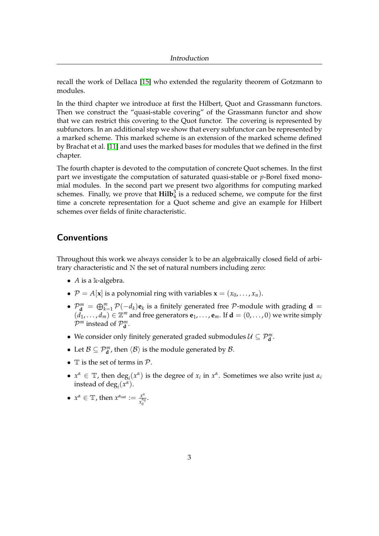recall the work of Dellaca [\[15\]](#page-160-3) who extended the regularity theorem of Gotzmann to modules.

In the third chapter we introduce at first the Hilbert, Quot and Grassmann functors. Then we construct the "quasi-stable covering" of the Grassmann functor and show that we can restrict this covering to the Quot functor. The covering is represented by subfunctors. In an additional step we show that every subfunctor can be represented by a marked scheme. This marked scheme is an extension of the marked scheme defined by Brachat et al. [\[11\]](#page-160-1) and uses the marked bases for modules that we defined in the first chapter.

The fourth chapter is devoted to the computation of concrete Quot schemes. In the first part we investigate the computation of saturated quasi-stable or *p*-Borel fixed monomial modules. In the second part we present two algorithms for computing marked schemes. Finally, we prove that  $\text{Hilb}_4^3$  is a reduced scheme, we compute for the first time a concrete representation for a Quot scheme and give an example for Hilbert schemes over fields of finite characteristic.

## <span id="page-7-0"></span>Conventions

Throughout this work we always consider  $\Bbbk$  to be an algebraically closed field of arbitrary characteristic and N the set of natural numbers including zero:

- *A* is a k-algebra.
- $P = A[x]$  is a polynomial ring with variables  $\mathbf{x} = (x_0, \dots, x_n)$ .
- $\bullet$   $\mathcal{P}_{\mathbf{d}}^m = \bigoplus_{k=1}^m \mathcal{P}(-d_k)\mathbf{e}_k$  is a finitely generated free  $\mathcal{P}$ -module with grading  $\mathbf{d} =$  $(d_1, \ldots, d_m) \in \mathbb{Z}^m$  and free generators  $\mathbf{e}_1, \ldots, \mathbf{e}_m$ . If  $\mathbf{d} = (0, \ldots, 0)$  we write simply  $\mathcal{P}^m$  instead of  $\mathcal{P}^m_{\mathbf{d}}$ .
- We consider only finitely generated graded submodules  $\mathcal{U} \subseteq \mathcal{P}_{\mathbf{d}}^m$ .
- Let  $\mathcal{B} \subseteq \mathcal{P}_{d}^{m}$ , then  $\langle \mathcal{B} \rangle$  is the module generated by  $\mathcal{B}$ .
- $\mathbb T$  is the set of terms in  $\mathcal P$ .
- $x^{\alpha} \in \mathbb{T}$ , then  $\deg_i(x^{\alpha})$  is the degree of  $x_i$  in  $x^{\alpha}$ . Sometimes we also write just  $\alpha_i$ instead of  $\deg_i(x^{\alpha})$ .
- $x^{\alpha} \in \mathbb{T}$ , then  $x^{\alpha_{\text{sat}}} := \frac{x^{\alpha}}{x^{\alpha_{\text{at}}}}$  $\frac{x^{\alpha}}{x_0^{\alpha_0}}$ .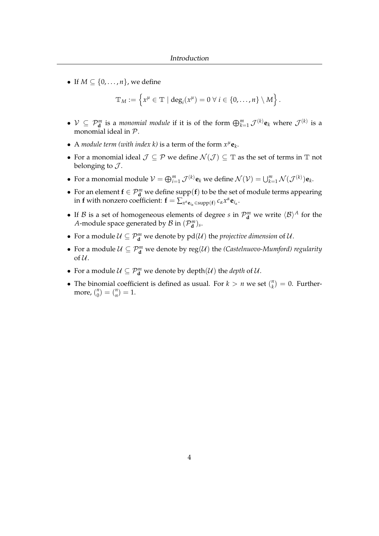• If  $M \subseteq \{0, \ldots, n\}$ , we define

$$
\mathbb{T}_M:=\left\{x^\mu\in\mathbb{T}\mid \deg_i(x^\mu)=0\ \forall\ i\in\{0,\ldots,n\}\setminus M\right\}.
$$

- $V \subseteq \mathcal{P}_d^m$  is a *monomial module* if it is of the form  $\bigoplus_{k=1}^m \mathcal{J}^{(k)}e_k$  where  $\mathcal{J}^{(k)}$  is a monomial ideal in P.
- A *module term (with index k)* is a term of the form  $x^{\mu}$ **e**<sub>*k*</sub>.
- For a monomial ideal  $\mathcal{J} \subseteq \mathcal{P}$  we define  $\mathcal{N}(\mathcal{J}) \subseteq \mathbb{T}$  as the set of terms in  $\mathbb{T}$  not belonging to  $\mathcal{J}$ .
- For a monomial module  $V = \bigoplus_{i=1}^m \mathcal{J}^{(k)}\mathbf{e}_k$  we define  $\mathcal{N}(V) = \bigcup_{k=1}^m \mathcal{N}(\mathcal{J}^{(k)})\mathbf{e}_k$ .
- For an element  $f \in \mathcal{P}_{d}^{m}$  we define supp( $f$ ) to be the set of module terms appearing in **f** with nonzero coefficient:  $\mathbf{f} = \sum_{x^{\alpha} \mathbf{e}_{i_{\alpha}}} \in \text{supp}(\mathbf{f}) \; c_{\alpha} x^{\alpha} \mathbf{e}_{i_{\alpha}}.$
- If  $\mathcal{B}$  is a set of homogeneous elements of degree *s* in  $\mathcal{P}_{d}^{m}$  we write  $\langle \mathcal{B} \rangle^{A}$  for the *A*-module space generated by  $\mathcal{B}$  in  $(\mathcal{P}_{\mathbf{d}}^{m})_s$ .
- For a module  $\mathcal{U} \subseteq \mathcal{P}_{\mathbf{d}}^m$  we denote by  $pd(\mathcal{U})$  the *projective dimension* of  $\mathcal{U}$ .
- For a module  $\mathcal{U} \subseteq \mathcal{P}_{\mathbf{d}}^m$  we denote by reg $(\mathcal{U})$  the *(Castelnuovo-Mumford) regularity* of  $\mathcal U$ .
- For a module  $\mathcal{U} \subseteq \mathcal{P}_{\mathbf{d}}^m$  we denote by depth $(\mathcal{U})$  the *depth* of  $\mathcal{U}$ .
- The binomial coefficient is defined as usual. For  $k > n$  we set  $\binom{n}{k}$  $\binom{n}{k} = 0$ . Furthermore, ( *n*  $\binom{n}{0} = \binom{n}{n}$  $\binom{n}{n} = 1.$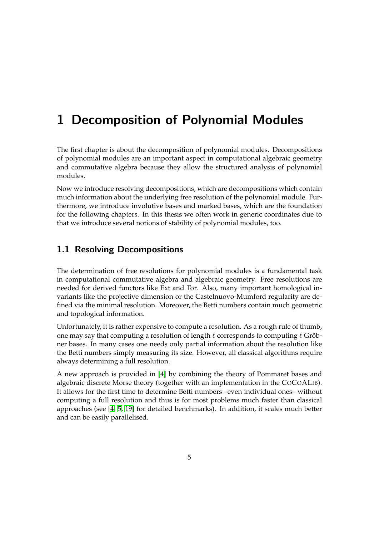# <span id="page-9-0"></span>1 Decomposition of Polynomial Modules

The first chapter is about the decomposition of polynomial modules. Decompositions of polynomial modules are an important aspect in computational algebraic geometry and commutative algebra because they allow the structured analysis of polynomial modules.

Now we introduce resolving decompositions, which are decompositions which contain much information about the underlying free resolution of the polynomial module. Furthermore, we introduce involutive bases and marked bases, which are the foundation for the following chapters. In this thesis we often work in generic coordinates due to that we introduce several notions of stability of polynomial modules, too.

## <span id="page-9-1"></span>1.1 Resolving Decompositions

The determination of free resolutions for polynomial modules is a fundamental task in computational commutative algebra and algebraic geometry. Free resolutions are needed for derived functors like Ext and Tor. Also, many important homological invariants like the projective dimension or the Castelnuovo-Mumford regularity are defined via the minimal resolution. Moreover, the Betti numbers contain much geometric and topological information.

Unfortunately, it is rather expensive to compute a resolution. As a rough rule of thumb, one may say that computing a resolution of length  $\ell$  corresponds to computing  $\ell$  Gröbner bases. In many cases one needs only partial information about the resolution like the Betti numbers simply measuring its size. However, all classical algorithms require always determining a full resolution.

A new approach is provided in [\[4\]](#page-159-2) by combining the theory of Pommaret bases and algebraic discrete Morse theory (together with an implementation in the COCOALIB). It allows for the first time to determine Betti numbers –even individual ones– without computing a full resolution and thus is for most problems much faster than classical approaches (see [\[4,](#page-159-2) [5,](#page-159-3) [19\]](#page-160-4) for detailed benchmarks). In addition, it scales much better and can be easily parallelised.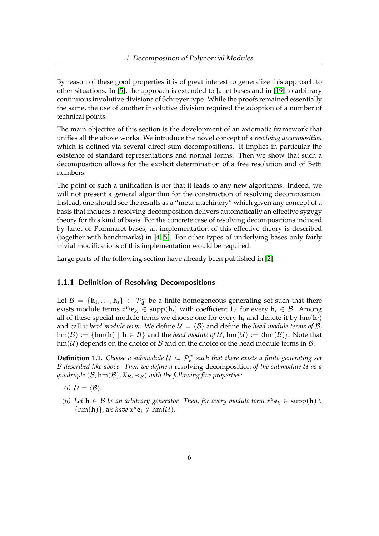By reason of these good properties it is of great interest to generalize this approach to other situations. In [\[5\]](#page-159-3), the approach is extended to Janet bases and in [\[19\]](#page-160-4) to arbitrary continuous involutive divisions of Schreyer type. While the proofs remained essentially the same, the use of another involutive division required the adoption of a number of technical points.

The main objective of this section is the development of an axiomatic framework that unifies all the above works. We introduce the novel concept of a *resolving decomposition* which is defined via several direct sum decompositions. It implies in particular the existence of standard representations and normal forms. Then we show that such a decomposition allows for the explicit determination of a free resolution and of Betti numbers.

The point of such a unification is *not* that it leads to any new algorithms. Indeed, we will not present a general algorithm for the construction of resolving decomposition. Instead, one should see the results as a "meta-machinery" which given any concept of a basis that induces a resolving decomposition delivers automatically an effective syzygy theory for this kind of basis. For the concrete case of resolving decompositions induced by Janet or Pommaret bases, an implementation of this effective theory is described (together with benchmarks) in [\[4,](#page-159-2) [5\]](#page-159-3). For other types of underlying bases only fairly trivial modifications of this implementation would be required.

Large parts of the following section have already been published in [\[2\]](#page-159-4).

### <span id="page-10-0"></span>1.1.1 Definition of Resolving Decompositions

Let  $\mathcal{B} = \{\mathbf{h}_1, \dots, \mathbf{h}_s\} \subset \mathcal{P}_{\mathbf{d}}^m$  be a finite homogeneous generating set such that there exists module terms  $x^{\mu_i}$ **e**<sub>*k<sub>i</sub>*</sub>  $\in$  supp(**h**<sub>*i*</sub>) with coefficient 1<sub>*A*</sub> for every **h**<sub>*i*</sub>  $\in$  *B*. Among all of these special module terms we choose one for every  $h_i$  and denote it by  $hm(h_i)$ and call it *head module term*. We define  $U = \langle B \rangle$  and define the *head module terms of* B,  $hm(\mathcal{B}) := \{hm(h) \mid h \in \mathcal{B}\}\$ and the *head module of*  $\mathcal{U}$ ,  $hm(\mathcal{U}) := \langle hm(\mathcal{B}) \rangle$ . Note that  $\text{hm}(\mathcal{U})$  depends on the choice of  $\mathcal B$  and on the choice of the head module terms in  $\mathcal B$ .

<span id="page-10-1"></span>**Definition 1.1.** *Choose a submodule*  $U \subseteq \mathcal{P}_{d}^{m}$  such that there exists a finite generating set B *described like above. Then we define a* resolving decomposition *of the submodule* U *as a quadruple* ( $\mathcal{B}$ , hm( $\mathcal{B}$ ),  $X_{\mathcal{B}}$ ,  $\prec_{\mathcal{B}}$ ) *with the following five properties:* 

- <span id="page-10-2"></span>*(i)*  $\mathcal{U} = \langle \mathcal{B} \rangle$ *.*
- <span id="page-10-3"></span>*(ii)* Let  $h \in \mathcal{B}$  be an arbitrary generator. Then, for every module term  $x^{\mu}e_k \in \text{supp}(h) \setminus$  $\{\text{hm}(\textbf{h})\}$ *, we have*  $x^{\mu}$ **e**<sub>*k*</sub>  $\notin$   $\text{hm}(\mathcal{U})$ *.*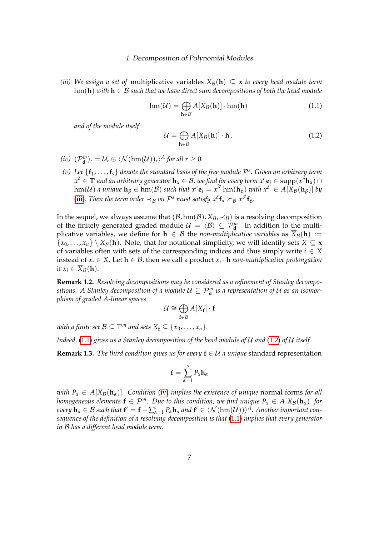<span id="page-11-0"></span>*(iii)* We assign a set of multiplicative variables  $X_{\mathcal{B}}(h) \subseteq x$  to every head module term hm(**h**) *with* **h** ∈ B *such that we have direct sum decompositions of both the head module*

<span id="page-11-1"></span>
$$
\operatorname{hm}(\mathcal{U}) = \bigoplus_{\mathbf{h} \in \mathcal{B}} A[X_{\mathcal{B}}(\mathbf{h})] \cdot \operatorname{hm}(\mathbf{h}) \tag{1.1}
$$

*and of the module itself*

<span id="page-11-2"></span>
$$
\mathcal{U} = \bigoplus_{\mathbf{h} \in \mathcal{B}} A[X_{\mathcal{B}}(\mathbf{h})] \cdot \mathbf{h}.
$$
 (1.2)

- <span id="page-11-3"></span> $(i\mathcal{V})$   $(\mathcal{P}_{\mathbf{d}}^m)_r = \mathcal{U}_r \oplus \langle \mathcal{N}(\text{hm}(\mathcal{U}))_r \rangle^A$  for all  $r \geq 0$ .
- <span id="page-11-4"></span>*(v) Let* {**f**1, . . . ,**f***s*} *denote the standard basis of the free module* P *s . Given an arbitrary term x <sup>δ</sup>* ∈ T *and an arbitrary generator* **h***<sup>α</sup>* ∈ B*, we find for every term xe***e***<sup>i</sup>* ∈ supp(*x <sup>δ</sup>***h***α*) ∩  $\lim_{\delta} U(\mathcal{U})$  *a unique*  $\mathbf{h}_{\beta} \in \lim_{\delta} (\mathcal{B})$  *such that*  $x^{\epsilon} \mathbf{e}_i = x^{\delta'} \lim_{\delta} (\mathbf{h}_{\beta})$  *with*  $x^{\delta'} \in A[X_{\beta}(\mathbf{h}_{\beta})]$  *by* [\(iii\)](#page-11-0). Then the term order  $\prec_B$  on  $\mathcal{P}^s$  must satisfy  $x^\delta \mathbf{f}_\alpha \succeq_B x^{\delta'} \mathbf{f}_\beta$ .

In the sequel, we always assume that  $(\mathcal{B}, \text{hm}(\mathcal{B}), X_{\mathcal{B}}, \prec_{\mathcal{B}})$  is a resolving decomposition of the finitely generated graded module  $U = \langle B \rangle \subseteq \mathcal{P}_{d}^{m}$ . In addition to the multiplicative variables, we define for  $h \in B$  the *non-multiplicative variables* as  $\overline{X}_{\mathcal{B}}(h) :=$  ${x_0, \ldots, x_n} \setminus X_B(\mathbf{h})$ . Note, that for notational simplicity, we will identify sets  $X \subseteq \mathbf{x}$ of variables often with sets of the corresponding indices and thus simply write  $i \in X$ instead of  $x_i$  ∈ *X*. Let **h** ∈ *B*, then we call a product  $x_i$  ⋅ **h** *non-multiplicative prolongation* if  $x_i \in \overline{X}_{\mathcal{B}}(h)$ .

**Remark 1.2.** *Resolving decompositions may be considered as a refinement of Stanley decompositions. A Stanley decomposition of a module*  $\mathcal{U} \subseteq \mathcal{P}_{\bf d}^m$  *is a representation of*  $\mathcal U$  *as an isomorphism of graded A-linear spaces*

$$
\mathcal{U} \cong \bigoplus_{\mathbf{f} \in \mathcal{B}} A[X_\mathbf{f}] \cdot \mathbf{f}
$$

*with a finite set*  $\mathcal{B} \subseteq \mathbb{T}^m$  *and sets*  $X_f \subseteq \{x_0, \ldots, x_n\}$ *.* 

*Indeed,* [\(1.1\)](#page-11-1) *gives us a Stanley decomposition of the head module of* U *and* [\(1.2\)](#page-11-2) *of* U *itself.*

<span id="page-11-5"></span>**Remark 1.3.** *The third condition gives us for every*  $f \in \mathcal{U}$  *a unique* standard representation

$$
\mathbf{f}=\sum_{\alpha=1}^s P_\alpha \mathbf{h}_\alpha
$$

*with*  $P_\alpha \in A[X_\mathcal{B}(\mathbf{h}_\alpha)]$ *. Condition* [\(iv\)](#page-11-3) *implies the existence of unique* normal forms *for all homogeneous elements*  $f \in \mathcal{P}^m$ *. Due to this condition, we find unique*  $P_\alpha \in A[X_\beta(\mathbf{h}_\alpha)]$  *for*  $every \ h_\alpha \in \mathcal{B}$  such that  $\mathbf{f}' = \mathbf{f} - \sum_{\alpha=1}^s P_\alpha \mathbf{h}_\alpha$  and  $\mathbf{f}' \in \langle \mathcal{N}(\text{hm}(\mathcal{U})) \rangle^\mathcal{A}$ . Another important con*sequence of the definition of a resolving decomposition is that* [\(1.1\)](#page-11-1) *implies that every generator in* B *has a different head module term.*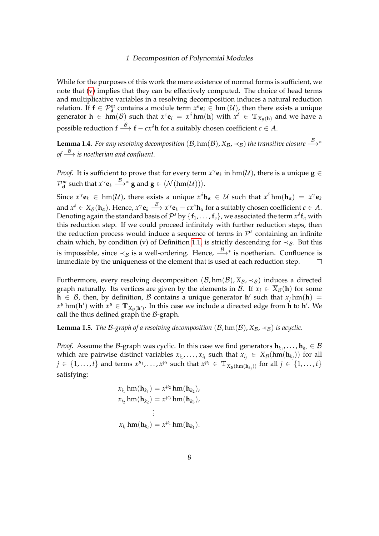While for the purposes of this work the mere existence of normal forms is sufficient, we note that [\(v\)](#page-11-4) implies that they can be effectively computed. The choice of head terms and multiplicative variables in a resolving decomposition induces a natural reduction relation. If  $f \in \mathcal{P}_{d}^{m}$  contains a module term  $x^{\epsilon}e_i \in \text{hm}(\mathcal{U})$ , then there exists a unique generator  $h \in \text{hm}(\mathcal{B})$  such that  $x^{\epsilon} \mathbf{e}_i = x^{\delta} \text{hm}(\mathbf{h})$  with  $x^{\delta} \in \mathbb{T}_{X_{\mathcal{B}}(\mathbf{h})}$  and we have a possible reduction  $f \stackrel{\mathcal{B}}{\longrightarrow} f - cx^{\delta}h$  for a suitably chosen coefficient  $c \in A$ .

**Lemma 1.4.** *For any resolving decomposition (B,* hm(B),  $X_{\mathcal{B}}$ ,  $\prec_{\mathcal{B}}$ ) *the transitive closure*  $\xrightarrow{B}^*$ *of −→ is noetherian and confluent.* 

*Proof.* It is sufficient to prove that for every term  $x^\gamma \mathbf{e}_k$  in hm(U), there is a unique  $\mathbf{g} \in$  $\mathcal{P}_{\mathbf{d}}^m$  such that  $x^{\gamma} \mathbf{e}_k \stackrel{\mathcal{B}}{\longrightarrow}^* \mathbf{g}$  and  $\mathbf{g} \in \langle \mathcal{N}(\text{hm}(\mathcal{U})) \rangle$ .

Since  $x^{\gamma}$ **e**<sub>*k*</sub>  $\in$  hm(U), there exists a unique  $x^{\delta}$ **h**<sub>*a*</sub>  $\in$  U such that  $x^{\delta}$  hm(**h**<sub>*a*</sub>) =  $x^{\gamma}$ **e**<sub>*k*</sub>  $x^{\delta} \in X_{\mathcal{B}}(\mathbf{h}_{\alpha})$ . Hence,  $x^{\gamma} \mathbf{e}_{k} \stackrel{\mathcal{B}}{\longrightarrow} x^{\gamma} \mathbf{e}_{k} - cx^{\delta} \mathbf{h}_{\alpha}$  for a suitably chosen coefficient  $c \in A$ . Denoting again the standard basis of  $\mathcal{P}^s$  by  $\{{\bf f}_1,\ldots,{\bf f}_s\}$ , we associated the term  $x^\delta{\bf f}_\alpha$  with this reduction step. If we could proceed infinitely with further reduction steps, then the reduction process would induce a sequence of terms in  $\mathcal{P}^s$  containing an infinite chain which, by condition (v) of Definition [1.1,](#page-10-1) is strictly descending for  $\prec_B$ . But this is impossible, since  $\prec_B$  is a well-ordering. Hence,  $\stackrel{\mathcal{B}}{\longrightarrow}{}^*$  is noetherian. Confluence is immediate by the uniqueness of the element that is used at each reduction step.  $\Box$ 

Furthermore, every resolving decomposition  $(\mathcal{B}, \text{hm}(\mathcal{B}), X_{\mathcal{B}}, \prec_{\mathcal{B}})$  induces a directed graph naturally. Its vertices are given by the elements in  $\mathcal{B}$ . If  $x_i \in \overline{X}_{\mathcal{B}}(h)$  for some  $\mathbf{h} \in \mathcal{B}$ , then, by definition,  $\mathcal{B}$  contains a unique generator  $\mathbf{h}'$  such that  $x_j \text{hm}(\mathbf{h}) =$  $x^{\mu}$  hm(**h**<sup> $\prime$ </sup>) with  $x^{\mu} \in \mathbb{T}_{X_{\mathcal{B}}(\mathbf{h}')}$ . In this case we include a directed edge from **h** to **h**<sup> $\prime$ </sup>. We call the thus defined graph the  $\beta$ -graph.

**Lemma 1.5.** *The B-graph of a resolving decomposition*  $(B, hm(B), X_B, \prec_B)$  *is acyclic.* 

*Proof.* Assume the B-graph was cyclic. In this case we find generators  $\mathbf{h}_{k_1}, \ldots, \mathbf{h}_{k_t} \in \mathcal{B}$ which are pairwise distinct variables  $x_{i_1},\ldots,x_{i_t}$  such that  $x_{i_j}\in\overline{X}_\mathcal{B}(\text{hm}(\textbf{h}_{k_j}))$  for all  $j \in \{1, \ldots, t\}$  and terms  $x^{\mu_1}, \ldots, x^{\mu_t}$  such that  $x^{\mu_j} \in \mathbb{T}_{X_\mathcal{B}(\text{hm}(\mathbf{h}_{k_j}))}$  for all  $j \in \{1, \ldots, t\}$ satisfying:

$$
x_{i_1} \text{hm}(\mathbf{h}_{k_1}) = x^{\mu_2} \text{hm}(\mathbf{h}_{k_2}),
$$
  
\n
$$
x_{i_2} \text{hm}(\mathbf{h}_{k_2}) = x^{\mu_3} \text{hm}(\mathbf{h}_{k_3}),
$$
  
\n
$$
\vdots
$$
  
\n
$$
x_{i_t} \text{hm}(\mathbf{h}_{k_t}) = x^{\mu_1} \text{hm}(\mathbf{h}_{k_1}).
$$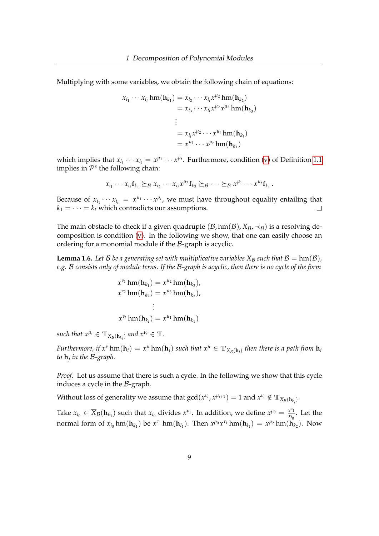Multiplying with some variables, we obtain the following chain of equations:

$$
x_{i_1} \cdots x_{i_t} \text{hm}(\mathbf{h}_{k_1}) = x_{i_2} \cdots x_{i_t} x^{\mu_2} \text{hm}(\mathbf{h}_{k_2})
$$
  
=  $x_{i_3} \cdots x_{i_t} x^{\mu_2} x^{\mu_3} \text{hm}(\mathbf{h}_{k_3})$   
:  
=  $x_{i_t} x^{\mu_2} \cdots x^{\mu_t} \text{hm}(\mathbf{h}_{k_t})$   
=  $x^{\mu_1} \cdots x^{\mu_t} \text{hm}(\mathbf{h}_{k_1})$ 

which implies that  $x_{i_1} \cdots x_{i_t} = x^{\mu_1} \cdots x^{\mu_t}$ . Furthermore, condition [\(v\)](#page-11-4) of Definition [1.1](#page-10-1) implies in  $\mathcal{P}^s$  the following chain:

$$
x_{i_1}\cdots x_{i_t}f_{k_1}\succeq_{\mathcal{B}} x_{i_2}\cdots x_{i_t}x^{\mu_2}f_{k_2}\succeq_{\mathcal{B}}\cdots \succeq_{\mathcal{B}} x^{\mu_1}\cdots x^{\mu_t}f_{k_1}.
$$

Because of  $x_{i_1} \cdots x_{i_t} = x^{\mu_1} \cdots x^{\mu_t}$ , we must have throughout equality entailing that  $k_1 = \cdots = k_t$  which contradicts our assumptions.  $\Box$ 

The main obstacle to check if a given quadruple  $(\mathcal{B}, \text{hm}(\mathcal{B}), X_{\mathcal{B}}, \prec_{\mathcal{B}})$  is a resolving decomposition is condition [\(v\)](#page-11-4). In the following we show, that one can easily choose an ordering for a monomial module if the B-graph is acyclic.

<span id="page-13-0"></span>**Lemma 1.6.** Let B be a generating set with multiplicative variables  $X_B$  such that  $B = \text{hm}(B)$ , *e.g.* B *consists only of module terns. If the* B*-graph is acyclic, then there is no cycle of the form*

$$
x^{\nu_1} \text{hm}(\mathbf{h}_{k_1}) = x^{\mu_2} \text{hm}(\mathbf{h}_{k_2}),
$$
  
\n
$$
x^{\nu_2} \text{hm}(\mathbf{h}_{k_2}) = x^{\mu_3} \text{hm}(\mathbf{h}_{k_3}),
$$
  
\n
$$
\vdots
$$
  
\n
$$
x^{\nu_t} \text{hm}(\mathbf{h}_{k_t}) = x^{\mu_1} \text{hm}(\mathbf{h}_{k_1})
$$

 $\mathcal{S}uch$  that  $x^{\mu_i} \in \mathbb{T}_{X_\mathcal{B}(\mathbf{h}_{k_i})}$  and  $x^{\nu_i} \in \mathbb{T}$ .

*Furthermore, if*  $x^{\nu}$  hm( $h_i$ ) =  $x^{\mu}$  hm( $h_j$ ) such that  $x^{\mu} \in \mathbb{T}_{X_{\mathcal{B}}(h_j)}$  then there is a path from  $h_i$ *to* **h***<sup>j</sup> in the* B*-graph.*

*Proof.* Let us assume that there is such a cycle. In the following we show that this cycle induces a cycle in the  $\beta$ -graph.

Without loss of generality we assume that  $\gcd(x^{\nu_i},x^{\mu_{i+1}})=1$  and  $x^{\nu_i}\notin \mathbb{T}_{X_\mathcal{B}(\mathbf{h}_{k_i})}.$ 

Take  $x_{i_0} \in \overline{X}_{\mathcal{B}}(\mathbf{h}_{k_1})$  such that  $x_{i_0}$  divides  $x^{\nu_1}$ . In addition, we define  $x^{\rho_0} = \frac{x^{\nu_1}}{x_{i_0}}$  $\frac{x^{r_1}}{x_{i_0}}$ . Let the normal form of  $x_{i_0}$  hm( $\mathbf{h}_{k_1}$ ) be  $x^{\tau_1}$  hm( $\mathbf{h}_{l_1}$ ). Then  $x^{\rho_0}x^{\tau_1}$  hm( $\mathbf{h}_{l_1}$ ) =  $x^{\mu_2}$  hm( $\mathbf{h}_{k_2}$ ). Now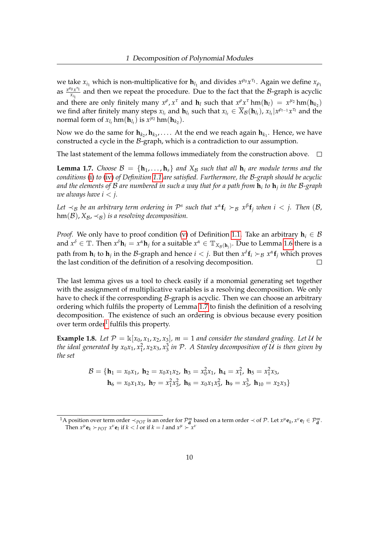we take  $x_{i_1}$  which is non-multiplicative for  $h_{l_1}$  and divides  $x^{\rho_0}x^{\tau_1}$ . Again we define  $x_{\rho_1}$ **as**  $\frac{x^{\rho_0}x^{\tau_1}}{x_1}$  $\frac{w_{x_{i_1}}}{x_{i_1}}$  and then we repeat the procedure. Due to the fact that the *B*-graph is acyclic and there are only finitely many  $x^{\rho}$ ,  $x^{\tau}$  and  $\mathbf{h}_l$  such that  $x^{\rho}x^{\tau}$  hm( $\mathbf{h}_l$ ) =  $x^{\mu_2}$  hm( $\mathbf{h}_{k_2}$ ) we find after finitely many steps  $x_{l_t}$  and  $h_{l_t}$  such that  $x_{l_t} \in \overline{X}_{\mathcal{B}}(h_{l_t})$ ,  $x_{l_t}|x^{\rho_{t-1}}x^{\tau_t}$  and the normal form of  $x_{l_t}$  hm $(\mathbf{h}_{l_t})$  is  $x^{\mu_2}$  hm $(\mathbf{h}_{k_2})$ .

Now we do the same for  $\mathbf{h}_{k_2}, \mathbf{h}_{k_3}, \ldots$  . At the end we reach again  $\mathbf{h}_{k_1}$ . Hence, we have constructed a cycle in the  $B$ -graph, which is a contradiction to our assumption.

The last statement of the lemma follows immediately from the construction above.  $\Box$ 

<span id="page-14-0"></span>**Lemma 1.7.** *Choose*  $\mathcal{B} = \{h_1, \ldots, h_s\}$  *and*  $X_{\mathcal{B}}$  *such that all*  $h_i$  *are module terms and the conditions* [\(i\)](#page-10-2) *to* [\(iv\)](#page-11-3) *of Definition [1.1](#page-10-1) are satisfied. Furthermore, the* B*-graph should be acyclic and the elements of* B *are numbered in such a way that for a path from* **h***<sup>i</sup> to* **h***<sup>j</sup> in the* B*-graph we always have*  $i < j$ *.* 

Let  $\prec_B$  be an arbitrary term ordering in  $\mathcal{P}^s$  such that  $x^\alpha \mathbf{f}_i \succ_B x^\beta \mathbf{f}_j$  when  $i < j$ . Then  $(\mathcal{B},$  $hm(\mathcal{B}), X_{\mathcal{B}}, \prec_{\mathcal{B}})$  *is a resolving decomposition.* 

*Proof.* We only have to proof condition [\(v\)](#page-11-4) of Definition [1.1.](#page-10-1) Take an arbitrary  $h_i \in B$ and  $x^{\delta} \in \mathbb{T}$ . Then  $x^{\delta} \mathbf{h}_i = x^{\alpha} \mathbf{h}_j$  for a suitable  $x^{\alpha} \in \mathbb{T}_{X_{\mathcal{B}}(\mathbf{h}_j)}$ . Due to Lemma [1.6](#page-13-0) there is a path from  $h_i$  to  $h_j$  in the B-graph and hence  $i < j$ . But then  $x^\delta f_i \succ_B x^\alpha f_j$  which proves the last condition of the definition of a resolving decomposition.  $\Box$ 

The last lemma gives us a tool to check easily if a monomial generating set together with the assignment of multiplicative variables is a resolving decomposition. We only have to check if the corresponding  $\beta$ -graph is acyclic. Then we can choose an arbitrary ordering which fulfils the property of Lemma [1.7](#page-14-0) to finish the definition of a resolving decomposition. The existence of such an ordering is obvious because every position over term order<sup>[1](#page-14-1)</sup> fulfils this property.

**Example 1.8.** Let  $P = \mathbb{k}[x_0, x_1, x_2, x_3]$ ,  $m = 1$  and consider the standard grading. Let U be the ideal generated by  $x_0x_1, x_1^2, x_2x_3, x_3^3$  in  $\mathcal{P}$ . A Stanley decomposition of  $\mathcal U$  is then given by *the set*

$$
\mathcal{B} = \{ \mathbf{h}_1 = x_0 x_1, \ \mathbf{h}_2 = x_0 x_1 x_2, \ \mathbf{h}_3 = x_0^2 x_1, \ \mathbf{h}_4 = x_1^2, \ \mathbf{h}_5 = x_1^2 x_3, \\ \mathbf{h}_6 = x_0 x_1 x_3, \ \mathbf{h}_7 = x_1^2 x_3^2, \ \mathbf{h}_8 = x_0 x_1 x_3^2, \ \mathbf{h}_9 = x_3^3, \ \mathbf{h}_{10} = x_2 x_3 \}
$$

<span id="page-14-1"></span><sup>&</sup>lt;sup>1</sup>A position over term order  $\prec_{POT}$  is an order for  $\mathcal{P}_{d}^{m}$  based on a term order  $\prec$  of  $\mathcal{P}$ . Let  $x^{\mu} \mathbf{e}_k$ ,  $x^{\nu} \mathbf{e}_l \in \mathcal{P}_{d}^{m}$ . Then  $x^{\mu}$ **e**<sub>*k*</sub>  $\succ$ *p*<sub>OT</sub>  $x^{\nu}$ **e**<sub>*l*</sub> if  $k < l$  or if  $k = l$  and  $x^{\mu} \succ x^{\nu}$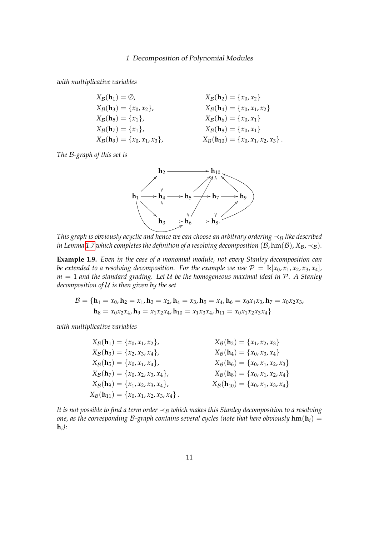*with multiplicative variables*

$$
X_{\mathcal{B}}(\mathbf{h}_1) = \emptyset, \qquad X_{\mathcal{B}}(\mathbf{h}_2) = \{x_0, x_2\} \nX_{\mathcal{B}}(\mathbf{h}_3) = \{x_0, x_2\}, \qquad X_{\mathcal{B}}(\mathbf{h}_4) = \{x_0, x_1, x_2\} \nX_{\mathcal{B}}(\mathbf{h}_5) = \{x_1\}, \qquad X_{\mathcal{B}}(\mathbf{h}_6) = \{x_0, x_1\} \nX_{\mathcal{B}}(\mathbf{h}_7) = \{x_1\}, \qquad X_{\mathcal{B}}(\mathbf{h}_8) = \{x_0, x_1\} \nX_{\mathcal{B}}(\mathbf{h}_9) = \{x_0, x_1, x_3\}, \qquad X_{\mathcal{B}}(\mathbf{h}_{10}) = \{x_0, x_1, x_2, x_3\}.
$$

*The* B*-graph of this set is*



*This graph is obviously acyclic and hence we can choose an arbitrary ordering*  $\prec_B$  *like described in Lemma* [1.7](#page-14-0) *which completes the definition of a resolving decomposition* ( $B$ , hm( $B$ ),  $X_B$ ,  $\prec_B$ ).

**Example 1.9.** *Even in the case of a monomial module, not every Stanley decomposition can be extended to a resolving decomposition. For the example we use*  $P = \mathbb{k}[x_0, x_1, x_2, x_3, x_4]$ , *m* = 1 *and the standard grading. Let* U *be the homogeneous maximal ideal in* P*. A Stanley decomposition of* U *is then given by the set*

$$
\mathcal{B} = \{ \mathbf{h}_1 = x_0, \mathbf{h}_2 = x_1, \mathbf{h}_3 = x_2, \mathbf{h}_4 = x_3, \mathbf{h}_5 = x_4, \mathbf{h}_6 = x_0 x_1 x_3, \mathbf{h}_7 = x_0 x_2 x_3, \\ \mathbf{h}_8 = x_0 x_2 x_4, \mathbf{h}_9 = x_1 x_2 x_4, \mathbf{h}_{10} = x_1 x_3 x_4, \mathbf{h}_{11} = x_0 x_1 x_2 x_3 x_4 \}
$$

*with multiplicative variables*

$$
X_B(\mathbf{h}_1) = \{x_0, x_1, x_2\},
$$
  
\n
$$
X_B(\mathbf{h}_3) = \{x_2, x_3, x_4\},
$$
  
\n
$$
X_B(\mathbf{h}_4) = \{x_0, x_3, x_4\}
$$
  
\n
$$
X_B(\mathbf{h}_5) = \{x_0, x_1, x_4\},
$$
  
\n
$$
X_B(\mathbf{h}_6) = \{x_0, x_3, x_4\}
$$
  
\n
$$
X_B(\mathbf{h}_7) = \{x_0, x_2, x_3, x_4\},
$$
  
\n
$$
X_B(\mathbf{h}_8) = \{x_0, x_1, x_2, x_3\}
$$
  
\n
$$
X_B(\mathbf{h}_9) = \{x_1, x_2, x_3, x_4\},
$$
  
\n
$$
X_B(\mathbf{h}_9) = \{x_0, x_1, x_2, x_3, x_4\},
$$
  
\n
$$
X_B(\mathbf{h}_{10}) = \{x_0, x_1, x_3, x_4\}
$$
  
\n
$$
X_B(\mathbf{h}_{11}) = \{x_0, x_1, x_2, x_3, x_4\}.
$$

*It is not possible to find a term order*  $\prec_B$  *which makes this Stanley decomposition to a resolving one, as the corresponding* B-graph contains several cycles (note that here obviously  $\text{hm}(\textbf{h}_i)$ ) = **h***i ):*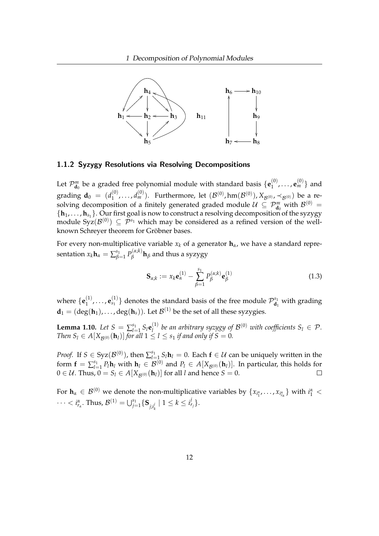

#### <span id="page-16-0"></span>1.1.2 Syzygy Resolutions via Resolving Decompositions

Let  $\mathcal{P}^m_{\mathbf{d}_0}$  be a graded free polynomial module with standard basis  $\{\mathbf{e}_1^{(0)}\}$  $\mathbf{e}_{1}^{(0)}, \ldots, \mathbf{e}_{m}^{(0)}$ } and grading  ${\bf d}_0 = (d_1^{(0)})$  $(0, \ldots, d_m^{(0)})$ . Furthermore, let  $(\mathcal{B}^{(0)}, \text{hm}(\mathcal{B}^{(0)}), X_{\mathcal{B}^{(0)}}, \prec_{\mathcal{B}^{(0)}})$  be a resolving decomposition of a finitely generated graded module  $\mathcal{U} \subseteq \mathcal{P}_{\mathbf{d}_0}^m$  with  $\mathcal{B}^{(0)} =$  $\{h_1, \ldots, h_{s_1}\}$ . Our first goal is now to construct a resolving decomposition of the syzygy module  $Syz(\mathcal{B}^{(0)}) \subseteq \mathcal{P}^{s_1}$  which may be considered as a refined version of the wellknown Schreyer theorem for Gröbner bases.

For every non-multiplicative variable  $x_k$  of a generator  $\mathbf{h}_{\alpha}$ , we have a standard representation  $x_k$ **h**<sub> $\alpha$ </sub> =  $\sum_{\beta}^{s_1}$ *ε*<sub>1</sub>  $P_β^{(α;k)}$  $\beta$ <sup>*(u,n)*</sup>**h**<sub>*β*</sub> and thus a syzygy

<span id="page-16-1"></span>
$$
\mathbf{S}_{\alpha;k} := x_k \mathbf{e}_{\alpha}^{(1)} - \sum_{\beta=1}^{s_1} P_{\beta}^{(\alpha;k)} \mathbf{e}_{\beta}^{(1)}
$$
(1.3)

where  $\{\mathbf{e}_1^{(1)}\}$  $\mathbf{e}_{s_1}^{(1)}, \ldots, \mathbf{e}_{s_1}^{(1)}$  $\mathcal{P}_{\mathbf{S}_1}^{(1)}$ } denotes the standard basis of the free module  $\mathcal{P}_{\mathbf{d}_1}^{s_1}$  $\mathbf{d}_1^{\mathsf{b}_1}$  with grading  $\mathbf{d}_1 = (\deg(\mathbf{h}_1), \dots, \deg(\mathbf{h}_s))$ . Let  $\mathcal{B}^{(1)}$  be the set of all these syzygies.

<span id="page-16-2"></span>**Lemma 1.10.** *Let*  $S = \sum_{l=1}^{s_1}$  $\sum_{l=1}^{s_1} S_l \mathbf{e}_l^{(1)}$  $I_l^{(1)}$  be an arbitrary syzygy of  $\mathcal{B}^{(0)}$  with coefficients  $S_l \in \mathcal{P}$ . *Then*  $S_l \in A[X_{\mathcal{B}^{(0)}}(\mathbf{h}_l)]$  *for all*  $1 \leq l \leq s_1$  *if and only if*  $S = 0$ *.* 

*Proof.* If  $S \in \text{Syz}(\mathcal{B}^{(0)})$ , then  $\sum_{l=1}^{s_1}$  $\sum_{l=1}^{s_1} S_l$ **h** $l$  = 0. Each **f** ∈  $U$  can be uniquely written in the form  $\mathbf{f} = \sum_{l=1}^{s_1}$  $P_{l=1}^{s_1} P_l \mathbf{h}_l$  with  $\mathbf{h}_l \in \mathcal{B}^{(0)}$  and  $P_l \in A[X_{\mathcal{B}^{(0)}}(\mathbf{h}_l)]$ . In particular, this holds for  $0 \in \mathcal{U}$ . Thus,  $0 = S_l \in A[X_{\mathcal{B}^{(0)}}(\mathbf{h}_l)]$  for all *l* and hence  $S = 0$ .  $\Box$ 

For  $\mathbf{h}_{\alpha} \in \mathcal{B}^{(0)}$  we denote the non-multiplicative variables by  $\{x_{i_1^{\alpha}}, \ldots, x_{i_{r_\alpha}^{\alpha}}\}$  with  $i_1^{\alpha} <$  $\cdots < i_{r_{\alpha}}^{\alpha}$ . Thus,  $\mathcal{B}^{(1)} = \bigcup_{j=1}^{s_1} \{ \mathbf{S}_{j,i_{k}^{j}} \mid 1 \leq k \leq i_{r_j}^{j} \}.$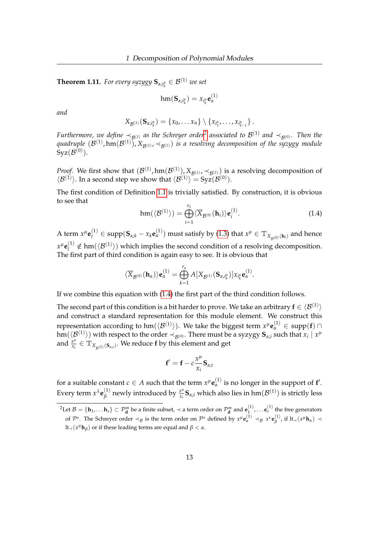<span id="page-17-2"></span>**Theorem 1.11.** *For every syzygy*  $\mathbf{S}_{\alpha;i_k^{\alpha}} \in \mathcal{B}^{(1)}$  *we set* 

$$
\mathrm{hm}(\mathbf{S}_{\alpha;i_k^\alpha})=x_{i_k^\alpha}\mathbf{e}^{(1)}_\alpha
$$

*and*

$$
X_{\mathcal{B}^{(1)}}(\mathbf{S}_{\alpha,i_k^{\alpha}})=\{x_0,\ldots x_n\}\setminus\{x_{i_1^{\alpha}},\ldots,x_{i_{k-1}^{\alpha}}\}\,.
$$

*Furthermore, we define*  $\prec_{\cal B^{(1)}}$  as the Schreyer order<sup>[2](#page-17-0)</sup> associated to  ${\cal B}^{(1)}$  and  $\prec_{\cal B^{(0)}}$ . Then the quadruple  $(\mathcal{B}^{(1)},\text{hm}(\mathcal{B}^{(1)})$ ,  $X_{\mathcal{B}^{(1)}},\prec_{\mathcal{B}^{(1)}})$  is a resolving decomposition of the syzygy module  ${\rm Syz}(\mathcal B^{(0)}).$ 

*Proof.* We first show that  $(\mathcal{B}^{(1)}, \text{hm}(\mathcal{B}^{(1)}), X_{\mathcal{B}^{(1)}}, \prec_{\mathcal{B}^{(1)}})$  is a resolving decomposition of  $\langle \mathcal{B}^{(1)} \rangle$ . In a second step we show that  $\langle \mathcal{B}^{(1)} \rangle = \text{Syz}(\mathcal{B}^{(0)})$ .

The first condition of Definition [1.1](#page-10-1) is trivially satisfied. By construction, it is obvious to see that

<span id="page-17-1"></span>
$$
\operatorname{hm}(\langle \mathcal{B}^{(1)} \rangle) = \bigoplus_{i=1}^{s_1} \langle \overline{X}_{\mathcal{B}^{(0)}}(\mathbf{h}_i) \rangle \mathbf{e}_i^{(1)}.
$$
 (1.4)

A term  $x^{\mu}$ **e**<sup>(1)</sup>  $Q_l^{(1)} \in \text{supp}(\mathbf{S}_{\alpha;k} - x_k\mathbf{e}_\alpha^{(1)})$  must satisfy by [\(1.3\)](#page-16-1) that  $x^\mu \in \mathbb{T}_{X_{\mathcal{B}^{(0)}}(\mathbf{h}_l)}$  and hence  $x^{\mu}$ **e**<sup>(1)</sup>  $\mathcal{L}_l^{(1)} \notin \text{hm}(\langle \mathcal{B}^{(1)} \rangle)$  which implies the second condition of a resolving decomposition. The first part of third condition is again easy to see. It is obvious that

$$
\langle \overline{X}_{\mathcal{B}^{(0)}}(\mathbf{h}_{\alpha})\rangle \mathbf{e}_{\alpha}^{(1)} = \bigoplus_{k=1}^{r_{\alpha}} A[X_{\mathcal{B}^{(1)}}(\mathbf{S}_{\alpha,i_{k}^{\alpha}})]x_{i_{k}^{\alpha}}\mathbf{e}_{\alpha}^{(1)}.
$$

If we combine this equation with [\(1.4\)](#page-17-1) the first part of the third condition follows.

The second part of this condition is a bit harder to prove. We take an arbitrary  $\mathbf{f} \in \langle \mathcal{B}^{(1)} \rangle$ and construct a standard representation for this module element. We construct this representation according to hm $(\langle \mathcal{B}^{(1)} \rangle)$ . We take the biggest term  $x^{\mu} \mathbf{e}_{\alpha}^{(1)} \in \operatorname{supp}(\mathbf{f}) \cap$  $\hom(\langle\mathcal{B}^{(1)}\rangle)$  with respect to the order  $\prec_{\mathcal{B}^{(0)}}.$  There must be a syzygy  $\mathbf{S}_{\alpha;i}$  such that  $x_i\mid x^\mu$ and  $\frac{x^{\mu}}{x}$  $\frac{x^{\mu}}{x_{i}} \in \mathbb{T}_{X_{\mathcal{B}^{(1)}}(\mathbf{S}_{\alpha;i})}.$  We reduce  $\mathbf{f}$  by this element and get

$$
\mathbf{f}' = \mathbf{f} - c \frac{x^{\mu}}{x_i} \mathbf{S}_{\alpha;i}
$$

for a suitable constant  $c \in A$  such that the term  $x^{\mu} \mathbf{e}_{\alpha}^{(1)}$  is no longer in the support of  $\mathbf{f}'$ . Every term  $x^{\lambda}$ **e** $_{\beta}^{(1)}$  $\beta^{(1)}$  newly introduced by  $\frac{x^{\mu}}{x_{i}}$  $\frac{x^{\mu}}{x_{i}}\mathbf{S}_{\alpha;i}$  which also lies in hm $(\mathcal{B}^{(1)})$  is strictly less

<span id="page-17-0"></span> $^2$ Let  $\mathcal{B} = \{\mathbf{h}_1, \dots \mathbf{h}_s\} \subset \mathcal{P}_{\mathbf{d}}^m$  be a finite subset,  $\prec$  a term order on  $\mathcal{P}_{\mathbf{d}}^m$  and  $\mathbf{e}_1^{(1)}$  $\mathbf{e}_{s}^{(1)}$ ,  $\ldots$   $\mathbf{e}_{s}^{(1)}$  the free generators of  $\mathcal{P}^s$ . The Schreyer order  $\prec_B$  is the term order on  $\mathcal{P}^s$  defined by  $x^{\mu} \mathbf{e}_\alpha^{(1)} \prec_B x^{\nu} \mathbf{e}_\beta^{(1)}$  $\beta$ <sup>(1)</sup>, if lt<sub>≺</sub>( $x$ <sup>μ</sup>**h**<sub>α</sub>) ≺  $lt$ <sub>≺</sub>(*x*<sup>*η*</sup>**h**<sub>β</sub>) or if these leading terms are equal and β < *α*.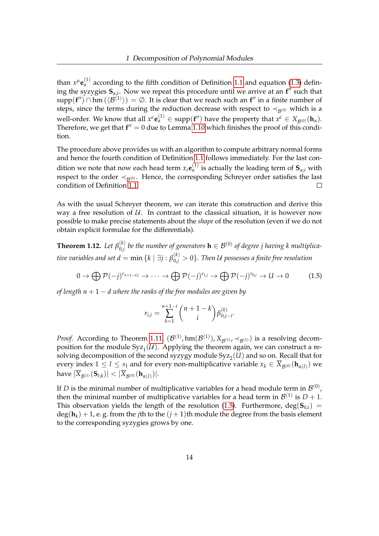than  $x^{\mu}$ **e**<sup>(1)</sup> according to the fifth condition of Definition [1.1](#page-10-1) and equation [\(1.3\)](#page-16-1) defining the syzygies  $S_{\alpha;i}$ . Now we repeat this procedure until we arrive at an  $f''$  such that  $supp(f'') \cap hm(\langle \mathcal{B}^{(1)} \rangle) = \emptyset$ . It is clear that we reach such an  $f''$  in a finite number of steps, since the terms during the reduction decrease with respect to  $\prec_{\mathcal{R}^{(0)}}$  which is a  $\alpha$  well-order. We know that all  $x^{\epsilon} \mathbf{e}_{\alpha}^{(1)} \in \text{supp}(\mathbf{f}'')$  have the property that  $x^{\epsilon} \in X_{\mathcal{B}^{(0)}}(\mathbf{h}_{\alpha}).$ Therefore, we get that  $f'' = 0$  due to Lemma [1.10](#page-16-2) which finishes the proof of this condition.

The procedure above provides us with an algorithm to compute arbitrary normal forms and hence the fourth condition of Definition [1.1](#page-10-1) follows immediately. For the last condition we note that now each head term  $x_i \mathbf{e}_{\alpha}^{(1)}$  is actually the leading term of  $\mathbf{S}_{\alpha;i}$  with respect to the order  $\prec_{\mathcal{B}^{(0)}}$ . Hence, the corresponding Schreyer order satisfies the last condition of Definition [1.1.](#page-10-1)  $\Box$ 

As with the usual Schreyer theorem, we can iterate this construction and derive this way a free resolution of  $U$ . In contrast to the classical situation, it is however now possible to make precise statements about the *shape* of the resolution (even if we do not obtain explicit formulae for the differentials).

<span id="page-18-1"></span>**Theorem 1.12.** *Let*  $\beta_{0,i}^{(k)}$  $\mathcal{L}_{0,j}^{(k)}$  be the number of generators  $\mathbf{h} \in \mathcal{B}^{(0)}$  of degree j having k multiplica*tive variables and set*  $d = \min{\{k \mid \exists j: \beta_{0,j}^{(k)} > 0\}}.$  *Then*  $\mathcal U$  *possesses a finite free resolution* 

<span id="page-18-0"></span>
$$
0 \to \bigoplus \mathcal{P}(-j)^{r_{n+1-d,j}} \to \cdots \to \bigoplus \mathcal{P}(-j)^{r_{1,j}} \to \bigoplus \mathcal{P}(-j)^{r_{0,j}} \to U \to 0 \tag{1.5}
$$

*of length n* + 1 − *d where the ranks of the free modules are given by*

$$
r_{i,j} = \sum_{k=1}^{n+1-i} \binom{n+1-k}{i} \beta_{0,j-i}^{(k)}.
$$

*Proof.* According to Theorem [1.11,](#page-17-2)  $(\mathcal{B}^{(1)}, \text{hm}(\mathcal{B}^{(1)}), X_{\mathcal{B}^{(1)}}, \prec_{\mathcal{B}^{(1)}})$  is a resolving decomposition for the module  $Syz_1(\mathcal{U})$ . Applying the theorem again, we can construct a resolving decomposition of the second syzygy module  $Syz_2(U)$  and so on. Recall that for every index  $1 \leq l \leq s_1$  and for every non-multiplicative variable  $x_k \in \overline{X}_{\mathcal{B}^{(0)}}(\mathbf{h}_{\alpha(l)})$  we  $\lvert \operatorname{have} \lvert \overline{X}_{\mathcal{B}^{(1)}}(\mathbf{S}_{l,k}) \rvert < \lvert \overline{X}_{\mathcal{B}^{(0)}}(\mathbf{h}_{\alpha(l)}) \rvert.$ 

If D is the minimal number of multiplicative variables for a head module term in  $\mathcal{B}^{(0)}$ , then the minimal number of multiplicative variables for a head term in  $\mathcal{B}^{(1)}$  is  $D+1$ . This observation yields the length of the resolution [\(1.5\)](#page-18-0). Furthermore,  $deg(S_{ki})$  =  $\deg(\mathbf{h}_k) + 1$ , e. g. from the *j*th to the  $(j + 1)$ th module the degree from the basis element to the corresponding syzygies grows by one.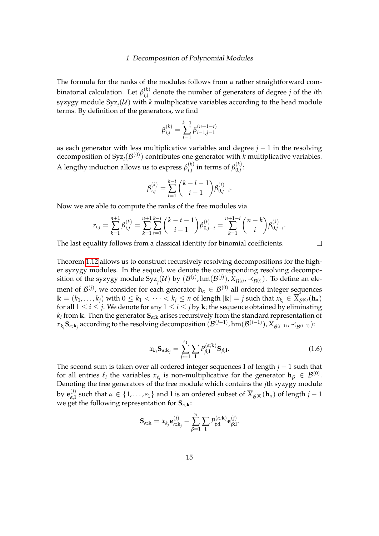The formula for the ranks of the modules follows from a rather straightforward combinatorial calculation. Let  $\beta_{i,j}^{(k)}$ *i*,*j* denote the number of generators of degree *j* of the *i*th  $s$ yzygy module  $S$ yz $_i$ ( $\mathcal{U}$ ) with  $k$  multiplicative variables according to the head module terms. By definition of the generators, we find

$$
\beta_{i,j}^{(k)} = \sum_{t=1}^{k-1} \beta_{i-1,j-1}^{(n+1-t)}
$$

as each generator with less multiplicative variables and degree *j* − 1 in the resolving decomposition of  $Syz_i(\mathcal{B}^{(0)})$  contributes one generator with *k* multiplicative variables. A lengthy induction allows us to express  $\beta_{i,j}^{(k)}$  $\alpha_{i,j}^{(k)}$  in terms of  $\beta_{0,j}^{(k)}$  $\int_{0,j}^{N}$ 

$$
\beta_{i,j}^{(k)} = \sum_{t=1}^{k-i} {k-l-1 \choose i-1} \beta_{0,j-i}^{(t)}.
$$

Now we are able to compute the ranks of the free modules via

$$
r_{i,j} = \sum_{k=1}^{n+1} \beta_{i,j}^{(k)} = \sum_{k=1}^{n+1} \sum_{t=1}^{k-i} {k-t-1 \choose i-1} \beta_{0,j-i}^{(t)} = \sum_{k=1}^{n+1-i} {n-k \choose i} \beta_{0,j-i}^{(k)}.
$$

The last equality follows from a classical identity for binomial coefficients.

 $\Box$ 

Theorem [1.12](#page-18-1) allows us to construct recursively resolving decompositions for the higher syzygy modules. In the sequel, we denote the corresponding resolving decomposition of the syzygy module  $Syz_j(\mathcal{U})$  by  $(\mathcal{B}^{(j)},hm(\mathcal{B}^{(j)}),X_{\mathcal{B}^{(j)}},\prec_{\mathcal{B}^{(j)}})$ . To define an element of *B*<sup>(*j*)</sup>, we consider for each generator **h**<sub>*α*</sub> ∈ *B*<sup>(0)</sup> all ordered integer sequences  $\mathbf{k} = (k_1, \ldots, k_i)$  with  $0 \le k_1 < \cdots < k_i \le n$  of length  $|\mathbf{k}| = j$  such that  $x_{k_i} \in \overline{X}_{\mathcal{B}^{(0)}}(\mathbf{h}_{\alpha})$ for all  $1 \leq i \leq j$ . We denote for any  $1 \leq i \leq j$  by  $\mathbf{k}_i$  the sequence obtained by eliminating *ki* from **k**. Then the generator **S***α*;**<sup>k</sup>** arises recursively from the standard representation of  $x_{k_j}$ **S** $_{\alpha;{\bf k}_j}$  according to the resolving decomposition  $(\mathcal{B}^{(j-1)},\text{hm}(\mathcal{B}^{(j-1)}), X_{\mathcal{B}^{(j-1)}},\prec_{\mathcal{B}^{(j-1)}})$ :

<span id="page-19-0"></span>
$$
x_{k_j} \mathbf{S}_{\alpha; \mathbf{k}_j} = \sum_{\beta=1}^{s_1} \sum_{\mathbf{l}} P_{\beta; \mathbf{l}}^{(\alpha; \mathbf{k})} \mathbf{S}_{\beta; \mathbf{l}}.
$$
 (1.6)

The second sum is taken over all ordered integer sequences **l** of length *j* − 1 such that for all entries  $\ell_i$  the variables  $x_{\ell_i}$  is non-multiplicative for the generator  $\mathbf{h}_{\beta} \in \mathcal{B}^{(0)}$ . Denoting the free generators of the free module which contains the *j*th syzygy module by  $\mathbf{e}_{\alpha,1}^{(j)}$  $\alpha$ , and  $\alpha$  and  $\alpha$  = {1, ..., *s*<sub>1</sub>} and **l** is an ordered subset of  $\overline{X}_{\mathcal{B}^{(0)}}(\mathbf{h}_{\alpha})$  of length *j* − 1 we get the following representation for **S***α*,**k**:

$$
\mathbf{S}_{\alpha;\mathbf{k}}=x_{k_j}\mathbf{e}_{\alpha;\mathbf{k}_j}^{(j)}-\sum_{\beta=1}^{s_1}\sum_{\mathbf{l}}P_{\beta;\mathbf{l}}^{(\alpha;\mathbf{k})}\mathbf{e}_{\beta;\mathbf{l}}^{(j)}.
$$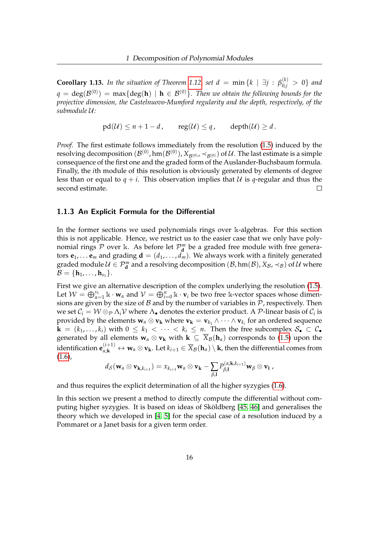<span id="page-20-1"></span>**Corollary 1.13.** *In the situation of Theorem [1.12,](#page-18-1) set*  $d = \min\{k \mid \exists j : \beta_{0,j}^{(k)} > 0\}$  *and*  $q=\deg(\mathcal{B}^{(0)})= \max\{\deg(\mathbf{h}) \,\,|\,\, \mathbf{h}\in\mathcal{B}^{(0)}\}.$  Then we obtain the following bounds for the *projective dimension, the Castelnuovo-Mumford regularity and the depth, respectively, of the submodule* U*:*

 $pd(\mathcal{U}) \leq n+1-d$ ,  $reg(\mathcal{U}) \leq q$ ,  $depth(\mathcal{U}) \geq d$ .

*Proof.* The first estimate follows immediately from the resolution [\(1.5\)](#page-18-0) induced by the resolving decomposition  $(\mathcal{B}^{(0)},\text{hm}(\mathcal{B}^{(0)}),X_{\mathcal{B}^{(0)}},\prec_{\mathcal{B}^{(0)}})$  of  $\mathcal{U}.$  The last estimate is a simple consequence of the first one and the graded form of the Auslander-Buchsbaum formula. Finally, the *i*th module of this resolution is obviously generated by elements of degree less than or equal to  $q + i$ . This observation implies that U is q-regular and thus the second estimate.  $\Box$ 

#### <span id="page-20-0"></span>1.1.3 An Explicit Formula for the Differential

In the former sections we used polynomials rings over k-algebras. For this section this is not applicable. Hence, we restrict us to the easier case that we only have polynomial rings  $P$  over k. As before let  $P_{\mathbf{d}}^m$  be a graded free module with free generators  $\mathbf{e}_1, \dots \mathbf{e}_m$  and grading  $\mathbf{d} = (d_1, \dots, d_m)$ . We always work with a finitely generated graded module  $\mathcal{U} \in \mathcal{P}_{d}^{m}$  and a resolving decomposition  $(\mathcal{B}, \text{hm}(\mathcal{B}), X_{\mathcal{B}}, \prec_{\mathcal{B}})$  of  $\mathcal{U}$  where  $\mathcal{B} = \{\mathbf{h}_1, \dots, \mathbf{h}_{s_1}\}.$ 

First we give an alternative description of the complex underlying the resolution [\(1.5\)](#page-18-0). Let  $W = \bigoplus_{\alpha=1}^{s_1} \mathbb{k} \cdot \mathbf{w}_\alpha$  and  $V = \bigoplus_{i=0}^n \mathbb{k} \cdot \mathbf{v}_i$  be two free k-vector spaces whose dimensions are given by the size of  $B$  and by the number of variables in  $P$ , respectively. Then we set  $\mathcal{C}_i = \mathcal{W} \otimes_{\mathcal{P}} \Lambda_i \mathcal{V}$  where  $\Lambda_{\bullet}$  denotes the exterior product. A  $\mathcal{P}$ -linear basis of  $\mathcal{C}_i$  is provided by the elements  $w_\alpha \otimes v_k$  where  $v_k = v_{k_1} \wedge \cdots \wedge v_{k_i}$  for an ordered sequence  $\mathbf{k} = (k_1, \ldots, k_i)$  with  $0 \leq k_1 < \cdots < k_i \leq n$ . Then the free subcomplex  $\mathcal{S}_\bullet \subset \mathcal{C}_\bullet$ generated by all elements  $\mathbf{w}_\alpha \otimes \mathbf{v}_\mathbf{k}$  with  $\mathbf{k} \subseteq \overline{X}_\beta(\mathbf{h}_\alpha)$  corresponds to [\(1.5\)](#page-18-0) upon the  $\mathbf{a}$  identification  $\mathbf{e}_{\alpha;\mathbf{k}}^{(i+1)} \leftrightarrow \mathbf{w}_{\alpha} \otimes \mathbf{v}_{\mathbf{k}}.$  Let  $k_{i+1} \in \overline{X}_{\mathcal{B}}(\mathbf{h}_{\alpha}) \setminus \mathbf{k}$ , then the differential comes from  $(1.6)$ ,

$$
d_{\mathcal{S}}(\mathbf{w}_{\alpha} \otimes \mathbf{v}_{\mathbf{k},k_{i+1}}) = x_{k_{i+1}} \mathbf{w}_{\alpha} \otimes \mathbf{v}_{\mathbf{k}} - \sum_{\beta,\mathbf{l}} P_{\beta,\mathbf{l}}^{(\alpha;\mathbf{k},k_{i+1})} \mathbf{w}_{\beta} \otimes \mathbf{v}_{\mathbf{l}} ,
$$

and thus requires the explicit determination of all the higher syzygies [\(1.6\)](#page-19-0).

In this section we present a method to directly compute the differential without computing higher syzygies. It is based on ideas of Sköldberg [\[45,](#page-162-0) [46\]](#page-162-1) and generalises the theory which we developed in [\[4,](#page-159-2) [5\]](#page-159-3) for the special case of a resolution induced by a Pommaret or a Janet basis for a given term order.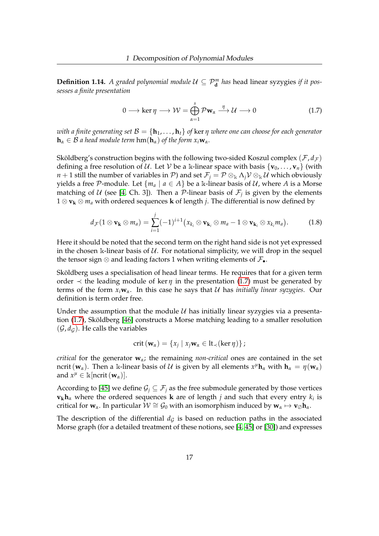<span id="page-21-2"></span>**Definition 1.14.** *A graded polynomial module*  $U \subseteq \mathcal{P}_{d}^{m}$  *has* head linear syzygies *if it possesses a finite presentation*

<span id="page-21-0"></span>
$$
0 \longrightarrow \ker \eta \longrightarrow \mathcal{W} = \bigoplus_{\alpha=1}^{s} \mathcal{P} \mathbf{w}_{\alpha} \xrightarrow{\eta} \mathcal{U} \longrightarrow 0 \tag{1.7}
$$

*with a finite generating set*  $\mathcal{B} = \{\mathbf{h}_1, \dots, \mathbf{h}_t\}$  *of ker*  $\eta$  *where one can choose for each generator*  $\mathbf{h}_{\alpha} \in \mathcal{B}$  *a head module term*  $\text{hm}(\mathbf{h}_{\alpha})$  *of the form*  $x_i \mathbf{w}_{\alpha}$ *.* 

Sköldberg's construction begins with the following two-sided Koszul complex  $(F, d_F)$ defining a free resolution of U. Let V be a k-linear space with basis  $\{v_0, \ldots, v_n\}$  (with *n* + 1 still the number of variables in  $P$ ) and set  $\mathcal{F}_j = P \otimes_k \Lambda_j \mathcal{V} \otimes_k \mathcal{U}$  which obviously yields a free P-module. Let  $\{m_a \mid a \in A\}$  be a k-linear basis of U, where A is a Morse matching of  $U$  (see [\[4,](#page-159-2) Ch. 3]). Then a  $\mathcal P$ -linear basis of  $\mathcal F_j$  is given by the elements 1 ⊗ **v<sup>k</sup>** ⊗ *m<sup>a</sup>* with ordered sequences **k** of length *j*. The differential is now defined by

<span id="page-21-1"></span>
$$
d_{\mathcal{F}}(1\otimes \mathbf{v}_{\mathbf{k}}\otimes m_a)=\sum_{i=1}^j (-1)^{i+1}\big(x_{k_i}\otimes \mathbf{v}_{\mathbf{k}_i}\otimes m_a-1\otimes \mathbf{v}_{\mathbf{k}_i}\otimes x_{k_i}m_a\big).
$$
 (1.8)

Here it should be noted that the second term on the right hand side is not yet expressed in the chosen k-linear basis of  $U$ . For notational simplicity, we will drop in the sequel the tensor sign ⊗ and leading factors 1 when writing elements of  $\mathcal{F}_{\bullet}$ .

Sköldberg uses a specialisation of head linear terms. He requires that for a given term order  $\prec$  the leading module of ker  $\eta$  in the presentation [\(1.7\)](#page-21-0) must be generated by terms of the form  $x_i \mathbf{w}_\alpha$ . In this case he says that U has *initially linear syzygies*. Our definition is term order free.

Under the assumption that the module  $U$  has initially linear syzygies via a presentation [\(1.7\)](#page-21-0), Sköldberg [\[46\]](#page-162-1) constructs a Morse matching leading to a smaller resolution  $(\mathcal{G}, d_{\mathcal{G}})$ . He calls the variables

$$
\mathrm{crit}\left(\mathbf{w}_{\alpha}\right)=\left\{x_j\mid x_j\mathbf{w}_{\alpha}\in\mathrm{lt}_{\prec}(\ker\eta)\right\};
$$

*critical* for the generator **w***α*; the remaining *non-critical* ones are contained in the set ncrit ( $w_\alpha$ ). Then a k-linear basis of  $\mathcal U$  is given by all elements  $x^\mu \mathbf h_\alpha$  with  $\mathbf h_\alpha = \eta(\mathbf w_\alpha)$ and  $x^{\mu} \in \mathbb{k}[\text{ncrit}(\mathbf{w}_{\alpha})].$ 

According to [\[45\]](#page-162-0) we define  $\mathcal{G}_i \subseteq \mathcal{F}_i$  as the free submodule generated by those vertices  $\mathbf{v}_{\mathbf{k}}\mathbf{h}_{\alpha}$  where the ordered sequences  $\mathbf{k}$  are of length  $j$  and such that every entry  $k_i$  is critical for  $w_\alpha$ . In particular  $\mathcal{W} \cong \mathcal{G}_0$  with an isomorphism induced by  $w_\alpha \mapsto v_\emptyset h_\alpha$ .

The description of the differential  $d<sub>G</sub>$  is based on reduction paths in the associated Morse graph (for a detailed treatment of these notions, see [\[4,](#page-159-2) [45\]](#page-162-0) or [\[30\]](#page-161-2)) and expresses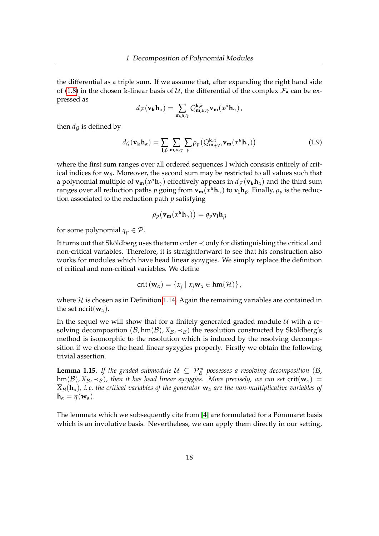the differential as a triple sum. If we assume that, after expanding the right hand side of [\(1.8\)](#page-21-1) in the chosen k-linear basis of U, the differential of the complex  $\mathcal{F}_{\bullet}$  can be expressed as

$$
d_{\mathcal{F}}(\mathbf{v}_{\mathbf{k}}\mathbf{h}_{\alpha})=\sum_{\mathbf{m},\mu,\gamma}Q_{\mathbf{m},\mu,\gamma}^{\mathbf{k},\alpha}\mathbf{v}_{\mathbf{m}}(x^{\mu}\mathbf{h}_{\gamma}),
$$

then  $d_G$  is defined by

<span id="page-22-0"></span>
$$
d_{\mathcal{G}}(\mathbf{v}_{\mathbf{k}}\mathbf{h}_{\alpha}) = \sum_{\mathbf{l},\beta} \sum_{\mathbf{m},\mu,\gamma} \sum_{p} \rho_{p} \left( Q_{\mathbf{m},\mu,\gamma}^{\mathbf{k},\alpha} \mathbf{v}_{\mathbf{m}}(x^{\mu} \mathbf{h}_{\gamma}) \right)
$$
(1.9)

where the first sum ranges over all ordered sequences **l** which consists entirely of critical indices for  $w_\beta$ . Moreover, the second sum may be restricted to all values such that a polynomial multiple of  $\mathbf{v_m}(x^{\mu} \mathbf{h}_{\gamma})$  effectively appears in  $d_{\mathcal{F}}(\mathbf{v_k}\mathbf{h}_{\alpha})$  and the third sum ranges over all reduction paths  $p$  going from  $\bf{v}_m(x^\mu\bf{h}_\gamma)$  to  $\bf{v}_l\bf{h}_\beta$ . Finally,  $\rho_p$  is the reduction associated to the reduction path *p* satisfying

$$
\rho_p(\mathbf{v_m}(x^{\mu}\mathbf{h}_{\gamma})) = q_p \mathbf{v_l}\mathbf{h}_{\beta}
$$

for some polynomial  $q_p \in \mathcal{P}$ .

It turns out that Sköldberg uses the term order ≺ only for distinguishing the critical and non-critical variables. Therefore, it is straightforward to see that his construction also works for modules which have head linear syzygies. We simply replace the definition of critical and non-critical variables. We define

$$
crit (\mathbf{w}_{\alpha}) = \{x_j \mid x_j \mathbf{w}_{\alpha} \in \text{hm}(\mathcal{H})\},\
$$

where  $H$  is chosen as in Definition [1.14.](#page-21-2) Again the remaining variables are contained in the set ncrit( $\mathbf{w}_\alpha$ ).

In the sequel we will show that for a finitely generated graded module  $U$  with a resolving decomposition  $(B, \text{hm}(B), X_B, \prec_B)$  the resolution constructed by Sköldberg's method is isomorphic to the resolution which is induced by the resolving decomposition if we choose the head linear syzygies properly. Firstly we obtain the following trivial assertion.

**Lemma 1.15.** *If the graded submodule*  $U \subseteq \mathcal{P}_{d}^{m}$  possesses a resolving decomposition (B,  $h(m(\mathcal{B}), X_{\mathcal{B}}, \prec_{\mathcal{B}})$ , then it has head linear syzygies. More precisely, we can set crit( $w_{\alpha}$ ) =  $\overline{X}_{\mathcal{B}}(h_{\alpha})$ , *i.e. the critical variables of the generator*  $w_{\alpha}$  *are the non-multiplicative variables of*  $h_{\alpha} = \eta(\mathbf{w}_{\alpha}).$ 

The lemmata which we subsequently cite from [\[4\]](#page-159-2) are formulated for a Pommaret basis which is an involutive basis. Nevertheless, we can apply them directly in our setting,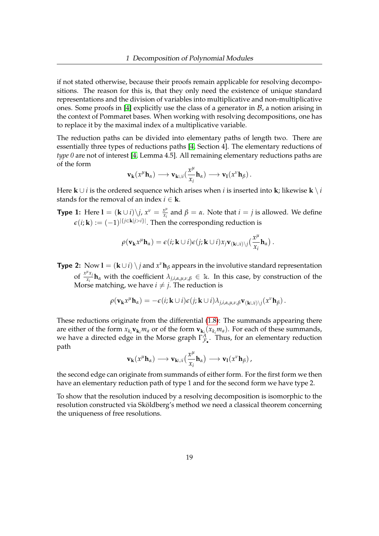if not stated otherwise, because their proofs remain applicable for resolving decompositions. The reason for this is, that they only need the existence of unique standard representations and the division of variables into multiplicative and non-multiplicative ones. Some proofs in [\[4\]](#page-159-2) explicitly use the class of a generator in  $\beta$ , a notion arising in the context of Pommaret bases. When working with resolving decompositions, one has to replace it by the maximal index of a multiplicative variable.

The reduction paths can be divided into elementary paths of length two. There are essentially three types of reductions paths [\[4,](#page-159-2) Section 4]. The elementary reductions of *type 0* are not of interest [\[4,](#page-159-2) Lemma 4.5]. All remaining elementary reductions paths are of the form

$$
\mathbf{v}_{\mathbf{k}}(x^{\mu}\mathbf{h}_{\alpha}) \longrightarrow \mathbf{v}_{\mathbf{k}\cup i}(\frac{x^{\mu}}{x_i}\mathbf{h}_{\alpha}) \longrightarrow \mathbf{v}_{\mathbf{l}}(x^{\nu}\mathbf{h}_{\beta}).
$$

Here **k** ∪ *i* is the ordered sequence which arises when *i* is inserted into **k**; likewise **k**  $\setminus i$ stands for the removal of an index  $i \in \mathbf{k}$ .

**Type 1:** Here  $\mathbf{l} = (\mathbf{k} \cup i)\backslash j$ ,  $x^{\nu} = \frac{x^{\mu}}{x}$ *xi* and *β* = *α*. Note that *i* = *j* is allowed. We define  $\epsilon(i; \mathbf{k}) := (-1)^{|\{j \in \mathbf{k}|j > i\}|}$ . Then the corresponding reduction is

$$
\rho(\mathbf{v}_{\mathbf{k}}x^{\mu}\mathbf{h}_{\alpha})=\epsilon(i;\mathbf{k}\cup i)\epsilon(j;\mathbf{k}\cup i)x_j\mathbf{v}_{(\mathbf{k}\cup i)\setminus j}(\frac{x^{\mu}}{x_i}\mathbf{h}_{\alpha}).
$$

**Type 2:** Now  $\mathbf{l} = (\mathbf{k} \cup i) \setminus j$  and  $x^{\nu} \mathbf{h}_{\beta}$  appears in the involutive standard representation of  $\frac{x^{\mu}x_j}{x_i}$  $\lambda_{j,i,\alpha,\mu,\nu,\beta} \in \mathbb{R}$ . In this case, by construction of the Morse matching*,* we have  $i \neq j$ . The reduction is

$$
\rho(\mathbf{v}_{\mathbf{k}}x^{\mu}\mathbf{h}_{\alpha})=-\epsilon(i;\mathbf{k}\cup i)\epsilon(j;\mathbf{k}\cup i)\lambda_{j,i,\alpha,\mu,\nu,\beta}\mathbf{v}_{(\mathbf{k}\cup i)\setminus j}(x^{\nu}\mathbf{h}_{\beta}).
$$

These reductions originate from the differential [\(1.8\)](#page-21-1): The summands appearing there are either of the form  $x_{k_i}$ **v**<sub>**k**<sub>*i</sub>*</sub> or of the form  $\bf{v}_{k_i}(x_{k_i}$ *m*<sub>*a*</sub> $)$ . For each of these summands,</sub> we have a directed edge in the Morse graph  $\Gamma^A_{\mathcal{F}_\bullet}$ . Thus, for an elementary reduction path

$$
v_k(x^{\mu}h_{\alpha}) \longrightarrow v_{k\cup i}(\frac{x^{\mu}}{x_i}h_{\alpha}) \longrightarrow v_1(x^{\nu}h_{\beta}),
$$

the second edge can originate from summands of either form. For the first form we then have an elementary reduction path of type 1 and for the second form we have type 2.

To show that the resolution induced by a resolving decomposition is isomorphic to the resolution constructed via Sköldberg's method we need a classical theorem concerning the uniqueness of free resolutions.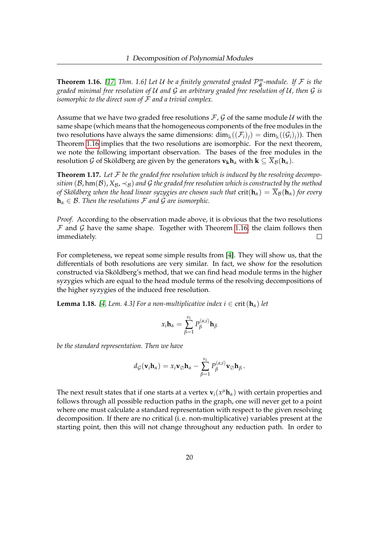<span id="page-24-0"></span>**Theorem 1.16.** [\[17,](#page-160-5) Thm. 1.6] Let U be a finitely generated graded  $\mathcal{P}_{\mathbf{d}}^{m}$ -module. If F is the *graded minimal free resolution of* U *and* G *an arbitrary graded free resolution of* U*, then* G *is isomorphic to the direct sum of* F *and a trivial complex.*

Assume that we have two graded free resolutions  $\mathcal{F}, \mathcal{G}$  of the same module  $\mathcal{U}$  with the same shape (which means that the homogeneous components of the free modules in the two resolutions have always the same dimensions:  $\dim_k((\mathcal{F}_i)_i) = \dim_k((\mathcal{G}_i)_i)$ . Then Theorem [1.16](#page-24-0) implies that the two resolutions are isomorphic. For the next theorem, we note the following important observation. The bases of the free modules in the resolution G of Sköldberg are given by the generators  $\mathbf{v}_{\mathbf{k}}\mathbf{h}_{\alpha}$  with  $\mathbf{k} \subseteq \overline{X}_{\beta}(\mathbf{h}_{\alpha})$ .

**Theorem 1.17.** *Let* F *be the graded free resolution which is induced by the resolving decomposition* ( $B$ ,  $\text{hm}(B)$ ,  $X_B$ ,  $\prec_B$ ) and  $G$  *the graded free resolution which is constructed by the method of Sköldberg when the head linear syzygies are chosen such that*  $crit(\mathbf{h}_\alpha) = \overline{X}_B(\mathbf{h}_\alpha)$  *for every*  $h_{\alpha} \in \mathcal{B}$ . Then the resolutions F and G are isomorphic.

*Proof.* According to the observation made above, it is obvious that the two resolutions  $F$  and  $G$  have the same shape. Together with Theorem [1.16,](#page-24-0) the claim follows then immediately. П.

For completeness, we repeat some simple results from [\[4\]](#page-159-2). They will show us, that the differentials of both resolutions are very similar. In fact, we show for the resolution constructed via Sköldberg's method, that we can find head module terms in the higher syzygies which are equal to the head module terms of the resolving decompositions of the higher syzygies of the induced free resolution.

**Lemma 1.18.** *[\[4,](#page-159-2) Lem. 4.3] For a non-multiplicative index i*  $\in$  crit( $h_\alpha$ ) *let* 

$$
x_i \mathbf{h}_{\alpha} = \sum_{\beta=1}^{s_1} P_{\beta}^{(\alpha;i)} \mathbf{h}_{\beta}
$$

*be the standard representation. Then we have*

$$
d_{\mathcal{G}}(\mathbf{v}_{i}\mathbf{h}_{\alpha})=x_{i}\mathbf{v}_{\oslash}\mathbf{h}_{\alpha}-\sum_{\beta=1}^{s_{1}}P_{\beta}^{(\alpha;i)}\mathbf{v}_{\oslash}\mathbf{h}_{\beta}.
$$

The next result states that if one starts at a vertex  $\mathbf{v}_i(x^{\mu} \mathbf{h}_{\alpha})$  with certain properties and follows through all possible reduction paths in the graph, one will never get to a point where one must calculate a standard representation with respect to the given resolving decomposition. If there are no critical (i. e. non-multiplicative) variables present at the starting point, then this will not change throughout any reduction path. In order to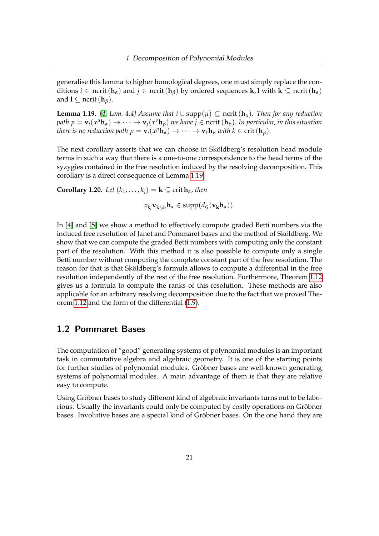generalise this lemma to higher homological degrees, one must simply replace the conditions  $i \in \text{ncrit}(\mathbf{h}_{\alpha})$  and  $j \in \text{ncrit}(\mathbf{h}_{\beta})$  by ordered sequences **k**, l with  $\mathbf{k} \subseteq \text{ncrit}(\mathbf{h}_{\alpha})$ and  $\mathbf{l} \subseteq \text{ncrit}(\mathbf{h}_{\beta})$ .

<span id="page-25-1"></span>**Lemma 1.19.** [\[4,](#page-159-2) Lem. 4.4] Assume that  $i \cup \text{supp}(\mu)$  ⊂ ncrit ( $\mathbf{h}_{\alpha}$ ). Then for any reduction  $p$ ath  $p = \mathbf{v}_i(x^{\mu} \mathbf{h}_\alpha) \to \cdots \to \mathbf{v}_j(x^{\nu} \mathbf{h}_\beta)$  we have  $j \in \mathrm{ncrit} \,(\mathbf{h}_\beta)$ . In particular, in this situation *there is no reduction path*  $p = \mathbf{v}_i(x^\mu \mathbf{h}_\alpha) \to \cdots \to \mathbf{v}_k \mathbf{h}_\beta$  *with*  $k \in \text{crit} (\mathbf{h}_\beta)$ *.* 

The next corollary asserts that we can choose in Sköldberg's resolution head module terms in such a way that there is a one-to-one correspondence to the head terms of the syzygies contained in the free resolution induced by the resolving decomposition. This corollary is a direct consequence of Lemma [1.19.](#page-25-1)

**Corollary 1.20.** *Let*  $(k_1, \ldots, k_i) = \mathbf{k} \subseteq \text{crit } \mathbf{h}_\alpha$ *, then* 

$$
x_{k_l}\mathbf{v}_{\mathbf{k}\setminus k_l}\mathbf{h}_{\alpha}\in \mathrm{supp}(d_{\mathcal{G}}(\mathbf{v}_{\mathbf{k}}\mathbf{h}_{\alpha})).
$$

In [\[4\]](#page-159-2) and [\[5\]](#page-159-3) we show a method to effectively compute graded Betti numbers via the induced free resolution of Janet and Pommaret bases and the method of Sköldberg. We show that we can compute the graded Betti numbers with computing only the constant part of the resolution. With this method it is also possible to compute only a single Betti number without computing the complete constant part of the free resolution. The reason for that is that Sköldberg's formula allows to compute a differential in the free resolution independently of the rest of the free resolution. Furthermore, Theorem [1.12](#page-18-1) gives us a formula to compute the ranks of this resolution. These methods are also applicable for an arbitrary resolving decomposition due to the fact that we proved Theorem [1.12](#page-18-1) and the form of the differential [\(1.9\)](#page-22-0).

## <span id="page-25-0"></span>1.2 Pommaret Bases

The computation of "good" generating systems of polynomial modules is an important task in commutative algebra and algebraic geometry. It is one of the starting points for further studies of polynomial modules. Gröbner bases are well-known generating systems of polynomial modules. A main advantage of them is that they are relative easy to compute.

Using Gröbner bases to study different kind of algebraic invariants turns out to be laborious. Usually the invariants could only be computed by costly operations on Gröbner bases. Involutive bases are a special kind of Gröbner bases. On the one hand they are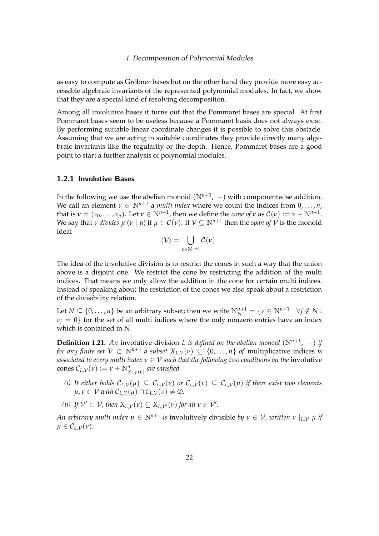as easy to compute as Gröbner bases but on the other hand they provide more easy accessible algebraic invariants of the represented polynomial modules. In fact, we show that they are a special kind of resolving decomposition.

Among all involutive bases it turns out that the Pommaret bases are special. At first Pommaret bases seem to be useless because a Pommaret basis does not always exist. By performing suitable linear coordinate changes it is possible to solve this obstacle. Assuming that we are acting in suitable coordinates they provide directly many algebraic invariants like the regularity or the depth. Hence, Pommaret bases are a good point to start a further analysis of polynomial modules.

### <span id="page-26-0"></span>1.2.1 Involutive Bases

In the following we use the abelian monoid  $(N^{n+1}, +)$  with componentwise addition. We call an element  $\nu \in \mathbb{N}^{n+1}$  a *multi index* where we count the indices from  $0, \ldots, n$ , that is  $\nu = (\nu_0, \dots, \nu_n)$ . Let  $\nu \in \mathbb{N}^{n+1}$ , then we define the *cone* of  $\nu$  as  $\mathcal{C}(\nu) := \nu + \mathbb{N}^{n+1}$ . We say that *ν divides*  $\mu$  (*ν* |  $\mu$ ) if  $\mu \in C(\nu)$ . If  $\mathcal{V} \subseteq \mathbb{N}^{n+1}$  then the *span of*  $\mathcal V$  is the monoid ideal

$$
\langle \mathcal{V} \rangle = \bigcup_{\nu \in \mathbb{N}^{n+1}} \mathcal{C}(\nu).
$$

The idea of the involutive division is to restrict the cones in such a way that the union above is a disjoint one. We restrict the cone by restricting the addition of the multi indices. That means we only allow the addition in the cone for certain multi indices. Instead of speaking about the restriction of the cones we also speak about a restriction of the divisibility relation.

Let  $N \subseteq \{0,\ldots,n\}$  be an arbitrary subset; then we write  $N_N^{n+1} = \{v \in N^{n+1} \mid \forall j \notin N : w \in N_N^{n+1} \mid \forall j \notin N\}$  $\nu$ <sup>*j*</sup> = 0} for the set of all multi indices where the only nonzero entries have an index which is contained in *N*.

**Definition 1.21.** An involutive division *L* is defined on the abelian monoid  $(N^{n+1}, +)$  if *for any finite set*  $V \subset \mathbb{N}^{n+1}$  *a subset*  $X_{L,\mathcal{V}}(v) \subseteq \{0,\ldots,n\}$  *of* multiplicative indices *is associated to every multi index*  $v \in V$  *such that the following two conditions on the involutive*  $\text{cones } \mathcal{C}_{L,\mathcal{V}}(\nu) := \nu + \mathbb{N}_{X_{L,\mathcal{V}}(\nu)}^n$  are satisfied.

- *(i)* It either holds  $C_{L,V}(\mu) \subseteq C_{L,V}(\nu)$  or  $C_{L,V}(\nu) \subseteq C_{L,V}(\mu)$  if there exist two elements  $\mu, \nu \in \mathcal{V}$  *with*  $\mathcal{C}_{L,\mathcal{V}}(\mu) \cap \mathcal{C}_{L,\mathcal{V}}(\nu) \neq \emptyset$ .
- *(ii) If*  $V' \subset V$ *, then*  $X_{L,V}(v) \subseteq X_{L,V'}(v)$  *for all*  $v \in V'$ *.*

*An arbitrary multi index*  $\mu \in \mathbb{N}^{n+1}$  *is* involutively divisible *by*  $\nu \in \mathcal{V}$ *, written*  $\nu \mid_{L,\mathcal{V}} \mu$  *if*  $\mu \in C_{L,V}(\nu)$ .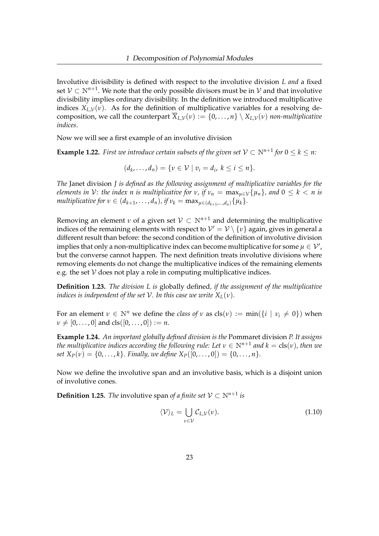Involutive divisibility is defined with respect to the involutive division *L and* a fixed set  $\mathcal{V} \subset \mathbb{N}^{n+1}$ . We note that the only possible divisors must be in  $\mathcal{V}$  and that involutive divisibility implies ordinary divisibility. In the definition we introduced multiplicative indices  $X_{L,V}(v)$ . As for the definition of multiplicative variables for a resolving decomposition, we call the counterpart  $\overline{X}_{L,V}(v) := \{0, \ldots, n\} \setminus X_{L,V}(v)$  *non-multiplicative indices*.

Now we will see a first example of an involutive division

**Example 1.22.** *First we introduce certain subsets of the given set*  $V \subset \mathbb{N}^{n+1}$  *for*  $0 \le k \le n$ *:* 

$$
(d_k,\ldots,d_n)=\{v\in\mathcal{V}\mid v_i=d_i,\ k\leq i\leq n\}.
$$

*The* Janet division *J is defined as the following assignment of multiplicative variables for the elements in*  $V$ *: the index n is multiplicative for*  $v$ *, if*  $v_n = \max_{\mu \in V} {\mu_n}$ *, and*  $0 \le k < n$  *is multiplicative for*  $v \in (d_{k+1}, \ldots, d_n)$ , if  $v_k = \max_{\mu \in (d_{k+1}, \ldots, d_n)} \{\mu_k\}.$ 

Removing an element *v* of a given set  $V \subset N^{n+1}$  and determining the multiplicative indices of the remaining elements with respect to  $\mathcal{V}'=\mathcal{V}\setminus\{\nu\}$  again, gives in general a different result than before: the second condition of the definition of involutive division implies that only a non-multiplicative index can become multiplicative for some  $\mu \in \mathcal{V}'$  , but the converse cannot happen. The next definition treats involutive divisions where removing elements do not change the multiplicative indices of the remaining elements e.g. the set  $V$  does not play a role in computing multiplicative indices.

**Definition 1.23.** *The division L is* globally defined*, if the assignment of the multiplicative indices is independent of the set*  $V$ *. In this case we write*  $X_L(v)$ *.* 

For an element  $\nu \in \mathbb{N}^n$  we define the *class of*  $\nu$  as  $\text{cls}(\nu) := \min(\{i \mid \nu_i \neq 0\})$  when  $\nu \neq [0, \ldots, 0]$  and cls( $[0, \ldots, 0]$ ) := *n*.

**Example 1.24.** *An important globally defined division is the* Pommaret division *P. It assigns the multiplicative indices according the following rule: Let*  $v \in \mathbb{N}^{n+1}$  *and*  $k = \text{cls}(v)$ *, then we set*  $X_P(v) = \{0, \ldots, k\}$ *. Finally, we define*  $X_P([0, \ldots, 0]) = \{0, \ldots, n\}$ *.* 

Now we define the involutive span and an involutive basis, which is a disjoint union of involutive cones.

**Definition 1.25.** *The* involutive span *of a finite set*  $V \subset N^{n+1}$  *is* 

<span id="page-27-0"></span>
$$
\langle \mathcal{V} \rangle_L = \bigcup_{\nu \in \mathcal{V}} \mathcal{C}_{L,\mathcal{V}}(\nu). \tag{1.10}
$$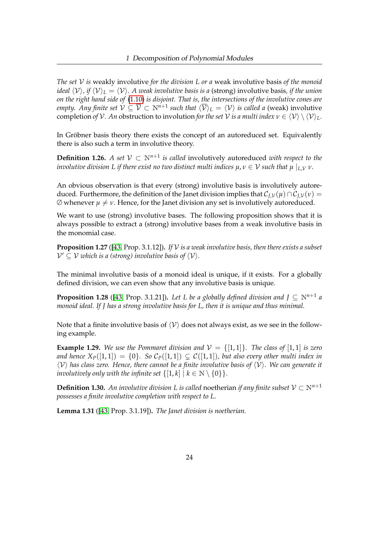*The set* V *is* weakly involutive *for the division L or a* weak involutive basis *of the monoid ideal*  $\langle V \rangle$ , *if*  $\langle V \rangle$ <sub>*L*</sub> =  $\langle V \rangle$ *. A weak involutive basis is a* (strong) involutive basis, *if the union on the right hand side of* [\(1.10\)](#page-27-0) *is disjoint. That is, the intersections of the involutive cones are empty. Any finite set*  $V \subseteq \overline{V} \subset N^{n+1}$  *such that*  $\langle \overline{V} \rangle_L = \langle V \rangle$  *is called a* (weak) involutive completion *of*  $V$ *. An* obstruction to involution *for the set*  $V$  *is a multi index*  $v \in \langle V \rangle \setminus \langle V \rangle$ <sub>*L*</sub>.

In Gröbner basis theory there exists the concept of an autoreduced set. Equivalently there is also such a term in involutive theory.

**Definition 1.26.** A set  $V \subset \mathbb{N}^{n+1}$  is called involutively autoreduced *with respect to the involutive division L if there exist no two distinct multi indices*  $\mu, \nu \in V$  *such that*  $\mu \mid_{L,V} \nu$ *.* 

An obvious observation is that every (strong) involutive basis is involutively autoreduced. Furthermore, the definition of the Janet division implies that  $\mathcal{C}_{I,V}(u) \cap \mathcal{C}_{I,V}(v) =$  $\emptyset$  whenever  $\mu \neq \nu$ . Hence, for the Janet division any set is involutively autoreduced.

We want to use (strong) involutive bases. The following proposition shows that it is always possible to extract a (strong) involutive bases from a weak involutive basis in the monomial case.

**Proposition 1.27** ([\[43,](#page-162-2) Prop. 3.1.12])**.** *If* V *is a weak involutive basis, then there exists a subset*  $\mathcal{V}' \subseteq \mathcal{V}$  which is a (strong) involutive basis of  $\langle \mathcal{V} \rangle$ *.* 

The minimal involutive basis of a monoid ideal is unique, if it exists. For a globally defined division, we can even show that any involutive basis is unique.

<span id="page-28-0"></span>**Proposition 1.28** ([\[43,](#page-162-2) Prop. 3.1.21]). Let L be a globally defined division and  $J \subseteq \mathbb{N}^{n+1}$  a *monoid ideal. If J has a strong involutive basis for L, then it is unique and thus minimal.*

Note that a finite involutive basis of  $\langle V \rangle$  does not always exist, as we see in the following example.

<span id="page-28-1"></span>**Example 1.29.** We use the Pommaret division and  $V = \{[1, 1]\}$ . The class of  $[1, 1]$  is zero *and hence*  $X_P([1,1]) = \{0\}$ . So  $C_P([1,1]) \subsetneq C([1,1])$ *, but also every other multi index in*  $\langle V \rangle$  has class zero. Hence, there cannot be a finite involutive basis of  $\langle V \rangle$ . We can generate it *involutively only with the infinite set*  $\{[1, k] | k \in \mathbb{N} \setminus \{0\}\}.$ 

**Definition 1.30.** An involutive division L is called noetherian *if any finite subset*  $V \subset \mathbb{N}^{n+1}$ *possesses a finite involutive completion with respect to L.*

**Lemma 1.31** ([\[43,](#page-162-2) Prop. 3.1.19])**.** *The Janet division is noetherian.*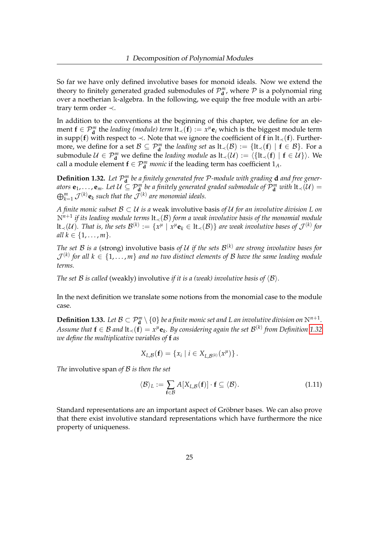So far we have only defined involutive bases for monoid ideals. Now we extend the theory to finitely generated graded submodules of  $\mathcal{P}_{\mathbf{d}}^m$ , where  $\mathcal P$  is a polynomial ring over a noetherian k-algebra. In the following, we equip the free module with an arbitrary term order ≺.

In addition to the conventions at the beginning of this chapter, we define for an element **f** ∈  $P_{d}^{m}$  the *leading (module) term* lt<sub>≺</sub>(**f**) :=  $x^{\mu}$ **e**<sub>*i*</sub> which is the biggest module term in supp(**f**) with respect to  $\prec$ . Note that we ignore the coefficient of **f** in lt<sub> $\prec$ </sub>(**f**). Furthermore, we define for a set  $\mathcal{B} \subseteq \mathcal{P}_{d}^{m}$  the *leading set* as  $lt_{\prec}(\mathcal{B}) := \{lt_{\prec}(f) \mid f \in \mathcal{B}\}$ . For a submodule  $\mathcal{U} \in \mathcal{P}_{\bf d}^m$  we define the *leading module* as  $lt_\prec(\mathcal{U}) := \langle \{\text{lt}_\prec({\bf f}) \mid {\bf f} \in \mathcal{U}\} \rangle$ . We call a module element  $f \in \mathcal{P}_{d}^{m}$  *monic* if the leading term has coefficient  $1_{A}$ .

<span id="page-29-0"></span>**Definition 1.32.** Let  $\mathcal{P}_{\mathbf{d}}^{m}$  be a finitely generated free  $\mathcal{P}$ -module with grading **d** and free gener*ators*  $e_1, \ldots, e_m$ . Let  $\mathcal{U} \subseteq \mathcal{P}^m_{\bf d}$  be a finitely generated graded submodule of  $\mathcal{P}^m_{\bf d}$  with  $\text{lt}_{\prec}(\mathcal{U})=0$  $\bigoplus_{k=1}^m \mathcal{J}^{(k)}$ **e**<sub>k</sub> such that the  $\mathcal{J}^{(k)}$  are monomial ideals.

*A finite monic subset* B ⊂ U *is a* weak involutive basis *of* U *for an involutive division L on* N*n*+<sup>1</sup> *if its leading module terms* lt≺(B) *form a weak involutive basis of the monomial module*  $\textrm{lt}_{\prec}(\mathcal{U}).$  That is, the sets  $\mathcal{B}^{(k)}:=\{x^\mu\mid x^\mu\mathbf{e}_k\in\textrm{lt}_{\prec}(\mathcal{B})\}$  are weak involutive bases of  $\mathcal{J}^{(k)}$  for *all*  $k \in \{1, ..., m\}$ .

*The set B is a* (strong) involutive basis of U if the sets  $\mathcal{B}^{(k)}$  are strong involutive bases for  $\mathcal{J}^{(k)}$  for all  $k\in\{1,\ldots,m\}$  and no two distinct elements of  $\mathcal B$  have the same leading module *terms.*

*The set B is called* (weakly) involutive *if it is a (weak) involutive basis of*  $\langle B \rangle$ *.* 

In the next definition we translate some notions from the monomial case to the module case.

**Definition 1.33.** Let  $\mathcal{B} \subset \mathcal{P}_{\bf d}^m \setminus \{0\}$  be a finite monic set and L an involutive division on  $\mathbb{N}^{n+1}$ .  $A$ ssume that  $\mathbf{f} \in \mathcal{B}$  and  $\mathrm{lt}_{\prec}(\mathbf{f}) = x^\mu \mathbf{e}_k$ . By considering again the set  $\mathcal{B}^{(k)}$  from Definition [1.32](#page-29-0) *we define the multiplicative variables of* **f** *as*

$$
X_{L,\mathcal{B}}(\mathbf{f}) = \{x_i \mid i \in X_{L,\mathcal{B}}(k)}(x^{\mu})\}.
$$

*The* involutive span *of* B *is then the set*

<span id="page-29-1"></span>
$$
\langle \mathcal{B} \rangle_L := \sum_{\mathbf{f} \in \mathcal{B}} A[X_{L,\mathcal{B}}(\mathbf{f})] \cdot \mathbf{f} \subseteq \langle \mathcal{B} \rangle. \tag{1.11}
$$

Standard representations are an important aspect of Gröbner bases. We can also prove that there exist involutive standard representations which have furthermore the nice property of uniqueness.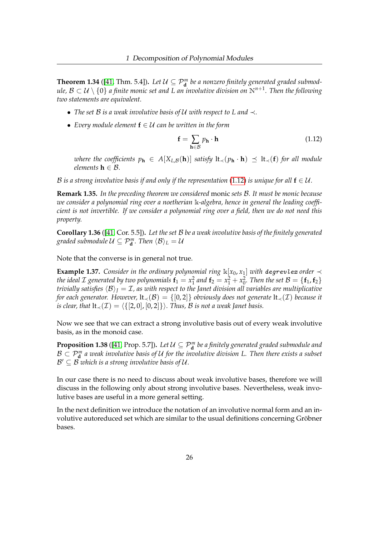**Theorem 1.34** ([\[41,](#page-162-3) Thm. 5.4]). Let  $\mathcal{U} \subseteq \mathcal{P}_{\mathbf{d}}^m$  be a nonzero finitely generated graded submod $u$ le,  $\mathcal{B}\subset\mathcal{U}\setminus\{0\}$  a finite monic set and L an involutive division on  $\mathbb{N}^{n+1}.$  Then the following *two statements are equivalent.*

- *The set* B *is a weak involutive basis of* U *with respect to L and* ≺*.*
- *Every module element* **f** ∈ U *can be written in the form*

<span id="page-30-0"></span>
$$
\mathbf{f} = \sum_{\mathbf{h} \in \mathcal{B}} p_{\mathbf{h}} \cdot \mathbf{h} \tag{1.12}
$$

*where the coefficients*  $p_h \in A[X_{L,\mathcal{B}}(h)]$  *satisfy*  $lt_\prec(p_h \cdot h) \preceq lt_\prec(f)$  *for all module elements*  $h \in \mathcal{B}$ *.* 

B is a strong involutive basis if and only if the representation [\(1.12\)](#page-30-0) is unique for all  $f \in \mathcal{U}$ .

**Remark 1.35.** *In the preceding theorem we considered* monic *sets* B*. It must be monic because we consider a polynomial ring over a noetherian* k*-algebra, hence in general the leading coefficient is not invertible. If we consider a polynomial ring over a field, then we do not need this property.*

<span id="page-30-1"></span>**Corollary 1.36** ([\[41,](#page-162-3) Cor. 5.5])**.** *Let the set* B *be a weak involutive basis of the finitely generated graded submodule*  $\mathcal{U} \subseteq \mathcal{P}_{\bf d}^m$  *. Then*  $\langle \mathcal{B} \rangle_L = \mathcal{U}$ 

Note that the converse is in general not true.

**Example 1.37.** *Consider in the ordinary polynomial ring*  $\mathbb{k}[x_0, x_1]$  *with degrevlex order*  $\prec$ *the ideal*  $\mathcal I$  *generated by two polynomials*  $\mathbf f_1 = x_1^2$  *and*  $\mathbf f_2 = x_1^2 + x_0^2$ *. Then the set*  $\mathcal B = \{\mathbf f_1, \mathbf f_2\}$ *trivially satisfies*  $\langle B \rangle$ <sub>*I*</sub> = *I*, as with respect to the Janet division all variables are multiplicative *for each generator. However,*  $lt_(\mathcal{B}) = \{[0,2]\}$  *obviously does not generate*  $lt_(\mathcal{I})$  *because it is clear, that*  $lt_{\prec}(\mathcal{I}) = \langle \{[2, 0], [0, 2]\}\rangle$ *. Thus, B is not a weak Janet basis.* 

Now we see that we can extract a strong involutive basis out of every weak involutive basis, as in the monoid case.

**Proposition 1.38** ([\[41,](#page-162-3) Prop. 5.7]). Let  $\mathcal{U} \subseteq \mathcal{P}_{\mathbf{d}}^m$  be a finitely generated graded submodule and  $\mathcal{B} \subset \mathcal{P}_{\bf d}^m$  a weak involutive basis of  $\mathcal U$  for the involutive division L. Then there exists a subset  $\mathcal{B}' \subseteq \overline{\mathcal{B}}$  which is a strong involutive basis of  $\mathcal{U}.$ 

In our case there is no need to discuss about weak involutive bases, therefore we will discuss in the following only about strong involutive bases. Nevertheless, weak involutive bases are useful in a more general setting.

In the next definition we introduce the notation of an involutive normal form and an involutive autoreduced set which are similar to the usual definitions concerning Gröbner bases.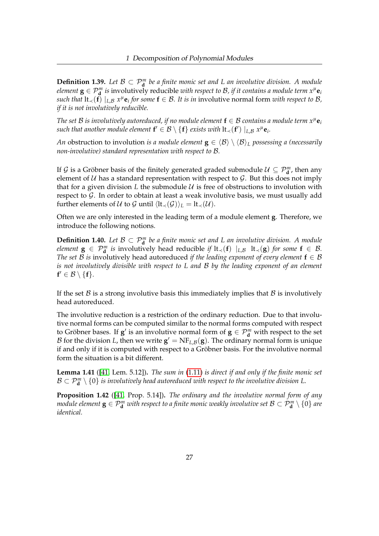**Definition 1.39.** Let  $\mathcal{B} \subset \mathcal{P}_{d}^{m}$  be a finite monic set and L an involutive division. A module *element*  $\mathbf{g} \in \mathcal{P}_{\mathbf{d}}^m$  is involutively reducible with respect to  $\mathcal{B}$ , if it contains a module term  $x^\mu \mathbf{e}_i$ *such that*  $lt$ <sub>1</sub> $(t) \mid_{L,B} x^{\mu}$ **e**<sub>*i*</sub> for some  $f \in \mathcal{B}$ . It is in involutive normal form with respect to  $\mathcal{B}$ , *if it is not involutively reducible.*

*The set B is involutively autoreduced, if no module element*  $f \in B$  *contains a module term*  $x^{\mu}e_i$  $s$ uch that another module element  $\mathbf{f}' \in \mathcal{B} \setminus \{\mathbf{f}\}$  exists with  $\text{lt}_{\prec}(\mathbf{f}') \mid_{L,\mathcal{B}} x^\mu \mathbf{e}_i.$ 

*An* obstruction to involution *is a module element*  $\mathbf{g} \in \langle \mathcal{B} \rangle \setminus \langle \mathcal{B} \rangle$ <sub>*L*</sub> possessing a (necessarily *non-involutive) standard representation with respect to* B*.*

If  $\mathcal{G}$  is a Gröbner basis of the finitely generated graded submodule  $\mathcal{U} \subseteq \mathcal{P}_{\mathbf{d}}^m$ , then any element of  $U$  has a standard representation with respect to  $G$ . But this does not imply that for a given division L the submodule  $U$  is free of obstructions to involution with respect to  $G$ . In order to obtain at least a weak involutive basis, we must usually add further elements of U to G until  $\langle \text{lt}_{\prec}(\mathcal{G}) \rangle_L = \text{lt}_{\prec}(\mathcal{U})$ .

Often we are only interested in the leading term of a module element **g**. Therefore, we introduce the following notions.

**Definition 1.40.** Let  $\mathcal{B} \subset \mathcal{P}_{d}^{m}$  be a finite monic set and L an involutive division. A module *element*  $g \in \mathcal{P}_d^m$  *is* involutively head reducible *if* lt<sub>≺</sub>(**f**)  $|_{L,\mathcal{B}}$  lt<sub>≺</sub>(**g**) *for some*  $f \in \mathcal{B}$ . *The set B is* involutively head autoreduced *if the leading exponent of every element*  $f \in B$ *is not involutively divisible with respect to L and* B *by the leading exponent of an element*  $f' \in \mathcal{B} \setminus \{f\}.$ 

If the set  $\beta$  is a strong involutive basis this immediately implies that  $\beta$  is involutively head autoreduced.

The involutive reduction is a restriction of the ordinary reduction. Due to that involutive normal forms can be computed similar to the normal forms computed with respect to Gröbner bases. If  $g'$  is an involutive normal form of  $g \in \mathcal{P}_{d}^{m}$  with respect to the set  $\mathcal B$  for the division  $L$ , then we write  $\mathbf g' = \mathrm{NF}_{L,\mathcal B}(\mathbf g).$  The ordinary normal form is unique if and only if it is computed with respect to a Gröbner basis. For the involutive normal form the situation is a bit different.

<span id="page-31-0"></span>**Lemma 1.41** ([\[41,](#page-162-3) Lem. 5.12])**.** *The sum in* [\(1.11\)](#page-29-1) *is direct if and only if the finite monic set*  $\mathcal{B}\subset \mathcal{P}^m_{\bf d}\setminus\{0\}$  is involutively head autoreduced with respect to the involutive division L.

<span id="page-31-1"></span>**Proposition 1.42** ([\[41,](#page-162-3) Prop. 5.14])**.** *The ordinary and the involutive normal form of any module element*  $\mathbf{g} \in \mathcal{P}_{\mathbf{d}}^m$  *with respect to a finite monic weakly involutive set*  $\mathcal{B} \subset \mathcal{P}_{\mathbf{d}}^m \setminus \{0\}$  *are identical.*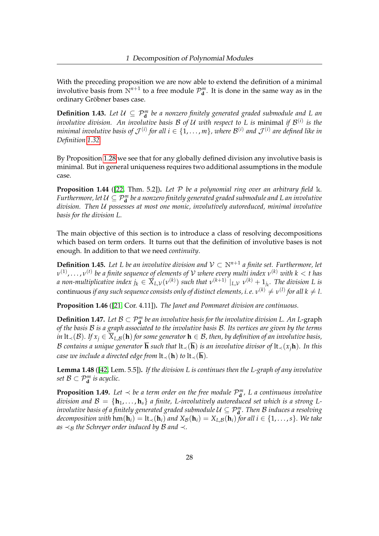With the preceding proposition we are now able to extend the definition of a minimal involutive basis from  $N^{n+1}$  to a free module  $\mathcal{P}_{d}^{m}$ . It is done in the same way as in the ordinary Gröbner bases case.

**Definition 1.43.** Let  $U \subseteq \mathcal{P}_{\mathbf{d}}^m$  be a nonzero finitely generated graded submodule and L an *involutive division. An involutive basis*  $\mathcal B$  *of*  $\mathcal U$  *with respect to*  $L$  *is minimal if*  $\mathcal B^{(i)}$  *is the* minimal involutive basis of  $\mathcal{J}^{(i)}$  for all  $i\in\{1,\ldots,m\}$ , where  $\mathcal{B}^{(i)}$  and  $\mathcal{J}^{(i)}$  are defined like in *Definition [1.32.](#page-29-0)*

By Proposition [1.28](#page-28-0) we see that for any globally defined division any involutive basis is minimal. But in general uniqueness requires two additional assumptions in the module case.

**Proposition 1.44** ([\[22,](#page-160-6) Thm. 5.2])**.** *Let* P *be a polynomial ring over an arbitrary field* k*.* Furthermore, let  $\mathcal{U} \subseteq \mathcal{P}^m_\mathbf{d}$  be a nonzero finitely generated graded submodule and L an involutive *division. Then* U *possesses at most one monic, involutively autoreduced, minimal involutive basis for the division L.*

The main objective of this section is to introduce a class of resolving decompositions which based on term orders. It turns out that the definition of involutive bases is not enough. In addition to that we need *continuity*.

**Definition 1.45.** Let L be an involutive division and  $V \subset \mathbb{N}^{n+1}$  a finite set. Furthermore, let *ν* (1) , . . . , *ν* (*t*) *be a finite sequence of elements of* V *where every multi index ν* (*k*) *with k* < *t has a* non-multiplicative index  $j_k \in \overline{X}_{L,\mathcal{V}}(v^{(k)})$  such that  $v^{(k+1)}\mid_{L,\mathcal{V}} v^{(k)} + 1_{j_k}$ . The division L is  $\epsilon$  continuous *if any such sequence consists only of distinct elements, i. e.*  $v^{(k)}\neq v^{(l)}$  *for all*  $k\neq l.$ 

**Proposition 1.46** ([\[21,](#page-160-7) Cor. 4.11])**.** *The Janet and Pommaret division are continuous.*

**Definition 1.47.** Let  $B \subset \mathcal{P}_{\mathbf{d}}^m$  be an involutive basis for the involutive division L. An L-graph *of the basis* B *is a graph associated to the involutive basis* B*. Its vertices are given by the terms in* lt<sub>≺</sub>(B). If  $x_i$  ∈  $\overline{X}_{L,B}$ (**h**) for some generator **h** ∈ B, then, by definition of an involutive basis, B contains a unique generator  $\overline{\mathbf{h}}$  *such that*  $\mathbf{l}t\prec(\overline{\mathbf{h}})$  *is an involutive divisor of*  $\mathbf{l}t\prec(x_j\mathbf{h})$ *. In this case we include a directed edge from*  $lt<sub>≺</sub>(**h**)$  *to*  $lt<sub>≤</sub>(**h**)$ *.* 

<span id="page-32-0"></span>**Lemma 1.48** ([\[42,](#page-162-4) Lem. 5.5])**.** *If the division L is continues then the L-graph of any involutive set*  $\mathcal{B} \subset \mathcal{P}_{\mathbf{d}}^m$  *is acyclic.* 

<span id="page-32-1"></span>**Proposition 1.49.** Let  $\prec$  be a term order on the free module  $\mathcal{P}_{\mathbf{d}}^{m}$ , L a continuous involutive *division and*  $\mathcal{B} = \{\mathbf{h}_1, \dots, \mathbf{h}_s\}$  *a finite, L-involutively autoreduced set which is a strong Linvolutive basis of a finitely generated graded submodule*  $\mathcal{U} \subseteq \mathcal{P}_{\bf d}^m$  *. Then*  $\mathcal B$  *<i>induces a resolving decomposition with*  $\text{hm}(\mathbf{h}_i) = \text{lt}_{\prec}(\mathbf{h}_i)$  *and*  $X_{\mathcal{B}}(\mathbf{h}_i) = X_{L,\mathcal{B}}(\mathbf{h}_i)$  *for all*  $i \in \{1, \ldots, s\}$ *. We take as*  $\prec$ <sub>*B*</sub> *the Schreyer order induced by B and*  $\prec$ *.*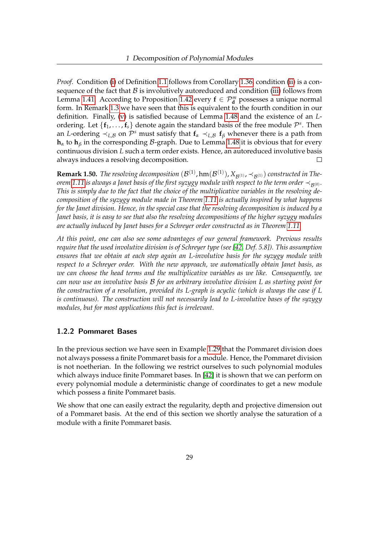*Proof.* Condition [\(i\)](#page-10-2) of Definition [1.1](#page-10-1) follows from Corollary [1.36,](#page-30-1) condition [\(ii\)](#page-10-3) is a consequence of the fact that  $B$  is involutively autoreduced and condition [\(iii\)](#page-11-0) follows from Lemma [1.41.](#page-31-0) According to Proposition [1.42](#page-31-1) every  $f \in \mathcal{P}_{d}^{m}$  possesses a unique normal form. In Remark [1.3](#page-11-5) we have seen that this is equivalent to the fourth condition in our definition. Finally, [\(v\)](#page-11-4) is satisfied because of Lemma [1.48](#page-32-0) and the existence of an *L*ordering. Let  $\{f_1, \ldots, f_s\}$  denote again the standard basis of the free module  $\mathcal{P}^s$ . Then an *L*-ordering  $\prec_{L,B}$  on  $\mathcal{P}^s$  must satisfy that  $\mathbf{f}_\alpha \prec_{L,B} \mathbf{f}_\beta$  whenever there is a path from **h***<sup>α</sup>* to **h***<sup>β</sup>* in the corresponding B-graph. Due to Lemma [1.48](#page-32-0) it is obvious that for every continuous division *L* such a term order exists. Hence, an autoreduced involutive basis always induces a resolving decomposition.  $\Box$ 

 ${\bf Remark~1.50.}$  *The resolving decomposition*  $(\mathcal{B}^{(1)},\text{hm}(\mathcal{B}^{(1)}),X_{\mathcal{B}^{(1)}},\prec_{\mathcal{B}^{(1)}})$  *constructed in Theorem* [1.11](#page-17-2) is always a Janet basis of the first syzygy module with respect to the term order  $\prec_{\mathcal{B}(0)}$ *. This is simply due to the fact that the choice of the multiplicative variables in the resolving decomposition of the syzygy module made in Theorem [1.11](#page-17-2) is actually inspired by what happens for the Janet division. Hence, in the special case that the resolving decomposition is induced by a Janet basis, it is easy to see that also the resolving decompositions of the higher syzygy modules are actually induced by Janet bases for a Schreyer order constructed as in Theorem [1.11.](#page-17-2)*

*At this point, one can also see some advantages of our general framework. Previous results require that the used involutive division is of Schreyer type (see [\[42,](#page-162-4) Def. 5.8]). This assumption ensures that we obtain at each step again an L-involutive basis for the syzygy module with respect to a Schreyer order. With the new approach, we automatically obtain Janet basis, as we can choose the head terms and the multiplicative variables as we like. Consequently, we can now use an involutive basis* B *for an arbitrary involutive division L as starting point for the construction of a resolution, provided its L-graph is acyclic (which is always the case if L is continuous). The construction will not necessarily lead to L-involutive bases of the syzygy modules, but for most applications this fact is irrelevant.*

### <span id="page-33-0"></span>1.2.2 Pommaret Bases

In the previous section we have seen in Example [1.29](#page-28-1) that the Pommaret division does not always possess a finite Pommaret basis for a module. Hence, the Pommaret division is not noetherian. In the following we restrict ourselves to such polynomial modules which always induce finite Pommaret bases. In [\[42\]](#page-162-4) it is shown that we can perform on every polynomial module a deterministic change of coordinates to get a new module which possess a finite Pommaret basis.

We show that one can easily extract the regularity, depth and projective dimension out of a Pommaret basis. At the end of this section we shortly analyse the saturation of a module with a finite Pommaret basis.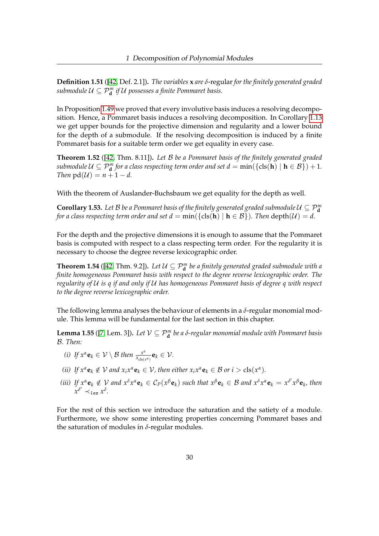**Definition 1.51** ([\[42,](#page-162-4) Def. 2.1])**.** *The variables* **x** *are δ*-regular *for the finitely generated graded submodule*  $\mathcal{U} \subseteq \mathcal{P}_{\mathbf{d}}^m$  *if*  $\mathcal{U}$  possesses a finite Pommaret basis.

In Proposition [1.49](#page-32-1) we proved that every involutive basis induces a resolving decomposition. Hence, a Pommaret basis induces a resolving decomposition. In Corollary [1.13](#page-20-1) we get upper bounds for the projective dimension and regularity and a lower bound for the depth of a submodule. If the resolving decomposition is induced by a finite Pommaret basis for a suitable term order we get equality in every case.

**Theorem 1.52** ([\[42,](#page-162-4) Thm. 8.11])**.** *Let* B *be a Pommaret basis of the finitely generated graded submodule*  $\mathcal{U} \subseteq \mathcal{P}_{d}^{m}$  for a class respecting term order and set  $d = \min(\{\text{cls}(\mathbf{h}) \mid \mathbf{h} \in \mathcal{B}\}) + 1$ . *Then*  $pd(U) = n + 1 - d$ .

With the theorem of Auslander-Buchsbaum we get equality for the depth as well.

**Corollary 1.53.** Let  $\mathcal{B}$  be a Pommaret basis of the finitely generated graded submodule  $\mathcal{U} \subseteq \mathcal{P}_{\mathbf{d}}^m$ *for a class respecting term order and set*  $d = min(\{cls(h) | h \in B\})$ *. Then depth* $(\mathcal{U}) = d$ .

For the depth and the projective dimensions it is enough to assume that the Pommaret basis is computed with respect to a class respecting term order. For the regularity it is necessary to choose the degree reverse lexicographic order.

**Theorem 1.54** ([\[42,](#page-162-4) Thm. 9.2]). Let  $\mathcal{U} \subseteq \mathcal{P}_{\mathbf{d}}^m$  be a finitely generated graded submodule with a *finite homogeneous Pommaret basis with respect to the degree reverse lexicographic order. The regularity of* U *is q if and only if* U *has homogeneous Pommaret basis of degree q with respect to the degree reverse lexicographic order.*

The following lemma analyses the behaviour of elements in a *δ*-regular monomial module. This lemma will be fundamental for the last section in this chapter.

**Lemma 1.55** ([\[7,](#page-159-5) Lem. 3]). Let  $V \subseteq \mathcal{P}_{\mathbf{d}}^m$  be a  $\delta$ -regular monomial module with Pommaret basis B*. Then:*

- *(i)* If  $x^{\alpha}$ **e**<sub>*k*</sub>  $\in \mathcal{V} \setminus \mathcal{B}$  then  $\frac{x^{\alpha}}{x_{\text{elec}}}$  $\frac{x^{\alpha}}{x_{\text{cls}(x^{\alpha})}}\mathbf{e}_k \in \mathcal{V}$ .
- *(ii) If*  $x^{\alpha} \mathbf{e}_k \notin V$  *and*  $x_i x^{\alpha} \mathbf{e}_k \in V$ *, then either*  $x_i x^{\alpha} \mathbf{e}_k \in B$  *or*  $i > \text{cls}(x^{\alpha})$ *.*
- (iii) If  $x^{\alpha}$ **e**<sub>k</sub>  $\notin$  V and  $x^{\delta}x^{\alpha}$ **e**<sub>k</sub>  $\in C_P(x^{\beta}$ **e**<sub>k</sub>) such that  $x^{\beta}$ **e**<sub>k</sub>  $\in$  B and  $x^{\delta}x^{\alpha}$ **e**<sub>k</sub> =  $x^{\delta'}x^{\beta}$ **e**<sub>k</sub>, then  $x^{\delta'} \prec_{lex}^{\infty} x^{\delta}.$

For the rest of this section we introduce the saturation and the satiety of a module. Furthermore, we show some interesting properties concerning Pommaret bases and the saturation of modules in *δ*-regular modules.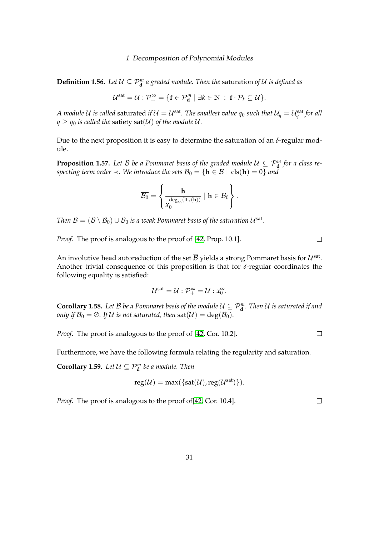**Definition 1.56.** Let  $\mathcal{U} \subseteq \mathcal{P}_{\mathbf{d}}^m$  a graded module. Then the saturation of  $\mathcal{U}$  is defined as

$$
\mathcal{U}^{\text{sat}} = \mathcal{U} : \mathcal{P}_+^{\infty} = \{ \mathbf{f} \in \mathcal{P}_{\mathbf{d}}^m \mid \exists k \in \mathbb{N} \; : \; \mathbf{f} \cdot \mathcal{P}_k \subseteq \mathcal{U} \}.
$$

*A module U is called saturated if*  $\mathcal{U} = \mathcal{U}^{\rm sat}.$  *The smallest value*  $q_0$  *such that*  $\mathcal{U}_q = \mathcal{U}_q^{\rm sat}$  *for all*  $q \geq q_0$  *is called the satiety sat(U) of the module U.* 

Due to the next proposition it is easy to determine the saturation of an  $δ$ -regular module.

**Proposition 1.57.** Let  $\mathcal{B}$  be a Pommaret basis of the graded module  $\mathcal{U} \subseteq \mathcal{P}_{\mathbf{d}}^m$  for a class re*specting term order*  $\prec$ *. We introduce the sets*  $\mathcal{B}_0 = {\mathbf{h} \in \mathcal{B} \mid \text{cls}(\mathbf{h}) = 0}$  *and* 

$$
\overline{\mathcal{B}_0} = \left\{ \frac{h}{x_0^{\deg_{x_0}(lt_\prec(\textbf{h}))}} \mid h \in \mathcal{B}_0 \right\}.
$$

Then  $\overline{\mathcal{B}}=(\mathcal{B}\setminus \mathcal{B}_0)\cup \overline{\mathcal{B}_0}$  is a weak Pommaret basis of the saturation  $\mathcal{U}^{\rm sat}.$ 

*Proof.* The proof is analogous to the proof of [\[42,](#page-162-4) Prop. 10.1].

An involutive head autoreduction of the set  $\overline{\mathcal{B}}$  yields a strong Pommaret basis for  $\mathcal{U}^{\text{sat}}$ . Another trivial consequence of this proposition is that for *δ*-regular coordinates the following equality is satisfied:

$$
\mathcal{U}^{\text{sat}} = \mathcal{U} : \mathcal{P}_+^{\infty} = \mathcal{U} : x_0^{\infty}.
$$

**Corollary 1.58.** Let B be a Pommaret basis of the module  $\mathcal{U} \subseteq \mathcal{P}_{d}^{m}$ . Then U is saturated if and *only if*  $\mathcal{B}_0 = \emptyset$ *. If U is not saturated, then*  $\text{sat}(\mathcal{U}) = \text{deg}(\mathcal{B}_0)$ *.* 

*Proof.* The proof is analogous to the proof of [\[42,](#page-162-4) Cor. 10.2].

Furthermore, we have the following formula relating the regularity and saturation.

**Corollary 1.59.** Let  $\mathcal{U} \subseteq \mathcal{P}_{\mathbf{d}}^m$  be a module. Then

$$
reg(\mathcal{U}) = max(\{sat(\mathcal{U}), reg(\mathcal{U}^{sat})\}).
$$

*Proof.* The proof is analogous to the proof of[\[42,](#page-162-4) Cor. 10.4].

 $\Box$ 

 $\Box$ 

 $\Box$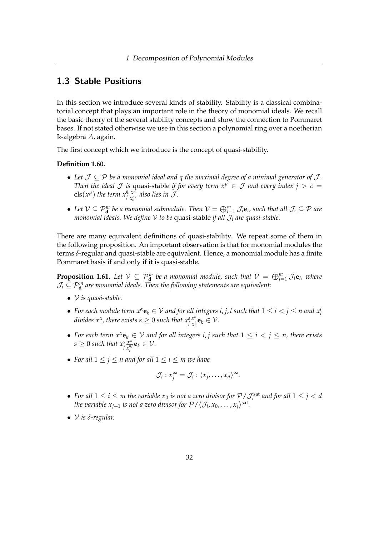## 1.3 Stable Positions

In this section we introduce several kinds of stability. Stability is a classical combinatorial concept that plays an important role in the theory of monomial ideals. We recall the basic theory of the several stability concepts and show the connection to Pommaret bases. If not stated otherwise we use in this section a polynomial ring over a noetherian k-algebra *A*, again.

The first concept which we introduce is the concept of quasi-stability.

#### **Definition 1.60.**

- Let  $\mathcal{J} \subseteq \mathcal{P}$  be a monomial ideal and q the maximal degree of a minimal generator of  $\mathcal{J}$ . *Then the ideal*  $\mathcal J$  *is* quasi-stable *if for every term*  $x^{\mu} \in \mathcal J$  *and every index*  $j > c =$  $\text{cls}(x^{\mu})$  the term  $x_j^q \frac{x^{\mu}}{x_i^{\mu}}$  $\frac{x^{\mu}}{x_c^{\mu_c}}$  also lies in  $\mathcal{J}$ .
- Let  $V \subseteq \mathcal{P}_{d}^{m}$  be a monomial submodule. Then  $V = \bigoplus_{i=1}^{m} \mathcal{J}_{i}e_{i}$ , such that all  $\mathcal{J}_{i} \subseteq \mathcal{P}$  are *monomial ideals. We define* V *to be* quasi-stable *if all* J*<sup>i</sup> are quasi-stable.*

There are many equivalent definitions of quasi-stability. We repeat some of them in the following proposition. An important observation is that for monomial modules the terms *δ*-regular and quasi-stable are equivalent. Hence, a monomial module has a finite Pommaret basis if and only if it is quasi-stable.

**Proposition 1.61.** Let  $V \subseteq P_{d}^{m}$  be a monomial module, such that  $V = \bigoplus_{i=1}^{m} \mathcal{J}_{i}e_{i}$ , where  $\mathcal{J}_i \subseteq \mathcal{P}^m_{\bf d}$  are monomial ideals. Then the following statements are equivalent:

- V *is quasi-stable.*
- For each module term  $x^{\alpha}$ **e**<sub>*k*</sub>  $\in$   $V$  and for all integers  $i, j, l$  such that  $1 \leq i < j \leq n$  and  $x_i^l$ *divides*  $x^{\alpha}$ *, there exists s*  $\geq 0$  *such that*  $x^s_j\frac{x^{\alpha}}{x^l_j}$  $\frac{x^{\alpha}}{x_i^l}$ **e**<sub>*k*</sub>  $\in \mathcal{V}$ .
- For each term  $x^{\alpha}$ **e**<sub>*k*</sub>  $\in$  V and for all integers *i*, *j* such that  $1 \leq i < j \leq n$ , there exists  $s \geq 0$  such that  $x_j^s \frac{x^{\alpha}}{x_j^{\alpha}}$  $\frac{x^{\alpha}}{x_i^{\alpha_i}}$ **e**<sub>*k*</sub>  $\in \mathcal{V}$ .
- For all  $1 \leq j \leq n$  and for all  $1 \leq i \leq m$  we have

$$
\mathcal{J}_i: x_j^{\infty} = \mathcal{J}_i: \langle x_j, \ldots, x_n \rangle^{\infty}.
$$

- For all  $1 \leq i \leq m$  the variable  $x_0$  is not a zero divisor for  $\mathcal{P}/\mathcal{J}_i^{\text{sat}}$  and for all  $1 \leq j < d$ *the variable*  $x_{j+1}$  *is not a zero divisor for*  $\mathcal{P}/\langle \mathcal{J}_i, x_0, \ldots, x_j\rangle^{\text{sat}}$ *.*
- V *is δ-regular.*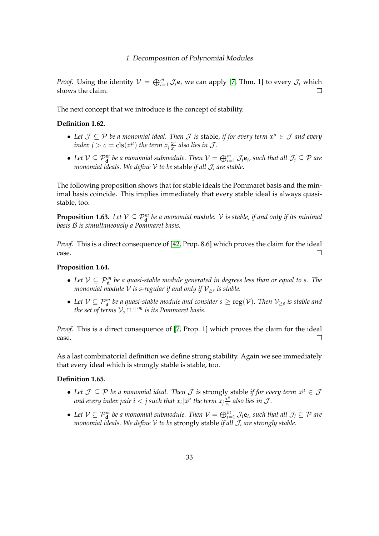*Proof.* Using the identity  $V = \bigoplus_{i=1}^{m} \mathcal{J}_i \mathbf{e}_i$  we can apply [\[7,](#page-159-0) Thm. 1] to every  $\mathcal{J}_i$  which shows the claim.

The next concept that we introduce is the concept of stability.

#### **Definition 1.62.**

- *Let* J ⊆ P *be a monomial ideal. Then* J *is* stable*, if for every term x<sup>µ</sup>* ∈ J *and every index*  $j > c = \text{cls}(x^{\mu})$  *the term*  $x_j \frac{x^{\mu}}{x_c}$  $\frac{x^{\mu}}{x_c}$  also lies in  $\mathcal{J}$ .
- Let  $V \subseteq \mathcal{P}_{d}^{m}$  be a monomial submodule. Then  $V = \bigoplus_{i=1}^{m} \mathcal{J}_{i}e_{i}$ , such that all  $\mathcal{J}_{i} \subseteq \mathcal{P}$  are *monomial ideals. We define* V *to be* stable *if all* J*<sup>i</sup> are stable.*

The following proposition shows that for stable ideals the Pommaret basis and the minimal basis coincide. This implies immediately that every stable ideal is always quasistable, too.

**Proposition 1.63.** Let  $V \subseteq P_{\bf d}^m$  be a monomial module. V is stable, if and only if its minimal *basis* B *is simultaneously a Pommaret basis.*

*Proof.* This is a direct consequence of [\[42,](#page-162-0) Prop. 8.6] which proves the claim for the ideal case.  $\Box$ 

### **Proposition 1.64.**

- Let  $V \subseteq P_{\bf d}^m$  be a quasi-stable module generated in degrees less than or equal to s. The *monomial module*  ${\mathcal V}$  *is s-regular if and only if*  ${\mathcal V}_{\geq s}$  *is stable.*
- Let  $\mathcal{V} \subseteq \mathcal{P}_{\bf d}^m$  be a quasi-stable module and consider  $s \geq \mathrm{reg}(\mathcal{V})$ . Then  $\mathcal{V}_{\geq s}$  is stable and *the set of terms*  $V_s \cap \mathbb{T}^m$  *is its Pommaret basis.*

*Proof.* This is a direct consequence of [\[7,](#page-159-0) Prop. 1] which proves the claim for the ideal case.  $\Box$ 

As a last combinatorial definition we define strong stability. Again we see immediately that every ideal which is strongly stable is stable, too.

## **Definition 1.65.**

- Let  $\mathcal{J} \subseteq \mathcal{P}$  be a monomial ideal. Then  $\mathcal{J}$  is strongly stable if for every term  $x^{\mu} \in \mathcal{J}$ and every index pair  $i < j$  such that  $x_i | x^{\mu}$  the term  $x_j \frac{x^{\mu}}{x_j}$  $\frac{x^{\mu}}{x_i}$  also lies in  $\mathcal{J}$ .
- Let  $V \subseteq \mathcal{P}_{d}^{m}$  be a monomial submodule. Then  $V = \bigoplus_{i=1}^{m} \mathcal{J}_{i}e_{i}$ , such that all  $\mathcal{J}_{i} \subseteq \mathcal{P}$  are *monomial ideals. We define* V *to be* strongly stable *if all* J*<sup>i</sup> are strongly stable.*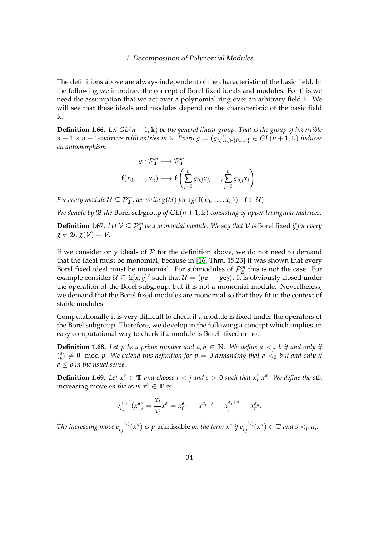The definitions above are always independent of the characteristic of the basic field. In the following we introduce the concept of Borel fixed ideals and modules. For this we need the assumption that we act over a polynomial ring over an arbitrary field  $\Bbbk$ . We will see that these ideals and modules depend on the characteristic of the basic field  $\mathbbk$ .

**Definition 1.66.** Let  $GL(n+1,\mathbb{k})$  be the general linear group. That is the group of invertible *n* + 1 × *n* + 1*-matrices with entries in* k*. Every*  $g = (g_{i,j})_{i,i \in \{0,\dots,n\}}$  ∈ *GL*(*n* + 1, k) *induces an automorphism*

$$
g: \mathcal{P}_{\mathbf{d}}^m \longrightarrow \mathcal{P}_{\mathbf{d}}^m
$$

$$
\mathbf{f}(x_0, \dots, x_n) \longmapsto \mathbf{f}\left(\sum_{j=0}^n g_{0,j}x_j, \dots, \sum_{j=0}^n g_{n,j}x_j\right).
$$

*For every module*  $\mathcal{U} \subseteq \mathcal{P}_{d}^{m}$ *, we write*  $g(\mathcal{U})$  *for*  $\langle g(\mathbf{f}(x_{0}, \ldots, x_{n})) | \mathbf{f} \in \mathcal{U} \rangle$ *.* 

*We denote by*  $\mathcal{B}$  *the* Borel subgroup *of*  $GL(n + 1, \mathbb{k})$  *consisting of upper triangular matrices.* 

**Definition 1.67.** Let  $V \subseteq P_{d}^{m}$  be a monomial module. We say that V is Borel fixed *if for every*  $g \in \mathfrak{B}$ ,  $g(\mathcal{V}) = \mathcal{V}$ .

If we consider only ideals of  $P$  for the definition above, we do not need to demand that the ideal must be monomial, because in [\[16,](#page-160-0) Thm. 15.23] it was shown that every Borel fixed ideal must be monomial. For submodules of  $\mathcal{P}_{d}^{m}$  this is not the case. For example consider  $\mathcal{U} \subseteq \Bbbk[x,y]^2$  such that  $\mathcal{U} = \langle y\mathbf{e}_1 + y\mathbf{e}_2 \rangle$ . It is obviously closed under the operation of the Borel subgroup, but it is not a monomial module. Nevertheless, we demand that the Borel fixed modules are monomial so that they fit in the context of stable modules.

Computationally it is very difficult to check if a module is fixed under the operators of the Borel subgroup. Therefore, we develop in the following a concept which implies an easy computational way to check if a module is Borel- fixed or not.

**Definition 1.68.** Let p be a prime number and  $a, b \in \mathbb{N}$ . We define  $a <sub>p</sub> b$  if and only if ( *a*  $\binom{a}{b} \neq 0 \mod p$ . We extend this definition for  $p = 0$  demanding that a  $<_0$  b if and only if  $a \leq b$  *in the usual sense.* 

**Definition 1.69.** Let  $x^{\alpha} \in \mathbb{T}$  and choose  $i < j$  and  $s > 0$  such that  $x_i^s | x^{\alpha}$ . We define the sth increasing move *on the term*  $x^{\alpha} \in \mathbb{T}$  *as* 

$$
e_{i,j}^{+(s)}(x^{\alpha})=\frac{x_j^s}{x_i^s}x^{\alpha}=x_0^{\alpha_0}\cdots x_i^{\alpha_i-s}\cdots x_j^{\alpha_j+s}\cdots x_n^{\alpha_n}.
$$

The increasing move  $e_{i,j}^{+(s)}(x^{\alpha})$  is p-admissible on the term  $x^{\alpha}$  if  $e_{i,j}^{+(s)}(x^{\alpha}) \in \mathbb{T}$  and  $s <_{p} \alpha_{i}$ .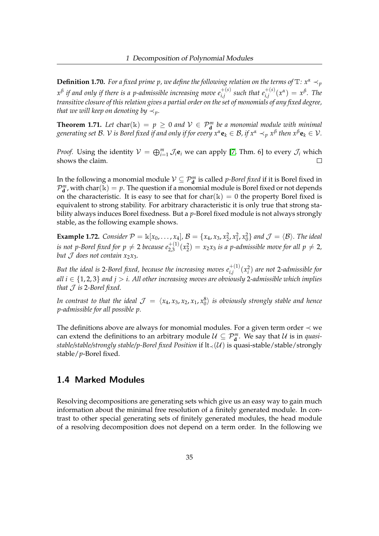**Definition 1.70.** *For a fixed prime p, we define the following relation on the terms of*  $\mathbb{T}$ *:*  $x^{\alpha} \prec_p$  $x^{\beta}$  *if and only if there is a p-admissible increasing move*  $e_{i,j}^{+(s)}$  *such that*  $e_{i,j}^{+(s)}(x^{\alpha}) = x^{\beta}$ *. The transitive closure of this relation gives a partial order on the set of monomials of any fixed degree, that we will keep on denoting by*  $\prec_p$ *.* 

**Theorem 1.71.** Let  $char(\mathbb{k}) = p \geq 0$  and  $\mathcal{V} \in \mathcal{P}_{\mathbf{d}}^m$  be a monomial module with minimal  $g$ enerating set  $\mathcal{B}$ .  $\mathcal{V}$  is Borel fixed if and only if for every  $x^{\alpha}$ **e** $_k\in\mathcal{B}$ , if  $x^{\alpha}\prec_p x^{\beta}$  then  $x^{\beta}$ **e** $_k\in\mathcal{V}$ .

*Proof.* Using the identity  $V = \bigoplus_{i=1}^{m} \mathcal{J}_i \mathbf{e}_i$  we can apply [\[7,](#page-159-0) Thm. 6] to every  $\mathcal{J}_i$  which shows the claim.  $\Box$ 

In the following a monomial module  $V \subseteq \mathcal{P}_{\mathbf{d}}^m$  is called *p-Borel fixed* if it is Borel fixed in  $\mathcal{P}_{\mathbf{d}}^{m}$ , with char(k) = p. The question if a monomial module is Borel fixed or not depends on the characteristic. It is easy to see that for char( $\mathbf{k}$ ) = 0 the property Borel fixed is equivalent to strong stability. For arbitrary characteristic it is only true that strong stability always induces Borel fixedness. But a *p*-Borel fixed module is not always strongly stable, as the following example shows.

**Example 1.72.** *Consider*  $P = \mathbb{k}[x_0, ..., x_4]$ ,  $B = \{x_4, x_3, x_2^2, x_1^2, x_0^2\}$  *and*  $\mathcal{J} = \langle B \rangle$ *. The ideal is not p-Borel fixed for*  $p \neq 2$  *because*  $e_{2,3}^{+(1)}(x_2^2) = x_2x_3$  *<i>is a p-admissible move for all*  $p \neq 2$ *, but J* does not contain  $x_2x_3$ .

But the ideal is 2-Borel fixed, because the increasing moves  $e_{i,j}^{+(1)}(x_i^2)$  are not 2-admissible for *all i* ∈ {1, 2, 3} *and j* > *i. All other increasing moves are obviously* 2*-admissible which implies that* J *is* 2*-Borel fixed.*

*In contrast to that the ideal*  $\mathcal{J} = \langle x_4, x_3, x_2, x_1, x_0^8 \rangle$  *is obviously strongly stable and hence p-admissible for all possible p.*

The definitions above are always for monomial modules. For a given term order  $\prec$  we can extend the definitions to an arbitrary module  $U \subseteq \mathcal{P}_{d}^{m}$ . We say that U is in *quasistable/stable/strongly stable/p-Borel fixed Position* if lt<sub>≺</sub>(U) is quasi-stable/stable/strongly stable/*p*-Borel fixed.

## 1.4 Marked Modules

Resolving decompositions are generating sets which give us an easy way to gain much information about the minimal free resolution of a finitely generated module. In contrast to other special generating sets of finitely generated modules, the head module of a resolving decomposition does not depend on a term order. In the following we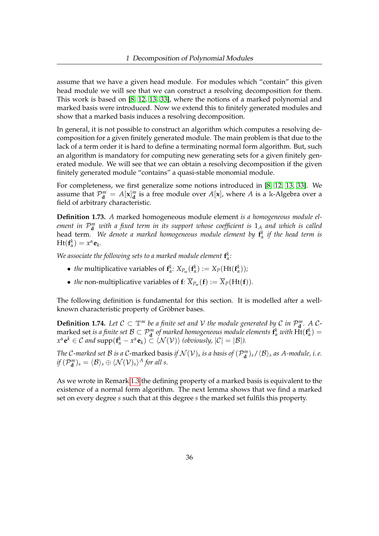assume that we have a given head module. For modules which "contain" this given head module we will see that we can construct a resolving decomposition for them. This work is based on [\[8,](#page-159-1) [12,](#page-160-1) [13,](#page-160-2) [33\]](#page-161-0), where the notions of a marked polynomial and marked basis were introduced. Now we extend this to finitely generated modules and show that a marked basis induces a resolving decomposition.

In general, it is not possible to construct an algorithm which computes a resolving decomposition for a given finitely generated module. The main problem is that due to the lack of a term order it is hard to define a terminating normal form algorithm. But, such an algorithm is mandatory for computing new generating sets for a given finitely generated module. We will see that we can obtain a resolving decomposition if the given finitely generated module "contains" a quasi-stable monomial module.

For completeness, we first generalize some notions introduced in [\[8,](#page-159-1) [12,](#page-160-1) [13,](#page-160-2) [33\]](#page-161-0). We assume that  $\mathcal{P}_{\mathbf{d}}^m = A[\mathbf{x}]_{\mathbf{d}}^m$  is a free module over  $A[\mathbf{x}]$ , where  $A$  is a k-Algebra over a field of arbitrary characteristic.

**Definition 1.73.** *A* marked homogeneous module element *is a homogeneous module element in* P *m* **<sup>d</sup>** *with a fixed term in its support whose coefficient is* 1*<sup>A</sup> and which is called* head term*. We denote a marked homogeneous module element by* **f** *k α if the head term is*  $Ht(f^k_\alpha) = x^\alpha e_k.$ 

*We associate the following sets to a marked module element*  $f^k_\alpha$ *:* 

- *the* multiplicative variables of  $f^k_\alpha$ :  $X_{P_m}(f^k_\alpha) := X_P(Ht(f^k_\alpha))$ ;
- *the* non-multiplicative variables of  $f: \overline{X}_{P_m}(f) := \overline{X}_P(Ht(f)).$

The following definition is fundamental for this section. It is modelled after a wellknown characteristic property of Gröbner bases.

**Definition 1.74.** Let  $C \subset \mathbb{T}^m$  be a finite set and  $V$  the module generated by C in  $\mathcal{P}_{\mathbf{d}}^m$ . A Cmarked set *is a finite set*  $\mathcal{B} \subset \mathcal{P}_d^m$  *of marked homogeneous module elements*  $\mathbf{f}_\alpha^k$  *with*  $\text{Ht}(\mathbf{f}_\alpha^k) =$  $x^{\alpha} e^{k} \in C$  *and* supp $(f_{\alpha}^{k} - x^{\alpha} e_{k}) \subset \langle \mathcal{N}(V) \rangle$  *(obviously,*  $|C| = |\mathcal{B}|$ *).* 

*The* C-marked set  $B$  is a C-marked basis if  $\mathcal{N}(\mathcal{V})_s$  is a basis of  $(\mathcal{P}_d^m)_s/\langle B \rangle_s$  as A-module, i.e.  $if (\mathcal{P}_{\mathbf{d}}^{m})_{s} = \langle \mathcal{B} \rangle_{s} \oplus \langle \mathcal{N}(\mathcal{V})_{s} \rangle^{A}$  for all s.

As we wrote in Remark [1.3](#page-11-0) the defining property of a marked basis is equivalent to the existence of a normal form algorithm. The next lemma shows that we find a marked set on every degree *s* such that at this degree *s* the marked set fulfils this property.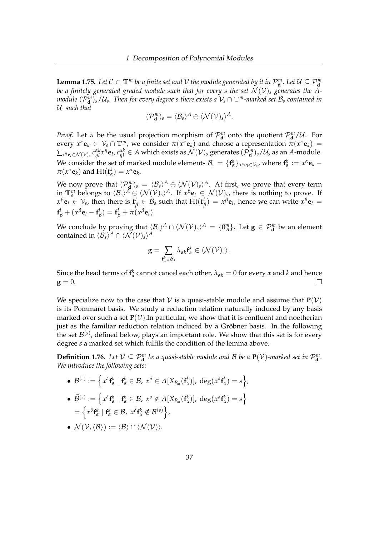<span id="page-41-0"></span>**Lemma 1.75.** Let  $C \subset \mathbb{T}^m$  be a finite set and  $V$  the module generated by it in  $\mathcal{P}_{d}^m$ . Let  $\mathcal{U} \subseteq \mathcal{P}_{d}^m$ *be a finitely generated graded module such that for every s the set*  $\mathcal{N}(\mathcal{V})_s$  *generates the Amodule*  $(\mathcal{P}_\textbf{d}^m)_s/\mathcal{U}_s$ . Then for every degree  $s$  there exists a  $\mathcal{V}_s\cap\mathbb{T}^m$ -marked set  $\mathcal{B}_s$  contained in U*<sup>s</sup> such that*

$$
(\mathcal{P}_{\mathbf{d}}^m)_s = \langle \mathcal{B}_s \rangle^A \oplus \langle \mathcal{N}(\mathcal{V})_s \rangle^A.
$$

*Proof.* Let  $\pi$  be the usual projection morphism of  $\mathcal{P}_{d}^{m}$  onto the quotient  $\mathcal{P}_{d}^{m}/U$ . For every  $x^{\alpha}$ **e**<sub>*k*</sub>  $\in$   $V_s \cap \mathbb{T}^m$ , we consider  $\pi(x^{\alpha}$ **e**<sub>*k*</sub>) and choose a representation  $\pi(x^{\alpha}$ **e**<sub>*k*</sub>) =  $\sum_{x''\bm e_l\in\mathcal N(\mathcal V)_s}c_{\eta l}^{\alpha k}x''\bm e_l$ ,  $c_{\eta l}^{\alpha k}\in A$  which exists as  $\mathcal N(\mathcal V)_s$  generates  $(\mathcal P_{\bm d}^m)_s/\mathcal U_s$  as an  $A$ -module. We consider the set of marked module elements  $\mathcal{B}_s = \{ \mathbf{f}_\alpha^k \}_{x^\alpha \mathbf{e}_k \in \mathcal{V}_s}$ , where  $\mathbf{f}_\alpha^k := x^\alpha \mathbf{e}_k \pi(x^{\alpha} \mathbf{e}_k)$  and  $Ht(\mathbf{f}_\alpha^k) = x^{\alpha} \mathbf{e}_k$ .

We now prove that  $(\mathcal{P}_{\bf d}^m)_s = \langle \mathcal{B}_s \rangle^A \oplus \langle \mathcal{N}(\mathcal{V})_s \rangle^A$ . At first, we prove that every term in  $\mathbb{T}_s^m$  belongs to  $\langle B_s \rangle^A \oplus \langle \mathcal{N}(\mathcal{V})_s \rangle^A$ . If  $x^{\beta} \mathbf{e}_l \in \mathcal{N}(\mathcal{V})_s$ , there is nothing to prove. If  $x^\beta \mathbf{e}_l \, \in \, \mathcal{V}_s$ , then there is  $\mathbf{f}^l_\beta \, \in \, \mathcal{B}_s$  such that  $\mathrm{Ht}(\mathbf{f}^l_\beta)$  $\beta(\beta) = x^{\beta} \mathbf{e}_{l}$ , hence we can write  $x^{\beta} \mathbf{e}_{l} =$  $\mathbf{f}_{\beta}^{l} + (x^{\beta}\mathbf{e}_{l} - \mathbf{f}_{\beta}^{l})$  $\mathbf{f}_{\beta}^{l}$ ) = **f**<sub> $\beta$ </sub> $+$   $\pi(x^{\beta} \mathbf{e}_{l})$ .

We conclude by proving that  $\langle B_s \rangle^A \cap \langle \mathcal{N}(\mathcal{V})_s \rangle^A = \{0^m_A\}$ . Let  $\mathbf{g} \in \mathcal{P}_{\mathbf{d}}^m$  be an element contained in  $\langle \mathcal{B}_s \rangle^A \cap \langle \mathcal{N}(\mathcal{V})_s \rangle^A$ 

$$
\mathbf{g} = \sum_{\mathbf{f}_{\alpha}^k \in \mathcal{B}_s} \lambda_{\alpha k} \mathbf{f}_{\alpha}^k \in \langle \mathcal{N}(\mathcal{V})_s \rangle \,.
$$

Since the head terms of  $f^k_\alpha$  cannot cancel each other,  $\lambda_{\alpha k} = 0$  for every  $\alpha$  and  $k$  and hence  $\mathbf{g} = 0.$  $\Box$ 

We specialize now to the case that  $V$  is a quasi-stable module and assume that  $P(V)$ is its Pommaret basis. We study a reduction relation naturally induced by any basis marked over such a set  $P(V)$ . In particular, we show that it is confluent and noetherian just as the familiar reduction relation induced by a Gröbner basis. In the following the set  $\mathcal{B}^{(s)}$ , defined below, plays an important role. We show that this set is for every degree *s* a marked set which fulfils the condition of the lemma above.

**Definition 1.76.** Let  $V \subseteq \mathcal{P}_{d}^{m}$  be a quasi-stable module and B be a  $P(V)$ -marked set in  $\mathcal{P}_{d}^{m}$ . *We introduce the following sets:*

- $\bullet \ \mathcal{B}^{(s)}:=\Big\{x^\delta\mathbf{f}_\alpha^k\mid \mathbf{f}_\alpha^k\in\mathcal{B},\ x^\delta\in A[X_{P_m}(\mathbf{f}_\alpha^k)],\ \deg(x^\delta\mathbf{f}_\alpha^k)=s\Big\},$
- $\bullet \ \ \widehat{\mathcal{B}}^{(s)}:=\left\{x^{\delta}\textbf{f}^{k}_{\alpha} \mid \textbf{f}^{k}_{\alpha} \in \mathcal{B}, \ x^{\delta} \notin A[ X_{P_{m}}(\textbf{f}^{k}_{\alpha})], \ \deg(x^{\delta}\textbf{f}^{k}_{\alpha})=s \right\}$  $=\left\{x^{\delta}\mathbf{f}^k_{\alpha} \mid \mathbf{f}^k_{\alpha} \in \mathcal{B}, \; x^{\delta}\mathbf{f}^k_{\alpha} \notin \mathcal{B}^{(s)}\right\},$
- $\mathcal{N}(\mathcal{V},\langle \mathcal{B}\rangle) := \langle \mathcal{B}\rangle \cap \langle \mathcal{N}(\mathcal{V})\rangle.$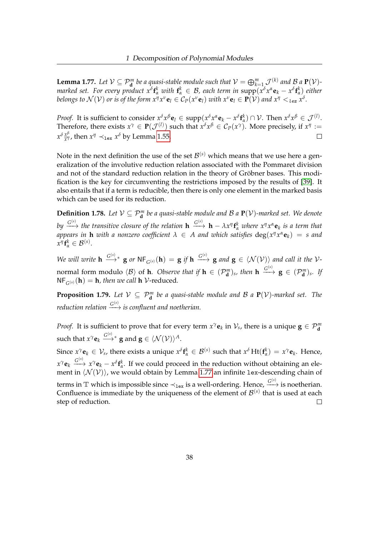<span id="page-42-0"></span>**Lemma 1.77.** Let  $V \subseteq \mathcal{P}_{\mathbf{d}}^m$  be a quasi-stable module such that  $V = \bigoplus_{k=1}^m \mathcal{J}^{(k)}$  and  $\mathcal{B}_d$  **p**( $V$ )marked set. For every product  $x^{\delta}f_{\alpha}^{k}$  with  $f_{\alpha}^{k} \in B$ , each term in  $\text{supp}(x^{\delta}x^{\alpha}\mathbf{e}_{k}-x^{\delta}f_{\alpha}^{k})$  either belongs to  $\mathcal{N}(\mathcal{V})$  or is of the form  $x^\eta x^\nu \mathbf{e}_l\in\mathcal{C}_P(x^\nu\mathbf{e}_l)$  with  $x^\nu\mathbf{e}_l\in\mathbf{P}(\mathcal{V})$  and  $x^\eta<_{lex}x^\delta.$ 

*Proof.* It is sufficient to consider  $x^{\delta}x^{\beta}\mathbf{e}_l \in \text{supp}(x^{\delta}x^{\alpha}\mathbf{e}_k - x^{\delta}\mathbf{f}_{\alpha}^k) \cap \mathcal{V}$ . Then  $x^{\delta}x^{\beta} \in \mathcal{J}^{(l)}$ . Therefore, there exists  $x^{\gamma} \in \mathbf{P}(\mathcal{J}^{(l)})$  such that  $x^{\delta}x^{\beta} \in C_P(x^{\gamma})$ . More precisely, if  $x^{\eta} :=$  $x^{\delta} \frac{x^{\beta}}{x^{\gamma}}$ *x*<sup>*n*</sup>, then  $x^{\eta} \prec_{\text{lex}} x^{\delta}$  by Lemma [1.55.](#page-34-0)  $\Box$ 

Note in the next definition the use of the set  ${\cal B}^{(s)}$  which means that we use here a generalization of the involutive reduction relation associated with the Pommaret division and not of the standard reduction relation in the theory of Gröbner bases. This modification is the key for circumventing the restrictions imposed by the results of [\[39\]](#page-161-1). It also entails that if a term is reducible, then there is only one element in the marked basis which can be used for its reduction.

<span id="page-42-1"></span>**Definition 1.78.** Let  $V \subseteq \mathcal{P}_{\mathbf{d}}^m$  be a quasi-stable module and B a  $\mathbf{P}(V)$ -marked set. We denote by  $\frac{G^{(s)}}{\longrightarrow}$  the transitive closure of the relation  $\bf{h}$   $\stackrel{G^{(s)}}{\longrightarrow} \bf{h}$   $-\lambda x^{\eta} f_{\alpha}^{k}$  where  $x^{\eta} x^{\alpha} \bf{e}_{k}$  is a term that *appears in*  **h** *with a nonzero coefficient*  $\lambda \in A$  *and which satisfies*  $\deg(x^{\eta}x^{\alpha}\mathbf{e}_k) = s$  *and*  $x^{\eta}$  **f**<sub>*k*</sub></sup> $\in \mathcal{B}^{(s)}$ .

 $\mathcal{L}$  *We will write*  $\mathbf{h} \xrightarrow{G^{(s)}} \mathbf{g}$  or  $\mathsf{NF}_{G^{(s)}}(\mathbf{h}) = \mathbf{g}$  if  $\mathbf{h} \xrightarrow{G^{(s)}} \mathbf{g}$  and  $\mathbf{g} \in \langle \mathcal{N}(\mathcal{V}) \rangle$  and call it the  $\mathcal{V}$ normal form modulo  $\langle \mathcal{B} \rangle$  of **h***. Observe that if*  $\mathbf{h} \in (\mathcal{P}_{\mathbf{d}}^{m})_{s}$ *, then*  $\mathbf{h} \xrightarrow{G^{(s)}} \mathbf{g} \in (\mathcal{P}_{\mathbf{d}}^{m})_{s}$ *. If*  $NF_{G^{(s)}}(\mathbf{h}) = \mathbf{h}$ *, then we call*  $\mathbf{h}$   $\mathcal{V}\text{-reduced}.$ 

**Proposition 1.79.** Let  $V \subseteq \mathcal{P}_{\mathbf{d}}^m$  be a quasi-stable module and  $\mathcal{B}$  a  $\mathbf{P}(V)$ -marked set. The *reduction relation*  $\xrightarrow{G^{(s)}}$  *is confluent and noetherian.* 

*Proof.* It is sufficient to prove that for every term  $x^{\gamma}$ **e**<sub>*k*</sub> in  $\mathcal{V}_s$ , there is a unique  $\mathbf{g} \in \mathcal{P}_{\mathbf{d}}^m$ such that  $x^\gamma \mathbf{e}_k \stackrel{G^{(s)}}{\longrightarrow}{}^* \mathbf{g}$  and  $\mathbf{g} \in \langle \mathcal{N}(\mathcal{V}) \rangle^A.$ 

Since  $x^{\gamma}$ **e**<sub>k</sub>  $\in \mathcal{V}_s$ , there exists a unique  $x^{\delta}$ **f**<sub> $\alpha$ </sub><sup>k</sup>  $\in \mathcal{B}^{(s)}$  such that  $x^{\delta}$  Ht(**f**<sub> $\alpha$ </sub><sup>k</sup>) =  $x^{\gamma}$ **e**<sub>k</sub>. Hence,  $x^{\gamma}$ **e**<sub>*k*</sub>  $\xrightarrow{G^{(s)}} x^{\gamma}$ **e**<sub>*k*</sub> −  $x^{\delta}$ **f**<sub>*k*</sub><sup>*k*</sup>. If we could proceed in the reduction without obtaining an element in  $\langle N(v)\rangle$ , we would obtain by Lemma [1.77](#page-42-0) an infinite lex-descending chain of terms in  $\mathbb T$  which is impossible since  $\prec_{\mathtt{lex}}$  is a well-ordering. Hence,  $\overset{G^{(s)}}{\longrightarrow}$  is noetherian. Confluence is immediate by the uniqueness of the element of  $\mathcal{B}^{(s)}$  that is used at each

step of reduction.  $\Box$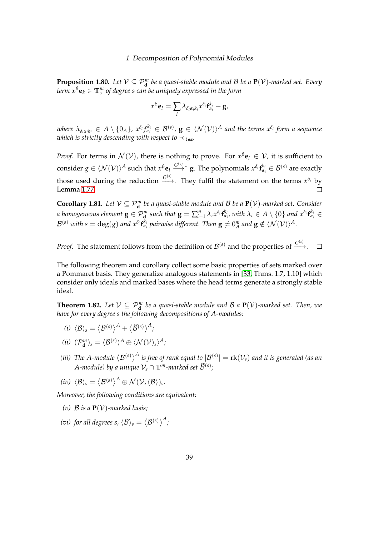<span id="page-43-2"></span>**Proposition 1.80.** *Let*  $V \subseteq P_{\bf d}^m$  *be a quasi-stable module and B be a*  ${\bf P}(V)$ *-marked set. Every term xβ***e***<sup>k</sup>* ∈ T*<sup>m</sup> s of degree s can be uniquely expressed in the form*

$$
x^{\beta} \mathbf{e}_l = \sum_i \lambda_{\delta_i \alpha_i k_i} x^{\delta_i} \mathbf{f}_{\alpha_i}^{k_i} + \mathbf{g},
$$

where  $\lambda_{\delta_i\alpha_ik_i}\in A\setminus\{0_A\}$ ,  $x^{\delta_i}f_{\alpha_i}^{k_i}\in\mathcal{B}^{(s)}$ ,  $\mathbf{g}\in\langle\mathcal{N}(\mathcal{V})\rangle^A$  and the terms  $x^{\delta_i}$  form a sequence *which is strictly descending with respect to*  $\prec_{\mathit{lex}}$ *.* 

*Proof.* For terms in  $\mathcal{N}(\mathcal{V})$ , there is nothing to prove. For  $x^{\beta} \mathbf{e}_l \in \mathcal{V}$ , it is sufficient to  $f(x) = \sum_{\alpha}^{\infty} \sum_{\alpha}^{\infty} f(\alpha) f(x) dx$  such that  $x^{\beta}$ **e**<sub>*l*</sub>  $\xrightarrow{G^{(s)}} \mathbf{g}$ . The polynomials  $x^{\delta_i} \mathbf{f}_{\alpha_i}^{k_i} \in \mathcal{B}^{(s)}$  are exactly those used during the reduction  $\stackrel{G^{(s)}}{\longrightarrow}$ . They fulfil the statement on the terms  $x^{\delta_i}$  by Lemma [1.77.](#page-42-0)  $\Box$ 

<span id="page-43-3"></span>**Corollary 1.81.** *Let*  $V \subseteq P_{\bf d}^m$  *be a quasi-stable module and*  $B$  *be a*  ${\bf P}(V)$ *-marked set. Consider* a homogeneous element  $\mathbf{g}\in\mathcal{P}_{\mathbf{d}}^m$  such that  $\mathbf{g}=\sum_{i=1}^m\lambda_i x^{\delta_i}\mathbf{f}_{\alpha_i}^{k_i}$ , with  $\lambda_i\in A\setminus\{0\}$  and  $x^{\delta_i}\mathbf{f}_{\alpha_i}^{k_i}\in$  $\mathcal{B}^{(s)}$  with  $s=\deg(g)$  and  $x^{\delta_i} \mathbf{f}_{\alpha_i}^{k_i}$  pairwise different. Then  $\mathbf{g}\neq 0^m_A$  and  $\mathbf{g}\notin \langle \mathcal{N}(\mathcal{V})\rangle^A$ .

*Proof.* The statement follows from the definition of  $\mathcal{B}^{(s)}$  and the properties of  $\frac{G^{(s)}}{\longrightarrow}$ .  $\Box$ 

The following theorem and corollary collect some basic properties of sets marked over a Pommaret basis. They generalize analogous statements in [\[33,](#page-161-0) Thms. 1.7, 1.10] which consider only ideals and marked bases where the head terms generate a strongly stable ideal.

<span id="page-43-8"></span>**Theorem 1.82.** Let  $V \subseteq P_{d}^{m}$  be a quasi-stable module and B a  $P(V)$ -marked set. Then, we *have for every degree s the following decompositions of A-modules:*

- <span id="page-43-0"></span> $\langle i \rangle \langle \mathcal{B} \rangle_s = \big\langle \mathcal{B}^{(s)} \big\rangle^A + \big\langle \widehat{\mathcal{B}}^{(s)} \big\rangle^A;$
- <span id="page-43-1"></span> $(iii)$   $(\mathcal{P}_{\mathbf{d}}^m)_s = \langle \mathcal{B}^{(s)} \rangle^A \oplus \langle \mathcal{N}(\mathcal{V})_s \rangle^A;$
- <span id="page-43-4"></span>(iii) The A-module  $\big<{\cal B}^{(s)}\big>^A$  is free of rank equal to  $|{\cal B}^{(s)}| = \operatorname{rk}({\cal V}_s)$  and it is generated (as an A-module) by a unique  $\mathcal{V}_s \cap \mathbb{T}^m$ -marked set  $\widetilde{\mathcal{B}}^{(s)}$ ;

<span id="page-43-5"></span>
$$
(iv) \ \langle \mathcal{B} \rangle_s = \langle \mathcal{B}^{(s)} \rangle^A \oplus \mathcal{N}(\mathcal{V}, \langle \mathcal{B} \rangle)_s.
$$

<span id="page-43-6"></span>*Moreover, the following conditions are equivalent:*

- (*v*)  $B$  *is a*  $P(V)$ *-marked basis:*
- <span id="page-43-7"></span>(*vi*) for all degrees s,  $\langle \mathcal{B} \rangle_s = \big\langle \mathcal{B}^{(s)} \big\rangle^A$  ;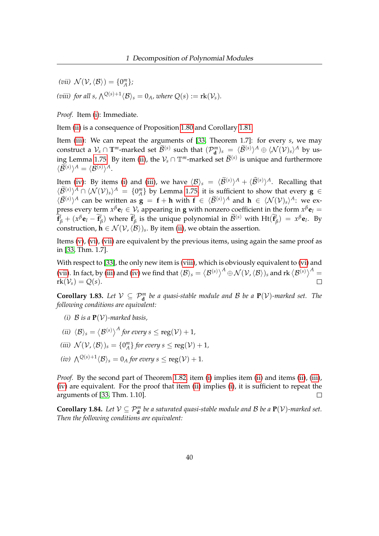<span id="page-44-1"></span><span id="page-44-0"></span>(*vii*)  $\mathcal{N}(\mathcal{V}, \langle \mathcal{B} \rangle) = \{0^m_A\};$ (*viii*) for all s,  $\bigwedge^{Q(s)+1} \langle \mathcal{B} \rangle_s = 0_A$ *, where*  $Q(s) := \text{rk}(\mathcal{V}_s)$ *.* 

*Proof.* Item [\(i\)](#page-43-0): Immediate.

Item [\(ii\)](#page-43-1) is a consequence of Proposition [1.80](#page-43-2) and Corollary [1.81.](#page-43-3)

Item [\(iii\)](#page-43-4): We can repeat the arguments of [\[33,](#page-161-0) Theorem 1.7]: for every *s*, we may construct a  $\mathcal{V}_s \cap \mathbb{T}^m$ -marked set  $\widetilde{\mathcal{B}}^{(s)}$  such that  $(\mathcal{P}_d^m)_s = \langle \widetilde{\mathcal{B}}^{(s)} \rangle^A \oplus \langle \mathcal{N}(\mathcal{V})_s \rangle^A$  by us-ing Lemma [1.75.](#page-41-0) By item [\(ii\)](#page-43-1), the  $\mathcal{V}_s \cap \mathbb{T}^m$ -marked set  $\widetilde{\mathcal{B}}^{(s)}$  is unique and furthermore  $\langle \widetilde{\mathcal{B}}^{(s)}\rangle^A = \langle \mathcal{B}^{(s)}\rangle^A.$ 

Item [\(iv\)](#page-43-5): By items [\(i\)](#page-43-0) and [\(iii\)](#page-43-4), we have  $\langle B \rangle_s = \langle \widetilde{\mathcal{B}}^{(s)} \rangle^A + \langle \widehat{\mathcal{B}}^{(s)} \rangle^A$ . Recalling that  $\langle \widetilde{\mathcal{B}}^{(s)} \rangle^A \cap \langle \mathcal{N}(\mathcal{V})_s \rangle^A = \{0^m_A\}$  by Lemma [1.75,](#page-41-0) it is sufficient to show that every  $\mathbf{g} \in \mathbb{R}$  $\langle \hat{B}^{(s)} \rangle^A$  can be written as **g** = **f** + **h** with **f** ∈  $\langle \hat{B}^{(s)} \rangle^A$  and **h** ∈  $\langle \mathcal{N}(V)_s \rangle^A$ : we ex-<br> $\langle \hat{B}^{(s)} \rangle^A$ press every term  $x^\beta$ **e** $l \in \mathcal{V}_s$  appearing in **g** with nonzero coefficient in the form  $x^\beta$ **e** $l =$  $\tilde{\mathbf{f}}_{\beta}^{l} + (x^{\beta} \mathbf{e}_{l} - \tilde{\mathbf{f}}_{l}^{l})$  $\binom{l}{\beta}$  where  $\hat{\mathbf{f}}_l^l$  $\widehat{B}^{(s)}$  is the unique polynomial in  $\widetilde{\mathcal{B}}^{(s)}$  with  $\text{Ht}(\widetilde{\mathbf{f}})$  $\beta$ <sup>*l*</sup> $\beta$ ) =  $x^{\beta}$ **e**<sub>*l*</sub>. By construction,  $\mathbf{h} \in \mathcal{N}(\mathcal{V},\langle\mathcal{B}\rangle)_{s}$ . By item [\(ii\)](#page-43-1), we obtain the assertion.

Items  $(v)$ ,  $(vi)$ ,  $(vii)$  are equivalent by the previous items, using again the same proof as in [\[33,](#page-161-0) Thm. 1.7].

With respect to [\[33\]](#page-161-0), the only new item is [\(viii\)](#page-44-1), which is obviously equivalent to [\(vi\)](#page-43-7) and [\(vii\)](#page-44-0). In fact, by [\(iii\)](#page-43-4) and [\(iv\)](#page-43-5) we find that  $\langle B \rangle_s = \big<{\cal B}^{(s)}\big>^A \oplus {\cal N}({\cal V},\langle{\cal B}\rangle)_s$  and  $\operatorname{rk} \big<{\cal B}^{(s)}\big>^A =$  $rk(\mathcal{V}_s) = Q(s).$  $\Box$ 

<span id="page-44-6"></span>**Corollary 1.83.** Let  $V \subseteq \mathcal{P}_{d}^{m}$  be a quasi-stable module and B be a  $P(V)$ -marked set. The *following conditions are equivalent:*

- <span id="page-44-2"></span>(*i*)  $B$  *is a*  $P(V)$ *-marked basis.*
- <span id="page-44-3"></span>(*ii*)  $\langle \mathcal{B} \rangle_s = \big\langle \mathcal{B}^{(s)} \big\rangle^A$  for every  $s \leq \operatorname{reg}(\mathcal{V}) + 1$ *,*
- <span id="page-44-4"></span>(*iii*)  $\mathcal{N}(\mathcal{V},\langle \mathcal{B}\rangle)_{s} = \{0_{A}^{m}\}$  for every  $s \leq \text{reg}(\mathcal{V}) + 1$ *,*
- <span id="page-44-5"></span>*(iv)*  $\bigwedge^{Q(s)+1} \langle \mathcal{B} \rangle_s = 0_A$  *for every*  $s \leq \text{reg}(\mathcal{V}) + 1$ *.*

*Proof.* By the second part of Theorem [1.82,](#page-43-8) item [\(i\)](#page-44-2) implies item [\(ii\)](#page-44-3) and items (ii), [\(iii\)](#page-44-4), [\(iv\)](#page-44-5) are equivalent. For the proof that item [\(ii\)](#page-44-3) implies [\(i\)](#page-44-2), it is sufficient to repeat the arguments of [\[33,](#page-161-0) Thm. 1.10].  $\Box$ 

**Corollary 1.84.** Let  $V \subseteq P_{\bf d}^m$  be a saturated quasi-stable module and B be a  ${\bf P}(V)$ -marked set. *Then the following conditions are equivalent:*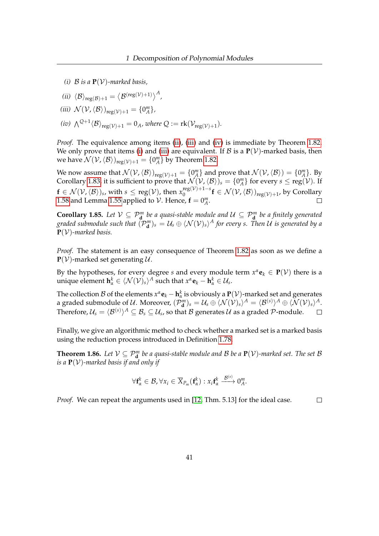<span id="page-45-3"></span>*(i)*  $B$  *is a*  $P(V)$ *-marked basis,* 

<span id="page-45-0"></span>(*ii*) 
$$
\langle \mathcal{B} \rangle_{reg(\mathcal{B})+1} = \langle \mathcal{B}^{(reg(\mathcal{V})+1)} \rangle^{A}
$$
,

<span id="page-45-1"></span>
$$
(iii) \mathcal{N}(\mathcal{V}, \langle \mathcal{B} \rangle)_{reg(\mathcal{V})+1} = \{0^m_A\},\
$$

<span id="page-45-2"></span>(iv)  $\bigwedge^{Q+1} \langle \mathcal{B} \rangle_{\text{reg}(\mathcal{V})+1} = 0_A$ *, where*  $Q := \text{rk}(\mathcal{V}_{\text{reg}(\mathcal{V})+1}).$ 

*Proof.* The equivalence among items [\(ii\)](#page-45-0), [\(iii\)](#page-45-1) and [\(iv\)](#page-45-2) is immediate by Theorem [1.82.](#page-43-8) We only prove that items [\(i\)](#page-45-3) and [\(iii\)](#page-45-1) are equivalent. If  $\mathcal{B}$  is a  $P(\mathcal{V})$ -marked basis, then we have  $\mathcal{N}(\mathcal{V},\langle\mathcal{B}\rangle)_{{\rm reg}(\mathcal{V})+1} = \{0^m_A\}$  by Theorem [1.82.](#page-43-8)

We now assume that  $\mathcal{N}(\mathcal{V},\langle\mathcal{B}\rangle)_{{\rm reg}(\mathcal{V})+1} = \{0^m_A\}$  and prove that  $\mathcal{N}(\mathcal{V},\langle\mathcal{B}\rangle) = \{0^m_A\}$ . By Corollary [1.83,](#page-44-6) it is sufficient to prove that  $\mathcal{N}(\mathcal{V},\langle\mathcal{B}\rangle)_s = \{0^m_A\}$  for every  $s \leq \text{reg}(\mathcal{V})$ . If  $\mathbf{f} \in \mathcal{N}(\mathcal{V},\langle\mathcal{B}\rangle)$ s, with  $s \leq \operatorname{reg}(\mathcal{V})$ , then  $x_0^{\operatorname{reg}(\mathcal{V})+1-s}$  $\int_0^{\text{reg}(\nu)+1-s} \mathbf{f} \in \mathcal{N}(\mathcal{V},\langle\mathcal{B}\rangle)_{\text{reg}(\mathcal{V})+1}$ , by Corollary [1.58](#page-35-0) and Lemma [1.55](#page-34-0) applied to  $V$ . Hence,  $\mathbf{f} = 0^m_A$ .

**Corollary 1.85.** Let  $V \subseteq \mathcal{P}_{\mathbf{d}}^m$  be a quasi-stable module and  $U \subseteq \mathcal{P}_{\mathbf{d}}^m$  be a finitely generated graded submodule such that  $(\mathcal{P}_{d}^{m})_{s} = \mathcal{U}_{s} \oplus \langle \mathcal{N}(\mathcal{V})_{s} \rangle^{A}$  for every s. Then  $\mathcal U$  is generated by a **P**(V)*-marked basis.*

*Proof.* The statement is an easy consequence of Theorem [1.82](#page-43-8) as soon as we define a  $P(V)$ -marked set generating U.

By the hypotheses, for every degree *s* and every module term  $x^{\alpha}$ **e**<sub>*k*</sub>  $\in$  **P**( $V$ ) there is a unique element  $\mathbf{h}_{\alpha}^{k} \in \langle \mathcal{N}(\mathcal{V})_s \rangle^A$  such that  $x^{\alpha} \mathbf{e}_k - \mathbf{h}_{\alpha}^{k} \in \mathcal{U}_s$ .

The collection  $B$  of the elements  $x^{\alpha}$ **e**<sub>*k*</sub> − **h**<sup>*k*</sup><sub>*a*</sub> is obviously a **P**( $V$ )-marked set and generates a graded submodule of U. Moreover,  $(\mathcal{P}_{\mathbf{d}}^{m})_s = \mathcal{U}_s \oplus \langle \mathcal{N}(\mathcal{V})_s \rangle^A = \langle \mathcal{B}^{(s)} \rangle^A \oplus \langle \mathcal{N}(\mathcal{V})_s \rangle^A.$ Therefore,  $\mathcal{U}_s = \langle \mathcal{B}^{(s)} \rangle^A \subseteq \mathcal{B}_s \subseteq \mathcal{U}_s$ , so that  $\mathcal B$  generates  $\mathcal U$  as a graded  $\mathcal P$ -module.  $\Box$ 

Finally, we give an algorithmic method to check whether a marked set is a marked basis using the reduction process introduced in Definition [1.78.](#page-42-1)

**Theorem 1.86.** Let  $V \subseteq \mathcal{P}_{d}^{m}$  be a quasi-stable module and B be a  $P(V)$ -marked set. The set B *is a* **P**(V)*-marked basis if and only if*

$$
\forall \mathbf{f}^k_{\alpha} \in \mathcal{B}, \forall x_i \in \overline{X}_{P_m}(\mathbf{f}^k_{\alpha}) : x_i \mathbf{f}^k_{\alpha} \xrightarrow{\mathcal{B}^{(s)}} 0^m_A.
$$

*Proof.* We can repeat the arguments used in [\[12,](#page-160-1) Thm. 5.13] for the ideal case.  $\Box$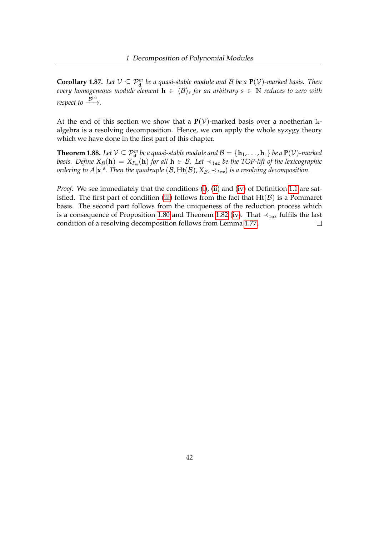**Corollary 1.87.** Let  $V \subseteq P_{\bf d}^m$  be a quasi-stable module and B be a  ${\bf P}(V)$ -marked basis. Then  $e$ very homogeneous module element  $\mathbf{h} \, \in \, \langle \mathcal{B} \rangle_s$  for an arbitrary  $s \, \in \, \mathbb{N}$  reduces to zero with  $r$ *espect to*  $\xrightarrow{\mathcal{B}^{(s)}}$ .

At the end of this section we show that a  $P(V)$ -marked basis over a noetherian kalgebra is a resolving decomposition. Hence, we can apply the whole syzygy theory which we have done in the first part of this chapter.

**Theorem 1.88.** Let  $\mathcal{V} \subseteq \mathcal{P}_{d}^{m}$  be a quasi-stable module and  $\mathcal{B} = \{\mathbf{h}_1, \dots, \mathbf{h}_s\}$  be a  $\mathbf{P}(\mathcal{V})$ -marked *basis. Define*  $X_{\cal B}(\bf h) = X_{P_m}(\bf h)$  for all  $\bf h \in B$ . Let  $\prec_{\textit{lex}}$  be the TOP-lift of the lexicographic *ordering to A*[**x**]<sup>s</sup>. Then the quadruple (B, Ht(B),  $X_{\mathcal{B}}$ ,  $\prec$  <sub>lex</sub>) is a resolving decomposition.

*Proof.* We see immediately that the conditions [\(i\)](#page-10-0), [\(ii\)](#page-10-1) and [\(iv\)](#page-11-1) of Definition [1.1](#page-10-2) are sat-isfied. The first part of condition [\(iii\)](#page-11-2) follows from the fact that  $Ht(\mathcal{B})$  is a Pommaret basis. The second part follows from the uniqueness of the reduction process which is a consequence of Proposition [1.80](#page-43-2) and Theorem [1.82](#page-43-8) [\(iv\)](#page-43-5). That  $\prec_{\text{lex}}$  fulfils the last condition of a resolving decomposition follows from Lemma [1.77.](#page-42-0)  $\Box$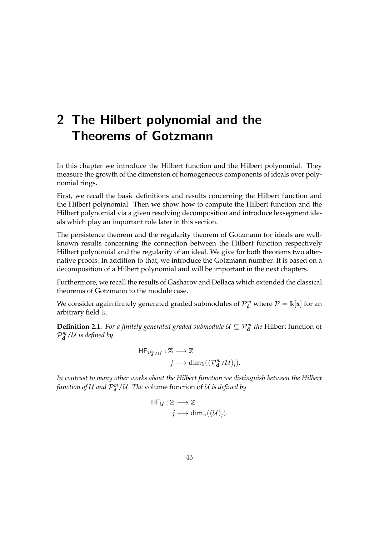# 2 The Hilbert polynomial and the Theorems of Gotzmann

In this chapter we introduce the Hilbert function and the Hilbert polynomial. They measure the growth of the dimension of homogeneous components of ideals over polynomial rings.

First, we recall the basic definitions and results concerning the Hilbert function and the Hilbert polynomial. Then we show how to compute the Hilbert function and the Hilbert polynomial via a given resolving decomposition and introduce lexsegment ideals which play an important role later in this section.

The persistence theorem and the regularity theorem of Gotzmann for ideals are wellknown results concerning the connection between the Hilbert function respectively Hilbert polynomial and the regularity of an ideal. We give for both theorems two alternative proofs. In addition to that, we introduce the Gotzmann number. It is based on a decomposition of a Hilbert polynomial and will be important in the next chapters.

Furthermore, we recall the results of Gasharov and Dellaca which extended the classical theorems of Gotzmann to the module case.

We consider again finitely generated graded submodules of  $\mathcal{P}_{\mathbf{d}}^{m}$  where  $\mathcal{P} = \mathbb{k}[\mathbf{x}]$  for an arbitrary field k.

**Definition 2.1.** *For a finitely generated graded submodule*  $U \subseteq \mathcal{P}_d^m$  *the* Hilbert function of  $\mathcal{P}_{\mathbf{d}}^{m}/\mathcal{U}$  is defined by

$$
\begin{aligned} \mathsf{HF}_{\mathcal{P}_{\mathbf{d}}^m/\mathcal{U}}&:\mathbb{Z}\longrightarrow \mathbb{Z} \\ &j\longrightarrow \dim_{\mathbb{K}}((\mathcal{P}_{\mathbf{d}}^m/\mathcal{U})_j).\end{aligned}
$$

*In contrast to many other works about the Hilbert function we distinguish between the Hilbert* function of  $\mathcal U$  and  $\mathcal P^m_{\mathbf d}/\mathcal U$ . The volume function of  $\mathcal U$  is defined by

$$
\mathsf{HF}_{\mathcal{U}} : \mathbb{Z} \longrightarrow \mathbb{Z}
$$

$$
j \longrightarrow \dim_{\mathbb{K}}((\mathcal{U})_j).
$$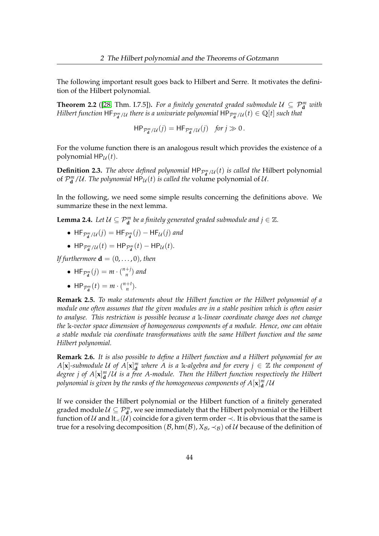The following important result goes back to Hilbert and Serre. It motivates the definition of the Hilbert polynomial.

**Theorem 2.2** ([\[28,](#page-161-2) Thm. I.7.5]). For a finitely generated graded submodule  $U \subseteq \mathcal{P}_{\mathbf{d}}^m$  with *Hilbert function*  $\mathsf{HF}_{\mathcal{P}_\mathbf{d}^m/\mathcal{U}}$  *there is a univariate polynomial*  $\mathsf{HP}_{\mathcal{P}_\mathbf{d}^m/\mathcal{U}}(t)\in \mathbb{Q}[t]$  *such that* 

 $HP_{\mathcal{P}_\mathbf{d}^m/\mathcal{U}}(j) = HF_{\mathcal{P}_\mathbf{d}^m/\mathcal{U}}(j)$  *for*  $j \gg 0$ .

For the volume function there is an analogous result which provides the existence of a polynomial  $HP_U(t)$ .

<span id="page-48-0"></span>**Definition 2.3.** *The above defined polynomial*  $HP_{\mathcal{P}_d^m/\mathcal{U}}(t)$  *is called the* Hilbert polynomial of  $\mathcal{P}_{\mathbf{d}}^{m}/U$ . The polynomial  $\mathsf{HP}_{\mathcal{U}}(t)$  *is called the* volume polynomial of  $U$ .

In the following, we need some simple results concerning the definitions above. We summarize these in the next lemma.

**Lemma 2.4.** *Let*  $\mathcal{U} \subseteq \mathcal{P}_{d}^{m}$  *be a finitely generated graded submodule and*  $j \in \mathbb{Z}$ *.* 

- $HF_{\mathcal{P}_d^m/\mathcal{U}}(j) = HF_{\mathcal{P}_d^m}(j) HF_{\mathcal{U}}(j)$  and
- HP<sub> $\mathcal{P}_{\mathbf{d}}^m/\mathcal{U}(t) = \mathsf{HP}_{\mathcal{P}_{\mathbf{d}}^m}(t) \mathsf{HP}_{\mathcal{U}}(t)$ .</sub>

*If furthermore*  $\mathbf{d} = (0, \ldots, 0)$ *, then* 

- $HF_{\mathcal{P}_d^m}(j) = m \cdot \binom{n+j}{n}$ *n* ) *and*
- HP<sub> $\mathcal{P}_{\mathbf{d}}^m(t) = m \cdot {n+t \choose n}$ </sub>  $\binom{+t}{n}$ .

**Remark 2.5.** *To make statements about the Hilbert function or the Hilbert polynomial of a module one often assumes that the given modules are in a stable position which is often easier to analyse. This restriction is possible because a* k*-linear coordinate change does not change the* k*-vector space dimension of homogeneous components of a module. Hence, one can obtain a stable module via coordinate transformations with the same Hilbert function and the same Hilbert polynomial.*

**Remark 2.6.** *It is also possible to define a Hilbert function and a Hilbert polynomial for an*  $A[\mathbf{x}]$ -submodule U of  $A[\mathbf{x}]_d^m$  where A is a k-algebra and for every  $j \in \mathbb{Z}$  the component of degree j of  $A[\mathbf{x}]_{\mathbf{d}}^m/\mathcal{U}$  is a free A-module. Then the Hilbert function respectively the Hilbert polynomial is given by the ranks of the homogeneous components of  $A[\mathbf{x}]_{\mathbf{d}}^m/\mathcal{U}$ 

If we consider the Hilbert polynomial or the Hilbert function of a finitely generated graded module  $\mathcal{U} \subseteq \mathcal{P}_{\mathbf{d}}^m$ , we see immediately that the Hilbert polynomial or the Hilbert function of  $U$  and  $lt$ <sub> $\prec$ </sub> $(U)$  coincide for a given term order  $\prec$ . It is obvious that the same is true for a resolving decomposition  $(\mathcal{B}, \text{hm}(\mathcal{B}), X_{\mathcal{B}}, \prec_{\mathcal{B}})$  of  $\mathcal{U}$  because of the definition of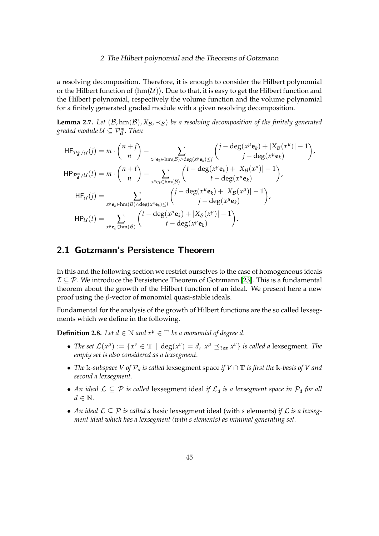a resolving decomposition. Therefore, it is enough to consider the Hilbert polynomial or the Hilbert function of  $\langle \text{hm}(U) \rangle$ . Due to that, it is easy to get the Hilbert function and the Hilbert polynomial, respectively the volume function and the volume polynomial for a finitely generated graded module with a given resolving decomposition.

<span id="page-49-0"></span>**Lemma 2.7.** *Let*  $(B, hm(B), X_B, \prec_B)$  *be a resolving decomposition of the finitely generated graded module*  $\mathcal{U} \subseteq \mathcal{P}_{\mathbf{d}}^m$ *. Then* 

$$
HF_{\mathcal{P}_d^m/\mathcal{U}}(j) = m \cdot {n+j \choose n} - \sum_{x^\mu e_k \in \text{hm}(B) \land \text{deg}(x^\mu e_k) \leq j} \left( j - \text{deg}(x^\mu e_k) + |X_B(x^\mu)| - 1 \right),
$$
  
\n
$$
HP_{\mathcal{P}_d^m/\mathcal{U}}(t) = m \cdot {n+t \choose n} - \sum_{x^\mu e_k \in \text{hm}(B)} \left( t - \text{deg}(x^\mu e_k) + |X_B(x^\mu)| - 1 \right),
$$
  
\n
$$
HF_{\mathcal{U}}(j) = \sum_{x^\mu e_k \in \text{hm}(B) \land \text{deg}(x^\mu e_k) \leq j} \left( j - \text{deg}(x^\mu e_k) + |X_B(x^\mu)| - 1 \right),
$$
  
\n
$$
HP_{\mathcal{U}}(t) = \sum_{x^\mu e_k \in \text{hm}(B)} \left( t - \text{deg}(x^\mu e_k) + |X_B(x^\mu)| - 1 \right),
$$
  
\n
$$
HP_{\mathcal{U}}(t) = \sum_{x^\mu e_k \in \text{hm}(B)} \left( t - \text{deg}(x^\mu e_k) + |X_B(x^\mu)| - 1 \right).
$$

## 2.1 Gotzmann's Persistence Theorem

In this and the following section we restrict ourselves to the case of homogeneous ideals  $\mathcal{I} \subseteq \mathcal{P}$ . We introduce the Persistence Theorem of Gotzmann [\[23\]](#page-160-3). This is a fundamental theorem about the growth of the Hilbert function of an ideal. We present here a new proof using the *β*-vector of monomial quasi-stable ideals.

Fundamental for the analysis of the growth of Hilbert functions are the so called lexsegments which we define in the following.

**Definition 2.8.** *Let*  $d \in \mathbb{N}$  *and*  $x^{\mu} \in \mathbb{T}$  *be a monomial of degree d.* 

- *The set*  $\mathcal{L}(x^{\mu}) := \{x^{\nu} \in \mathbb{T} \mid \text{deg}(x^{\nu}) = d, x^{\mu} \leq_{lex} x^{\nu} \}$  *is called a* lexsegment. The *empty set is also considered as a lexsegment.*
- *The* k*-subspace V of* P*<sup>d</sup> is called* lexsegment space *if V* ∩ T *is first the* k*-basis of V and second a lexsegment.*
- *An ideal* L ⊆ P *is called* lexsegment ideal *if* L*<sup>d</sup> is a lexsegment space in* P*<sup>d</sup> for all*  $d \in \mathbb{N}$ .
- *An ideal* L ⊆ P *is called a* basic lexsegment ideal (with *s* elements) *if* L *is a lexsegment ideal which has a lexsegment (with s elements) as minimal generating set.*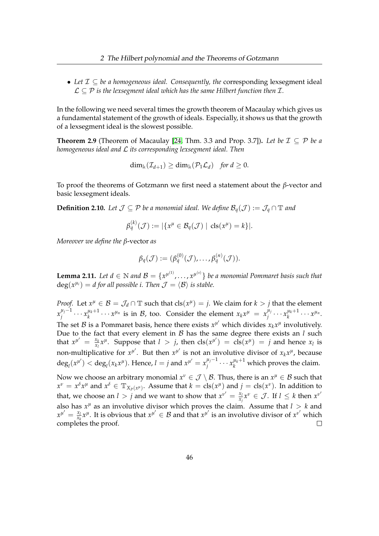• *Let* I ⊆ *be a homogeneous ideal. Consequently, the* corresponding lexsegment ideal  $\mathcal{L} \subseteq \mathcal{P}$  *is the lexsegment ideal which has the same Hilbert function then*  $\mathcal{I}$ *.* 

In the following we need several times the growth theorem of Macaulay which gives us a fundamental statement of the growth of ideals. Especially, it shows us that the growth of a lexsegment ideal is the slowest possible.

<span id="page-50-0"></span>**Theorem 2.9** (Theorem of Macaulay [\[24,](#page-160-4) Thm. 3.3 and Prop. 3.7]). Let be  $\mathcal{I} \subseteq \mathcal{P}$  be a *homogeneous ideal and* L *its corresponding lexsegment ideal. Then*

$$
\dim_{\mathbb{k}}(\mathcal{I}_{d+1}) \geq \dim_{\mathbb{k}}(\mathcal{P}_1\mathcal{L}_d) \quad \text{for } d \geq 0.
$$

To proof the theorems of Gotzmann we first need a statement about the *β*-vector and basic lexsegment ideals.

**Definition 2.10.** *Let*  $\mathcal{J} \subseteq \mathcal{P}$  *be a monomial ideal. We define*  $\mathcal{B}_q(\mathcal{J}) := \mathcal{J}_q \cap \mathbb{T}$  *and* 

$$
\beta_q^{(k)}(\mathcal{J}) := |\{x^{\mu} \in \mathcal{B}_q(\mathcal{J}) \mid \mathrm{cls}(x^{\mu}) = k\}|.
$$

*Moreover we define the β*-vector *as*

$$
\beta_q(\mathcal{J}) := (\beta_q^{(0)}(\mathcal{J}), \ldots, \beta_q^{(n)}(\mathcal{J})).
$$

**Lemma 2.11.** Let  $d \in \mathbb{N}$  and  $\mathcal{B} = \{x^{\mu^{(1)}}, \ldots, x^{\mu^{(s)}}\}$  be a monomial Pommaret basis such that  $deg(x^{\mu_i}) = d$  for all possible *i*. Then  $\mathcal{J} = \langle \mathcal{B} \rangle$  is stable.

*Proof.* Let  $x^{\mu} \in \mathcal{B} = \mathcal{J}_d \cap \mathbb{T}$  such that  $cls(x^{\mu}) = j$ . We claim for  $k > j$  that the element  $x_i^{\mu_j-1}$  $\frac{\mu_j-1}{j}\cdots x_k^{\mu_k+1}$  $\mu_k^{ \mu_k+1} \cdots x^{ \mu_n}$  is in  $\mathcal{B}$ , too. Consider the element  $x_k x^{\mu} = x_j^{ \mu_j}$  $\frac{\mu_j}{j}$ ...  $x_k^{\mu_k+1}$  $\chi_k^{\mu_k+1}$   $\cdots$   $\chi^{\mu_n}$ . The set  $\mathcal{B}$  is a Pommaret basis, hence there exists  $x^{\mu'}$  which divides  $x_k x^{\mu}$  involutively. Due to the fact that every element in B has the same degree there exists an *l* such that  $x^{\mu'} = \frac{x_k}{x_k}$  $\frac{x_k}{x_l}x^{\mu}$ . Suppose that  $l > j$ , then  $\text{cls}(x^{\mu'}) = \text{cls}(x^{\mu}) = j$  and hence  $x_l$  is non-multiplicative for  $x^{\mu'}$ . But then  $x^{\mu'}$  is not an involutive divisor of  $x_k x^{\mu}$ , because  $\deg_l(x^{\mu'}) < \deg_l(x_k x^{\mu})$ . Hence,  $l = j$  and  $x^{\mu'} = x_j^{\mu_j - 1}$  $j^{ \mu_j -1 } \cdots x_k^{ \mu_k +1 }$  which proves the claim. Now we choose an arbitrary monomial  $x^{\nu} \in \mathcal{J} \setminus \mathcal{B}$ . Thus, there is an  $x^{\mu} \in \mathcal{B}$  such that  $x^{\nu} = x^{\delta}x^{\mu}$  and  $x^{\delta} \in \mathbb{T}_{X_{P}(x^{\mu})}$ . Assume that  $k = \text{cls}(x^{\mu})$  and  $j = \text{cls}(x^{\nu})$ . In addition to

that, we choose an *l* > *j* and we want to show that  $x^{v'} = \frac{x}{x}$  $\frac{x_l}{x_j}x^{\nu} \in \mathcal{J}$ . If  $l \leq k$  then  $x^{\nu^{\prime}}$ also has  $x^{\mu}$  as an involutive divisor which proves the claim. Assume that  $l > k$  and  $x^{\mu'} = \frac{x_l}{x_l}$  $\frac{x_l}{x_k}$  *x*<sup>*u*</sup>. It is obvious that  $x^{\mu'} \in B$  and that  $x^{\mu'}$  is an involutive divisor of  $x^{\nu'}$  which completes the proof.  $\Box$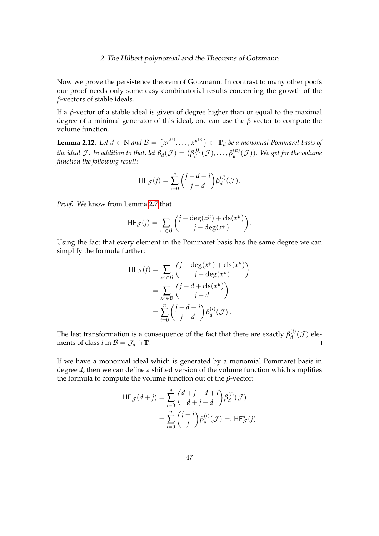Now we prove the persistence theorem of Gotzmann. In contrast to many other poofs our proof needs only some easy combinatorial results concerning the growth of the *β*-vectors of stable ideals.

If a *β*-vector of a stable ideal is given of degree higher than or equal to the maximal degree of a minimal generator of this ideal, one can use the *β*-vector to compute the volume function.

**Lemma 2.12.** Let  $d \in \mathbb{N}$  and  $\mathcal{B} = \{x^{\mu^{(1)}}, \ldots, x^{\mu^{(s)}}\} \subset \mathbb{T}_d$  be a monomial Pommaret basis of *the ideal J* . In addition to that, let  $\beta_d(\mathcal{J}) = (\beta_d^{(0)})$  $\beta_d^{(0)}(\mathcal{J}), \ldots, \beta_d^{(n)}$  $\binom{[n]}{d}$ . We get for the volume *function the following result:*

$$
\mathsf{HF}_{\mathcal{J}}(j) = \sum_{i=0}^{n} {j-d+i \choose j-d} \beta_d^{(i)}(\mathcal{J}).
$$

*Proof.* We know from Lemma [2.7](#page-49-0) that

$$
\mathsf{HF}_{\mathcal{J}}(j) = \sum_{x^{\mu} \in \mathcal{B}} \binom{j - \deg(x^{\mu}) + \operatorname{cls}(x^{\mu})}{j - \deg(x^{\mu})}.
$$

Using the fact that every element in the Pommaret basis has the same degree we can simplify the formula further:

$$
\begin{split} \mathsf{HF}_{\mathcal{J}}(j) &= \sum_{x^{\mu} \in \mathcal{B}} \binom{j - \deg(x^{\mu}) + \operatorname{cls}(x^{\mu})}{j - \deg(x^{\mu})} \\ &= \sum_{x^{\mu} \in \mathcal{B}} \binom{j - d + \operatorname{cls}(x^{\mu})}{j - d} \\ &= \sum_{i=0}^{n} \binom{j - d + i}{j - d} \beta_{d}^{(i)}(\mathcal{J}). \end{split}
$$

The last transformation is a consequence of the fact that there are exactly  $\beta_d^{(i)}$  $\binom{u}{d}$  (*J*) elements of class *i* in  $\mathcal{B} = \mathcal{J}_d \cap \mathbb{T}$ .  $\Box$ 

If we have a monomial ideal which is generated by a monomial Pommaret basis in degree *d*, then we can define a shifted version of the volume function which simplifies the formula to compute the volume function out of the *β*-vector:

$$
\begin{aligned} \mathsf{HF}_{\mathcal{J}}(d+j) &= \sum_{i=0}^{n} \binom{d+j-d+i}{d+j-d} \beta_d^{(i)}(\mathcal{J}) \\ &= \sum_{i=0}^{n} \binom{j+i}{j} \beta_d^{(i)}(\mathcal{J}) =: \mathsf{HF}_{\mathcal{J}}^d(j) \end{aligned}
$$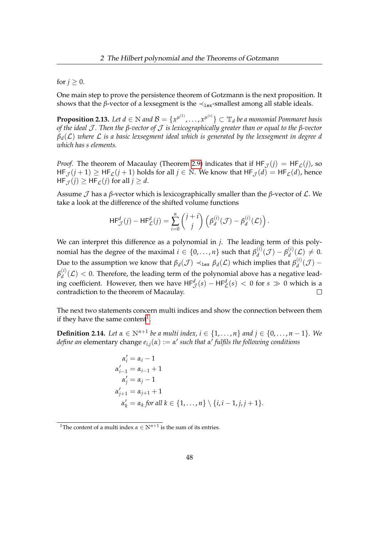#### for  $j \geq 0$ .

One main step to prove the persistence theorem of Gotzmann is the next proposition. It shows that the *β*-vector of a lexsegment is the  $\prec_{\text{lex}}$ -smallest among all stable ideals.

<span id="page-52-1"></span>**Proposition 2.13.** Let  $d \in \mathbb{N}$  and  $\mathcal{B} = \{x^{\mu^{(1)}}, \dots, x^{\mu^{(s)}}\} \subset \mathbb{T}_d$  be a monomial Pommaret basis *of the ideal* J *. Then the β-vector of* J *is lexicographically greater than or equal to the β-vector βd*(L) *where* L *is a basic lexsegment ideal which is generated by the lexsegment in degree d which has s elements.*

*Proof.* The theorem of Macaulay (Theorem [2.9\)](#page-50-0) indicates that if  $HF_{\mathcal{I}}(i) = HF_{\mathcal{L}}(i)$ , so  $HF_{\mathcal{J}}(j+1) \ge HF_{\mathcal{L}}(j+1)$  holds for all  $j \in \mathbb{N}$ . We know that  $HF_{\mathcal{J}}(d) = HF_{\mathcal{L}}(d)$ , hence  $HF_{\mathcal{I}}(i) \geq HF_{\mathcal{L}}(i)$  for all  $i \geq d$ .

Assume  $\mathcal J$  has a  $\beta$ -vector which is lexicographically smaller than the  $\beta$ -vector of  $\mathcal L$ . We take a look at the difference of the shifted volume functions

$$
\mathsf{HF}^d_{\mathcal{J}}(j) - \mathsf{HF}^d_{\mathcal{L}}(j) = \sum_{i=0}^n {j+i \choose j} \left( \beta_d^{(i)}(\mathcal{J}) - \beta_d^{(i)}(\mathcal{L}) \right).
$$

We can interpret this difference as a polynomial in *j*. The leading term of this polynomial has the degree of the maximal  $i \in \{0,\ldots,n\}$  such that  $\beta_d^{(i)}$  $\beta_d^{(i)}(\mathcal{J}) - \beta_d^{(i)}$  $\mathcal{L}_d^{(1)}(\mathcal{L})\neq 0.$ Due to the assumption we know that  $\beta_d(\mathcal{J}) \prec_{\texttt{lex}} \beta_d(\mathcal{L})$  which implies that  $\beta_d^{(i)}$  $\frac{d^{(l)}}{d}(\mathcal{J}) \pmb{\beta}_d^{(i)}$  $d_d^{(1)}(\mathcal{L})$  < 0. Therefore, the leading term of the polynomial above has a negative leading coefficient. However, then we have  $HF^d_{\mathcal{J}}(s) - HF^d_{\mathcal{L}}(s) < 0$  for  $s \gg 0$  which is a contradiction to the theorem of Macaulay.

The next two statements concern multi indices and show the connection between them if they have the same content<sup>[1](#page-52-0)</sup>.

**Definition 2.14.** *Let*  $α ∈ ℕ<sup>n+1</sup>$  *be a multi index, i* ∈ {1,...,*n*} *and j* ∈ {0,...,*n* − 1}*. We define an* elementary change *ei*,*j*(*α*) := *α* 0 *such that α* 0 *fulfils the following conditions*

$$
\alpha'_{i} = \alpha_{i} - 1
$$
  
\n
$$
\alpha'_{i-1} = \alpha_{i-1} + 1
$$
  
\n
$$
\alpha'_{j} = \alpha_{j} - 1
$$
  
\n
$$
\alpha'_{j+1} = \alpha_{j+1} + 1
$$
  
\n
$$
\alpha'_{k} = \alpha_{k} \text{ for all } k \in \{1, ..., n\} \setminus \{i, i - 1, j, j + 1\}.
$$

<span id="page-52-0"></span><sup>&</sup>lt;sup>1</sup>The content of a multi index  $\alpha \in \mathbb{N}^{n+1}$  is the sum of its entries.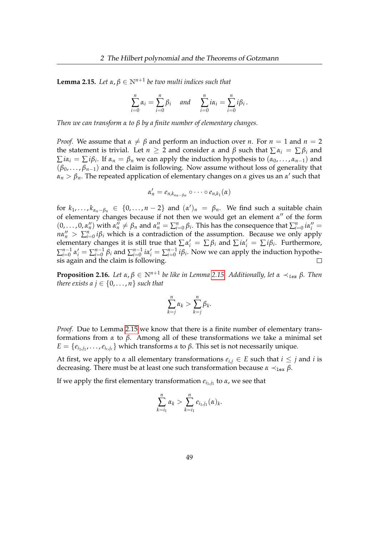<span id="page-53-0"></span>**Lemma 2.15.** Let  $\alpha, \beta \in \mathbb{N}^{n+1}$  be two multi indices such that

$$
\sum_{i=0}^n \alpha_i = \sum_{i=0}^n \beta_i \quad \text{and} \quad \sum_{i=0}^n i\alpha_i = \sum_{i=0}^n i\beta_i.
$$

*Then we can transform α to β by a finite number of elementary changes.*

*Proof.* We assume that  $\alpha \neq \beta$  and perform an induction over *n*. For  $n = 1$  and  $n = 2$ the statement is trivial. Let  $n \geq 2$  and consider  $\alpha$  and  $\beta$  such that  $\sum \alpha_i = \sum \beta_i$  and  $\sum i\alpha_i = \sum i\beta_i$ . If  $\alpha_n = \beta_n$  we can apply the induction hypothesis to  $(\alpha_0, \dots, \alpha_{n-1})$  and (*β*0, . . . , *βn*−1) and the claim is following. Now assume without loss of generality that  $α_n > β_n$ . The repeated application of elementary changes on *α* gives us an *α*' such that

$$
\alpha'_n=e_{n,k_{\alpha_n-\beta_n}}\circ\cdots\circ e_{n,k_1}(\alpha)
$$

for  $k_1, \ldots, k_{\alpha_n-\beta_n} \in \{0, \ldots, n-2\}$  and  $(\alpha')_n = \beta_n$ . We find such a suitable chain of elementary changes because if not then we would get an element  $\alpha''$  of the form  $(0,\ldots,0,\alpha''_n)$  with  $\alpha''_n \neq \beta_n$  and  $\alpha''_n = \sum_{i=0}^n \beta_i$ . This has the consequence that  $\sum_{i=0}^n i\alpha''_i =$  $n\alpha''_n > \sum_{i=0}^n i\beta_i$  which is a contradiction of the assumption. Because we only apply elementary changes it is still true that  $\sum \alpha'_i = \sum \beta_i$  and  $\sum i\alpha'_i = \sum i\beta_i$ . Furthermore,  $\sum_{i=0}^{n-1}$  $\sum_{i=0}^{n-1} \alpha'_i = \sum_{i=0}^{n-1}$  $_{i=0}^{n-1}$   $\beta_i$  and  $\sum_{i=0}^{n-1}$  $\sum_{i=0}^{n-1} i\alpha'_i = \sum_{i=0}^{n-1}$  $\sum_{i=0}^{n-1} i\beta_i$ . Now we can apply the induction hypothesis again and the claim is following.  $\Box$ 

<span id="page-53-1"></span>**Proposition 2.16.** Let  $\alpha, \beta \in \mathbb{N}^{n+1}$  be like in Lemma [2.15.](#page-53-0) Additionally, let  $\alpha \prec_{lex} \beta$ . Then *there exists a*  $j \in \{0, \ldots, n\}$  *such that* 

$$
\sum_{k=j}^n \alpha_k > \sum_{k=j}^n \beta_k.
$$

*Proof.* Due to Lemma [2.15](#page-53-0) we know that there is a finite number of elementary transformations from *α* to *β*. Among all of these transformations we take a minimal set *E* = { $e_{i_1,j_1}$ , ..., $e_{i_r,j_r}$ } which transforms *α* to *β*. This set is not necessarily unique.

At first, we apply to  $\alpha$  all elementary transformations  $e_{i,j} \in E$  such that  $i \leq j$  and  $i$  is decreasing. There must be at least one such transformation because  $\alpha \prec_{\text{lex}} \beta$ .

If we apply the first elementary transformation *ei*1,*j*<sup>1</sup> to *α*, we see that

$$
\sum_{k=i_1}^n \alpha_k > \sum_{k=i_1}^n e_{i_1,j_1}(\alpha)_k.
$$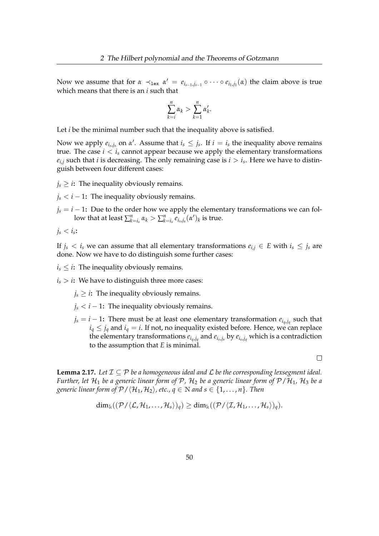Now we assume that for  $\alpha \prec_{\text{lex}} \alpha' = e_{i_{s-1},j_{s-1}} \circ \cdots \circ e_{i_1,j_1}(\alpha)$  the claim above is true which means that there is an *i* such that

$$
\sum_{k=i}^n \alpha_k > \sum_{k=1}^n \alpha'_k.
$$

Let *i* be the minimal number such that the inequality above is satisfied.

Now we apply  $e_{i_s,j_s}$  on  $\alpha'$ . Assume that  $i_s \leq j_s$ . If  $i = i_s$  the inequality above remains true. The case  $i < i_s$  cannot appear because we apply the elementary transformations  $e_{i,j}$  such that *i* is decreasing. The only remaining case is  $i > i_s$ . Here we have to distinguish between four different cases:

 $j_s \geq i$ : The inequality obviously remains.

 $j_s < i - 1$ : The inequality obviously remains.

 $j_s = i - 1$ : Due to the order how we apply the elementary transformations we can follow that at least  $\sum_{k=i_s}^n \alpha_k > \sum_{k=i_s}^n e_{i_s,j_s}(\alpha')_k$  is true.

$$
j_s
$$

If  $j_s < i_s$  we can assume that all elementary transformations  $e_{i,j} \in E$  with  $i_s \leq j_s$  are done. Now we have to do distinguish some further cases:

 $i_s \leq i$ : The inequality obviously remains.

 $i_s > i$ : We have to distinguish three more cases:

- $j_s \geq i$ : The inequality obviously remains.
- $j_s < i 1$ : The inequality obviously remains.
- $j_s = i 1$ : There must be at least one elementary transformation  $e_{i_q, j_q}$  such that  $i_q \leq j_q$  and  $i_q = i$ . If not, no inequality existed before. Hence, we can replace the elementary transformations *eiq*,*j<sup>q</sup>* and *ei<sup>s</sup>* ,*js* by *ei<sup>s</sup>* ,*jq* which is a contradiction to the assumption that *E* is minimal.

 $\Box$ 

<span id="page-54-0"></span>**Lemma 2.17.** Let  $\mathcal{I} \subseteq \mathcal{P}$  be a homogeneous ideal and  $\mathcal{L}$  be the corresponding lexsegment ideal. *Further, let*  $H_1$  *be a generic linear form of*  $P$ *,*  $H_2$  *be a generic linear form of*  $P/H_1$ *,*  $H_3$  *be a generic linear form of*  $\mathcal{P}/\langle \mathcal{H}_1, \mathcal{H}_2 \rangle$ *, etc., q*  $\in$  N *and s*  $\in$  {1*,...,n*}*. Then* 

$$
\dim_\mathbb{k}((\mathcal{P}/\langle\mathcal{L},\mathcal{H}_1,\ldots,\mathcal{H}_s\rangle)_q)\geq \dim_\mathbb{k}((\mathcal{P}/\langle\mathcal{I},\mathcal{H}_1,\ldots,\mathcal{H}_s\rangle)_q).
$$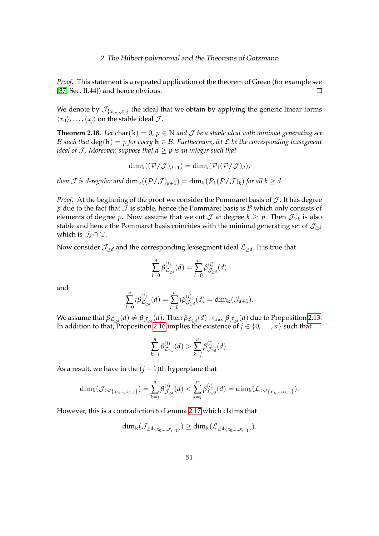*Proof.* This statement is a repeated application of the theorem of Green (for example see [\[37,](#page-161-3) Sec. II.44]) and hence obvious.  $\Box$ 

We denote by  $\mathcal{J}_{\{x_0,...,x_j\}}$  the ideal that we obtain by applying the generic linear forms  $\langle x_0 \rangle$ , . . . ,  $\langle x_i \rangle$  on the stable ideal  $\mathcal{J}$ .

<span id="page-55-0"></span>**Theorem 2.18.** Let char( $\mathbf{k}$ ) = 0,  $p \in \mathbb{N}$  and  $\mathcal{J}$  be a stable ideal with minimal generating set B such that  $deg(h) = p$  for every  $h \in \mathcal{B}$ . Furthermore, let  $\mathcal L$  be the corresponding lexsegment *ideal of J. Moreover, suppose that*  $d > p$  *is an integer such that* 

$$
\dim_{\mathbb{k}}((\mathcal{P}/\mathcal{J})_{d+1})=\dim_{\mathbb{k}}(\mathcal{P}_1(\mathcal{P}/\mathcal{J})_d),
$$

*then*  $\mathcal J$  *is d-regular and*  $\dim_k((\mathcal P/\mathcal J)_{k+1}) = \dim_k(\mathcal P_1(\mathcal P/\mathcal J)_k)$  *for all*  $k \geq d$ *.* 

*Proof.* At the beginning of the proof we consider the Pommaret basis of  $J$ . It has degree *p* due to the fact that  $J$  is stable, hence the Pommaret basis is  $B$  which only consists of elements of degree *p*. Now assume that we cut  $\mathcal J$  at degree  $k \geq p$ . Then  $\mathcal J_{\geq k}$  is also stable and hence the Pommaret basis coincides with the minimal generating set of  $\mathcal{J}_{\geq k}$ which is  $\mathcal{J}_k \cap \mathbb{T}$ .

Now consider  $\mathcal{J}_{\geq d}$  and the corresponding lexsegment ideal  $\mathcal{L}_{\geq d}$ . It is true that

$$
\sum_{i=0}^{n} \beta_{\mathcal{L}_{\geq d}}^{(i)}(d) = \sum_{i=0}^{n} \beta_{\mathcal{J}_{\geq d}}^{(i)}(d)
$$

and

$$
\sum_{i=0}^n i\beta_{\mathcal{L}_{\geq d}}^{(i)}(d)=\sum_{i=0}^n i\beta_{\mathcal{J}_{\geq d}}^{(i)}(d)=\dim_{\Bbbk}(\mathcal{J}_{d+1}).
$$

We assume that  $\beta_{\mathcal L_{\geq d}}(d)\neq \beta_{\mathcal J_{\geq d}}(d).$  Then  $\beta_{\mathcal L_{\geq d}}(d)\prec_{\tt lex} \beta_{\mathcal J_{\geq d}}(d)$  due to Proposition [2.13.](#page-52-1) In addition to that, Proposition [2.16](#page-53-1) implies the existence of  $j \in \{0, \ldots, n\}$  such that

$$
\sum_{k=j}^n \beta_{\mathcal{L}_{\geq d}}^{(i)}(d) > \sum_{k=j}^n \beta_{\mathcal{J}_{\geq d}}^{(i)}(d).
$$

As a result, we have in the  $(j - 1)$ th hyperplane that

$$
\dim_{\mathbb{k}}(\mathcal{J}_{\geq d_{\{x_0,\dots,x_{j-1}\}}})=\sum_{k=j}^n\beta^{(i)}_{\mathcal{J}_{\geq d}}(d)<\sum_{k=j}^n\beta^{(i)}_{\mathcal{L}_{\geq d}}(d)=\dim_{\mathbb{k}}(\mathcal{L}_{\geq d_{\{x_0,\dots,x_{j-1}\}}}).
$$

However, this is a contradiction to Lemma [2.17](#page-54-0) which claims that

$$
\dim_{\Bbbk}(\mathcal{J}_{\geq d_{\{x_0,\dots,x_{j-1}\}}})\geq \dim_{\Bbbk}(\mathcal{L}_{\geq d_{\{x_0,\dots,x_{j-1}\}}}).
$$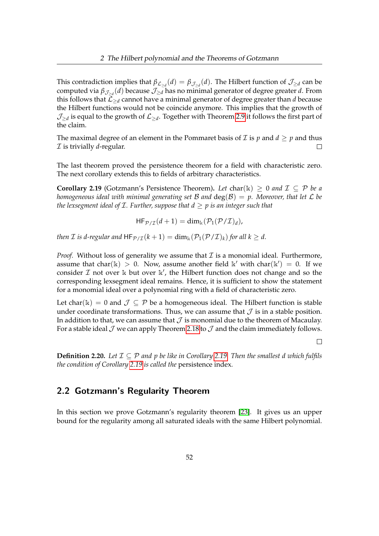This contradiction implies that  $\beta_{\mathcal{L}_{\geq d}}(d) = \beta_{\mathcal{J}_{\geq d}}(d)$ . The Hilbert function of  $\mathcal{J}_{\geq d}$  can be computed via *β*J≥*<sup>d</sup>* (*d*) because J≥*<sup>d</sup>* has no minimal generator of degree greater *d*. From this follows that  $\mathcal{L}_{\geq d}$  cannot have a minimal generator of degree greater than *d* because the Hilbert functions would not be coincide anymore. This implies that the growth of  $\mathcal{J}_{\geq d}$  is equal to the growth of  $\mathcal{L}_{\geq d}.$  Together with Theorem [2.9](#page-50-0) it follows the first part of the claim.

The maximal degree of an element in the Pommaret basis of  $\mathcal I$  is  $p$  and  $d \geq p$  and thus I is trivially *d*-regular.  $\Box$ 

The last theorem proved the persistence theorem for a field with characteristic zero. The next corollary extends this to fields of arbitrary characteristics.

<span id="page-56-0"></span>**Corollary 2.19** (Gotzmann's Persistence Theorem). Let char(k) > 0 *and*  $\mathcal{I} \subset \mathcal{P}$  be a *homogeneous ideal with minimal generating set* B *and* deg(B) = *p. Moreover, that let* L *be the lexsegment ideal of* I*. Further, suppose that d* ≥ *p is an integer such that*

$$
\mathsf{HF}_{\mathcal{P}/\mathcal{I}}(d+1) = \dim_{\mathbb{k}}(\mathcal{P}_1(\mathcal{P}/\mathcal{I})_d),
$$

*then I is d-regular and*  $HF_{\mathcal{P}/\mathcal{I}}(k+1) = \dim_k(\mathcal{P}_1(\mathcal{P}/\mathcal{I})_k)$  *for all*  $k \geq d$ *.* 

*Proof.* Without loss of generality we assume that  $I$  is a monomial ideal. Furthermore, assume that char( $\mathbb{k}$ ) > 0. Now, assume another field  $\mathbb{k}'$  with char( $\mathbb{k}'$ ) = 0. If we consider  $\mathcal I$  not over  $\mathbb k$  but over  $\mathbb k'$ , the Hilbert function does not change and so the corresponding lexsegment ideal remains. Hence, it is sufficient to show the statement for a monomial ideal over a polynomial ring with a field of characteristic zero.

Let char(k) = 0 and  $\mathcal{J} \subseteq \mathcal{P}$  be a homogeneous ideal. The Hilbert function is stable under coordinate transformations. Thus, we can assume that  $\mathcal J$  is in a stable position. In addition to that, we can assume that  $\mathcal J$  is monomial due to the theorem of Macaulay. For a stable ideal  $\mathcal J$  we can apply Theorem [2.18](#page-55-0) to  $\mathcal J$  and the claim immediately follows.

 $\Box$ 

**Definition 2.20.** Let  $\mathcal{I} \subseteq \mathcal{P}$  and p be like in Corollary [2.19.](#page-56-0) Then the smallest d which fulfils *the condition of Corollary [2.19](#page-56-0) is called the* persistence index*.*

## 2.2 Gotzmann's Regularity Theorem

In this section we prove Gotzmann's regularity theorem [\[23\]](#page-160-3). It gives us an upper bound for the regularity among all saturated ideals with the same Hilbert polynomial.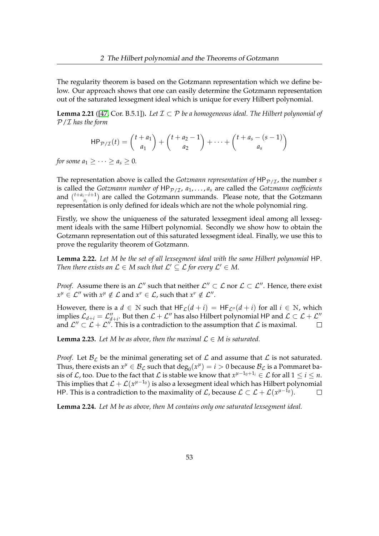The regularity theorem is based on the Gotzmann representation which we define below. Our approach shows that one can easily determine the Gotzmann representation out of the saturated lexsegment ideal which is unique for every Hilbert polynomial.

**Lemma 2.21** ([\[47,](#page-162-1) Cor. B.5.1]). Let  $\mathcal{I} \subset \mathcal{P}$  be a homogeneous ideal. The Hilbert polynomial of P/I *has the form*

$$
\mathsf{HP}_{\mathcal{P}/\mathcal{I}}(t) = {t + a_1 \choose a_1} + {t + a_2 - 1 \choose a_2} + \dots + {t + a_s - (s - 1) \choose a_s}
$$

*for some*  $a_1 \geq \cdots \geq a_s \geq 0$ *.* 

The representation above is called the *Gotzmann representation of*  $HP_{\mathcal{P}/\mathcal{T}}$ , the number *s* is called the *Gotzmann number of*  $HP_{\mathcal{P}/\mathcal{I}}$ ,  $a_1, \ldots, a_s$  are called the *Gotzmann coefficients* and  $\binom{t+a_i-i+1}{a_i}$  $a_i^{(-1)}$  are called the Gotzmann summands. Please note, that the Gotzmann representation is only defined for ideals which are not the whole polynomial ring.

Firstly, we show the uniqueness of the saturated lexsegment ideal among all lexsegment ideals with the same Hilbert polynomial. Secondly we show how to obtain the Gotzmann representation out of this saturated lexsegment ideal. Finally, we use this to prove the regularity theorem of Gotzmann.

**Lemma 2.22.** *Let M be the set of all lexsegment ideal with the same Hilbert polynomial* HP*. Then there exists an*  $\mathcal{L} \in M$  *such that*  $\mathcal{L}' \subseteq \mathcal{L}$  *for every*  $\mathcal{L}' \in M$ *.* 

*Proof.* Assume there is an  $\mathcal{L}''$  such that neither  $\mathcal{L}'' \subset \mathcal{L}$  nor  $\mathcal{L} \subset \mathcal{L}''$ . Hence, there exist  $x^{\mu} \in \mathcal{L}''$  with  $x^{\mu} \notin \mathcal{L}$  and  $x^{\nu} \in \mathcal{L}$ , such that  $x^{\nu} \notin \mathcal{L}''$ .

However, there is a  $d \in \mathbb{N}$  such that  $HF_{\mathcal{L}}(d + i) = HF_{\mathcal{L}''}(d + i)$  for all  $i \in \mathbb{N}$ , which implies  $\mathcal{L}_{d+i} = \mathcal{L}''_{d+i}$ . But then  $\mathcal{L} + \mathcal{L}''$  has also Hilbert polynomial HP and  $\mathcal{L} \subset \mathcal{L} + \mathcal{L}''$ and  $\mathcal{L}'' \subset \mathcal{L} + \mathcal{L}''$ . This is a contradiction to the assumption that  $\mathcal{L}$  is maximal.  $\Box$ 

**Lemma 2.23.** Let M be as above, then the maximal  $\mathcal{L} \in M$  is saturated.

*Proof.* Let  $\mathcal{B}_{\mathcal{L}}$  be the minimal generating set of  $\mathcal{L}$  and assume that  $\mathcal{L}$  is not saturated. Thus, there exists an  $x^{\mu} \in \mathcal{B}_{\mathcal{L}}$  such that  $\deg_0(x^{\mu}) = i > 0$  because  $\mathcal{B}_{\mathcal{L}}$  is a Pommaret basis of  $\mathcal L$ , too. Due to the fact that  $\mathcal L$  is stable we know that  $x^{\mu-1_0+1_i}\in\mathcal L$  for all  $1\leq i\leq n$ . This implies that  $\mathcal{L} + \mathcal{L}(x^{\mu-1_0})$  is also a lexsegment ideal which has Hilbert polynomial HP. This is a contradiction to the maximality of  $\mathcal{L}$ , because  $\mathcal{L} \subset \mathcal{L} + \mathcal{L}(x^{\mu-1})$ .  $\Box$ 

**Lemma 2.24.** *Let M be as above, then M contains only one saturated lexsegment ideal.*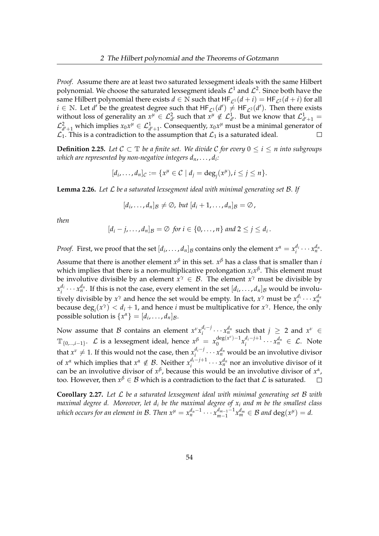*Proof.* Assume there are at least two saturated lexsegment ideals with the same Hilbert polynomial. We choose the saturated lexsegment ideals  $\mathcal{L}^1$  and  $\mathcal{L}^2.$  Since both have the same Hilbert polynomial there exists  $d \in \mathbb{N}$  such that  $HF_{\mathcal{L}^1}(d + i) = HF_{\mathcal{L}^2}(d + i)$  for all *i* ∈ N. Let *d'* be the greatest degree such that  $HF_{\mathcal{L}^1}(d') \neq HF_{\mathcal{L}^2}(d')$ . Then there exists without loss of generality an  $x^{\mu} \in L^2_{d'}$  such that  $x^{\mu} \notin L^1_{d'}$ . But we know that  $L^1_{d'+1} =$  $\mathcal{L}_{d'+1}^2$  which implies  $x_0x^\mu \in \mathcal{L}_{d'+1}^1$ . Consequently,  $x_0x^\mu$  must be a minimal generator of  $\mathcal{L}_1$ . This is a contradiction to the assumption that  $\mathcal{L}_1$  is a saturated ideal.

**Definition 2.25.** *Let*  $C ⊂ T$  *be a finite set. We divide*  $C$  *for every*  $0 ≤ i ≤ n$  *into subgroups which are represented by non-negative integers dn*, . . . , *d<sup>i</sup> :*

$$
[d_i,\ldots,d_n]_{\mathcal{C}}:=\{x^{\mu}\in\mathcal{C}\mid d_j=\deg_j(x^{\mu}), i\leq j\leq n\}.
$$

<span id="page-58-0"></span>**Lemma 2.26.** *Let* L *be a saturated lexsegment ideal with minimal generating set* B*. If*

$$
[d_i,\ldots,d_n]_\mathcal{B}\neq\emptyset, \text{ but } [d_i+1,\ldots,d_n]_\mathcal{B}=\emptyset,
$$

*then*

$$
[d_i-j,\ldots,d_n]_\mathcal{B}=\emptyset \text{ for } i\in\{0,\ldots,n\} \text{ and } 2\leq j\leq d_i.
$$

*Proof.* First, we proof that the set  $[d_i, \ldots, d_n]$  g contains only the element  $x^{\alpha} = x_i^{d_i}$  $\frac{d_i}{i} \cdots x_n^{d_n}.$ 

Assume that there is another element  $x^{\beta}$  in this set.  $x^{\beta}$  has a class that is smaller than *i* which implies that there is a non-multiplicative prolongation *xix β* . This element must be involutive divisible by an element  $x^{\gamma} \in \mathcal{B}$ . The element  $x^{\gamma}$  must be divisible by  $x_i^{d_i}$  $x_i^{d_i} \cdots x_n^{d_n}$ . If this is not the case, every element in the set  $[d_i, \ldots, d_n]_B$  would be involutively divisible by  $x^{\gamma}$  and hence the set would be empty. In fact,  $x^{\gamma}$  must be  $x_i^{d_i}$  $\frac{d_i}{i} \cdots x_n^{d_n}$ because  $\deg_i(x^\gamma) < d_i + 1$ , and hence *i* must be multiplicative for  $x^\gamma$ . Hence, the only possible solution is  $\{x^{\alpha}\} = [d_i, \ldots, d_n]_B$ .

Now assume that  $\beta$  contains an element  $x^{\nu}x_i^{d_i-j}$  $a_i^{d_i-j} \cdots x_n^{d_n}$  such that  $j \ge 2$  and  $x^{\nu} \in$  $\mathbb{T}_{\{0,\ldots,i-1\}}$ .  $\mathcal{L}$  is a lexsegment ideal, hence  $x^{\beta}~=~x_0^{\deg(x^{\nu})-1}$  $\int_0^1 \frac{d^2y}{x_i^2} dx + \int_0^1 \frac{dy}{y} dx$  $a_i^{d_i-j+1} \cdots x_n^{d_n} \in \mathcal{L}$ . Note that  $x^{\nu} \neq 1$ . If this would not the case, then  $x_i^{d_i-j}$  $x_i^{d_i-j} \cdots x_n^{d_n}$  would be an involutive divisor of  $x^{\alpha}$  which implies that  $x^{\alpha} \notin \mathcal{B}$ . Neither  $x_i^{d_i-j+1}$  $a_i^{d_i-j+1} \cdots x_n^{d_n}$  nor an involutive divisor of it can be an involutive divisor of  $x^{\beta}$ , because this would be an involutive divisor of  $x^{\alpha}$ , too. However, then  $x^{\beta} \in \mathcal{B}$  which is a contradiction to the fact that  $\mathcal{L}$  is saturated.

<span id="page-58-1"></span>**Corollary 2.27.** *Let* L *be a saturated lexsegment ideal with minimal generating set* B *with maximal degree d. Moreover, let d<sup>i</sup> be the maximal degree of x<sup>i</sup> and m be the smallest class which occurs for an element in B. Then*  $x^\mu = x_n^{d_n - 1} \cdots x_{m-1}^{d_{m-1} - 1}$  $\int_{m-1}^{d_{m-1}-1} x_m^{d_m}$  ∈ *B* and deg( $x^{\mu}$ ) = *d*.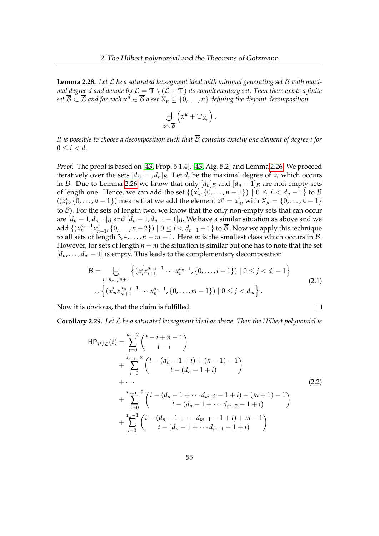**Lemma 2.28.** *Let* L *be a saturated lexsegment ideal with minimal generating set* B *with maximal degree d and denote by*  $\overline{\mathcal{L}} = \mathbb{T} \setminus (\mathcal{L} + \mathbb{T})$  *its complementary set. Then there exists a finite set*  $\overline{B} \subset \overline{L}$  *and for each*  $x^{\mu} \in \overline{B}$  *a set*  $X_{\mu} \subseteq \{0, \ldots, n\}$  *defining the disjoint decomposition* 

$$
\biguplus_{x^\mu\in\overline{\mathcal{B}}} \left( x^\mu+\mathbb{T}_{X_\mu}\right).
$$

*It is possible to choose a decomposition such that* B *contains exactly one element of degree i for*  $0 \leq i < d$ .

*Proof.* The proof is based on [\[43,](#page-162-2) Prop. 5.1.4], [\[43,](#page-162-2) Alg. 5.2] and Lemma [2.26.](#page-58-0) We proceed iteratively over the sets  $[d_i, \ldots, d_n]_B$ . Let  $d_i$  be the maximal degree of  $x_i$  which occurs in B. Due to Lemma [2.26](#page-58-0) we know that only  $[d_n]_B$  and  $[d_n - 1]_B$  are non-empty sets of length one. Hence, we can add the set  $\{(x_n^i, \{0, \ldots, n-1\}) \mid 0 \leq i < d_n-1\}$  to  $\overline{B}$  $((x_n^i, \{0, ..., n-1\})$  means that we add the element  $x^{\mu} = x_n^i$ , with  $X_{\mu} = \{0, ..., n-1\}$ to  $\beta$ ). For the sets of length two, we know that the only non-empty sets that can occur are  $[d_n - 1, d_{n-1}]$ <sub>B</sub> and  $[d_n - 1, d_{n-1} - 1]$ <sub>B</sub>. We have a similar situation as above and we add  $\{(x_n^{d_n-1}x_{n-1}^i, \{0,\ldots,n-2\}) \mid 0 \leq i < d_{n-1}-1\}$  to  $\overline{\mathcal{B}}$ . Now we apply this technique to all sets of length  $3, 4, \ldots, n - m + 1$ . Here *m* is the smallest class which occurs in *B*. However, for sets of length *n* − *m* the situation is similar but one has to note that the set  $[d_n, \ldots, d_m-1]$  is empty. This leads to the complementary decomposition

<span id="page-59-0"></span>
$$
\overline{\mathcal{B}} = \biguplus_{i=n,\dots,m+1} \left\{ (x_i^j x_{i+1}^{d_{i+1}-1} \cdots x_n^{d_n-1}, \{0, \dots, i-1\}) \mid 0 \le j < d_i - 1 \right\} \\
\cup \left\{ (x_m^j x_{m+1}^{d_{m+1}-1} \cdots x_n^{d_n-1}, \{0, \dots, m-1\}) \mid 0 \le j < d_m \right\}.
$$
\n(2.1)

 $\Box$ 

Now it is obvious, that the claim is fulfilled.

**Corollary 2.29.** *Let* L *be a saturated lexsegment ideal as above. Then the Hilbert polynomial is*

<span id="page-59-1"></span>
$$
HP_{\mathcal{P}/\mathcal{L}}(t) = \sum_{i=0}^{d_n-2} {t-i+n-1 \choose t-i} + \sum_{i=0}^{d_{n-1}-2} {t-(d_n-1+i)+(n-1)-1 \choose t-(d_n-1+i)} + \cdots + \sum_{i=0}^{d_{m+1}-2} {t-(d_n-1+\cdots d_{m+2}-1+i)+(m+1)-1 \choose t-(d_n-1+\cdots d_{m+2}-1+i)} + \sum_{i=0}^{d_{m}-1} {t-(d_n-1+\cdots d_{m+1}-1+i)+m-1 \choose t-(d_n-1+\cdots d_{m+1}-1+i)} \tag{2.2}
$$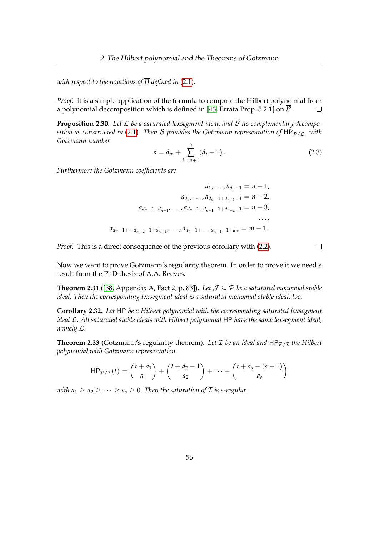*with respect to the notations of*  $\overline{B}$  *defined in* [\(2.1\)](#page-59-0).

*Proof.* It is a simple application of the formula to compute the Hilbert polynomial from a polynomial decomposition which is defined in [\[43,](#page-162-2) Errata Prop. 5.2.1] on  $\overline{B}$ .  $\Box$ 

**Proposition 2.30.** Let  $\mathcal L$  be a saturated lexsegment ideal, and  $\overline{\mathcal B}$  its complementary decompo*sition as constructed in* [\(2.1\)](#page-59-0). Then  $\overline{B}$  provides the Gotzmann representation of HP<sub>P/L</sub>. with *Gotzmann number*

<span id="page-60-1"></span>
$$
s = d_m + \sum_{i=m+1}^{n} (d_i - 1).
$$
 (2.3)

*Furthermore the Gotzmann coefficients are*

$$
a_1, \ldots, a_{d_n-1} = n-1,
$$
  
\n
$$
a_{d_n}, \ldots, a_{d_n-1+d_{n-1}-1} = n-2,
$$
  
\n
$$
a_{d_n-1+d_{n-1}}, \ldots, a_{d_n-1+d_{n-1}-1+d_{n-2}-1} = n-3,
$$
  
\n
$$
\ldots,
$$
  
\n
$$
a_{d_n-1+\cdots+d_{m+2}-1+d_{m+1}}, \ldots, a_{d_n-1+\cdots+d_{m+1}-1+d_m} = m-1.
$$

*Proof.* This is a direct consequence of the previous corollary with [\(2.2\)](#page-59-1).

Now we want to prove Gotzmann's regularity theorem. In order to prove it we need a result from the PhD thesis of A.A. Reeves.

<span id="page-60-0"></span>**Theorem 2.31** ([\[38,](#page-161-4) Appendix A, Fact 2, p. 83]). Let  $\mathcal{J} \subseteq \mathcal{P}$  be a saturated monomial stable *ideal. Then the corresponding lexsegment ideal is a saturated monomial stable ideal, too.*

**Corollary 2.32.** *Let* HP *be a Hilbert polynomial with the corresponding saturated lexsegment ideal* L*. All saturated stable ideals with Hilbert polynomial* HP *have the same lexsegment ideal, namely* L*.*

**Theorem 2.33** (Gotzmann's regularity theorem). Let  $\mathcal I$  be an ideal and  $HP_{\mathcal{P}/\mathcal{I}}$  the Hilbert *polynomial with Gotzmann representation*

$$
\mathsf{HP}_{\mathcal{P}/\mathcal{I}}(t) = {t + a_1 \choose a_1} + {t + a_2 - 1 \choose a_2} + \dots + {t + a_s - (s - 1) \choose a_s}
$$

*with*  $a_1 \geq a_2 \geq \cdots \geq a_s \geq 0$ . Then the saturation of  $\mathcal I$  is s-regular.

 $\Box$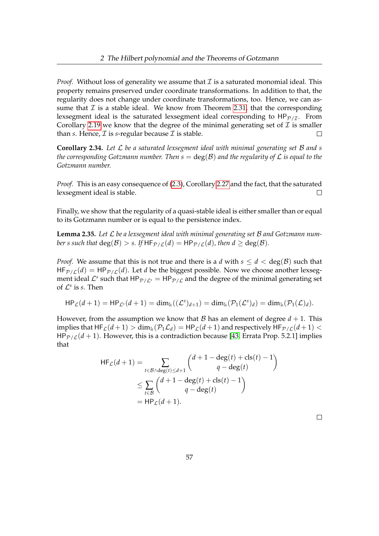*Proof.* Without loss of generality we assume that  $\mathcal I$  is a saturated monomial ideal. This property remains preserved under coordinate transformations. In addition to that, the regularity does not change under coordinate transformations, too. Hence, we can assume that  $\mathcal I$  is a stable ideal. We know from Theorem [2.31,](#page-60-0) that the corresponding lexsegment ideal is the saturated lexsegment ideal corresponding to  $HP_{P/I}$ . From Corollary [2.19](#page-56-0) we know that the degree of the minimal generating set of  $\mathcal I$  is smaller than *s*. Hence,  $\mathcal I$  is *s*-regular because  $\mathcal I$  is stable.  $\Box$ 

**Corollary 2.34.** *Let* L *be a saturated lexsegment ideal with minimal generating set* B *and s the corresponding Gotzmann number. Then*  $s = \text{deg}(\mathcal{B})$  *and the regularity of*  $\mathcal L$  *is equal to the Gotzmann number.*

*Proof.* This is an easy consequence of [\(2.3\)](#page-60-1), Corollary [2.27](#page-58-1) and the fact, that the saturated lexsegment ideal is stable.  $\Box$ 

Finally, we show that the regularity of a quasi-stable ideal is either smaller than or equal to its Gotzmann number or is equal to the persistence index.

<span id="page-61-0"></span>**Lemma 2.35.** *Let* L *be a lexsegment ideal with minimal generating set* B *and Gotzmann number s such that*  $deg(B) > s$ *. If*  $HF_{\mathcal{P}/\mathcal{L}}(d) = HP_{\mathcal{P}/\mathcal{L}}(d)$ *, then*  $d \geq deg(\mathcal{B})$ *.* 

*Proof.* We assume that this is not true and there is a *d* with  $s \le d < deg(B)$  such that  $HF_{\mathcal{P}/\mathcal{L}}(d) = HP_{\mathcal{P}/\mathcal{L}}(d)$ . Let *d* be the biggest possible. Now we choose another lexsegment ideal  $\mathcal{L}^s$  such that  $HP_{\mathcal{P}/\mathcal{L}^s} = HP_{\mathcal{P}/\mathcal{L}}$  and the degree of the minimal generating set of  $\mathcal{L}^s$  is *s*. Then

$$
\mathsf{HP}_{\mathcal{L}}(d+1) = \mathsf{HP}_{\mathcal{L}^s}(d+1) = \dim_{\mathbb{k}}((\mathcal{L}^s)_{d+1}) = \dim_{\mathbb{k}}(\mathcal{P}_1(\mathcal{L}^s)_d) = \dim_{\mathbb{k}}(\mathcal{P}_1(\mathcal{L})_d).
$$

However, from the assumption we know that  $\beta$  has an element of degree  $d + 1$ . This implies that  $HF_L(d+1) > \dim_k(\mathcal{P}_1\mathcal{L}_d) = HP_L(d+1)$  and respectively  $HF_{\mathcal{P}/L}(d+1) <$  $HP_{P/L}(d+1)$ . However, this is a contradiction because [\[43,](#page-162-2) Errata Prop. 5.2.1] implies that

$$
\begin{aligned} \mathsf{HF}_{\mathcal{L}}(d+1) &= \sum_{t \in \mathcal{B} \land \deg(t) \le d+1} \binom{d+1-\deg(t)+\operatorname{cls}(t)-1}{q-\deg(t)} \\ &\le \sum_{t \in \mathcal{B}} \binom{d+1-\deg(t)+\operatorname{cls}(t)-1}{q-\deg(t)} \\ &= \mathsf{HP}_{\mathcal{L}}(d+1). \end{aligned}
$$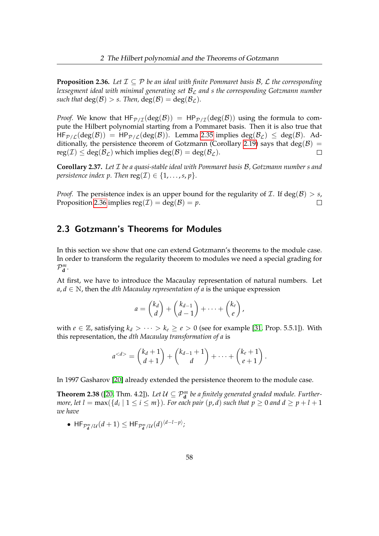<span id="page-62-0"></span>**Proposition 2.36.** Let  $\mathcal{I} \subseteq \mathcal{P}$  be an ideal with finite Pommaret basis  $\mathcal{B}$ ,  $\mathcal{L}$  the corresponding *lexsegment ideal with minimal generating set*  $B<sub>C</sub>$  *and s the corresponding Gotzmann number such that*  $deg(B) > s$ . *Then*,  $deg(B) = deg(\mathcal{B}_f)$ .

*Proof.* We know that  $HF_{\mathcal{P}/\mathcal{I}}(deg(\mathcal{B})) = HP_{\mathcal{P}/\mathcal{I}}(deg(\mathcal{B}))$  using the formula to compute the Hilbert polynomial starting from a Pommaret basis. Then it is also true that  $HF_{\mathcal{P}/\mathcal{L}}(deg(\mathcal{B})) = HP_{\mathcal{P}/\mathcal{L}}(deg(\mathcal{B}))$ . Lemma [2.35](#page-61-0) implies  $deg(\mathcal{B}_{\mathcal{L}}) \leq deg(\mathcal{B})$ . Ad-ditionally, the persistence theorem of Gotzmann (Corollary [2.19\)](#page-56-0) says that deg( $\beta$ ) =  $reg(\mathcal{I}) \leq deg(\mathcal{B}_{\mathcal{L}})$  which implies  $deg(\mathcal{B}) = deg(\mathcal{B}_{\mathcal{L}})$ .  $\Box$ 

**Corollary 2.37.** *Let* I *be a quasi-stable ideal with Pommaret basis* B*, Gotzmann number s and persistence index p. Then*  $reg(\mathcal{I}) \in \{1, \ldots, s, p\}$ *.* 

*Proof.* The persistence index is an upper bound for the regularity of *I*. If deg( $\mathcal{B}$ ) > *s*, Proposition [2.36](#page-62-0) implies  $reg(\mathcal{I}) = deg(\mathcal{B}) = p$ .  $\Box$ 

# 2.3 Gotzmann's Theorems for Modules

In this section we show that one can extend Gotzmann's theorems to the module case. In order to transform the regularity theorem to modules we need a special grading for  $\mathcal{P}_{\mathbf{d}}^m$ .

At first, we have to introduce the Macaulay representation of natural numbers. Let  $a, d \in \mathbb{N}$ , then the *dth Macaulay representation of a* is the unique expression

$$
a = \binom{k_d}{d} + \binom{k_{d-1}}{d-1} + \cdots + \binom{k_e}{e},
$$

with  $e \in \mathbb{Z}$ , satisfying  $k_d > \cdots > k_e \geq e > 0$  (see for example [\[31,](#page-161-5) Prop. 5.5.1]). With this representation, the *dth Macaulay transformation of a* is

$$
a^{< d>} = {k_d + 1 \choose d+1} + {k_{d-1} + 1 \choose d} + \cdots + {k_e + 1 \choose e+1}.
$$

In 1997 Gasharov [\[20\]](#page-160-5) already extended the persistence theorem to the module case.

**Theorem 2.38** ([\[20,](#page-160-5) Thm. 4.2]). Let  $\mathcal{U} \subseteq \mathcal{P}_{\mathbf{d}}^m$  be a finitely generated graded module. Further*more, let*  $l = \max(\{d_i \mid 1 \leq i \leq m\})$ *. For each pair*  $(p,d)$  *such that*  $p \geq 0$  *and*  $d \geq p+l+1$ *we have*

• HF $_{\mathcal{P}_d^m/\mathcal{U}}(d+1) \leq \mathsf{HF}_{\mathcal{P}_d^m/\mathcal{U}}(d)^{\langle d-l-p \rangle};$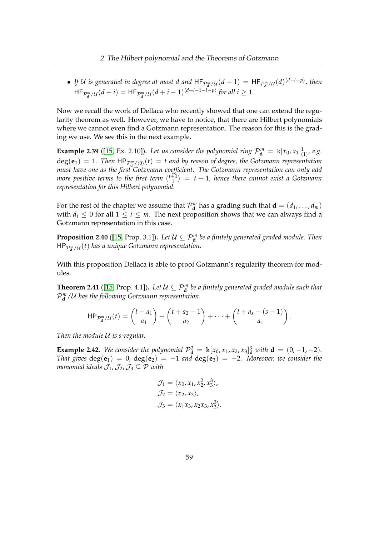• If U is generated in degree at most d and  $HF_{\mathcal{P}_d^m/\mathcal{U}}(d+1) = HF_{\mathcal{P}_d^m/\mathcal{U}}(d)^{\langle d-l-p \rangle}$ , then  $\mathsf{HF}_{\mathcal{P}_d^m/\mathcal{U}}(d+i) = \mathsf{HF}_{\mathcal{P}_d^m/\mathcal{U}}(d+i-1)^{\langle d+i-1-l-p\rangle}$  for all  $i \geq 1$ .

Now we recall the work of Dellaca who recently showed that one can extend the regularity theorem as well. However, we have to notice, that there are Hilbert polynomials where we cannot even find a Gotzmann representation. The reason for this is the grading we use. We see this in the next example.

**Example 2.39** ([\[15,](#page-160-6) Ex. 2.10]). Let us consider the polynomial ring  $\mathcal{P}_{\mathbf{d}}^m = \mathbb{k}[x_0, x_1]_{(1)}^1$ , e.g.  $deg(\mathbf{e}_1) = 1$ . Then  $HP_{\mathcal{P}_d^m/\langle 0 \rangle}(t) = t$  and by reason of degree, the Gotzmann representation **d** *must have one as the first Gotzmann coefficient. The Gotzmann representation can only add more positive terms to the first term*  $\binom{t+1}{1}$  $\binom{+1}{1}$  = t + 1, hence there cannot exist a Gotzmann *representation for this Hilbert polynomial.*

For the rest of the chapter we assume that  $\mathcal{P}_{\mathbf{d}}^m$  has a grading such that  $\mathbf{d} = (d_1, \ldots, d_m)$ with  $d_i \leq 0$  for all  $1 \leq i \leq m$ . The next proposition shows that we can always find a Gotzmann representation in this case.

**Proposition 2.40** ([\[15,](#page-160-6) Prop. 3.1]). Let  $\mathcal{U} \subseteq \mathcal{P}_{\mathbf{d}}^m$  be a finitely generated graded module. Then  $\mathsf{HP}_{\mathcal{P}^m_{\mathbf{d}}/\mathcal{U}}(t)$  has a unique Gotzmann representation.

With this proposition Dellaca is able to proof Gotzmann's regularity theorem for modules.

**Theorem 2.41** ([\[15,](#page-160-6) Prop. 4.1]). Let  $\mathcal{U} \subseteq \mathcal{P}_{\mathbf{d}}^m$  be a finitely generated graded module such that P *m* **d** /U *has the following Gotzmann representation*

$$
\mathsf{HP}_{\mathcal{P}_{\mathbf{d}}^m/\mathcal{U}}(t) = {t + a_1 \choose a_1} + {t + a_2 - 1 \choose a_2} + \cdots + {t + a_s - (s - 1) \choose a_s}
$$

.

*Then the module* U *is s-regular.*

**Example 2.42.** We consider the polynomial  $\mathcal{P}_{d}^{3} = \mathbb{k}[x_0, x_1, x_2, x_3]_{d}^{3}$  with  $d = (0, -1, -2)$ *. That gives*  $deg(e_1) = 0$ ,  $deg(e_2) = -1$  *and*  $deg(e_3) = -2$ *. Moreover, we consider the monomial ideals*  $\mathcal{J}_1$ ,  $\mathcal{J}_2$ ,  $\mathcal{J}_3 \subseteq \mathcal{P}$  *with* 

$$
\mathcal{J}_1 = \langle x_0, x_1, x_2^2, x_3^3 \rangle,
$$
  
\n
$$
\mathcal{J}_2 = \langle x_2, x_3 \rangle,
$$
  
\n
$$
\mathcal{J}_3 = \langle x_1 x_3, x_2 x_3, x_3^3 \rangle.
$$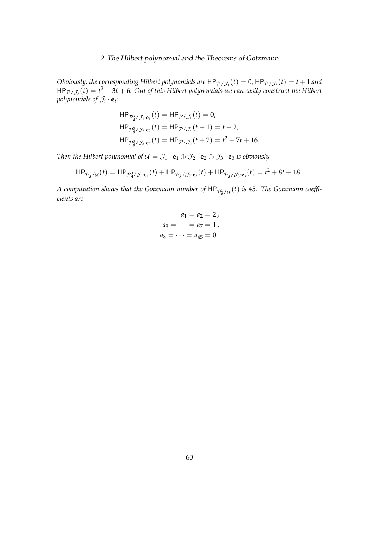*Obviously, the corresponding Hilbert polynomials are*  $\mathsf{HP}_{\mathcal{P}/\mathcal{J}_1}(t) = 0$ ,  $\mathsf{HP}_{\mathcal{P}/\mathcal{J}_2}(t) = t + 1$  and  $HP_{\mathcal{P}/\mathcal{J}_3}(t) = t^2 + 3t + 6$ . Out of this Hilbert polynomials we can easily construct the Hilbert *polynomials of*  $\mathcal{J}_i \cdot \mathbf{e}_i$ :

$$
HP_{\mathcal{P}_d^3/\mathcal{J}_1 \cdot \mathbf{e}_1}(t) = HP_{\mathcal{P}/\mathcal{J}_1}(t) = 0,
$$
  
\n
$$
HP_{\mathcal{P}_d^3/\mathcal{J}_2 \cdot \mathbf{e}_2}(t) = HP_{\mathcal{P}/\mathcal{J}_2}(t+1) = t+2,
$$
  
\n
$$
HP_{\mathcal{P}_d^3/\mathcal{J}_3 \cdot \mathbf{e}_3}(t) = HP_{\mathcal{P}/\mathcal{J}_3}(t+2) = t^2 + 7t + 16.
$$

*Then the Hilbert polynomial of*  $\mathcal{U} = \mathcal{J}_1 \cdot \mathbf{e}_1 \oplus \mathcal{J}_2 \cdot \mathbf{e}_2 \oplus \mathcal{J}_3 \cdot \mathbf{e}_3$  *is obviously* 

$$
\mathsf{HP}_{\mathcal{P}_{\mathbf{d}}^3/\mathcal{U}}(t) = \mathsf{HP}_{\mathcal{P}_{\mathbf{d}}^3/\mathcal{J}_1 \cdot \mathbf{e}_1}(t) + \mathsf{HP}_{\mathcal{P}_{\mathbf{d}}^3/\mathcal{J}_2 \cdot \mathbf{e}_2}(t) + \mathsf{HP}_{\mathcal{P}_{\mathbf{d}}^3/\mathcal{J}_3 \cdot \mathbf{e}_3}(t) = t^2 + 8t + 18.
$$

 $A$  computation shows that the Gotzmann number of  $\mathsf{HP}_{\mathcal{P}_\mathbf{d}^3/\mathcal{U}}(t)$  is 45. The Gotzmann coeffi*cients are*

$$
a_1 = a_2 = 2,
$$
  
\n
$$
a_3 = \dots = a_7 = 1,
$$
  
\n
$$
a_8 = \dots = a_{45} = 0.
$$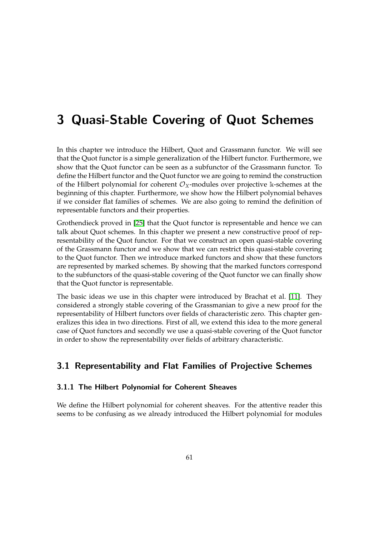# 3 Quasi-Stable Covering of Quot Schemes

In this chapter we introduce the Hilbert, Quot and Grassmann functor. We will see that the Quot functor is a simple generalization of the Hilbert functor. Furthermore, we show that the Quot functor can be seen as a subfunctor of the Grassmann functor. To define the Hilbert functor and the Quot functor we are going to remind the construction of the Hilbert polynomial for coherent  $\mathcal{O}_X$ -modules over projective k-schemes at the beginning of this chapter. Furthermore, we show how the Hilbert polynomial behaves if we consider flat families of schemes. We are also going to remind the definition of representable functors and their properties.

Grothendieck proved in [\[25\]](#page-161-6) that the Quot functor is representable and hence we can talk about Quot schemes. In this chapter we present a new constructive proof of representability of the Quot functor. For that we construct an open quasi-stable covering of the Grassmann functor and we show that we can restrict this quasi-stable covering to the Quot functor. Then we introduce marked functors and show that these functors are represented by marked schemes. By showing that the marked functors correspond to the subfunctors of the quasi-stable covering of the Quot functor we can finally show that the Quot functor is representable.

The basic ideas we use in this chapter were introduced by Brachat et al. [\[11\]](#page-160-7). They considered a strongly stable covering of the Grassmanian to give a new proof for the representability of Hilbert functors over fields of characteristic zero. This chapter generalizes this idea in two directions. First of all, we extend this idea to the more general case of Quot functors and secondly we use a quasi-stable covering of the Quot functor in order to show the representability over fields of arbitrary characteristic.

# 3.1 Representability and Flat Families of Projective Schemes

## 3.1.1 The Hilbert Polynomial for Coherent Sheaves

We define the Hilbert polynomial for coherent sheaves. For the attentive reader this seems to be confusing as we already introduced the Hilbert polynomial for modules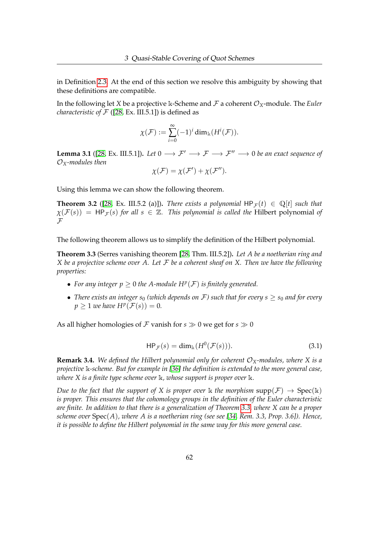in Definition [2.3.](#page-48-0) At the end of this section we resolve this ambiguity by showing that these definitions are compatible.

In the following let *X* be a projective k-Scheme and  $\mathcal F$  a coherent  $\mathcal O_X$ -module. The *Euler characteristic of*  $F$  ([\[28,](#page-161-2) Ex. III.5.1]) is defined as

$$
\chi(\mathcal{F}) := \sum_{i=0}^{\infty} (-1)^i \dim_{\Bbbk} (H^i(\mathcal{F})).
$$

**Lemma 3.1** ([\[28,](#page-161-2) Ex. III.5.1]). *Let*  $0 \rightarrow F' \rightarrow F \rightarrow F'' \rightarrow 0$  *be an exact sequence of* O*X-modules then*

$$
\chi(\mathcal{F}) = \chi(\mathcal{F}') + \chi(\mathcal{F}'').
$$

Using this lemma we can show the following theorem.

**Theorem 3.2** ([\[28,](#page-161-2) Ex. III.5.2 (a)]). *There exists a polynomial*  $HP_{\mathcal{F}}(t) \in \mathbb{Q}[t]$  *such that*  $\chi(\mathcal{F}(s)) = HP_{\mathcal{F}}(s)$  *for all*  $s \in \mathbb{Z}$ *. This polynomial is called the* Hilbert polynomial *of*  $\mathcal F$ 

The following theorem allows us to simplify the definition of the Hilbert polynomial.

<span id="page-66-0"></span>**Theorem 3.3** (Serres vanishing theorem [\[28,](#page-161-2) Thm. III.5.2])**.** *Let A be a noetherian ring and X be a projective scheme over A. Let* F *be a coherent sheaf on X. Then we have the following properties:*

- For any integer  $p \geq 0$  the A-module  $H^p(\mathcal{F})$  is finitely generated.
- *There exists an integer s<sub>0</sub> (which depends on F) such that for every*  $s > s_0$  *and for every*  $p \geq 1$  *we have*  $H^p(\mathcal{F}(s)) = 0$ *.*

As all higher homologies of F vanish for  $s \gg 0$  we get for  $s \gg 0$ 

<span id="page-66-1"></span>
$$
\mathsf{HP}_{\mathcal{F}}(s) = \dim_{\mathbb{k}}(H^0(\mathcal{F}(s))).\tag{3.1}
$$

**Remark 3.4.** We defined the Hilbert polynomial only for coherent  $\mathcal{O}_X$ -modules, where X is a *projective* k*-scheme. But for example in [\[36\]](#page-161-7) the definition is extended to the more general case, where X is a finite type scheme over* k*, whose support is proper over* k*.*

*Due to the fact that the support of X is proper over* k *the morphism*  $supp(F) \rightarrow Spec(k)$ *is proper. This ensures that the cohomology groups in the definition of the Euler characteristic are finite. In addition to that there is a generalization of Theorem [3.3,](#page-66-0) where X can be a proper scheme over* Spec(*A*)*, where A is a noetherian ring (see see [\[34,](#page-161-8) Rem. 3.3, Prop. 3.6]). Hence, it is possible to define the Hilbert polynomial in the same way for this more general case.*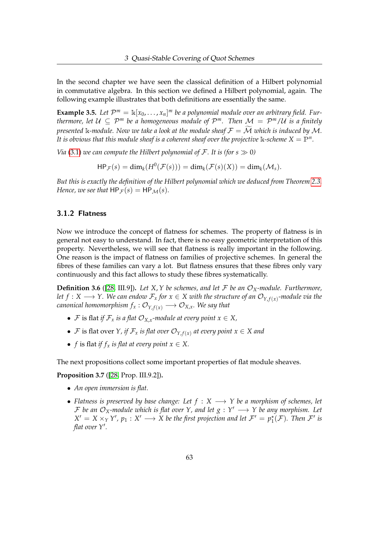In the second chapter we have seen the classical definition of a Hilbert polynomial in commutative algebra. In this section we defined a Hilbert polynomial, again. The following example illustrates that both definitions are essentially the same.

**Example 3.5.** Let  $\mathcal{P}^m = \mathbb{k}[x_0, \dots, x_n]^m$  be a polynomial module over an arbitrary field. Fur*thermore, let*  $\mathcal{U} \subseteq \mathcal{P}^m$  *be a homogeneous module of*  $\mathcal{P}^m$ *. Then*  $\mathcal{M} = \mathcal{P}^m/\mathcal{U}$  *is a finitely presented* k-module. Now we take a look at the module sheaf  $\mathcal{F} = \mathcal{M}$  which is induced by M. *It is obvious that this module sheaf is a coherent sheaf over the projective*  $\Bbbk$ -scheme  $X = \mathbb{P}^n$ .

*Via* [\(3.1\)](#page-66-1) *we can compute the Hilbert polynomial of*  $\mathcal{F}$ *. It is (for s*  $\gg$  0*)* 

 $HP_{\mathcal{F}}(s) = \dim_k(H^0(\mathcal{F}(s))) = \dim_k(\mathcal{F}(s)(X)) = \dim_k(\mathcal{M}_s).$ 

*But this is exactly the definition of the Hilbert polynomial which we deduced from Theorem [2.3.](#page-48-0) Hence, we see that*  $HP_{\mathcal{F}}(s) = HP_{\mathcal{M}}(s)$ *.* 

### 3.1.2 Flatness

Now we introduce the concept of flatness for schemes. The property of flatness is in general not easy to understand. In fact, there is no easy geometric interpretation of this property. Nevertheless, we will see that flatness is really important in the following. One reason is the impact of flatness on families of projective schemes. In general the fibres of these families can vary a lot. But flatness ensures that these fibres only vary continuously and this fact allows to study these fibres systematically.

**Definition 3.6** ([\[28,](#page-161-2) III.9]). Let X, Y be schemes, and let F be an  $\mathcal{O}_X$ -module. Furthermore, *let f* :  $X \longrightarrow Y$ . We can endow  $\mathcal{F}_x$  for  $x \in X$  with the structure of an  $\mathcal{O}_{Y, f(x)}$ -module via the *canonical homomorphism*  $f_x: \mathcal{O}_{Y, f(x)} \longrightarrow \mathcal{O}_{X, x}$ *. We say that* 

- $\mathcal F$  is flat *if*  $\mathcal F_x$  *is a flat*  $\mathcal O_{X,x}$ *-module at every point*  $x \in X$ *,*
- $\bullet$  F is flat over *Y*, if  $\mathcal{F}_x$  is flat over  $\mathcal{O}_{Y, f(x)}$  at every point  $x \in X$  and
- *f* is flat *if*  $f_x$  *is flat at every point*  $x \in X$ .

The next propositions collect some important properties of flat module sheaves.

**Proposition 3.7** ([\[28,](#page-161-2) Prop. III.9.2])**.**

- *An open immersion is flat.*
- *Flatness is preserved by base change: Let f* : *X* −→ *Y be a morphism of schemes, let* F be an  $\mathcal{O}_X$ -module which is flat over Y, and let  $g: Y' \longrightarrow Y$  be any morphism. Let  $X' = X \times_Y Y'$ ,  $p_1 : X' \longrightarrow X$  be the first projection and let  $\mathcal{F}' = p_1^{\star}(\mathcal{F})$ . Then  $\mathcal{F}'$  is flat over Y'.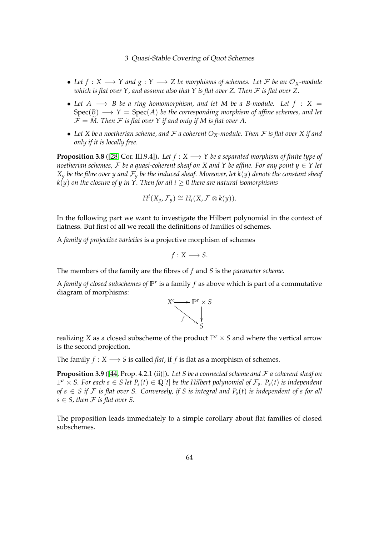- Let  $f: X \longrightarrow Y$  and  $g: Y \longrightarrow Z$  be morphisms of schemes. Let F be an  $\mathcal{O}_X$ -module *which is flat over Y, and assume also that Y is flat over Z. Then* F *is flat over Z.*
- Let  $A \longrightarrow B$  be a ring homomorphism, and let M be a B-module. Let  $f : X =$  $Spec(B) \longrightarrow Y = Spec(A)$  *be the corresponding morphism of affine schemes, and let*  $\mathcal{F} = \widetilde{M}$ . Then F is flat over Y if and only if M is flat over A.
- *Let X be a noetherian scheme, and* F *a coherent OX-module. Then* F *is flat over X if and only if it is locally free.*

**Proposition 3.8** ([\[28,](#page-161-2) Cor. III.9.4]). *Let*  $f : X \longrightarrow Y$  *be a separated morphism of finite type of noetherian schemes,* F *be a quasi-coherent sheaf on X and Y be affine. For any point*  $y \in Y$  *let*  $X_y$  *be the fibre over y and*  $\mathcal{F}_y$  *be the induced sheaf. Moreover, let*  $k(y)$  *denote the constant sheaf*  $k(y)$  *on the closure of y in Y. Then for all i*  $\geq 0$  *there are natural isomorphisms* 

$$
H^i(X_y, \mathcal{F}_y) \cong H_i(X, \mathcal{F} \otimes k(y)).
$$

In the following part we want to investigate the Hilbert polynomial in the context of flatness. But first of all we recall the definitions of families of schemes.

A *family of projective varieties* is a projective morphism of schemes

$$
f:X\longrightarrow S.
$$

The members of the family are the fibres of *f* and *S* is the *parameter scheme*.

A *family of closed subschemes of*  $\mathbb{P}^r$  is a family  $f$  as above which is part of a commutative diagram of morphisms:



realizing *X* as a closed subscheme of the product  $\mathbb{P}^r \times S$  and where the vertical arrow is the second projection.

The family  $f: X \longrightarrow S$  is called *flat*, if *f* is flat as a morphism of schemes.

**Proposition 3.9** ([\[44,](#page-162-3) Prop. 4.2.1 (ii)])**.** *Let S be a connected scheme and* F *a coherent sheaf on*  $\mathbb{P}^r \times S$ . For each  $s \in S$  let  $P_s(t) \in \mathbb{Q}[t]$  be the Hilbert polynomial of  $\mathcal{F}_s$ .  $P_s(t)$  is independent *of s* ∈ *S* if *F is flat over S.* Conversely, if *S is integral and*  $P_s(t)$  *is independent of s for all*  $s \in S$ , then F is flat over S.

The proposition leads immediately to a simple corollary about flat families of closed subschemes.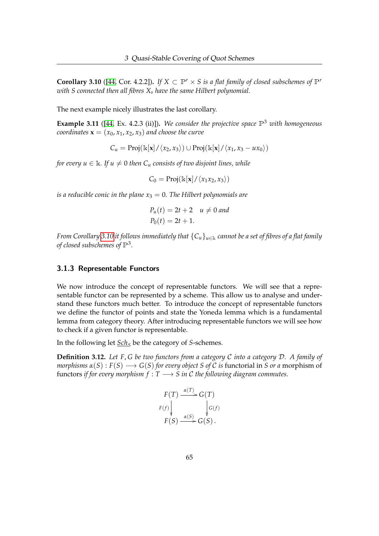<span id="page-69-0"></span>**Corollary 3.10** ([\[44,](#page-162-3) Cor. 4.2.2]). If  $X \subset \mathbb{P}^r \times S$  is a flat family of closed subschemes of  $\mathbb{P}^r$ *with S connected then all fibres X<sup>s</sup> have the same Hilbert polynomial.*

The next example nicely illustrates the last corollary.

**Example 3.11** ([\[44,](#page-162-3) Ex. 4.2.3 (ii)])**.** *We consider the projective space* P<sup>3</sup> *with homogeneous coordinates*  $\mathbf{x} = (x_0, x_1, x_2, x_3)$  *and choose the curve* 

$$
C_u = \text{Proj}(\mathbb{k}[\mathbf{x}]/\langle x_2, x_3 \rangle) \cup \text{Proj}(\mathbb{k}[\mathbf{x}]/\langle x_1, x_3 - ux_0 \rangle)
$$

*for every*  $u \in \mathbb{k}$ *. If*  $u \neq 0$  *then*  $C_u$  *consists of two disjoint lines, while* 

$$
C_0 = \mathrm{Proj}(\Bbbk[\mathbf{x}]/\langle x_1x_2, x_3\rangle)
$$

*is a reducible conic in the plane*  $x_3 = 0$ . The Hilbert polynomials are

$$
P_u(t) = 2t + 2 \quad u \neq 0 \text{ and}
$$
  

$$
P_0(t) = 2t + 1.
$$

*From Corollary* [3.10](#page-69-0) *it follows immediately that*  ${C_u}_{u \in k}$  *cannot be a set of fibres of a flat family of closed subschemes of*  $\mathbb{P}^3$ .

#### 3.1.3 Representable Functors

We now introduce the concept of representable functors. We will see that a representable functor can be represented by a scheme. This allow us to analyse and understand these functors much better. To introduce the concept of representable functors we define the functor of points and state the Yoneda lemma which is a fundamental lemma from category theory. After introducing representable functors we will see how to check if a given functor is representable.

In the following let *Sch<sub>S</sub>* be the category of *S*-schemes.

**Definition 3.12.** *Let F*, *G be two functors from a category* C *into a category* D*. A family of morphisms*  $\alpha(S) : F(S) \longrightarrow G(S)$  *for every object S of C is functorial in S or a* morphism of functors *if for every morphism*  $f : T \longrightarrow S$  *in* C the following diagram commutes.

$$
F(T) \xrightarrow{\alpha(T)} G(T)
$$
  
\n
$$
F(f) \downarrow \qquad \qquad \downarrow G(f)
$$
  
\n
$$
F(S) \xrightarrow{\alpha(S)} G(S).
$$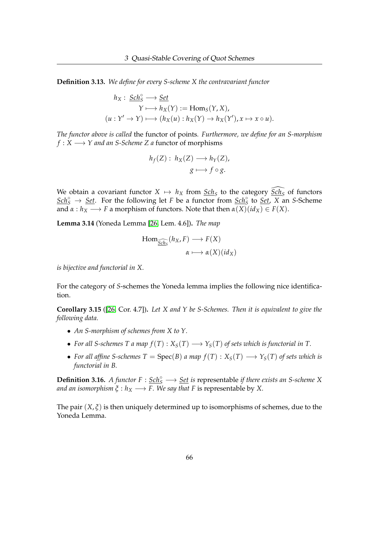**Definition 3.13.** *We define for every S-scheme X the contravariant functor*

$$
h_X: \underline{Sch}_S^{\circ} \longrightarrow \underline{Set}
$$
  
 
$$
Y \longmapsto h_X(Y) := \text{Hom}_S(Y, X),
$$
  

$$
(u: Y' \to Y) \longmapsto (h_X(u): h_X(Y) \to h_X(Y'), x \mapsto x \circ u).
$$

*The functor above is called* the functor of points*. Furthermore, we define for an S-morphism f* : *X* → *Y* and an *S*-*Scheme Z a* functor of morphisms

$$
h_f(Z): h_X(Z) \longrightarrow h_Y(Z),
$$
  

$$
g \longmapsto f \circ g.
$$

We obtain a covariant functor  $X \mapsto h_X$  from  $\underline{Sch}_S$  to the category  $\widehat{Sch}_S$  of functors  $Scĥ<sub>S</sub> → Set$ . For the following let *F* be a functor from <u>Sch</u><sup>°</sup> to <u>Set</u>, *X* an *S*-Scheme</u> and  $\alpha : h_X \longrightarrow F$  a morphism of functors. Note that then  $\alpha(X)(id_X) \in F(X)$ .

**Lemma 3.14** (Yoneda Lemma [\[26,](#page-161-9) Lem. 4.6])**.** *The map*

$$
\text{Hom}_{\underline{\widehat{Sch}_S}}(h_X, F) \longrightarrow F(X)
$$

$$
\alpha \longmapsto \alpha(X)(id_X)
$$

*is bijective and functorial in X.*

For the category of *S*-schemes the Yoneda lemma implies the following nice identification.

**Corollary 3.15** ([\[26,](#page-161-9) Cor. 4.7])**.** *Let X and Y be S-Schemes. Then it is equivalent to give the following data.*

- *An S-morphism of schemes from X to Y.*
- For all S-schemes T a map  $f(T): X_S(T) \longrightarrow Y_S(T)$  of sets which is functorial in T.
- For all affine S-schemes  $T = \text{Spec}(B)$  a map  $f(T) : X_S(T) \longrightarrow Y_S(T)$  of sets which is *functorial in B.*

**Definition 3.16.** *A functor F* :  $\underline{Sch}^{\circ}_{S}$  →  $\underline{Set}$  *is* representable *if there exists an S-scheme X and an isomorphism*  $\xi : h_X \longrightarrow F$ . We say that *F* is representable by *X*.

The pair  $(X, \xi)$  is then uniquely determined up to isomorphisms of schemes, due to the Yoneda Lemma.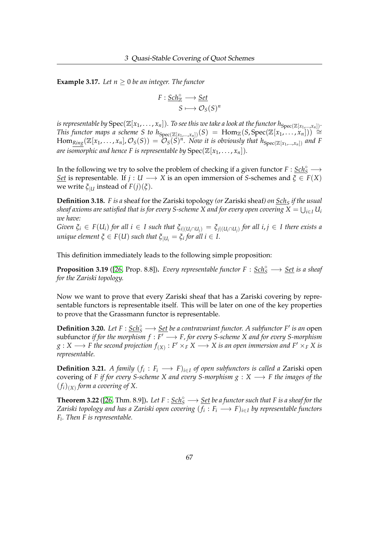**Example 3.17.** Let  $n \geq 0$  be an integer. The functor

$$
F: \underline{Sch_{\mathbb{Z}}^{\circ}} \longrightarrow \underline{Set} \\ S \longmapsto \mathcal{O}_{S}(S)^{n}
$$

*is representable by*  $Spec(\mathbb{Z}[x_1,\ldots,x_n])$ *. To see this we take a look at the functor*  $h_{Spec(\mathbb{Z}[x_1,\ldots,x_n])}$ *. This functor maps a scheme S to h* $S_{\text{pec}(\mathbb{Z}[x_1,...,x_n])}(S) = \text{Hom}_{\mathbb{Z}}(S, \text{Spec}(\mathbb{Z}[x_1,...,x_n])) \cong$  $\text{Hom}_{\text{Ring}}(\mathbb{Z}[x_1,\ldots,x_n],\mathcal{O}_S(S)) = \mathcal{O}_S(S)^n$ . Now it is obviously that  $h_{\text{Spec}(\mathbb{Z}[x_1,\ldots,x_n])}$  and F *are isomorphic and hence F is representable by*  $Spec(\mathbb{Z}[x_1, \ldots, x_n]).$ 

In the following we try to solve the problem of checking if a given functor  $F: \underline{Sch}^{\circ}_{S} \longrightarrow$ *Set* is representable. If *j* : *U*  $\longrightarrow$  *X* is an open immersion of *S*-schemes and  $\xi \in F(X)$ we write  $\zeta_{|U}$  instead of  $F(j)(\zeta)$ .

**Definition 3.18.** *F is a* sheaf for the Zariski topology *(or* Zariski sheaf*) on Sch<sup>S</sup> if the usual*  $s$ heaf axioms are satisfied that is for every S-scheme X and for every open covering  $X = \bigcup_{i \in I} U_i$ *we have:*

Given  $\xi_i \in F(U_i)$  for all  $i \in I$  such that  $\xi_{i|(U_i \cap U_j)} = \xi_{j|(U_i \cap U_j)}$  for all  $i, j \in I$  there exists a  $u$ *nique element*  $\xi \in F(U)$  *such that*  $\xi_{|U_i} = \xi_i$  *for all*  $i \in I$ *.* 

This definition immediately leads to the following simple proposition:

**Proposition 3.19** ([\[26,](#page-161-9) Prop. 8.8]). *Every representable functor*  $F : \underline{Sch}^{\circ}_{S} \longrightarrow \underline{Set}$  *is a sheaf for the Zariski topology.*

Now we want to prove that every Zariski sheaf that has a Zariski covering by representable functors is representable itself. This will be later on one of the key properties to prove that the Grassmann functor is representable.

**Definition 3.20.** *Let F* :  $\underline{Sch^{\circ}_{S}} \longrightarrow \underline{Set}$  *be a contravariant functor. A subfunctor F' is an* open  $subfunctor if for the morphism  $f : F' \longrightarrow F$ , for every S-scheme X and for every S-morphism$  $g: X \longrightarrow F$  the second projection  $f_{(X)}: F' \times_F X \longrightarrow X$  is an open immersion and  $F' \times_F X$  is *representable.*

**Definition 3.21.** *A family*  $(f_i : F_i \longrightarrow F)_{i \in I}$  *of open subfunctors is called a Zariski open* covering of *F if for every S-scheme X and every S-morphism g* : *X* −→ *F the images of the*  $(f_i)_{(X)}$  form a covering of X.

**Theorem 3.22** ([\[26,](#page-161-9) Thm. 8.9]). Let  $F : \underline{Sch}^{\circ}_{S} \longrightarrow \underline{Set}$  be a functor such that F is a sheaf for the *Zariski topology and has a Zariski open covering* (*f<sup>i</sup>* : *F<sup>i</sup>* −→ *F*)*i*∈*<sup>I</sup> by representable functors Fi . Then F is representable.*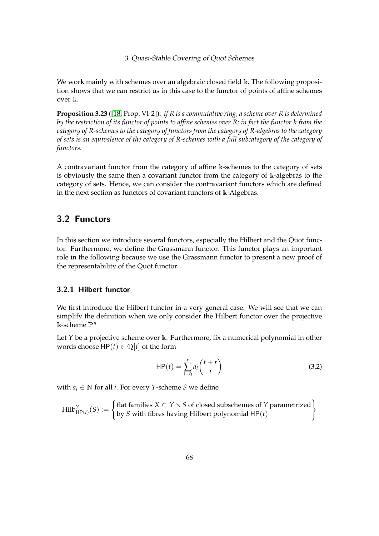We work mainly with schemes over an algebraic closed field k. The following proposition shows that we can restrict us in this case to the functor of points of affine schemes over k.

<span id="page-72-0"></span>**Proposition 3.23** ([\[18,](#page-160-0) Prop. VI-2])**.** *If R is a commutative ring, a scheme over R is determined by the restriction of its functor of points to affine schemes over R; in fact the functor h from the category of R-schemes to the category of functors from the category of R-algebras to the category of sets is an equivalence of the category of R-schemes with a full subcategory of the category of functors.*

A contravariant functor from the category of affine k-schemes to the category of sets is obviously the same then a covariant functor from the category of  $\Bbbk$ -algebras to the category of sets. Hence, we can consider the contravariant functors which are defined in the next section as functors of covariant functors of k-Algebras.

# 3.2 Functors

In this section we introduce several functors, especially the Hilbert and the Quot functor. Furthermore, we define the Grassmann functor. This functor plays an important role in the following because we use the Grassmann functor to present a new proof of the representability of the Quot functor.

## 3.2.1 Hilbert functor

We first introduce the Hilbert functor in a very general case. We will see that we can simplify the definition when we only consider the Hilbert functor over the projective k-scheme P*<sup>n</sup>*

Let *Y* be a projective scheme over k. Furthermore, fix a numerical polynomial in other words choose  $HP(t) \in \mathbb{Q}[t]$  of the form

<span id="page-72-1"></span>
$$
HP(t) = \sum_{i=0}^{r} a_i \binom{t+r}{i}
$$
 (3.2)

with  $a_i \in \mathbb{N}$  for all *i*. For every *Y*-scheme *S* we define

$$
Hilb_{HP(t)}^{Y}(S) := \begin{cases} flat families X \subset Y \times S \text{ of closed subschemes of Y parametrized} \\ by S \text{ with fibres having Hilbert polynomial HP}(t) \end{cases}
$$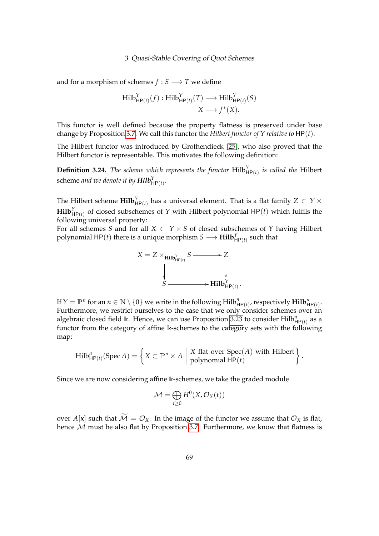and for a morphism of schemes  $f : S \longrightarrow T$  we define

$$
\text{Hilb}_{\text{HP}(t)}^{Y}(f) : \text{Hilb}_{\text{HP}(t)}^{Y}(T) \longrightarrow \text{Hilb}_{\text{HP}(t)}^{Y}(S)
$$

$$
X \longmapsto f^{*}(X).
$$

This functor is well defined because the property flatness is preserved under base change by Proposition [3.7.](#page-67-0) We call this functor the *Hilbert functor of Y relative to* HP(*t*).

The Hilbert functor was introduced by Grothendieck [\[25\]](#page-161-0), who also proved that the Hilbert functor is representable. This motivates the following definition:

**Definition 3.24.** *The scheme which represents the functor*  $Hilb_{HP(t)}^Y$  *is called the* Hilbert scheme *and we denote it by*  $\boldsymbol{Hilb}^Y_{\boldsymbol{\mathsf{HP}}(t)}.$ 

The Hilbert scheme  $\mathbf{Hilb}^Y_{\mathsf{HP}(t)}$  has a universal element. That is a flat family  $Z\, \subset\, Y\times$  $\text{Hilb}^Y_{\text{HP}(t)}$  of closed subschemes of *Y* with Hilbert polynomial HP(*t*) which fulfils the following universal property:

For all schemes *S* and for all  $X \subset Y \times S$  of closed subschemes of *Y* having Hilbert polynomial HP $(t)$  there is a unique morphism  $S \longrightarrow \textbf{Hilb}^Y_{\textsf{HP}(t)}$  such that



If  $Y = \mathbb{P}^n$  for an  $n \in \mathbb{N} \setminus \{0\}$  we write in the following  $\text{Hilb}^n_{\mathsf{HP}(t)}$ , respectively  $\text{Hilb}^n_{\mathsf{HP}(t)}$ . Furthermore, we restrict ourselves to the case that we only consider schemes over an algebraic closed field k. Hence, we can use Proposition [3.23](#page-72-0) to consider  $\text{Hilb}^n_{\text{HP}(t)}$  as a functor from the category of affine k-schemes to the category sets with the following map:

$$
Hilb_{HP(t)}^{n}(Spec A) = \left\{ X \subset \mathbb{P}^{n} \times A \mid X \text{ flat over Spec}(A) \text{ with Hilbert } \right\}.
$$

Since we are now considering affine k-schemes, we take the graded module

$$
\mathcal{M} = \bigoplus_{t \geq 0} H^0(X, \mathcal{O}_X(t))
$$

over  $A[x]$  such that  $\widetilde{\mathcal{M}} = \mathcal{O}_X$ . In the image of the functor we assume that  $\mathcal{O}_X$  is flat, hence  $M$  must be also flat by Proposition [3.7.](#page-67-0) Furthermore, we know that flatness is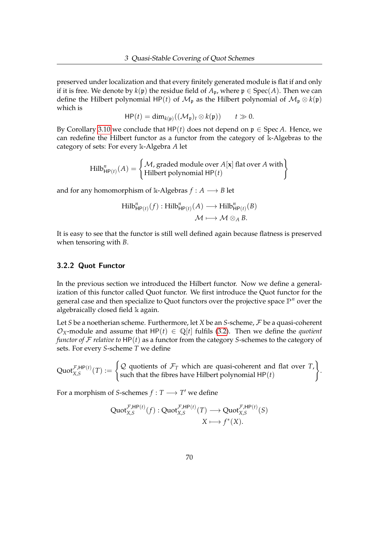preserved under localization and that every finitely generated module is flat if and only if it is free. We denote by  $k(p)$  the residue field of  $A_p$ , where  $p \in Spec(A)$ . Then we can define the Hilbert polynomial HP(*t*) of  $\mathcal{M}_p$  as the Hilbert polynomial of  $\mathcal{M}_p \otimes k(p)$ which is

$$
\mathsf{HP}(t) = \dim_{k(\mathfrak{p})}((\mathcal{M}_{\mathfrak{p}})_t \otimes k(\mathfrak{p})) \qquad t \gg 0.
$$

By Corollary [3.10](#page-69-0) we conclude that  $HP(t)$  does not depend on  $p \in Spec A$ . Hence, we can redefine the Hilbert functor as a functor from the category of k-Algebras to the category of sets: For every k-Algebra *A* let

$$
Hilb_{HP(t)}^n(A) = \begin{cases} M, \text{graded module over } A[\mathbf{x}] \text{ flat over } A \text{ with} \\ Hilbert polynomial HP(t) \end{cases}
$$

and for any homomorphism of k-Algebras  $f : A \longrightarrow B$  let

$$
\text{Hilb}_{\text{HP}(t)}^n(f) : \text{Hilb}_{\text{HP}(t)}^n(A) \longrightarrow \text{Hilb}_{\text{HP}(t)}^n(B)
$$

$$
\mathcal{M} \longmapsto \mathcal{M} \otimes_A B.
$$

It is easy to see that the functor is still well defined again because flatness is preserved when tensoring with *B*.

#### 3.2.2 Quot Functor

In the previous section we introduced the Hilbert functor. Now we define a generalization of this functor called Quot functor. We first introduce the Quot functor for the general case and then specialize to Quot functors over the projective space P*<sup>n</sup>* over the algebraically closed field k again.

Let *S* be a noetherian scheme. Furthermore, let *X* be an *S*-scheme, F be a quasi-coherent  $\mathcal{O}_X$ -module and assume that HP(*t*)  $\in \mathbb{Q}[t]$  fulfils [\(3.2\)](#page-72-1). Then we define the *quotient functor of* F *relative to* HP(*t*) as a functor from the category *S*-schemes to the category of sets. For every *S*-scheme *T* we define

 $\operatorname{Quot}_{X,S}^{\mathcal{F},\mathsf{HP}(t)}(T) :=$  $\int Q$  quotients of  $\mathcal{F}_T$  which are quasi-coherent and flat over *T*, such that the fibres have Hilbert polynomial HP(*t*)  $\lambda$ .

For a morphism of *S*-schemes  $f : T \longrightarrow T'$  we define

$$
\operatorname{Quot}_{X,S}^{\mathcal{F},\mathsf{HP}(t)}(f) : \operatorname{Quot}_{X,S}^{\mathcal{F},\mathsf{HP}(t)}(T) \longrightarrow \operatorname{Quot}_{X,S}^{\mathcal{F},\mathsf{HP}(t)}(S)
$$

$$
X \longmapsto f^*(X).
$$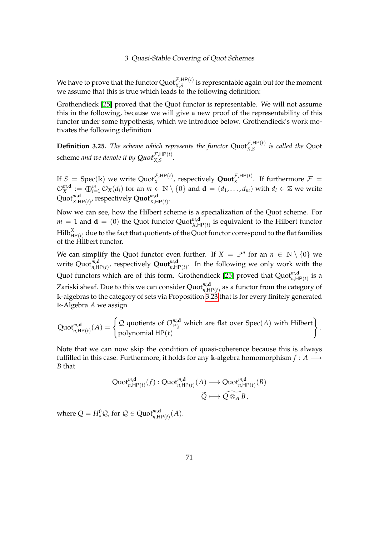We have to prove that the functor  $Quot_{X,S}^{\mathcal{F},HP(t)}$  is representable again but for the moment we assume that this is true which leads to the following definition:

Grothendieck [\[25\]](#page-161-0) proved that the Quot functor is representable. We will not assume this in the following, because we will give a new proof of the representability of this functor under some hypothesis, which we introduce below. Grothendieck's work motivates the following definition

**Definition 3.25.** The scheme which represents the functor  $Quot_{X,S}^{\mathcal{F},HP(t)}$  is called the Quot scheme and we denote it by  $\boldsymbol{Quot}_{X,S}^{\mathcal{F},\mathsf{HP}(t)}.$ 

If  $S = \text{Spec}(\mathbb{k})$  we write  $\text{Quot}_X^{\mathcal{F},HP(t)}$ , respectively  $\text{Quot}_X^{\mathcal{F},HP(t)}$ . If furthermore  $\mathcal{F} =$  $\mathcal{O}_\text{X}^{\textit{m,d}}$  $L_X^{m,\mathbf{d}}:=\bigoplus_{i=1}^m\mathcal{O}_X(d_i)$  for an  $m\in\mathbb{N}\setminus\{0\}$  and  $\mathbf{d}=(d_1,\ldots,d_m)$  with  $d_i\in\mathbb{Z}$  we write  $\mathsf{Quot}_{X,\mathsf{HP}(t)}^{\mathsf{m},\mathsf{d}}$ , respectively  $\mathsf{Quot}_{X,\mathsf{HP}(t)}^{\mathsf{m},\mathsf{d}}$ .

Now we can see, how the Hilbert scheme is a specialization of the Quot scheme. For  $m = 1$  and  $\mathbf{d} = (0)$  the Quot functor Quot ${}^{m,\mathbf{d}}_{X,\mathsf{HP}(t)}$  is equivalent to the Hilbert functor  $\mathrm{Hilb}^X_{\mathsf{HP}(t)}$  due to the fact that quotients of the Quot functor correspond to the flat families of the Hilbert functor.

We can simplify the Quot functor even further. If  $X = \mathbb{P}^n$  for an  $n \in \mathbb{N} \setminus \{0\}$  we write  $\text{Quot}_{n,\mathsf{HP}(t)}^{m,\mathsf{d}}$ , respectively  $\textbf{Quot}_{n,\mathsf{HP}(t)}^{m,\mathsf{d}}$ . In the following we only work with the Quot functors which are of this form. Grothendieck [\[25\]](#page-161-0) proved that  $\text{Quot}^{m,\mathbf{d}}_{n,\mathsf{HP}(t)}$  is a Zariski sheaf. Due to this we can consider  $\text{Quot}_{n,\text{HP}(t)}^{m,\textbf{d}}$  as a functor from the category of k-algebras to the category of sets via Proposition [3.23](#page-72-0) that is for every finitely generated k-Algebra *A* we assign

$$
\text{Quot}_{n,\text{HP}(t)}^{m,\textbf{d}}(A) = \begin{cases} \mathcal{Q} \text{ quotients of } \mathcal{O}_{\mathbb{P}_A^n}^{m,\textbf{d}} \text{ which are flat over } \text{Spec}(A) \text{ with Hilbert} \\ \text{polynomial } \text{HP}(t) \end{cases}.
$$

Note that we can now skip the condition of quasi-coherence because this is always fulfilled in this case. Furthermore, it holds for any k-algebra homomorphism  $f : A \longrightarrow$ *B* that

$$
\text{Quot}_{n,\text{HP}(t)}^{\text{m,d}}(f): \text{Quot}_{n,\text{HP}(t)}^{\text{m,d}}(A) \longrightarrow \text{Quot}_{n,\text{HP}(t)}^{\text{m,d}}(B)
$$

$$
\widetilde{Q} \longmapsto \widetilde{Q \otimes_A B},
$$

where  $Q = H^0_* \mathcal{Q}$ , for  $\mathcal{Q} \in \text{Quot}_{n,\text{HP}(t)}^{m,\textbf{d}}(A)$ .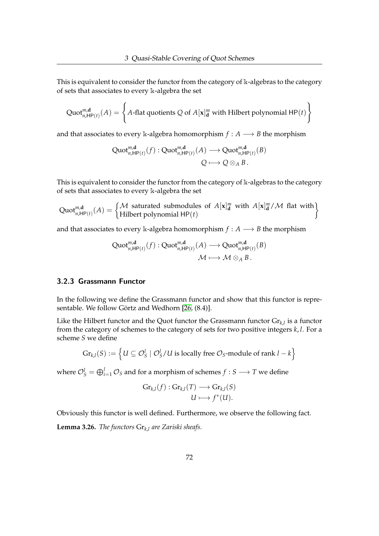This is equivalent to consider the functor from the category of k-algebras to the category of sets that associates to every k-algebra the set

$$
\text{Quot}_{n,\text{HP}(t)}^{m,\textbf{d}}(A) = \left\{ A \text{-flat quotients } Q \text{ of } A[\mathbf{x}]_{\textbf{d}}^m \text{ with Hilbert polynomial } \text{HP}(t) \right\}
$$

and that associates to every k-algebra homomorphism  $f : A \longrightarrow B$  the morphism

$$
\mathrm{Quot}_{n,\mathrm{HP}(t)}^{\mathfrak{m},\mathbf{d}}(f) : \mathrm{Quot}_{n,\mathrm{HP}(t)}^{\mathfrak{m},\mathbf{d}}(A) \longrightarrow \mathrm{Quot}_{n,\mathrm{HP}(t)}^{\mathfrak{m},\mathbf{d}}(B)
$$
  

$$
Q \longmapsto Q \otimes_A B.
$$

This is equivalent to consider the functor from the category of k-algebras to the category of sets that associates to every k-algebra the set

Quot<sup>*m*,d</sup><sub>*n*</sub>,HP(*t*)</sub> (*A*) =  $\begin{cases} M$  saturated submodules of  $A[\mathbf{x}]_d^m$  with  $A[\mathbf{x}]_d^m / M$  flat with Hilbert polynomial HP(*t*) <u>)</u>

and that associates to every k-algebra homomorphism  $f : A \longrightarrow B$  the morphism

$$
\operatorname{Quot}_{n,\operatorname{HP}(t)}^{\mathfrak{m},\operatorname{\mathbf{d}}}(f): \operatorname{Quot}_{n,\operatorname{HP}(t)}^{\mathfrak{m},\operatorname{\mathbf{d}}}(A) \longrightarrow \operatorname{Quot}_{n,\operatorname{HP}(t)}^{\mathfrak{m},\operatorname{\mathbf{d}}}(B)
$$

$$
\mathcal{M} \longmapsto \mathcal{M} \otimes_A B.
$$

## 3.2.3 Grassmann Functor

In the following we define the Grassmann functor and show that this functor is representable. We follow Görtz and Wedhorn [\[26,](#page-161-1) (8.4)].

Like the Hilbert functor and the Quot functor the Grassmann functor Gr*k*,*<sup>l</sup>* is a functor from the category of schemes to the category of sets for two positive integers *k*, *l*. For a scheme *S* we define

$$
\mathrm{Gr}_{k,l}(S) := \left\{ U \subseteq \mathcal{O}_S^l \mid \mathcal{O}_S^l / U \text{ is locally free } \mathcal{O}_S \text{-module of rank } l - k \right\}
$$

where  $\mathcal{O}_S^l = \bigoplus_{i=1}^l \mathcal{O}_S$  and for a morphism of schemes  $f : S \longrightarrow T$  we define

$$
\mathrm{Gr}_{k,l}(f): \mathrm{Gr}_{k,l}(T) \longrightarrow \mathrm{Gr}_{k,l}(S)
$$

$$
U \longmapsto f^*(U).
$$

Obviously this functor is well defined. Furthermore, we observe the following fact.

**Lemma 3.26.** *The functors* Gr*k*,*<sup>l</sup> are Zariski sheafs.*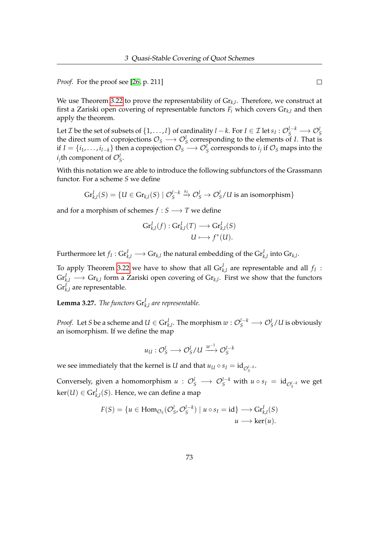*Proof.* For the proof see [\[26,](#page-161-1) p. 211]

We use Theorem [3.22](#page-71-0) to prove the representability of Gr*k*,*<sup>l</sup>* . Therefore, we construct at first a Zariski open covering of representable functors  $F_i$  which covers  $Gr_{k,l}$  and then apply the theorem.

Let  $\mathcal{I}$  be the set of subsets of  $\{1,\ldots,l\}$  of cardinality  $l-k$ . For  $I\in\mathcal{I}$  let  $s_I:\mathcal{O}^{l-k}_S\longrightarrow\mathcal{O}^{l}_S$ the direct sum of coprojections  $\mathcal{O}_S \longrightarrow \mathcal{O}_S^l$  corresponding to the elements of *I*. That is if  $I = \{i_1, \ldots, i_{l-k}\}$  then a coprojection  $\mathcal{O}_S \longrightarrow \mathcal{O}_S^l$  corresponds to  $i_j$  if  $\mathcal{O}_S$  maps into the  $i_j$ th component of  $\mathcal{O}_S^l$ .

With this notation we are able to introduce the following subfunctors of the Grassmann functor. For a scheme *S* we define

$$
\mathrm{Gr}^I_{k,l}(S) = \{ U \in \mathrm{Gr}_{k,l}(S) \mid \mathcal{O}_S^{I-k} \stackrel{s_I}{\to} \mathcal{O}_S^l \to \mathcal{O}_S^l/U \text{ is an isomorphism} \}
$$

and for a morphism of schemes  $f : S \longrightarrow T$  we define

$$
\mathrm{Gr}^I_{k,l}(f) : \mathrm{Gr}^I_{k,l}(T) \longrightarrow \mathrm{Gr}^I_{k,l}(S) \\ U \longmapsto f^*(U).
$$

Furthermore let  $f_I: \mathrm{Gr}^I_{k,l} \longrightarrow \mathrm{Gr}_{k,l}$  the natural embedding of the  $\mathrm{Gr}^I_{k,l}$  into  $\mathrm{Gr}_{k,l}.$ 

To apply Theorem [3.22](#page-71-0) we have to show that all  $\mathrm{Gr}^I_{k,l}$  are representable and all  $f_I$ :  $\text{Gr}_{k,l}^I \longrightarrow \text{Gr}_{k,l}$  form a Zariski open covering of  $\text{Gr}_{k,l}.$  First we show that the functors  $\mathrm{Gr}^{I}_{k,l}$  are representable.

<span id="page-77-0"></span>**Lemma 3.27.** *The functors*  $\text{Gr}_{k,l}^I$  *are representable.* 

*Proof.* Let *S* be a scheme and  $U \in \mathrm{Gr}^I_{k,l}.$  The morphism  $w: \mathcal{O}^{l-k}_S \longrightarrow \mathcal{O}^l_S/U$  is obviously an isomorphism. If we define the map

$$
u_U: \mathcal{O}_S^l \longrightarrow \mathcal{O}_S^l/U \stackrel{w^{-1}}{\longrightarrow} \mathcal{O}_S^{l-k}
$$

we see immediately that the kernel is *U* and that  $u_U \circ s_I = \mathrm{id}_{\mathcal{O}_S^{I-k}}.$ 

Conversely, given a homomorphism  $u: \mathcal{O}_S^l \longrightarrow \mathcal{O}_S^{l-k}$  with  $u \circ s_I = \mathrm{id}_{\mathcal{O}_S^{l-k}}$  we get  $\ker(U) \in \mathrm{Gr}^I_{k,l}(S).$  Hence, we can define a map

$$
F(S) = \{u \in \text{Hom}_{\mathcal{O}_S}(\mathcal{O}_S^l, \mathcal{O}_S^{l-k}) \mid u \circ s_I = \text{id}\} \longrightarrow \text{Gr}_{k,l}^I(S)
$$

$$
u \longrightarrow \text{ker}(u).
$$

 $\Box$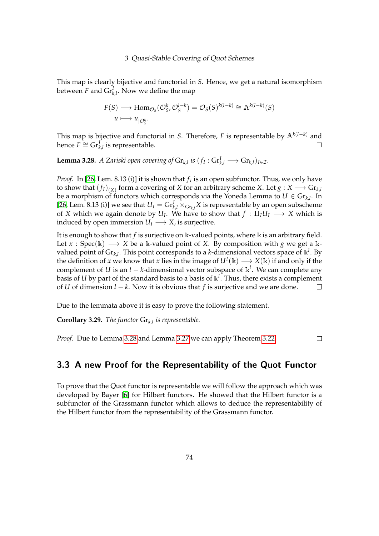This map is clearly bijective and functorial in *S*. Hence, we get a natural isomorphism between  $F$  and  $\mathrm{Gr}^I_{k,l}.$  Now we define the map

$$
F(S) \longrightarrow \text{Hom}_{\mathcal{O}_S}(\mathcal{O}_S^k, \mathcal{O}_S^{l-k}) = \mathcal{O}_S(S)^{k(l-k)} \cong \mathbb{A}^{k(l-k)}(S)
$$
  

$$
u \longmapsto u_{|\mathcal{O}_S^k}.
$$

This map is bijective and functorial in *S*. Therefore, *F* is representable by A*k*(*l*−*k*) and hence  $F$   $\cong$   $\mathrm{Gr}_{k,l}^{I'}$  is representable.  $\Box$ 

<span id="page-78-0"></span>**Lemma 3.28.** *A Zariski open covering of*  $\mathrm{Gr}_{k,l}$  *is*  $(f_I : \mathrm{Gr}_{k,l}^I \longrightarrow \mathrm{Gr}_{k,l})_{I \in \mathcal{I}}$ *.* 

*Proof.* In [\[26,](#page-161-1) Lem. 8.13 (i)] it is shown that  $f_I$  is an open subfunctor. Thus, we only have to show that  $(f_I)_{(X)}$  form a covering of *X* for an arbitrary scheme *X*. Let  $g: X \longrightarrow \mathrm{Gr}_{k,l}$ be a morphism of functors which corresponds via the Yoneda Lemma to  $U \in \mathrm{Gr}_{k,l}$ . In [\[26,](#page-161-1) Lem. 8.13 (i)] we see that  $U_I = \text{Gr}_{k,l}^I \times_{\text{Gr}_{k,l}} X$  is representable by an open subscheme of *X* which we again denote by  $U_I$ . We have to show that  $f : II_I U_I \longrightarrow X$  which is induced by open immersion  $U_I \longrightarrow X$ , is surjective.

It is enough to show that *f* is surjective on k-valued points, where k is an arbitrary field. Let  $x : Spec(k) \longrightarrow X$  be a k-valued point of *X*. By composition with *g* we get a kvalued point of  $\mathrm{Gr}_{k,l}$ . This point corresponds to a *k*-dimensional vectors space of  $\mathbb{k}^l$ . By the definition of *x* we know that *x* lies in the image of  $U^I(\mathbb{k}) \longrightarrow X(\mathbb{k})$  if and only if the complement of *U* is an *l* − *k*-dimensional vector subspace of k *l* . We can complete any basis of  $U$  by part of the standard basis to a basis of  $\Bbbk^l.$  Thus, there exists a complement of *U* of dimension *l* − *k*. Now it is obvious that *f* is surjective and we are done.  $\Box$ 

Due to the lemmata above it is easy to prove the following statement.

**Corollary 3.29.** *The functor* Gr*k*,*<sup>l</sup> is representable.*

*Proof.* Due to Lemma [3.28](#page-78-0) and Lemma [3.27](#page-77-0) we can apply Theorem [3.22.](#page-71-0)  $\Box$ 

# 3.3 A new Proof for the Representability of the Quot Functor

To prove that the Quot functor is representable we will follow the approach which was developed by Bayer [\[6\]](#page-159-0) for Hilbert functors. He showed that the Hilbert functor is a subfunctor of the Grassmann functor which allows to deduce the representability of the Hilbert functor from the representability of the Grassmann functor.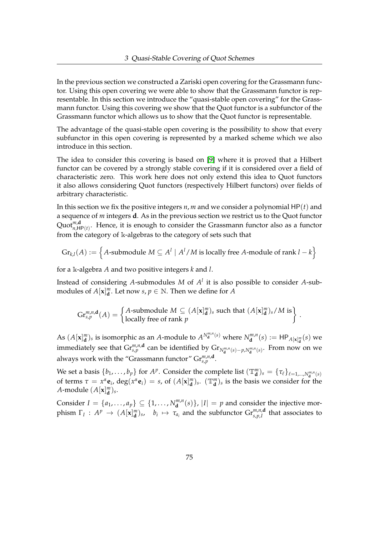In the previous section we constructed a Zariski open covering for the Grassmann functor. Using this open covering we were able to show that the Grassmann functor is representable. In this section we introduce the "quasi-stable open covering" for the Grassmann functor. Using this covering we show that the Quot functor is a subfunctor of the Grassmann functor which allows us to show that the Quot functor is representable.

The advantage of the quasi-stable open covering is the possibility to show that every subfunctor in this open covering is represented by a marked scheme which we also introduce in this section.

The idea to consider this covering is based on [\[9\]](#page-159-1) where it is proved that a Hilbert functor can be covered by a strongly stable covering if it is considered over a field of characteristic zero. This work here does not only extend this idea to Quot functors it also allows considering Quot functors (respectively Hilbert functors) over fields of arbitrary characteristic.

In this section we fix the positive integers *n*, *m* and we consider a polynomial HP(*t*) and a sequence of *m* integers **d**. As in the previous section we restrict us to the Quot functor Quot $_{n,\mathsf{HP}(t)}^{m,\mathsf{d}}$ . Hence, it is enough to consider the Grassmann functor also as a functor from the category of k-algebras to the category of sets such that

$$
\mathrm{Gr}_{k,l}(A) := \left\{A\text{-submodule } M \subseteq A^l \mid A^l / M \text{ is locally free } A\text{-module of rank } l - k\right\}
$$

for a k-algebra *A* and two positive integers *k* and *l*.

Instead of considering A-submodules  $M$  of  $A<sup>l</sup>$  it is also possible to consider A-submodules of  $A[\mathbf{x}]_{\mathbf{d}}^m$ . Let now  $s, p \in \mathbb{N}$ . Then we define for  $A$ 

$$
\mathrm{Gr}_{s,p}^{m,n,\mathbf{d}}(A) = \begin{cases} A\text{-submodule } M \subseteq (A[\mathbf{x}]_{\mathbf{d}}^{m})_{s} \text{ such that } (A[\mathbf{x}]_{\mathbf{d}}^{m})_{s}/M \text{ is} \\ \text{locally free of rank } p \end{cases}
$$

.

As  $(A[\mathbf{x}]_{\mathbf{d}}^m)$ <sub>s</sub> is isomorphic as an *A*-module to  $A^{N_{\mathbf{d}}^{m,n}(s)}$  where  $N_{\mathbf{d}}^{m,n}$  $\mathbf{d}^{m,n}(s) := \mathsf{HP}_{A[\mathbf{x}]^m_{\mathbf{d}}}(s)$  we immediately see that  $Gr^{m,n,\mathbf{d}}_{s,p}$  can be identified by  $Gr_{N_{\mathbf{d}}^{m,n}(s)-p,N_{\mathbf{d}}^{m,n}(s)}$ . From now on we always work with the "Grassmann functor"  $\mathrm{Gr}_{s,p}^{m,n,\mathbf{d}}$ .

We set a basis  $\{b_1, \ldots, b_p\}$  for  $A^p$ . Consider the complete list  $(\mathbb{T}^m_{\mathbf{d}})_s = \{\tau_\ell\}_{\ell=1,\ldots,N_{\mathbf{d}}^{m,n}(s)}$ of terms  $\tau = x^{\alpha} \mathbf{e}_i$ ,  $\deg(x^{\alpha} \mathbf{e}_i) = s$ , of  $(A[\mathbf{x}]_d^m)_{s}$ .  $(\mathbb{T}_d^m)_{s}$  is the basis we consider for the *A*-module  $(A[\mathbf{x}]_d^m)_s$ .

Consider *I* = {*a*<sub>1</sub>, . . . , *a*<sub>*p*</sub>} ⊆ {1, . . . , *N*<sub>*d*</sub><sup>*m*,*n*</sup></sub>  $\begin{bmatrix} m,n \ \mathbf{d} \end{bmatrix}$ ,  $|I| = p$  and consider the injective morphism  $\Gamma_I: A^p \to (A[\mathbf{x}]^m_{\mathbf{d}})$ s,  $b_i \mapsto \tau_{a_i}$  and the subfunctor  $\mathrm{Gr}^{m,n,\mathbf{d}}_{s,p,I}$  that associates to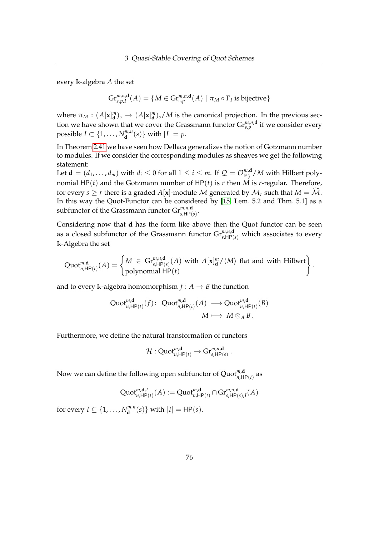every k-algebra *A* the set

$$
\mathrm{Gr}^{m,n,\mathbf{d}}_{s,p,I}(A) = \{ M \in \mathrm{Gr}^{m,n,\mathbf{d}}_{s,p}(A) \mid \pi_M \circ \Gamma_I \text{ is bijective} \}
$$

where  $\pi_M$  :  $(A[\mathbf{x}]_{\mathbf{d}}^m)_{s} \to (A[\mathbf{x}]_{\mathbf{d}}^m)_{s}/M$  is the canonical projection. In the previous section we have shown that we cover the Grassmann functor  $Gr^{m,n,\mathbf{d}}_{s,p}$  if we consider every possible *I*  $\subset \{1, \ldots, N_{\mathbf{d}}^{m,n}\}$  $\{d^{m,n}(s)\}$  with  $|I| = p$ .

In Theorem [2.41](#page-63-0) we have seen how Dellaca generalizes the notion of Gotzmann number to modules. If we consider the corresponding modules as sheaves we get the following statement:

Let  $\mathbf{d} = (d_1, \ldots, d_m)$  with  $d_i \leq 0$  for all  $1 \leq i \leq m$ . If  $\mathcal{Q} = \mathcal{O}^{m, \mathbf{d}}_{\mathbb{P}^n_A}/M$  with Hilbert polynomial  $HP(t)$  and the Gotzmann number of  $HP(t)$  is *r* then  $\overline{M}^A$  is *r*-regular. Therefore, for every  $s > r$  there is a graded  $A[x]$ -module M generated by  $\mathcal{M}_r$  such that  $M = \widetilde{\mathcal{M}}$ . In this way the Quot-Functor can be considered by [\[15,](#page-160-1) Lem. 5.2 and Thm. 5.1] as a subfunctor of the Grassmann functor  $\mathrm{Gr}^{m,n,\mathbf{d}}_{s,\mathsf{HP}(s)}.$ 

Considering now that **d** has the form like above then the Quot functor can be seen as a closed subfunctor of the Grassmann functor  $Gr^{m,n,\mathbf{d}}_{s,\mathsf{HP}(s)}$  which associates to every k-Algebra the set

$$
\text{Quot}_{n,\text{HP}(t)}^{m,\textbf{d}}(A) = \begin{cases} M \in \text{Gr}_{s,\text{HP}(s)}^{m,n,\textbf{d}}(A) \text{ with } A[\mathbf{x}]_{\textbf{d}}^{m}/\langle M \rangle \text{ flat and with Hilbert} \\ \text{polynomial HP}(t) \end{cases}
$$

.

and to every k-algebra homomorphism  $f: A \rightarrow B$  the function

$$
\operatorname{Quot}_{n,\operatorname{HP}(t)}^{\mathfrak{m},\operatorname{\mathbf{d}}}(f)\colon \operatorname{Quot}_{n,\operatorname{HP}(t)}^{\mathfrak{m},\operatorname{\mathbf{d}}}(A)\longrightarrow \operatorname{Quot}_{n,\operatorname{HP}(t)}^{\mathfrak{m},\operatorname{\mathbf{d}}}(B)
$$

$$
M\longmapsto M\otimes_A B.
$$

Furthermore, we define the natural transformation of functors

$$
\mathcal{H}:\operatorname{Quot}^{m,\operatorname{\mathbf{d}}}_{n,\operatorname{HP}(t)}\to \operatorname{Gr}^{m,n,\operatorname{\mathbf{d}}}_{s,\operatorname{HP}(s)}\ .
$$

Now we can define the following open subfunctor of  $\text{Quot}^{m,\mathbf{d}}_{n,\mathsf{HP}(t)}$  as

$$
\mathrm{Quot}_{n,\mathsf{HP}(t)}^{m,\mathbf{d},I}(A) := \mathrm{Quot}_{n,\mathsf{HP}(t)}^{m,\mathbf{d}} \cap \mathrm{Gr}_{s,\mathsf{HP}(s),I}^{m,n,\mathbf{d}}(A)
$$

for every  $I \subseteq \{1, \ldots, N_{\mathbf{d}}^{m,n}\}$  $\{d^{m,n}(s)\}$  with  $|I| = \text{HP}(s)$ .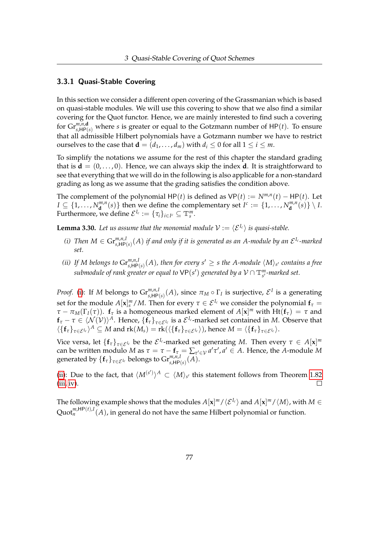#### 3.3.1 Quasi-Stable Covering

In this section we consider a different open covering of the Grassmanian which is based on quasi-stable modules. We will use this covering to show that we also find a similar covering for the Quot functor. Hence, we are mainly interested to find such a covering for  $Gr^{m,n,\mathbf{d}}_{s,\mathsf{HP}(s)}$  where *s* is greater or equal to the Gotzmann number of HP(*t*). To ensure that all admissible Hilbert polynomials have a Gotzmann number we have to restrict ourselves to the case that  $\mathbf{d} = (d_1, \dots, d_m)$  with  $d_i \leq 0$  for all  $1 \leq i \leq m$ .

To simplify the notations we assume for the rest of this chapter the standard grading that is  $\mathbf{d} = (0, \ldots, 0)$ . Hence, we can always skip the index **d**. It is straightforward to see that everything that we will do in the following is also applicable for a non-standard grading as long as we assume that the grading satisfies the condition above.

The complement of the polynomial  $HP(t)$  is defined as  $VP(t) := N^{m,n}(t) - HP(t)$ . Let  $I \subseteq \{1, \ldots, N_{\mathbf{d}}^{m,n}$  $\{d^{m,n}(s)\}$  then we define the complementary set  $I^c := \{1, \ldots, N_d^{m,n}\}$  $\{d}^{m,n}(s)\}\setminus I.$ Furthermore, we define  $\mathcal{E}^{I_c} := {\{\tau_i\}}_{i \in I^c} \subseteq \mathbb{T}^m_s$ .

<span id="page-81-2"></span>**Lemma 3.30.** Let us assume that the monomial module  $V := \langle \mathcal{E}^{I_c} \rangle$  is quasi-stable.

- <span id="page-81-0"></span>(*i*) Then  $M \in \mathrm{Gr}^{m,n,I}_{s,\mathsf{HP}(s)}(A)$  if and only if it is generated as an A-module by an  $\mathcal{E}^{I_c}$ -marked *set.*
- <span id="page-81-1"></span>*(ii)* If M belongs to  $\mathrm{Gr}^{m,n,l}_{s,\mathsf{HP}(s)}(A)$ , then for every  $s'\geq s$  the A-module  $\langle M\rangle_{s'}$  contains a free  $s$ ubmodule of rank greater or equal to  $\mathsf{VP}(s')$  generated by a  $\mathcal{V} \cap \mathbb{T}^m_{s'}$ -marked set.

*Proof.* [\(i\)](#page-81-0): If *M* belongs to  $Gr^{m,n,I}_{s,HP(s)}(A)$ , since  $\pi_M \circ \Gamma_I$  is surjective,  $\mathcal{E}^I$  is a generating set for the module  $A[\mathbf{x}]_s^m/M$ . Then for every  $\tau \in \mathcal{E}^{I_c}$  we consider the polynomial  $\mathbf{f}_{\tau} =$ *τ* − *π*<sub>*M*</sub>(Γ<sub>*I*</sub>(*τ*)). **f**<sub>*τ*</sub> is a homogeneous marked element of  $A[x]^m$  with Ht(**f**<sub>*τ*</sub>) = *τ* and  $f_{\tau} - \tau \in \langle \mathcal{N}(\mathcal{V}) \rangle^A$ . Hence,  $\{f_{\tau}\}_{\tau \in \mathcal{E}^{I_c}}$  is a  $\mathcal{E}^{I_c}$ -marked set contained in *M*. Observe that  $\langle \{\mathbf{f}_{\tau}\}_{\tau \in \mathcal{E}^{I_c}} \rangle^A \subseteq M$  and  $\text{rk}(M_s) = \text{rk}(\langle \{\mathbf{f}_{\tau}\}_{\tau \in \mathcal{E}^{I_c}} \rangle)$ , hence  $M = \langle \{\mathbf{f}_{\tau}\}_{\tau \in \mathcal{E}^{I_c}} \rangle$ .

Vice versa, let  $\{f_\tau\}_{\tau \in \mathcal{E}^{I_c}}$  be the  $\mathcal{E}^{I_c}$ -marked set generating *M*. Then every  $\tau \in A[x]^m$ can be written modulo *M* as  $\tau = \tau - f_\tau = \sum_{\tau' \in V} a' \tau', a' \in A$ . Hence, the *A*-module *M*  $\operatorname{generated}$  by  $\{\mathbf{f}_{\tau}\}_{\tau \in \mathcal{E}^{I_c}}$  belongs to  $\operatorname{Gr}_{s,\mathsf{HP}(s)}^{m,n,I}(A).$ 

[\(ii\)](#page-81-1): Due to the fact, that  $\langle M^{(s')} \rangle^A \subset \langle M \rangle_{s'}$  this statement follows from Theorem [1.82](#page-43-0)  $(iii, iv).$  $(iii, iv).$  $(iii, iv).$  $\Box$ 

The following example shows that the modules  $A[{\bf x}]^m/\langle {\cal E}^{I_c}\rangle$  and  $A[{\bf x}]^m/\langle M\rangle$ , with  $M\in$  $\operatorname{Quot}^{m,\mathsf{HP}(t),I}_n(A)$ , in general do not have the same Hilbert polynomial or function.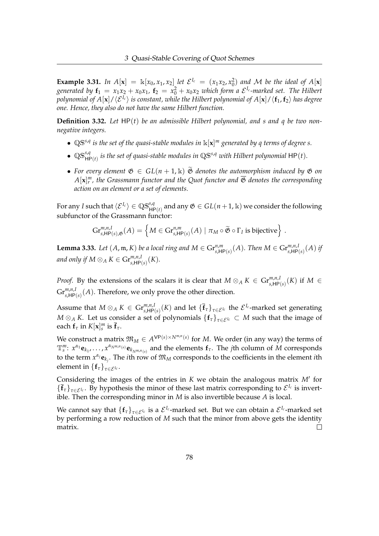**Example 3.31.** In  $A[x] = \mathbb{k}[x_0, x_1, x_2]$  let  $\mathcal{E}^{I_c} = (x_1x_2, x_0^2)$  and M be the ideal of  $A[x]$ generated by  $\mathbf{f}_1 = x_1x_2 + x_0x_1$ ,  $\mathbf{f}_2 = x_0^2 + x_0x_2$  which form a  $\mathcal{E}^{I_c}$ -marked set. The Hilbert *polynomial of A*[**x**]/ $\langle \mathcal{E}^{I_c} \rangle$  *is constant, while the Hilbert polynomial of A*[**x**]/ $\langle f_1, f_2 \rangle$  *has degree one. Hence, they also do not have the same Hilbert function.*

**Definition 3.32.** *Let* HP(*t*) *be an admissible Hilbert polynomial, and s and q be two nonnegative integers.*

- $\mathbb{Q}S^{s,q}$  *is the set of the quasi-stable modules in*  $\mathbb{k}[x]^m$  *generated by q terms of degree s.*
- $\mathbb{Q}S^{s,q}_{HP(t)}$  is the set of quasi-stable modules in  $\mathbb{Q}S^{s,q}$  with Hilbert polynomial  $HP(t)$ *.*
- For every element  $\mathfrak{G} \in GL(n+1,\mathbb{k})$   $\widetilde{\mathfrak{G}}$  denotes the automorphism induced by  $\mathfrak{G}$  on  $A[\mathbf{x}]_r^m$ , the Grassmann functor and the Quot functor and  $\overline{\mathfrak{G}}$  denotes the corresponding *action on an element or a set of elements.*

For any *I* such that  $\langle E^{I_c}\rangle\in \mathbb{QS}^{s,q}_{\mathsf{HP}(t)}$  and any  $\mathfrak{G}\in GL(n+1,\Bbbk)$  we consider the following subfunctor of the Grassmann functor:

$$
\mathrm{Gr}_{s,\mathsf{HP}(s),\mathfrak{G}}^{m,n,I}(A)=\left\{M\in\mathrm{Gr}_{s,\mathsf{HP}(s)}^{n,m}(A)\mid \pi_M\circ\widetilde{\mathfrak{G}}\circ\Gamma_I\text{ is bijective}\right\}\,.
$$

<span id="page-82-0"></span>**Lemma 3.33.** Let  $(A, \mathfrak{m}, K)$  be a local ring and  $M \in \mathrm{Gr}^{n,m}_{s, \mathsf{HP}(s)}(A)$ . Then  $M \in \mathrm{Gr}^{m,n,l}_{s, \mathsf{HP}(s)}(A)$  if and only if  $M \otimes_A K \in \mathrm{Gr}^{m,n,I}_{s,\mathsf{HP}(s)}(K).$ 

*Proof.* By the extensions of the scalars it is clear that  $M \otimes_A K \in \mathrm{Gr}^{m,n,I}_{s,\mathsf{HP}(s)}(K)$  if  $M \in$  $\mathrm{Gr}^{m,n,I}_{s,\mathsf{HP}(s)}(A)$ . Therefore, we only prove the other direction.

Assume that  $M \otimes_A K \in \mathrm{Gr}^{m,n,I}_{s,\mathsf{HP}(s)}(K)$  and let  $\{\bar{\mathbf{f}}_{\tau}\}_{\tau \in \mathcal{E}^{I_c}}$  the  $\mathcal{E}^{I_c}$ -marked set generating  $M \otimes_A K$ . Let us consider a set of polynomials  $\{f_\tau\}_{\tau \in \mathcal{E}^{\mathrm{I}c}} \subset M$  such that the image of each  $\mathbf{f}_{\tau}$  in  $K[\mathbf{x}]_s^m$  is  $\bar{\mathbf{f}}_{\tau}$ .

We construct a matrix  $\mathfrak{M}_M \in A^{\mathsf{VP}(s) \times N^{\mathfrak{m},n}(s)}$  for  $M$ . We order (in any way) the terms of  $\mathbb{T}^m_s$ :  $x^{\alpha_1}$ **e**<sub> $k_1$ </sub>, . . . ,  $x^{\alpha_{N^{m,n}(s)}}$ **e** $_{k_{N^{m,n}(s)}}$  and the elements  $\mathbf{f}_{\tau}$ . The *j*th column of M corresponds to the term  $x^{\alpha_j}$ **e**<sub>*kj*</sub>. The *i*th row of  $\mathfrak{M}_M$  corresponds to the coefficients in the element *i*th element in  ${f_{\tau}}_{\tau \in \mathcal{E}^{I_c}}$ .

Considering the images of the entries in  $K$  we obtain the analogous matrix  $M'$  for  ${\{\bar{\mathbf{f}}_{\tau}\}_{\tau \in \mathcal{E}^{I_c}}}$ . By hypothesis the minor of these last matrix corresponding to  $\mathcal{E}^{I_c}$  is invertible. Then the corresponding minor in *M* is also invertible because *A* is local.

We cannot say that  $\{f_\tau\}_{\tau\in\mathcal{E}^{I_c}}$  is a  $\mathcal{E}^{I_c}$ -marked set. But we can obtain a  $\mathcal{E}^{I_c}$ -marked set by performing a row reduction of *M* such that the minor from above gets the identity matrix.  $\Box$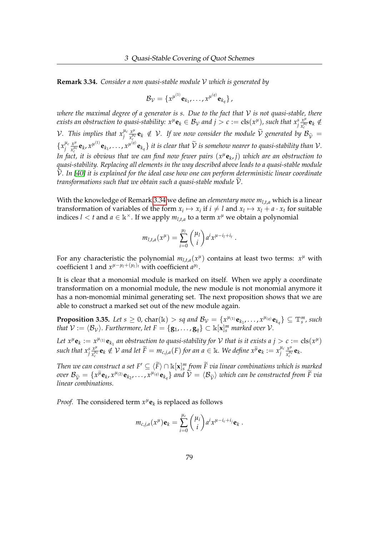<span id="page-83-0"></span>**Remark 3.34.** *Consider a non quasi-stable module* V *which is generated by*

$$
\mathcal{B}_{\mathcal{V}} = \{x^{\mu^{(1)}} \mathbf{e}_{k_1}, \ldots, x^{\mu^{(q)}} \mathbf{e}_{k_q}\},
$$

*where the maximal degree of a generator is s. Due to the fact that* V *is not quasi-stable, there exists an obstruction to quasi-stability:*  $x^{\mu}e_k \in B_{\mathcal{V}}$  *and*  $j > c := \text{cls}(x^{\mu})$ *, such that*  $x^s_j \frac{x^{\mu}}{x^{\mu}_i}$  $\frac{x^{\mu}}{x_c^{\mu_c}}$ **e**<sub>*k*</sub>  $\notin$ *V*. This implies that  $x_j^{\mu_c} \frac{x^{\mu}}{x_c^{\mu_c}} \mathbf{e}_k \notin V$ . If we now consider the module  $\widetilde{V}$  generated by  $x^{\mu}_{\xi}$ **e**<sub>*k*</sub>  $\notin$  *V*. If we now consider the module  $\hat{V}$  generated by  $\mathcal{B}_{\tilde{V}} =$  $\{x_i^{\mu_c}\}$  $\frac{\mu_c}{j} \frac{x^{\mu_c}}{x^{\mu_c}}$  $\frac{x^{\mu}}{x_c^{\mu c}}\mathbf{e}_k$ ,  $x^{\mu^{(1)}}\mathbf{e}_{k_1}$ , ...,  $x^{\mu^{(q)}}\mathbf{e}_{k_q}$  } it is clear that  $\widetilde{\mathcal{V}}$  is somehow nearer to quasi-stability than  $\mathcal{V}$ . In fact, it is obvious that we can find now fewer pairs  $(x^\mu \mathbf{e}_k, j)$  which are an obstruction to *quasi-stability. Replacing all elements in the way described above leads to a quasi-stable module*  $\mathcal V$ *. In [\[40\]](#page-162-0)* it is explained for the ideal case how one can perform deterministic linear coordinate *transformations such that we obtain such a quasi-stable module*  $V$ *.* 

With the knowledge of Remark [3.34](#page-83-0) we define an *elementary move ml*,*t*,*<sup>a</sup>* which is a linear transformation of variables of the form  $x_i \mapsto x_i$  if  $i \neq l$  and  $x_l \mapsto x_l + a \cdot x_t$  for suitable indices  $l < t$  and  $a \in \mathbb{k}^{\times}$ . If we apply  $m_{l,t,a}$  to a term  $x^{\mu}$  we obtain a polynomial

$$
m_{l,t,a}(x^{\mu}) = \sum_{i=0}^{\mu_l} {\mu_l \choose i} a^i x^{\mu-i_l+i_t}.
$$

For any characteristic the polynomial  $m_{l,t,a}(x^{\mu})$  contains at least two terms:  $x^{\mu}$  with coefficient 1 and  $x^{\mu-\mu_1+(\mu_1)_t}$  with coefficient  $a^{\mu_1}$ .

It is clear that a monomial module is marked on itself. When we apply a coordinate transformation on a monomial module, the new module is not monomial anymore it has a non-monomial minimal generating set. The next proposition shows that we are able to construct a marked set out of the new module again.

<span id="page-83-1"></span>**Proposition 3.35.** Let  $s \geq 0$ , char(k)  $> sq$  and  $\mathcal{B}_{\mathcal{V}} = \{x^{\mu_{(1)}}\mathbf{e}_{k_1}, \dots, x^{\mu_{(q)}}\mathbf{e}_{k_q}\} \subseteq \mathbb{T}_s^m$ , such *that*  $V := \langle B_V \rangle$ *. Furthermore, let*  $F = \{ \mathbf{g}_1, \ldots, \mathbf{g}_q \} \subset \Bbbk[\mathbf{x}]_s^m$  marked over  $V$ .

Let  $x^{\mu}$ **e**<sub>k</sub> :=  $x^{\mu_{(1)}}$ **e**<sub>k<sub>1</sub></sub> an obstruction to quasi-stability for  $V$  that is it exists a  $j > c$  := cls $(x^{\mu})$ such that  $x_j^s \frac{x^{\mu}}{x_c^{\mu}a}$  $\frac{x^{\mu}}{x^{\mu}_{c}}$ **e**<sub>*k*</sub>  $\notin$   $\nu$  *and let*  $\widetilde{F} = m_{c,j,a}(F)$  for an  $a \in \mathbb{k}$ *. We define*  $x^{\widetilde{\mu}}$ **e**<sub>*k*</sub> :=  $x^{\mu}_{j}$  $\frac{\mu_c}{j} \frac{x^{\mu_c}}{x_c^{\mu_c}}$  $\frac{x^{\mu c}}{x_c^{\mu c}}$ **e**<sub>*k*</sub>.

*Then we can construct a set*  $F' \subseteq \langle \widetilde{F} \rangle \cap \mathbb{K}[\mathbf{x}]_s^m$  *from*  $\widetilde{F}$  *via linear combinations which is marked*  $\widetilde{F}$ over  $\mathcal{B}_{\widetilde{\mathcal{V}}} = \{x^{\widetilde{\mu}} \mathbf{e}_k, x^{\mu_{(2)}} \mathbf{e}_{k_2}, \dots, x^{\mu_{(q)}} \mathbf{e}_{k_q}\}$  and  $\widetilde{\mathcal{V}} = \langle \mathcal{B}_{\widetilde{\mathcal{V}}} \rangle$  which can be constructed from  $\widetilde{F}$  via *linear combinations.*

*Proof.* The considered term  $x^{\mu}$ **e**<sub>*k*</sub> is replaced as follows

$$
m_{c,j,a}(x^{\mu})\mathbf{e}_k=\sum_{i=0}^{\mu_c}\binom{\mu_i}{i}a^ix^{\mu-i_c+i_j}\mathbf{e}_k.
$$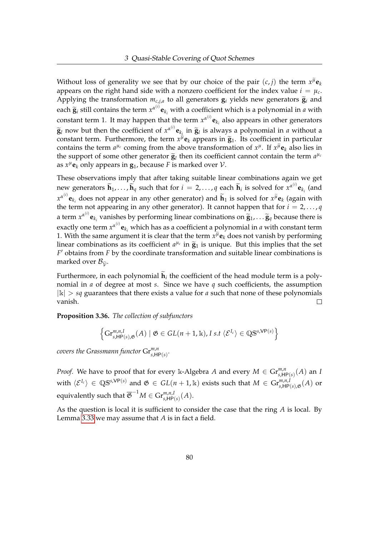Without loss of generality we see that by our choice of the pair  $(c, j)$  the term  $x^{\mu}$ **e**<sub>*k*</sub> appears on the right hand side with a nonzero coefficient for the index value  $i = \mu_c$ . Applying the transformation  $m_{c,j,a}$  to all generators  $\mathbf{g}_i$  yields new generators  $\widetilde{\mathbf{g}}_i$  and each  $\tilde{\mathbf{g}}_i$  still contains the term  $x^{\alpha^{(i)}}\mathbf{e}_{k_i}$  with a coefficient which is a polynomial in *a* with constant term 1. It may happen that the term  $x^{\alpha^{(i)}}$ **e**<sub>*k<sub>i</sub>*</sub> also appears in other generators  $\widetilde{\mathbf{g}}_l$  now but then the coefficient of  $x^{\alpha^{(i)}}\mathbf{e}_{k_i}$  in  $\widetilde{\mathbf{g}}_l$  is always a polynomial in *a* without a constant term. Furthermore, the term  $x^{\mu}$ o, appears in  $\widetilde{\alpha}$ . Its coefficient in particul constant term. Furthermore, the term  $x^{\mu}$ **e**<sub>*k*</sub> appears in  $\tilde{g}_1$ . Its coefficient in particular contains the term  $a^{\mu}$  coming from the above transformation of  $x^{\mu}$ . If  $x^{\tilde{\mu}}$  also lies in contains the term  $a^{\mu_c}$  coming from the above transformation of  $x^{\mu}$ . If  $x^{\mu}$ **e**<sub>*k*</sub> also lies in the support of some other generator  $\tilde{g}_l$  then its coefficient cannot contain the term  $a^{\mu_c}$ <br>as  $x^{\mu}$ **c**, only appears in  $\sigma_k$ , because  $\Gamma$  is marked sucr.) as  $x^{\mu}$ **e**<sub>*k*</sub> only appears in  $\mathbf{g}_1$ , because *F* is marked over *V*.

These observations imply that after taking suitable linear combinations again we get new generators  $\widetilde{\mathbf{h}}_1, \ldots, \widetilde{\mathbf{h}}_q$  such that for  $i = 2, \ldots, q$  each  $\widetilde{\mathbf{h}}_i$  is solved for  $x^{\alpha^{(i)}}\mathbf{e}_{k_i}$  (and  $x^{\alpha^{(i)}}$ **e**<sub>*k<sub>i</sub>*</sub> does not appear in any other generator) and  $\widetilde{\mathbf{h}}_1$  is solved for  $x^{\widetilde{\mu}}$ **e**<sub>*k*</sub> (again with the term not appearing in any other generator). It cannot happen that for  $i = 2, \ldots, q$ a term  $x^{\alpha^{(i)}}$ **e**<sub>*k*<sup>*i*</sup></sub> vanishes by performing linear combinations on  $\tilde{\mathbf{g}}_1$ , . . .  $\tilde{\mathbf{g}}_q$  because there is exactly one term  $x^{\alpha^{(i)}}\mathbf{e}_{k_i}$  which has as a coefficient a polynomial in *a* with constant term 1. With the same argument it is clear that the term  $x^{\mu}$ **e**<sub>*k*</sub> does not vanish by performing linear combinations as its coefficient  $a^{\mu_c}$  in  $\tilde{g}_1$  is unique. But this implies that the set  $F'$  obtains from  $F$  by the coordinate transformation and suitable linear combinations is *F* <sup>0</sup> obtains from *F* by the coordinate transformation and suitable linear combinations is marked over  $B_{\tilde{\nu}}$ .

Furthermore, in each polynomial  $h_i$  the coefficient of the head module term is a polynomial in *a* of degree at most *s*. Since we have *q* such coefficients, the assumption  $|k| > sq$  guarantees that there exists a value for *a* such that none of these polynomials vanish.  $\Box$ 

<span id="page-84-0"></span>**Proposition 3.36.** *The collection of subfunctors*

$$
\left\{ \mathrm{Gr}^{m,n,I}_{s,\mathsf{HP}(s),\mathfrak{G}}(A) \mid \mathfrak{G} \in GL(n+1,\mathbb{k}), I \text{ s.t } \langle \mathcal{E}^{I_c} \rangle \in \mathbb{Q} \mathbb{S}^{s,\mathsf{VP}(s)} \right\}
$$

 $\overline{\text{covers}}$  the Grassmann functor  $\text{Gr}_{s,\textsf{HP}(s)}^{m,n}.$ 

*Proof.* We have to proof that for every k-Algebra *A* and every  $M \in \mathrm{Gr}^{m,n}_{s,\mathsf{HP}(s)}(A)$  an *I*  $\langle \mathcal{E}^{I_c} \rangle \in \mathbb{Q} \mathbb{S}^{s, \mathsf{VP}(s)}$  and  $\mathfrak{G} \in GL(n+1,\Bbbk)$  exists such that  $M \in \mathrm{Gr}^{m,n,I}_{s, \mathsf{HP}(s),\mathfrak{G}}(A)$  or equivalently such that  $\overline{\mathfrak{G}}^{-1}M \in \mathrm{Gr}^{m,n,I}_{s,\mathsf{HP}(s)}(A).$ 

As the question is local it is sufficient to consider the case that the ring *A* is local. By Lemma [3.33](#page-82-0) we may assume that *A* is in fact a field.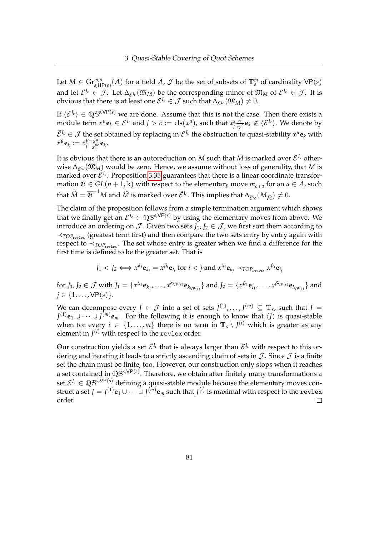Let  $M \in \mathrm{Gr}^{m,n}_{s,\mathsf{HP}(s)}(A)$  for a field  $A$ ,  $\mathcal J$  be the set of subsets of  $\mathbb T^m_s$  of cardinality  $\mathsf{VP}(s)$ and let  $\mathcal{E}^{I_c} \in \mathcal{J}$ . Let  $\Delta_{\mathcal{E}^{I_c}}(\mathfrak{M}_M)$  be the corresponding minor of  $\mathfrak{M}_M$  of  $\mathcal{E}^{I_c} \in \mathcal{J}$ . It is obvious that there is at least one  $\mathcal{E}^{I_c} \in \mathcal{J}$  such that  $\Delta_{\mathcal{E}^{I_c}}(\mathfrak{M}_M) \neq 0$ .

If  $\langle \mathcal{E}^{I_c} \rangle \in \mathbb{Q}S^{s,VP(s)}$  we are done. Assume that this is not the case. Then there exists a module term  $x^{\mu}$ **e**<sub>*k*</sub>  $\in \mathcal{E}^{I_c}$  and  $j > c := \text{cls}(x^{\mu})$ , such that  $x^s_j \frac{x^{\mu}}{x^{\mu}_c}$  $\frac{x^{\mu}}{x^{\mu_{c}}_{c}}\mathbf{e}_{k}\notin\langle\mathcal{E}^{I_{c}}\rangle.$  We denote by  $\widetilde{\mathcal{E}}^{I_c} \in \mathcal{J}$  the set obtained by replacing in  $\mathcal{E}^{I_c}$  the obstruction to quasi-stability  $x^{\mu}$ **e**<sub>*k*</sub> with  $x^{\widetilde{\mu}}$ **e**<sub>*k*</sub> :=  $x_i^{\mu_c}$  $\frac{\mu_c}{j} \frac{x^{\mu_c}}{x^{\mu_c_c}}$  $\frac{x^{\mu c}}{x_c^{\mu c}}$ **e**<sub>*k*</sub>.

It is obvious that there is an autoreduction on  $M$  such that  $M$  is marked over  $\mathcal{E}^{I_c}$  otherwise  $\Delta_{\mathcal{E}^{I_c}}(\mathfrak{M}_M)$  would be zero. Hence, we assume without loss of generality, that *M* is marked over  $\mathcal{E}^{I_c}$ . Proposition [3.35](#page-83-1) guarantees that there is a linear coordinate transformation  $\mathfrak{G} \in GL(n+1,\mathbb{k})$  with respect to the elementary move  $m_{c,j,a}$  for an  $a \in A$ , such that  $\widetilde{M} = \overline{\mathfrak{G}}^{-1}M$  and  $\widetilde{M}$  is marked over  $\widetilde{\mathcal{E}}^{I_c}$ . This implies that  $\Delta_{\widetilde{\mathcal{E}}^{I_c}}(M_{\widetilde{M}}) \neq 0$ .

The claim of the proposition follows from a simple termination argument which shows that we finally get an  $\mathcal{E}^{I_c} \in \mathbb{QS}^{s, \mathsf{VP}(s)}$  by using the elementary moves from above. We introduce an ordering on  $\mathcal J$ . Given two sets  $J_1, J_2 \in \mathcal J$ , we first sort them according to  $\prec_{\text{TOP}_{\text{revlex}}}$  (greatest term first) and then compare the two sets entry by entry again with respect to  $\prec_{TOP_{revlex}}$ . The set whose entry is greater when we find a difference for the first time is defined to be the greater set. That is

$$
J_1 < J_2 \Longleftrightarrow x^{\alpha_i} \mathbf{e}_{k_i} = x^{\beta_i} \mathbf{e}_{l_i} \text{ for } i < j \text{ and } x^{\alpha_j} \mathbf{e}_{k_j} \prec_{\text{TOP}_{\text{revlex}}} x^{\beta_j} \mathbf{e}_{l_j}
$$

for  $J_1, J_2 \in \mathcal{J}$  with  $J_1 = \{x^{\alpha_1} \mathbf{e}_{k_1}, \dots, x^{\alpha_{\mathsf{VP}(s)}} \mathbf{e}_{k_{\mathsf{VP}(s)}}\}$  and  $J_2 = \{x^{\beta_1} \mathbf{e}_{l_1}, \dots, x^{\beta_{\mathsf{VP}(s)}} \mathbf{e}_{l_{\mathsf{VP}(s)}}\}$  and  $j \in \{1, ..., VP(s)\}.$ 

We can decompose every  $J \in \mathcal{J}$  into a set of sets  $J^{(1)}, \ldots, J^{(m)} \subseteq \mathbb{T}_s$ , such that  $J =$ *J*<sup>(1)</sup>e<sub>1</sub>∪···∪*J*<sup>(*m*)</sup>e<sub>*m*. For the following it is enough to know that  $\langle J \rangle$  is quasi-stable</sub> when for every  $i \in \{1, ..., m\}$  there is no term in  $\mathbb{T}_s \setminus J^{(i)}$  which is greater as any element in  $J^{(i)}$  with respect to the revlex order.

Our construction yields a set  $\mathcal{E}^{I_c}$  that is always larger than  $\mathcal{E}^{I_c}$  with respect to this ordering and iterating it leads to a strictly ascending chain of sets in  $J$ . Since  $J$  is a finite set the chain must be finite, too. However, our construction only stops when it reaches a set contained in QS*s*,VP(*s*) . Therefore, we obtain after finitely many transformations a set  $\mathcal{E}^{I_c} \in \mathbb{QS}^{s, \mathsf{VP}(s)}$  defining a quasi-stable module because the elementary moves construct a set  $J = J^{(1)} {\bf e}_1 \cup \cdots \cup J^{(m)} {\bf e}_m$  such that  $J^{(i)}$  is maximal with respect to the revlex order.  $\Box$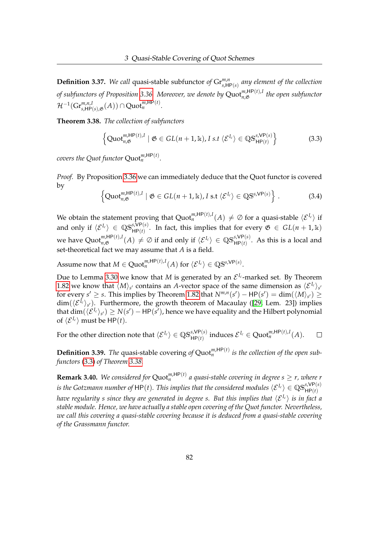**Definition 3.37.** We call quasi-stable subfunctor of  $\mathrm{Gr}^{m,n}_{s,\text{HP}(s)}$  any element of the collection *of subfunctors of Proposition [3.36.](#page-84-0) Moreover, we denote by* Quot*m*,HP(*t*),*<sup>I</sup> n*,G *the open subfunctor*  $\mathcal{H}^{-1}(\mathrm{Gr}^{m,n,I}_{s,\mathsf{HP}(s),\mathfrak{G}}(A))\cap\mathrm{Quot}^{m,\mathsf{HP}(t)}_n.$ 

<span id="page-86-1"></span>**Theorem 3.38.** *The collection of subfunctors*

<span id="page-86-0"></span>
$$
\left\{ \text{Quot}_{n,\mathfrak{G}}^{m,\text{HP}(t),I} \mid \mathfrak{G} \in GL(n+1,\mathbb{k}), I \text{ s.t } \langle \mathcal{E}^{I_c} \rangle \in \mathbb{QS}_{\text{HP}(t)}^{s,\text{VP}(s)} \right\}
$$
(3.3)

*covers the Quot functor*  $\text{Quot}_{n}^{m,\text{HP}(t)}$ *.* 

*Proof.* By Proposition [3.36](#page-84-0) we can immediately deduce that the Quot functor is covered by

$$
\left\{ \mathrm{Quot}_{n,\mathfrak{G}}^{m,\mathsf{HP}(t),I} \mid \mathfrak{G} \in GL(n+1,\mathbb{k}), I \text{ s.t } \langle \mathcal{E}^{I_c} \rangle \in \mathbb{Q} \mathbb{S}^{s,\mathsf{VP}(s)} \right\}.
$$
 (3.4)

We obtain the statement proving that  $\text{Quot}_n^{m,\text{HP}(t),I}(A) \neq \varnothing$  for a quasi-stable  $\langle \mathcal{E}^{I_c} \rangle$  if and only if  $\langle E^{I_c} \rangle \in \mathbb{QS}^{s, \mathsf{VP}(s)}_{{\mathsf{HP}}(t)}$ . In fact, this implies that for every  $\mathfrak{G} \in GL(n+1,\Bbbk)$ we have  $\mathrm{Quot}_{n,\mathfrak{G}}^{m,\mathsf{HP}(t),I}(A) \neq \varnothing$  if and only if  $\langle \mathcal{E}^{I_c} \rangle \in \mathbb{QS}_{\mathsf{HP}(t)}^{\mathsf{s,VP}(s)}.$  As this is a local and set-theoretical fact we may assume that *A* is a field.

Assume now that  $M \in \mathrm{Quot}_n^{m,\mathsf{HP}(t),I}(A)$  for  $\langle \mathcal{E}^{I_c} \rangle \in \mathbb{Q}\mathbb{S}^{s,\mathsf{VP}(s)}.$ 

Due to Lemma [3.30](#page-81-2) we know that *M* is generated by an  $\mathcal{E}^{I_c}$ -marked set. By Theorem [1.82](#page-43-0) we know that  $\langle M \rangle_{s'}$  contains an *A*-vector space of the same dimension as  $\langle \mathcal{E}^{I_c} \rangle_{s'}$ for every  $s' \ge s$ . This implies by Theorem [1.82](#page-43-0) that  $N^{m,n}(s') - \text{HP}(s') = \dim(\langle M \rangle_{s'}) \ge$  $\dim(\langle \mathcal{E}^{I_c}\rangle_{s'})$ . Furthermore, the growth theorem of Macaulay ([\[29,](#page-161-2) Lem. 23]) implies that  $dim(\langle \mathcal{E}^{I_c}\rangle_{s'}) \ge N(s') - HP(s')$ , hence we have equality and the Hilbert polynomial of  $\langle \mathcal{E}^{I_c} \rangle$  must be HP(*t*).

For the other direction note that  $\langle \mathcal{E}^{I_c} \rangle \in \mathbb{QS}^{s, \mathsf{VP}(s)}_{\mathsf{HP}(t)}$  induces  $\mathcal{E}^{I_c} \in \mathsf{Quot}^{m, \mathsf{HP}(t), I}_n(A).$  $\Box$ 

**Definition 3.39.** The quasi-stable covering of  $Quot_n^{m,HP(t)}$  is the collection of the open sub*functors* [\(3.3\)](#page-86-0) *of Theorem [3.38.](#page-86-1)*

**Remark 3.40.** We considered for  $\text{Quot}_n^{m,\text{HP}(t)}$  a quasi-stable covering in degree  $s \geq r$ , where r *is the Gotzmann number of*  $HP(t)$ *. This implies that the considered modules*  $\langle E^{I_c}\rangle\in \mathbb{QS}^{s,VP(s)}_{HP(t)}$ *have regularity s since they are generated in degree s. But this implies that*  $\langle \mathcal{E}^{I_c} \rangle$  *is in fact a stable module. Hence, we have actually a stable open covering of the Quot functor. Nevertheless, we call this covering a quasi-stable covering because it is deduced from a quasi-stable covering of the Grassmann functor.*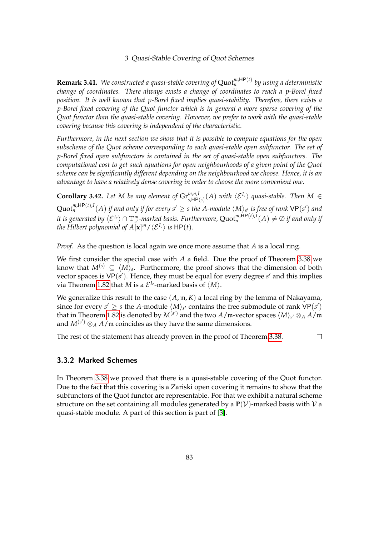**Remark 3.41.** We constructed a quasi-stable covering of Quot<sup><sub>m</sub>,HP(*t*) by using a deterministic</sup> *change of coordinates. There always exists a change of coordinates to reach a p-Borel fixed position. It is well known that p-Borel fixed implies quasi-stability. Therefore, there exists a p-Borel fixed covering of the Quot functor which is in general a more sparse covering of the Quot functor than the quasi-stable covering. However, we prefer to work with the quasi-stable covering because this covering is independent of the characteristic.*

*Furthermore, in the next section we show that it is possible to compute equations for the open subscheme of the Quot scheme corresponding to each quasi-stable open subfunctor. The set of p-Borel fixed open subfunctors is contained in the set of quasi-stable open subfunctors. The computational cost to get such equations for open neighbourhoods of a given point of the Quot scheme can be significantly different depending on the neighbourhood we choose. Hence, it is an advantage to have a relatively dense covering in order to choose the more convenient one.*

<span id="page-87-0"></span>**Corollary 3.42.** Let M be any element of  $Gr^{m,n,I}_{s,\text{HP}(s)}(A)$  with  $\langle \mathcal{E}^{I_c} \rangle$  quasi-stable. Then  $M \in$  $\mathrm{Quot}_n^{m,\mathsf{HP}(t),I}(A)$  if and only if for every  $s'\geq s$  the A-module  $\langle \mathrm{M}\rangle_{s'}$  is free of rank  $\mathsf{VP}(s')$  and  $i$ t is generated by  $\langle \mathcal{E}^{I_c}\rangle\cap \mathbb{T}^m_{s'}$ -marked basis. Furthermore,  $\text{Quot}_n^{m,\mathsf{HP}(t),I}(A)\neq \varnothing$  if and only if *the Hilbert polynomial of A*[ $\mathbf{x}$ ]<sup>*m*</sup>/ $\langle \mathcal{E}^{I_c} \rangle$  *is* HP(*t*).

*Proof.* As the question is local again we once more assume that *A* is a local ring.

We first consider the special case with *A* a field. Due the proof of Theorem [3.38](#page-86-1) we know that  $M^{(s)}\,\subseteq\, \langle M\rangle_s$ . Furthermore, the proof shows that the dimension of both vector spaces is  $VP(s')$ . Hence, they must be equal for every degree  $s'$  and this implies via Theorem [1.82](#page-43-0) that *M* is a  $\mathcal{E}^{I_c}$ -marked basis of  $\langle M \rangle$ .

We generalize this result to the case (*A*, m, *K*) a local ring by the lemma of Nakayama, since for every  $s' \geq s$  the *A*-module  $\langle M \rangle_{s'}$  contains the free submodule of rank  $VP(s')$ that in Theorem [1.82](#page-43-0) is denoted by  $M^{(s')}$  and the two  $A$ /m-vector spaces  $\langle M \rangle_{s'} \otimes_A A$ /m and  $M^{(s')}$   $\otimes_A A$ /m coincides as they have the same dimensions.

The rest of the statement has already proven in the proof of Theorem [3.38.](#page-86-1)  $\Box$ 

## 3.3.2 Marked Schemes

In Theorem [3.38](#page-86-1) we proved that there is a quasi-stable covering of the Quot functor. Due to the fact that this covering is a Zariski open covering it remains to show that the subfunctors of the Quot functor are representable. For that we exhibit a natural scheme structure on the set containing all modules generated by a  $P(V)$ -marked basis with V a quasi-stable module. A part of this section is part of [\[3\]](#page-159-2).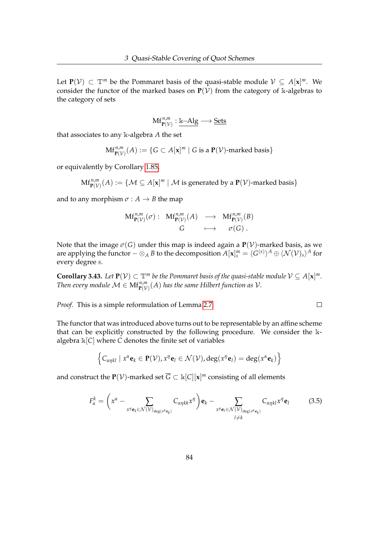Let  $P(V) \subset \mathbb{T}^m$  be the Pommaret basis of the quasi-stable module  $V \subseteq A[x]^m$ . We consider the functor of the marked bases on  $P(V)$  from the category of k-algebras to the category of sets

$$
\mathbf{Mf}^{n,m}_{\mathbf{P}(\mathcal{V})}:\underline{\Bbbk}\text{--Alg}\longrightarrow \underline{\mathbf{Sets}}
$$

that associates to any k-algebra *A* the set

$$
\mathbf{Mf}^{n,m}_{\mathbf{P}(\mathcal{V})}(A) := \{ G \subset A[\mathbf{x}]^m \mid G \text{ is a } \mathbf{P}(\mathcal{V})\text{-marked basis} \}
$$

or equivalently by Corollary [1.85,](#page-45-0)

 $\text{Mf}_{\textbf{P}(\mathcal{V})}^{n,m}(A) := \{\mathcal{M} \subseteq A[\textbf{x}]^m \mid \mathcal{M} \text{ is generated by a } \textbf{P}(\mathcal{V})\text{-marked basis}\}$ 

and to any morphism  $\sigma : A \rightarrow B$  the map

$$
\begin{array}{ccc}\n\mathbf{Mf}^{n,m}_{\mathbf{P}(\mathcal{V})}(\sigma): & \mathbf{Mf}^{n,m}_{\mathbf{P}(\mathcal{V})}(A) & \longrightarrow & \mathbf{Mf}^{n,m}_{\mathbf{P}(\mathcal{V})}(B) \\
& G & \longmapsto & \sigma(G)\n\end{array}
$$

Note that the image  $\sigma(G)$  under this map is indeed again a  $P(V)$ -marked basis, as we are applying the functor  $-\otimes_A B$  to the decomposition  $A[\mathbf{x}]_s^m = \langle G^{(s)} \rangle^A \oplus \langle \mathcal{N}(\mathcal{V})_s \rangle^A$  for every degree *s*.

**Corollary 3.43.** Let  $P(V) \subset \mathbb{T}^m$  be the Pommaret basis of the quasi-stable module  $V \subseteq A[x]^m$ . *Then every module*  $\mathcal{M} \in \mathrm{Mf}_{\mathbf{P}(\mathcal{V})}^{n,m}(A)$  *has the same Hilbert function as*  $\mathcal{V}$ *.* 

 $\Box$ 

*Proof.* This is a simple reformulation of Lemma [2.7.](#page-49-0)

The functor that was introduced above turns out to be representable by an affine scheme that can be explicitly constructed by the following procedure. We consider the kalgebra k[*C*] where *C* denotes the finite set of variables

$$
\left\{ C_{\alpha\eta kl} \mid x^{\alpha} \mathbf{e}_k \in \mathbf{P}(\mathcal{V}), x^{\eta} \mathbf{e}_l \in \mathcal{N}(\mathcal{V}), \deg(x^{\eta} \mathbf{e}_l) = \deg(x^{\alpha} \mathbf{e}_k) \right\}
$$

and construct the  $\mathbf{P}(\mathcal{V})$ -marked set  $\overline{G} \subset \Bbbk[\mathcal{C}][\mathbf{x}]^m$  consisting of all elements

<span id="page-88-0"></span>
$$
F_{\alpha}^{k} = \left(x^{\alpha} - \sum_{x^{\eta} \mathbf{e}_{k} \in \mathcal{N}(\mathcal{V})_{\deg(x^{\alpha} \mathbf{e}_{k})}} C_{\alpha \eta k k} x^{\eta} \right) \mathbf{e}_{k} - \sum_{x^{\eta} \mathbf{e}_{l} \in \mathcal{N}(\mathcal{V})_{\deg(x^{\alpha} \mathbf{e}_{k})}} C_{\alpha \eta k l} x^{\eta} \mathbf{e}_{l}
$$
(3.5)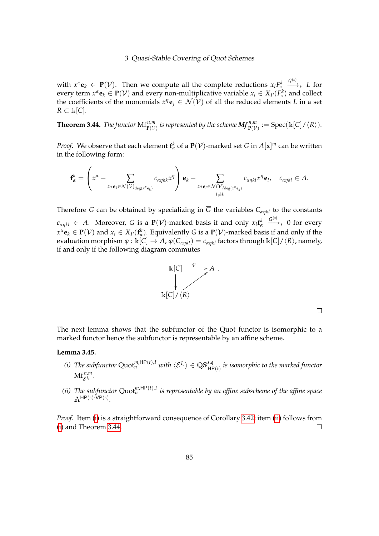with  $x^{\alpha}$ **e**<sub>*k*</sub>  $\in$  **P**( $V$ ). Then we compute all the complete reductions  $x_i F^k_{\alpha}$  $\xrightarrow{\mathcal{G}^{(s)}}$  *L* for every term  $x^{\alpha}$ **e**<sub>*k*</sub>  $\in$  **P**( $V$ ) and every non-multiplicative variable  $x_i \in \overline{X}_P(F_\alpha^k)$  and collect the coefficients of the monomials  $x^{\eta}$ **e**<sub>*j*</sub>  $\in$   $\mathcal{N}(\mathcal{V})$  of all the reduced elements *L* in a set  $R$  ⊂  $\Bbbk$ [*C*].

<span id="page-89-2"></span>**Theorem 3.44.** *The functor*  $\mathrm{Mf}_{\mathbf{P}(\mathcal{V})}^{n,m}$  *is represented by the scheme*  $\mathbf{Mf}_{\mathbf{P}(\mathcal{V})}^{n,m}:=\mathrm{Spec}(\Bbbk[C]/\langle R\rangle).$ 

*Proof.* We observe that each element  $f^k_\alpha$  of a  $P(\mathcal{V})$ -marked set *G* in  $A[x]^m$  can be written in the following form:

$$
\mathbf{f}_{\alpha}^{k} = \left(x^{\alpha} - \sum_{x^{\eta} \mathbf{e}_{k} \in \mathcal{N}(\mathcal{V})_{\deg(x^{\alpha} \mathbf{e}_{k})}} c_{\alpha \eta k k} x^{\eta} \right) \mathbf{e}_{k} - \sum_{x^{\eta} \mathbf{e}_{l} \in \mathcal{N}(\mathcal{V})_{\deg(x^{\alpha} \mathbf{e}_{k})}} c_{\alpha \eta k l} x^{\eta} \mathbf{e}_{l}, \quad c_{\alpha \eta k l} \in A.
$$

Therefore *G* can be obtained by specializing in  $\overline{G}$  the variables  $C_{\alpha \eta k l}$  to the constants  $c_{\alpha\eta k l} \in A$ . Moreover, *G* is a  $P(V)$ -marked basis if and only  $x_i$ **f**<sup>*k*</sup><sup>*a*</sup>  $\xrightarrow{G^{(s)}}$  0 for every  $x^{\alpha}$ **e**<sub>*k*</sub> ∈ **P**( $V$ ) and  $x_i \in \overline{X}_P(f^k_\alpha)$ . Equivalently *G* is a **P**( $V$ )-marked basis if and only if the evaluation morphism  $\varphi : \kappa[C] \to A$ ,  $\varphi(C_{\alpha n k l}) = c_{\alpha n k l}$  factors through  $\kappa[C]/\langle R \rangle$ , namely, if and only if the following diagram commutes



 $\Box$ 

The next lemma shows that the subfunctor of the Quot functor is isomorphic to a marked functor hence the subfunctor is representable by an affine scheme.

#### <span id="page-89-3"></span><span id="page-89-0"></span>**Lemma 3.45.**

- *(i)* The subfunctor  $\text{Quot}_n^{m,\text{HP}(t),I}$  with  $\langle \mathcal{E}^{I_c} \rangle \in \mathbb{QS}^{s,q}_{\text{HP}(t)}$  is isomorphic to the marked functor  $Mf_{\mathcal{E}^{I_c}}^{n,m}$ .
- <span id="page-89-1"></span>*(ii)* The subfunctor  $Quot_n^{m,HP(t),I}$  is representable by an affine subscheme of the affine space  $\mathbb{A}^{\mathsf{HP}(s)\cdot\mathsf{VP}(s)}$ .

*Proof.* Item [\(i\)](#page-89-0) is a straightforward consequence of Corollary [3.42;](#page-87-0) item [\(ii\)](#page-89-1) follows from [\(i\)](#page-89-0) and Theorem [3.44.](#page-89-2)  $\Box$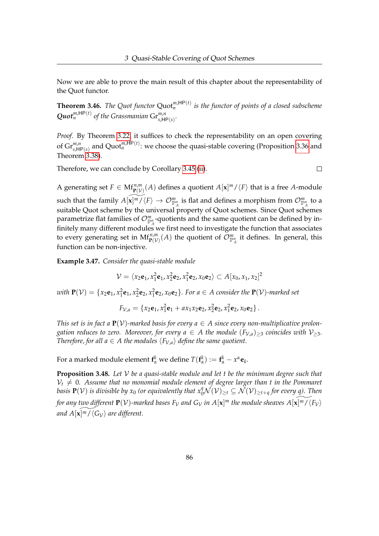Now we are able to prove the main result of this chapter about the representability of the Quot functor.

**Theorem 3.46.** The Quot functor  $\text{Quot}_{n}^{m,\text{HP}(t)}$  is the functor of points of a closed subscheme  $\mathbf{Quot}_{n}^{m,\text{HP}(t)}$  of the Grassmanian  $\mathrm{Gr}_{s,\text{HP}(s)}^{m,n}$ .

*Proof.* By Theorem [3.22,](#page-71-0) it suffices to check the representability on an open covering of  $\mathrm{Gr}^{m,n}_{s,\mathsf{HP}(s)}$  and  $\mathrm{Quot}^{m,\mathsf{HP}(t)}_n$ : we choose the quasi-stable covering (Proposition [3.36](#page-84-0) and Theorem [3.38\)](#page-86-1).

Therefore, we can conclude by Corollary [3.45](#page-89-3) [\(ii\)](#page-89-1).

 $\Box$ 

A generating set  $F \in \mathrm{Mf}_{\mathbf{P}(\mathcal{V})}^{n,m}(A)$  defines a quotient  $A[\mathbf{x}]^m/\langle F \rangle$  that is a free *A*-module such that the family  $A[\widetilde{\mathbf{x}|^m}/\langle F\rangle \to \mathcal{O}_{\mathbb{P}_A^n}^m$  is flat and defines a morphism from  $\mathcal{O}_{\mathbb{P}_A^n}^m$  to a suitable Quot scheme by the universal property of Quot schemes. Since Quot schemes parametrize flat families of  $\mathcal{O}_{\mathbb{P}^n_A}^m$ -quotients and the same quotient can be defined by infinitely many different modules we first need to investigate the function that associates to every generating set in  $Mf_{\mathbf{P}(V)}^{n,m}(A)$  the quotient of  $\mathcal{O}_{\mathbb{P}_{A}^{n}}^{m}$  it defines. In general, this function can be non-injective.

**Example 3.47.** *Consider the quasi-stable module*

$$
\mathcal{V} = \langle x_2 \mathbf{e}_1, x_1^2 \mathbf{e}_1, x_2^2 \mathbf{e}_2, x_1^2 \mathbf{e}_2, x_0 \mathbf{e}_2 \rangle \subset A[x_0, x_1, x_2]^2
$$

with  $P(V) = \{x_2e_1, x_1^2e_1, x_2^2e_2, x_1^2e_2, x_0e_2\}$ . For  $a \in A$  consider the  $P(V)$ -marked set

$$
F_{\mathcal{V},a} = \{x_2\mathbf{e}_1, x_1^2\mathbf{e}_1 + ax_1x_2\mathbf{e}_2, x_2^2\mathbf{e}_2, x_1^2\mathbf{e}_2, x_0\mathbf{e}_2\}.
$$

*This set is in fact a*  $P(V)$ *-marked basis for every a*  $\in$  *A since every non-multiplicative prolongation reduces to zero. Moreover, for every*  $a \in A$  *the module*  $(F_{V,a})_{\geq 3}$  *coincides with*  $V_{\geq 3}$ *. Therefore, for all*  $a \in A$  *the modules*  $\langle F_{\mathcal{V},a} \rangle$  *define the same quotient.* 

For a marked module element  $f^k_\alpha$  we define  $T(f^k_\alpha) := f^k_\alpha - x^\alpha \mathbf{e}_k$ .

<span id="page-90-0"></span>**Proposition 3.48.** *Let* V *be a quasi-stable module and let t be the minimum degree such that*  $V_t \neq 0$ . Assume that no monomial module element of degree larger than t in the Pommaret *basis*  $P(V)$  *is divisible by*  $x_0$  *(or equivalently that*  $x_0^q\mathcal{N}(V)_{\geq t}\subseteq \mathcal{N}(V)_{\geq t+q}$  *for every q). Then for any two different*  $\mathbf{P}(\mathcal{V})$ -marked bases  $F_\mathcal{V}$  and  $G_\mathcal{V}$  in  $A[\mathbf{x}]^m$  the module sheaves  $A[\widetilde{\mathbf{x}]\mathfrak{m}}/\overline{\langle F_\mathcal{V}\rangle}$ and  $A[\mathbf{x}]^{\widetilde{m}}/\langle G_V \rangle$  are different.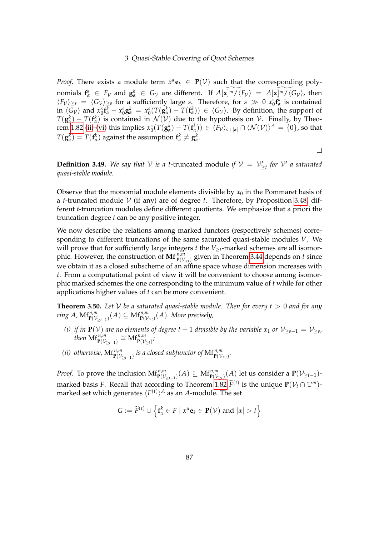*Proof.* There exists a module term  $x^{\alpha}$ **e**<sub>*k*</sub>  $\in$  **P**( $V$ ) such that the corresponding polynomials  $f^k_\alpha \in F_\mathcal{V}$  and  $g^k_\alpha \in G_\mathcal{V}$  are different. If  $A[\widetilde{\mathbf{x} | m / \langle F_\mathcal{V} \rangle} = A[\widetilde{\mathbf{x} | m / \langle G_\mathcal{V} \rangle}$ , then  $\langle F_{\mathcal{V}} \rangle_{\geq s} = \langle G_{\mathcal{V}} \rangle_{\geq s}$  for a sufficiently large *s*. Therefore, for  $s \gg 0$   $x_0^s \mathbf{f}_\alpha^k$  is contained in  $\langle G_{\mathcal{V}} \rangle$  and  $x_0^s \mathbf{f}_\alpha^k - x_0^s \mathbf{g}_\alpha^k = x_0^s(T(\mathbf{g}_\alpha^k) - T(\mathbf{f}_\alpha^k)) \in \langle G_{\mathcal{V}} \rangle$ . By definition, the support of  $T(\mathbf{g}_{\alpha}^{k}) - T(\mathbf{f}_{\alpha}^{k})$  is contained in  $\mathcal{N}(\mathcal{V})$  due to the hypothesis on  $\mathcal{V}$ . Finally, by Theo-rem [1.82](#page-43-0) [\(ii\)](#page-43-3)-[\(vi\)](#page-43-4) this implies  $x_0^s(T(\mathbf{g}_\alpha^k) - T(\mathbf{f}_\alpha^k)) \in \langle F_\mathcal{V} \rangle_{s+|\alpha|} \cap \langle \mathcal{N}(\mathcal{V}) \rangle^A = \{0\}$ , so that  $T(\mathbf{g}_{\alpha}^{k}) = T(\mathbf{f}_{\alpha}^{k})$  against the assumption  $\mathbf{f}_{\alpha}^{k} \neq \mathbf{g}_{\alpha}^{k}$ .

 $\Box$ 

**Definition 3.49.** We say that V is a t-truncated module if  $V = V'_{\geq t}$  for V' a saturated *quasi-stable module.*

Observe that the monomial module elements divisible by  $x_0$  in the Pommaret basis of a *t*-truncated module  $V$  (if any) are of degree *t*. Therefore, by Proposition [3.48,](#page-90-0) different *t*-truncation modules define different quotients. We emphasize that a priori the truncation degree *t* can be any positive integer.

We now describe the relations among marked functors (respectively schemes) corresponding to different truncations of the same saturated quasi-stable modules *V*. We will prove that for sufficiently large integers  $t$  the  $V_{\geq t}$ -marked schemes are all isomorphic. However, the construction of  $\mathbf{Mf}^{n,m}_{\mathbf{P}(V_{\geq t})}$  given in Theorem [3.44](#page-89-2) depends on *t* since we obtain it as a closed subscheme of an affine space whose dimension increases with *t*. From a computational point of view it will be convenient to choose among isomorphic marked schemes the one corresponding to the minimum value of *t* while for other applications higher values of *t* can be more convenient.

**Theorem 3.50.** *Let* V *be a saturated quasi-stable module. Then for every t* > 0 *and for any*  $\mathsf{ring}\ A$ ,  $\mathrm{Mf}_{\mathbf{P}(\mathcal{V}_{\geq t-1})}^{n,m}(A) \subseteq \mathrm{Mf}_{\mathbf{P}(\mathcal{V}_{\geq t})}^{n,m}(A)$ *. More precisely,* 

- <span id="page-91-1"></span>*(i) if in*  $P(V)$  *are no elements of degree t* + 1 *divisible by the variable x*<sub>1</sub> *or*  $\mathcal{V}_{\ge s-1} = \mathcal{V}_{\ge s}$ *,*  $\lim_{\mathbf{P}(\mathcal{V}_{\geq t-1})} \cong \mathrm{Mf}_{\mathbf{P}(\mathcal{V}_{\geq t})}^{n,m}$
- <span id="page-91-0"></span>(*ii*) otherwise,  $\text{Mf}_{\textbf{P}(\mathcal{V}_{\geq t-1})}^{n,m}$  is a closed subfunctor of  $\text{Mf}_{\textbf{P}(\mathcal{V}_{\geq t})}^{n,m}$ .

*Proof.* To prove the inclusion  $\mathrm{Mf}_{\mathbf{P}(\mathcal{V}_{\geq t-1})}^{n,m}(A) \subseteq \mathrm{Mf}_{\mathbf{P}(\mathcal{V}_{\geq t})}^{n,m}(A)$  let us consider a  $\mathbf{P}(\mathcal{V}_{\geq t-1})$ marked basis *F*. Recall that according to Theorem [1.82](#page-43-0)  $\widetilde{F}^{(t)}$  is the unique  $\mathbf{P}(\mathcal{V}_t \cap \mathbb{T}^m)$ marked set which generates  $\langle F^{(t)} \rangle^A$  as an *A*-module. The set

$$
G := \widetilde{F}^{(t)} \cup \left\{ \mathbf{f}_{\alpha}^{k} \in F \mid x^{\alpha} \mathbf{e}_{k} \in \mathbf{P}(\mathcal{V}) \text{ and } |\alpha| > t \right\}
$$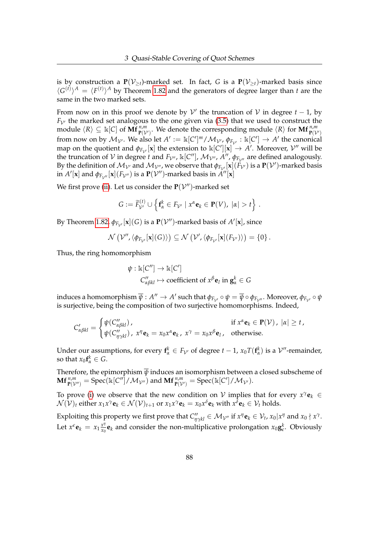is by construction a  $P(V_{\geq t})$ -marked set. In fact, *G* is a  $P(V_{\geq t})$ -marked basis since  $\langle G^{(t)} \rangle^A = \langle F^{(t)} \rangle^A$  by Theorem [1.82](#page-43-0) and the generators of degree larger than *t* are the same in the two marked sets.

From now on in this proof we denote by  $\mathcal V'$  the truncation of  $\mathcal V$  in degree  $t-1$ , by  $F_{\mathcal{V}}$ <sup>the marked set analogous to the one given via [\(3.5\)](#page-88-0) that we used to construct the</sup> module  $\langle R \rangle \subseteq \mathbb{k}[C]$  of  $\mathbf{Mf}_{\mathbf{P}(\mathcal{V}')}^{n,m}$ . We denote the corresponding module  $\langle R \rangle$  for  $\mathbf{Mf}_{\mathbf{P}(\mathcal{V}')}^{n,m}$ from now on by  $\mathcal{M}_{\mathcal{V}}$ . We also let  $A' := \Bbbk[C']^m / \mathcal{M}_{\mathcal{V}'}, \phi_{F_{\mathcal{V}'}} : \Bbbk[C'] \to A'$  the canonical map on the quotient and  $\phi_{F_{\mathcal{V}'}}[\mathbf{x}]$  the extension to  $\Bbbk[C'][\mathbf{x}] \to A'$ . Moreover,  $\mathcal{V}''$  will be the truncation of  $V$  in degree *t* and  $F_{V''}$ ,  $\mathbb{k}[C'']$ ,  $\mathcal{M}_{V''}$ ,  $A''$ ,  $\phi_{F_{V''}}$  are defined analogously. By the definition of  $M_{\mathcal{V}'}$  and  $M_{\mathcal{V}''}$ , we observe that  $\phi_{F_{\mathcal{V}'}}[\mathbf{x}](F_{\mathcal{V}'})$  is a  $\mathbf{P}(\mathcal{V}')$ -marked basis  $\inf A'[\mathbf{x}]$  and  $\phi_{F_{\mathcal{V}''}}[\mathbf{x}](F_{\mathcal{V}''})$  is a  $\mathbf{P}(\mathcal{V}'')$ -marked basis in  $A''[\mathbf{x}]$ 

We first prove [\(ii\)](#page-91-0). Let us consider the  $P(V'')$ -marked set

$$
G:=\widetilde{F}_{\mathcal{V}'}^{(t)}\cup \left\{ \mathbf{f}_{\alpha}^{k}\in F_{\mathcal{V}'}\mid x^{\alpha}\mathbf{e}_{k}\in \mathbf{P}(V),\ |\alpha|>t\right\}.
$$

By Theorem [1.82,](#page-43-0)  $\phi_{F_{\mathcal{V}'}}[\mathbf{x}](G)$  is a  $\mathbf{P}(\mathcal{V}'')$ -marked basis of  $A'[\mathbf{x}]$ , since

$$
\mathcal{N}\left(\mathcal{V}^{\prime\prime},\langle\phi_{F_{\mathcal{V}^{\prime}}}[\mathbf{x}](G)\rangle\right)\subseteq\mathcal{N}\left(\mathcal{V}^{\prime},\langle\phi_{F_{\mathcal{V}^{\prime}}}[\mathbf{x}](F_{\mathcal{V}^{\prime}})\rangle\right)=\left\{0\right\}.
$$

Thus, the ring homomorphism

$$
\psi : \mathbb{k}[C''] \to \mathbb{k}[C']
$$
  

$$
C''_{\alpha\beta kl} \mapsto \text{coefficient of } x^{\beta} \mathbf{e}_l \text{ in } \mathbf{g}_{\alpha}^k \in G
$$

 $i$ nduces a homomorphism  $\overline{\psi}:A''\to A'$  such that  $\phi_{F_{\mathcal{V}'}}\circ\psi=\overline{\psi}\circ\phi_{F_{\mathcal{V}'}}.$  Moreover,  $\phi_{F_{\mathcal{V}'}}\circ\psi$ is surjective, being the composition of two surjective homomorphisms. Indeed,

$$
C'_{\alpha\beta kl} = \begin{cases} \psi(C''_{\alpha\beta kl}), & \text{if } x^{\alpha} \mathbf{e}_k \in \mathbf{P}(\mathcal{V}), \ |\alpha| \geq t, \\ \psi(C''_{\eta\gamma kl}), \ x^{\eta} \mathbf{e}_k = x_0 x^{\alpha} \mathbf{e}_k, \ x^{\gamma} = x_0 x^{\beta} \mathbf{e}_l, & \text{otherwise.} \end{cases}
$$

Under our assumptions, for every  $f^k_\alpha \in F_{\mathcal{V}'}$  of degree  $t-1$ ,  $x_0T(f^k_\alpha)$  is a  $\mathcal{V}''$ -remainder, so that  $x_0 \mathbf{f}_\alpha^k \in G$ .

Therefore, the epimorphism  $\overline{\psi}$  induces an isomorphism between a closed subscheme of  $\mathbf{Mf}^{n,m}_{\mathbf{P}(\mathcal{V}'')} = \mathrm{Spec}(\mathbb{k}[C'']/\mathcal{M}_{\mathcal{V}''})$  and  $\mathbf{Mf}^{n,m}_{\mathbf{P}(\mathcal{V}')} = \mathrm{Spec}(\mathbb{k}[C']/\mathcal{M}_{\mathcal{V}'}).$ 

To prove [\(i\)](#page-91-1) we observe that the new condition on  $V$  implies that for every  $x^{\gamma}$ **e**<sub>*k*</sub>  $\in$  $\mathcal{N}(\mathcal{V})_t$  either  $x_1x^{\gamma}\mathbf{e}_k \in \mathcal{N}(\mathcal{V})_{t+1}$  or  $x_1x^{\gamma}\mathbf{e}_k = x_0x^{\delta}\mathbf{e}_k$  with  $x^{\delta}\mathbf{e}_k \in \mathcal{V}_t$  holds.

Exploiting this property we first prove that  $C''_{\eta\gamma kl} \in \mathcal{M}_{\mathcal{V}''}$  if  $x^{\eta} \mathbf{e}_k \in \mathcal{V}_t$ ,  $x_0 | x^{\eta}$  and  $x_0 \nmid x^{\gamma}$ . Let  $x^{\epsilon} \mathbf{e}_k = x_1 \frac{x^{\eta}}{x_0}$  $\frac{x^{\eta}}{x_0}$ **e**<sub>*k*</sub> and consider the non-multiplicative prolongation  $x_0$ **g**<sup>*k*</sup>. Obviously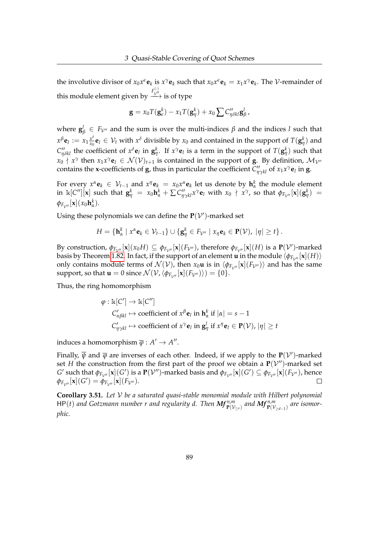the involutive divisor of  $x_0 x^{\epsilon} \mathbf{e}_k$  is  $x^{\gamma} \mathbf{e}_k$  such that  $x_0 x^{\epsilon} \mathbf{e}_k = x_1 x^{\gamma} \mathbf{e}_k$ . The *V*-remainder of this module element given by  $\stackrel{F_{\mathcal{V}''}^{(\cdot)}}{\longrightarrow}$  is of type

$$
\mathbf{g} = x_0 T(\mathbf{g}_{\epsilon}^k) - x_1 T(\mathbf{g}_{\eta}^k) + x_0 \sum C_{\eta \delta k l}^{\prime \prime} \mathbf{g}_{\beta}^l,
$$

where  **and the sum is over the multi-indices** *β* **and the indices** *l* **such that**  $x^{\beta}$ **e**<sub>*l*</sub> :=  $x_1 \frac{x^{\delta}}{x_0}$  $\frac{x^o}{x_0}$ **e**<sub>*l*</sub>  $\in$   $V_t$  with  $x^{\delta}$  divisible by  $x_0$  and contained in the support of  $T(\mathbf{g}_{\eta}^k)$  and  $C''_{\eta\delta kl}$  the coefficient of  $x^\delta{\bf e}_l$  in  ${\bf g}_{\eta}^k$ . If  $x^\gamma{\bf e}_l$  is a term in the support of  $T({\bf g}_{\eta}^k)$  such that  $x_0 \nmid x^\gamma$  then  $x_1x^\gamma$ **e** $l \in \mathcal{N}(\mathcal{V})_{t+1}$  is contained in the support of **g**. By definition,  $\mathcal{M}_{\mathcal{V}''}$ contains the **x**-coefficients of **g**, thus in particular the coefficient  $C''_{\eta\gamma kl}$  of  $x_1x^{\gamma}e_l$  in **g**.

For every  $x^{\alpha}$ **e**<sub>*k*</sub>  $\in V_{t-1}$  and  $x^{\eta}$ **e**<sub>*k*</sub> =  $x_0x^{\alpha}$ **e**<sub>*k*</sub> let us denote by  $\mathbf{h}_\alpha^k$  the module element in  $\Bbbk[C''][{\bf x}]$  such that  ${\bf g}^k_\eta\;=\;x_0{\bf h}^k_\alpha+\sum C''_{\eta\gamma kl}x^\gamma{\bf e}_l$  with  $x_0\, \nmid\, x^\gamma$ , so that  $\phi_{F_{\mathcal V''}}[{\bf x}]( {\bf g}^k_\eta)\;=\;$  $\phi_{F_{\mathcal{V}''}}[\mathbf{x}](x_0\mathbf{h}^k_\alpha).$ 

Using these polynomials we can define the  $P(V')$ -marked set

$$
H = \{ \mathbf{h}_{\alpha}^k \mid x^{\alpha} \mathbf{e}_k \in \mathcal{V}_{t-1} \} \cup \{ \mathbf{g}_{\eta}^k \in F_{\mathcal{V}''} \mid x_{\eta} \mathbf{e}_k \in \mathbf{P}(\mathcal{V}), |\eta| \geq t \}.
$$

By construction,  $\phi_{F_{\mathcal{V}''}}[\mathbf{x}](x_0H) \subseteq \phi_{F_{\mathcal{V}''}}[\mathbf{x}](F_{\mathcal{V}''})$ , therefore  $\phi_{F_{\mathcal{V}''}}[\mathbf{x}](H)$  is a  $\mathbf{P}(\mathcal{V}')$ -marked basis by Theorem [1.82.](#page-43-0) In fact, if the support of an element **u** in the module  $\langle \phi_{F,w} | \mathbf{x} | (H) \rangle$ only contains module terms of  $\mathcal{N}(\mathcal{V})$ , then  $x_0\mathbf{u}$  is in  $\langle \phi_{F_{\mathcal{V}''}}[\mathbf{x}](F_{\mathcal{V}''})\rangle$  and has the same support, so that **u** = 0 since  $\mathcal{N}(\mathcal{V}, \langle \phi_{F_{\mathcal{V}''}}[{\bf x}](F_{\mathcal{V}''})\rangle) = \{0\}.$ 

Thus, the ring homomorphism

$$
\varphi : \mathbb{k}[C'] \to \mathbb{k}[C'']
$$
  
\n
$$
C'_{\alpha\beta kl} \mapsto \text{coefficient of } x^{\beta} \mathbf{e}_l \text{ in } \mathbf{h}_{\alpha}^k \text{ if } |\alpha| = s - 1
$$
  
\n
$$
C'_{\eta\gamma kl} \mapsto \text{coefficient of } x^{\gamma} \mathbf{e}_l \text{ in } \mathbf{g}_{\eta}^l \text{ if } x^{\eta} \mathbf{e}_l \in \mathbf{P}(\mathcal{V}), |\eta| \ge t
$$

induces a homomorphism  $\overline{\varphi}: A' \to A''$ .

Finally,  $\overline{\psi}$  and  $\overline{\varphi}$  are inverses of each other. Indeed, if we apply to the  ${\bf P}({\cal V}')$ -marked set *H* the construction from the first part of the proof we obtain a  $P(V'')$ -marked set *G*' such that  $\phi_{F_{\mathcal{V}''}}[\mathbf{x}](G')$  is a  $\mathbf{P}(\mathcal{V}'')$ -marked basis and  $\phi_{F_{\mathcal{V}''}}[\mathbf{x}](G') \subseteq \phi_{F_{\mathcal{V}''}}[\mathbf{x}](F_{\mathcal{V}''})$ , hence  $\phi_{F_{\mathcal{V}''}}[\mathbf{x}](G') = \phi_{F_{\mathcal{V}''}}[\mathbf{x}](F_{\mathcal{V}''}).$  $\Box$ 

**Corollary 3.51.** *Let* V *be a saturated quasi-stable monomial module with Hilbert polynomial*  $HP(t)$  and Gotzmann number r and regularity d. Then  $Mf_{P(V_{\geq t})}^{n,m}$  and  $Mf_{P(V_{\geq d-1})}^{n,m}$  are isomor*phic.*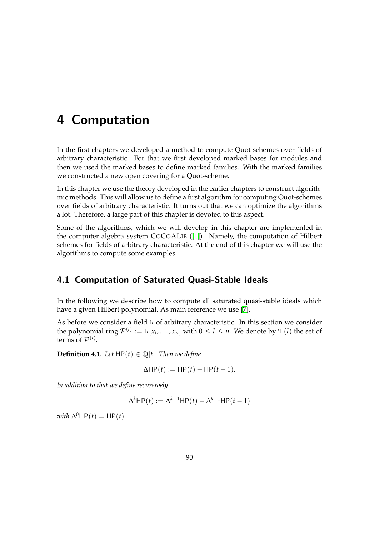# 4 Computation

In the first chapters we developed a method to compute Quot-schemes over fields of arbitrary characteristic. For that we first developed marked bases for modules and then we used the marked bases to define marked families. With the marked families we constructed a new open covering for a Quot-scheme.

In this chapter we use the theory developed in the earlier chapters to construct algorithmic methods. This will allow us to define a first algorithm for computing Quot-schemes over fields of arbitrary characteristic. It turns out that we can optimize the algorithms a lot. Therefore, a large part of this chapter is devoted to this aspect.

Some of the algorithms, which we will develop in this chapter are implemented in the computer algebra system COCOALIB ([\[1\]](#page-159-3)). Namely, the computation of Hilbert schemes for fields of arbitrary characteristic. At the end of this chapter we will use the algorithms to compute some examples.

# 4.1 Computation of Saturated Quasi-Stable Ideals

In the following we describe how to compute all saturated quasi-stable ideals which have a given Hilbert polynomial. As main reference we use [\[7\]](#page-159-4).

As before we consider a field  $\Bbbk$  of arbitrary characteristic. In this section we consider the polynomial ring  $\mathcal{P}^{(l)} := \Bbbk[x_l,\ldots,x_n]$  with  $0 \leq l \leq n$ . We denote by  $\mathbb{T}(l)$  the set of terms of  $\mathcal{P}^{(l)}$ .

**Definition 4.1.** *Let*  $HP(t) \in \mathbb{Q}[t]$ *. Then we define* 

$$
\Delta \mathsf{HP}(t) := \mathsf{HP}(t) - \mathsf{HP}(t-1).
$$

*In addition to that we define recursively*

$$
\Delta^k \mathsf{HP}(t) := \Delta^{k-1} \mathsf{HP}(t) - \Delta^{k-1} \mathsf{HP}(t-1)
$$

 $with \ \Delta^0$ HP $(t)$  = HP $(t)$ *.*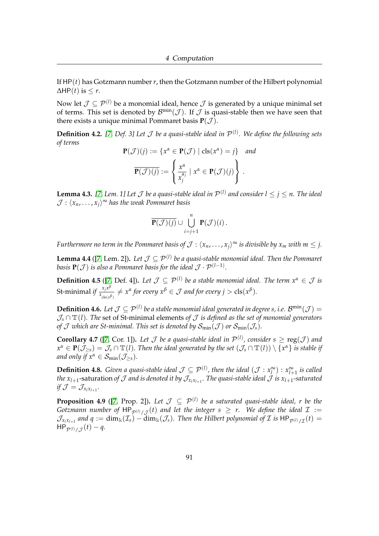If HP(*t*) has Gotzmann number *r*, then the Gotzmann number of the Hilbert polynomial  $\Delta$ HP(*t*) is  $\leq r$ .

Now let  $\mathcal{J} \subset \mathcal{P}^{(l)}$  be a monomial ideal, hence  $\mathcal{J}$  is generated by a unique minimal set of terms. This set is denoted by  $\mathcal{B}^{\min}(\mathcal{J})$ . If  $\mathcal J$  is quasi-stable then we have seen that there exists a unique minimal Pommaret basis  $P(\mathcal{J})$ .

**Definition 4.2.** [\[7,](#page-159-4) Def. 3] Let  $\mathcal J$  be a quasi-stable ideal in  $\mathcal P^{(1)}$ . We define the following sets *of terms*

$$
\mathbf{P}(\mathcal{J})(j) := \{x^{\alpha} \in \mathbf{P}(\mathcal{J}) \mid \text{cls}(x^{\alpha}) = j\} \text{ and}
$$

$$
\overline{\mathbf{P}(\mathcal{J})(j)} := \left\{\frac{x^{\alpha}}{x_j^{\alpha_j}} \mid x^{\alpha} \in \mathbf{P}(\mathcal{J})(j)\right\}.
$$

**Lemma 4.3.** [\[7,](#page-159-4) Lem. 1] Let  $\mathcal J$  be a quasi-stable ideal in  $\mathcal P^{(l)}$  and consider  $l \leq j \leq n$ . The ideal  $\mathcal{J} : \langle x_n, \ldots, x_j \rangle^\infty$  has the weak Pommaret basis

$$
\overline{\mathbf{P}(\mathcal{J})(j)}\cup\bigcup_{i=j+1}^n\mathbf{P}(\mathcal{J})(i)\,.
$$

*Furthermore no term in the Pommaret basis of*  $\mathcal{J}$  *:*  $\langle x_n,\ldots,x_j\rangle^\infty$  *is divisible by*  $x_m$  *with*  $m\leq j.$ 

<span id="page-95-0"></span>**Lemma 4.4** ([\[7,](#page-159-4) Lem. 2]). Let  $\mathcal{J} \subseteq \mathcal{P}^{(l)}$  be a quasi-stable monomial ideal. Then the Pommaret *basis*  $\mathbf{P}(\mathcal{J})$  *is also a Pommaret basis for the ideal*  $\mathcal{J}\cdot\mathcal{P}^{(l-1)}.$ 

**Definition 4.5** ([\[7,](#page-159-4) Def. 4]). Let  $\mathcal{J} \subseteq \mathcal{P}^{(l)}$  be a stable monomial ideal. The term  $x^{\alpha} \in \mathcal{J}$  is St-minimal *if*  $\frac{x_j x^{\beta}}{x}$  $\frac{x_j x^p}{x_{\text{cls}(x^\beta)}} \neq x^\alpha$  for every  $x^\beta \in \mathcal{J}$  and for every  $j > \text{cls}(x^\beta)$ *.* 

**Definition 4.6.** Let  $\mathcal{J} ⊆ \mathcal{P}^{(l)}$  be a stable monomial ideal generated in degree s, i.e.  $\mathcal{B}^{\min}(\mathcal{J}) =$  $\mathcal{J}_s \cap \mathbb{T}(l)$ . The set of St-minimal elements of  $\mathcal J$  *is defined as the set of monomial generators of*  $\mathcal J$  *which are St-minimal. This set is denoted by*  $S_{\text{min}}(\mathcal J)$  *or*  $S_{\text{min}}(\mathcal J_s)$ *.* 

**Corollary 4.7** ([\[7,](#page-159-4) Cor. 1]). Let  $\mathcal J$  be a quasi-stable ideal in  $\mathcal P^{(l)}$ , consider  $s \geq \text{reg}(\mathcal J)$  and  $x^{\alpha} \in \mathbf{P}(\mathcal{J}_{\geq s}) = \mathcal{J}_s \cap \mathbb{T}(l).$  Then the ideal generated by the set  $(\mathcal{J}_s \cap \mathbb{T}(l)) \setminus \{x^{\alpha}\}$  is stable if *and only if*  $x^{\alpha} \in S_{\text{min}}(\mathcal{J}_{>s})$ *.* 

**Definition 4.8.** *Given a quasi-stable ideal*  $\mathcal{J} \subseteq \mathcal{P}^{(l)}$ , then the ideal  $(\mathcal{J}: x_l^{\infty}): x_{l+1}^{\infty}$  is called *the*  $x_{l+1}$ *-*saturation *of*  $J$  *and is denoted it by*  $\mathcal{J}_{x_{l}x_{l+1}}.$  *The quasi-stable ideal*  $\mathcal{J}$  *is*  $x_{l+1}$ *-saturated*  $if \mathcal{J} = \mathcal{J}_{x_l x_{l+1}}.$ 

<span id="page-95-1"></span>**Proposition 4.9** ([\[7,](#page-159-4) Prop. 2]). Let  $\mathcal{J} \subseteq \mathcal{P}^{(l)}$  be a saturated quasi-stable ideal, r be the Gotzmann number of  $\mathsf{HP}_{\mathcal{P}^{(l)}/\mathcal{J}}(t)$  and let the integer  $s~\geq~r.$  We define the ideal  $\mathcal{I}~:=~$  $\mathcal{J}_{x_l x_{l+1}}$  and  $q := \dim_\Bbbk(\mathcal{I}_s) - \dim_\Bbbk(\mathcal{J}_s)$ . Then the Hilbert polynomial of  $\mathcal I$  is  $\mathsf{HP}_{\mathcal{P}^{(l)}/\mathcal{I}}(t) =$  $HP_{\mathcal{P}^{(l)}/\mathcal{J}}(t) - q.$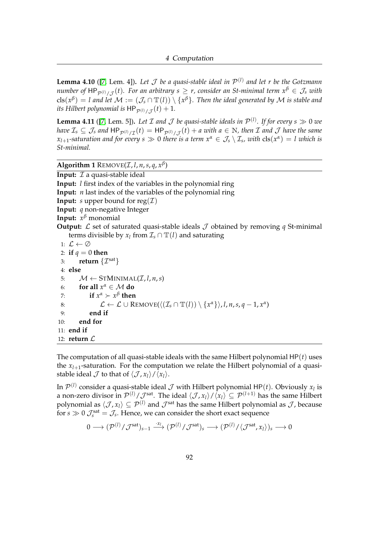<span id="page-96-0"></span>**Lemma 4.10** ([\[7,](#page-159-4) Lem. 4]). Let  $\mathcal J$  be a quasi-stable ideal in  $\mathcal P^{(l)}$  and let r be the Gotzmann  $n$ umber of  $\mathsf{HP}_{\mathcal{P}^{(l)}/\mathcal{J}}(t)$ . For an arbitrary  $s\geq r$ , consider an St-minimal term  $x^\beta\in\mathcal{J}_s$  with  ${\rm cls}(x^\beta)=l$  and let  $\mathcal M:=(\mathcal J_s\cap \mathbb{T}(l))\setminus\{x^\beta\}.$  Then the ideal generated by  $\mathcal M$  is stable and its Hilbert polynomial is  $\mathsf{HP}_{\mathcal{P}^{(l)}/\mathcal{J}}(t) + 1.$ 

<span id="page-96-2"></span>**Lemma 4.11** ([\[7,](#page-159-4) Lem. 5]). Let  $\mathcal I$  and  $\mathcal J$  be quasi-stable ideals in  $\mathcal P^{(l)}$ . If for every  $s \gg 0$  we  $h$ ave  $\mathcal{I}_s\subseteq\mathcal{J}_s$  and  $\mathsf{HP}_{\mathcal{P}^{(l)}/\mathcal{I}}(t)=\mathsf{HP}_{\mathcal{P}^{(l)}/\mathcal{J}}(t)+a$  with  $a\in\mathbb{N}$ , then  $\mathcal I$  and  $\mathcal J$  have the same  $x_{l+1}$ -saturation and for every  $s \gg 0$  there is a term  $x^{\alpha} \in \mathcal{J}_s \setminus \mathcal{I}_s$ , with  ${\rm cls}(x^{\alpha}) = l$  which is *St-minimal.*

<span id="page-96-1"></span>**Algorithm 1** REMOVE(*I*, *l*, *n*, *s*, *q*, *x*<sup> $\beta$ </sup>)

**Input:**  $I$  a quasi-stable ideal **Input:** *l* first index of the variables in the polynomial ring **Input:** *n* last index of the variables of the polynomial ring **Input:** *s* upper bound for reg $(\mathcal{I})$ **Input:** *q* non-negative Integer **Input:** *x <sup>β</sup>* monomial **Output:**  $\mathcal{L}$  set of saturated quasi-stable ideals  $\mathcal{J}$  obtained by removing  $q$  St-minimal terms divisible by  $x_l$  from  $\mathcal{I}_s \cap \mathbb{T}(l)$  and saturating 1:  $\mathcal{L} \leftarrow \emptyset$ 2: **if**  $q = 0$  **then** 3: **return**  $\{\mathcal{I}^{\text{sat}}\}$ 4: **else** 5:  $M \leftarrow \text{STMINIMAL}(\mathcal{I}, l, n, s)$ 6: **for all**  $x^{\alpha} \in \mathcal{M}$  **do** 7: **if**  $x^{\alpha} > x^{\beta}$  then 8:  $\mathcal{L} \leftarrow \mathcal{L} \cup \text{Remove}(\langle (\mathcal{I}_s \cap \mathbb{T}(l)) \setminus {\{x^{\alpha}\}} \rangle, l, n, s, q-1, x^{\alpha})$ 9: **end if** 10: **end for** 11: **end if** 12: **return**  $\mathcal{L}$ 

The computation of all quasi-stable ideals with the same Hilbert polynomial HP(*t*) uses the *xl*+<sup>1</sup> -saturation. For the computation we relate the Hilbert polynomial of a quasistable ideal  $\mathcal J$  to that of  $\langle \mathcal J, x_l \rangle / \langle x_l \rangle$ .

In  $\mathcal{P}^{(l)}$  consider a quasi-stable ideal  $\mathcal J$  with Hilbert polynomial HP(*t*). Obviously  $x_l$  is a non-zero divisor in  $\mathcal{P}^{(l)}/\mathcal{J}^{\text{sat}}$ . The ideal  $\langle \mathcal{J}, x_l\rangle/\langle x_l\rangle\subseteq\mathcal{P}^{(l+1)}$  has the same Hilbert polynomial as  $\langle \mathcal{J}, x_l\rangle \subseteq \mathcal{P}^{(l)}$  and  $\mathcal{J}^{\text{sat}}$  has the same Hilbert polynomial as  $\mathcal{J}$ , because for  $s \gg 0$   $\mathcal{J}_s^{\text{sat}} = \mathcal{J}_s$ . Hence, we can consider the short exact sequence

$$
0\longrightarrow ({\mathcal P}^{(l)}/{\mathcal J}^{\rm sat})_{s-1}\stackrel{\cdot x_l}\longrightarrow ({\mathcal P}^{(l)}/{\mathcal J}^{\rm sat})_s\longrightarrow ({\mathcal P}^{(l)}/{\langle {\mathcal J}^{\rm sat}, x_l\rangle})_s\longrightarrow 0
$$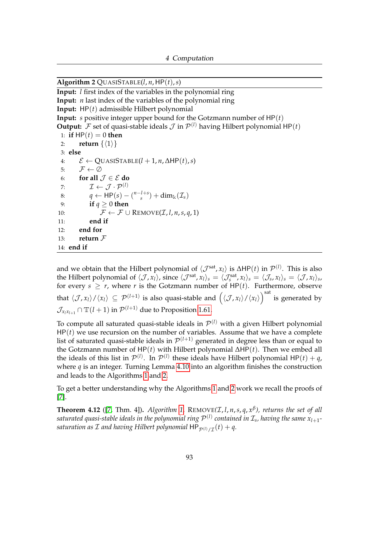<span id="page-97-0"></span>Algorithm 2  $\text{QUASISTABLE}(l, n, \text{HP}(t), s)$ **Input:** *l* first index of the variables in the polynomial ring **Input:** *n* last index of the variables of the polynomial ring **Input:** HP(*t*) admissible Hilbert polynomial **Input:** *s* positive integer upper bound for the Gotzmann number of HP(*t*) **Output:**  $\mathcal F$  set of quasi-stable ideals  $\mathcal J$  in  $\mathcal P^{(l)}$  having Hilbert polynomial HP(*t*) 1: **if**  $HP(t) = 0$  **then** 2: **return**  $\{\langle 1 \rangle\}$ 3: **else** 4: E ← QUASISTABLE(*l* + 1, *n*, ∆HP(*t*),*s*) 5:  $\mathcal{F} \leftarrow \emptyset$ 6: **for all**  $\mathcal{J} \in \mathcal{E}$  do 7:  $\mathcal{I} \leftarrow \mathcal{J} \cdot \mathcal{P}^{(l)}$ 8:  $q \leftarrow \text{HP}(s) - \binom{n-l+s}{s}$  $\sin^{(1+s)}$  + dim<sub>k</sub>( $\mathcal{I}_s$ ) 9: **if** *q* ≥ 0 **then** 10:  $\mathcal{F} \leftarrow \mathcal{F} \cup \text{REMOVE}(\mathcal{I}, l, n, s, q, 1)$ 11: **end if** 12: **end for** 13: **return**  $\mathcal{F}$ 14: **end if**

and we obtain that the Hilbert polynomial of  $\langle J^{\rm sat}, x_l\rangle$  is ∆HP $(t)$  in  $\mathcal{P}^{(l)}$ . This is also the Hilbert polynomial of  $\langle \mathcal{J}, x_l \rangle$ , since  $\langle \mathcal{J}^{\text{sat}} , x_l \rangle_s = \langle \mathcal{J}_s^{\text{sat}} , x_l \rangle_s = \langle \mathcal{J}_s, x_l \rangle_s = \langle \mathcal{J}, x_l \rangle_s$ for every  $s \geq r$ , where *r* is the Gotzmann number of  $HP(t)$ . Furthermore, observe that  $\langle \mathcal{J}, x_l \rangle / \langle x_l \rangle \subseteq \mathcal{P}^{(l+1)}$  is also quasi-stable and  $\Big(\langle \mathcal{J}, x_l \rangle / \langle x_l \rangle \Big)^{\rm sat}$  is generated by  $\mathcal{J}_{x_l x_{l+1}} \cap \mathbb{T}({l+1})$  in  $\mathcal{P}^{(l+1)}$  due to Proposition [1.61.](#page-36-0)

To compute all saturated quasi-stable ideals in  $\mathcal{P}^{(l)}$  with a given Hilbert polynomial  $HP(t)$  we use recursion on the number of variables. Assume that we have a complete list of saturated quasi-stable ideals in  $\mathcal{P}^{(l+1)}$  generated in degree less than or equal to the Gotzmann number of HP(*t*) with Hilbert polynomial ∆HP(*t*). Then we embed all the ideals of this list in  $\mathcal{P}^{(l)}$ . In  $\mathcal{P}^{(l)}$  these ideals have Hilbert polynomial HP(*t*) + *q*, where *q* is an integer. Turning Lemma [4.10](#page-96-0) into an algorithm finishes the construction and leads to the Algorithms [1](#page-96-1) and [2.](#page-97-0)

To get a better understanding why the Algorithms [1](#page-96-1) and [2](#page-97-0) work we recall the proofs of [\[7\]](#page-159-4).

**Theorem 4.12** ([\[7,](#page-159-4) Thm. 4]). *Algorithm* [1,](#page-96-1) REMOVE( $I$ , *l*, *n*, *s*, *q*,  $x^{\beta}$ ), returns the set of all saturated quasi-stable ideals in the polynomial ring  $\mathcal{P}^{(l)}$  contained in  $\mathcal{I}_s$ , having the same  $\mathsf{x}_{l+1}$ saturation as  ${\cal I}$  and having Hilbert polynomial  $\mathsf{HP}_{\mathcal{P}^{(l)}/\mathcal{I}}(t) + q.$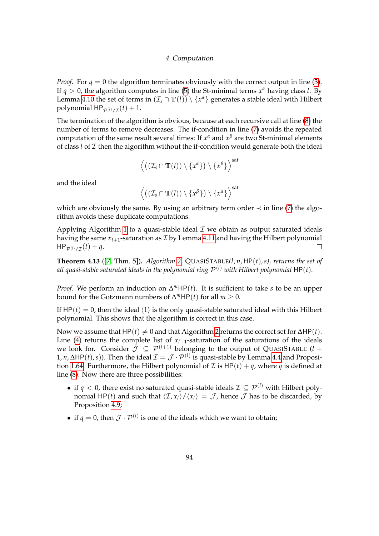*Proof.* For  $q = 0$  the algorithm terminates obviously with the correct output in line [\(3\)](#page-96-1). If *q* > 0, the algorithm computes in line [\(5\)](#page-96-1) the St-minimal terms *x <sup>α</sup>* having class *l*. By Lemma [4.10](#page-96-0) the set of terms in  $(\mathcal{I}_s \cap \mathbb{T}(l)) \setminus \{x^{\alpha}\}$  generates a stable ideal with Hilbert polynomial  $\mathsf{HP}_{\mathcal{P}^{(l)}/\mathcal{I}}(t) + 1.$ 

The termination of the algorithm is obvious, because at each recursive call at line [\(8\)](#page-96-1) the number of terms to remove decreases. The if-condition in line [\(7\)](#page-96-1) avoids the repeated computation of the same result several times: If *x <sup>α</sup>* and *x <sup>β</sup>* are two St-minimal elements of class  $l$  of  $I$  then the algorithm without the if-condition would generate both the ideal

$$
\Big\langle \big((\mathcal{I}_s\cap \mathbb{T}(l))\setminus \{x^\alpha\}\big)\setminus \{x^\beta\}\Big\rangle^{\rm sat}
$$

and the ideal

$$
\Big\langle \big((\mathcal{I}_s\cap \mathbb{T}(l))\setminus \{x^{\beta}\}\big)\setminus \{x^{\alpha}\}\Big\rangle^{\rm sat}
$$

which are obviously the same. By using an arbitrary term order  $\prec$  in line [\(7\)](#page-96-1) the algorithm avoids these duplicate computations.

Applying Algorithm [1](#page-96-1) to a quasi-stable ideal  $\mathcal I$  we obtain as output saturated ideals having the same  $x_{l+1}$ -saturation as  $\mathcal I$  by Lemma [4.11](#page-96-2) and having the Hilbert polynomial  $HP_{\mathcal{P}^{(l)}/\mathcal{I}}(t) + q.$  $\Box$ 

**Theorem 4.13** ([\[7,](#page-159-4) Thm. 5])**.** *Algorithm [2,](#page-97-0)* QUASISTABLE*(l*, *n*, HP(*t*),*s), returns the set of* all quasi-stable saturated ideals in the polynomial ring  $\mathcal{P}^{(l)}$  with Hilbert polynomial  $\mathsf{HP}(t)$ .

*Proof.* We perform an induction on  $\Delta^m$ HP(*t*). It is sufficient to take *s* to be an upper bound for the Gotzmann numbers of  $\Delta^m$ HP(*t*) for all  $m \geq 0$ .

If  $HP(t) = 0$ , then the ideal  $\langle 1 \rangle$  is the only quasi-stable saturated ideal with this Hilbert polynomial. This shows that the algorithm is correct in this case.

Now we assume that  $HP(t) \neq 0$  and that Algorithm [2](#page-97-0) returns the correct set for  $\Delta HP(t)$ . Line [\(4\)](#page-97-0) returns the complete list of  $x_{l+1}$ -saturation of the saturations of the ideals we look for. Consider  $\mathcal{J} \subseteq \mathcal{P}^{(l+1)}$  belonging to the output of QUASISTABLE  $(l +$ 1, *n*, ∆HP(*t*), *s*)). Then the ideal  $\mathcal{I} = \mathcal{J} \cdot \mathcal{P}^{(l)}$  is quasi-stable by Lemma [4.4](#page-95-0) and Proposi-tion [1.64.](#page-37-0) Furthermore, the Hilbert polynomial of  $\mathcal I$  is HP(*t*) + *q*, where *q* is defined at line [\(8\)](#page-97-0). Now there are three possibilities:

- if  $q < 0$ , there exist no saturated quasi-stable ideals  $\mathcal{I} \subset \mathcal{P}^{(l)}$  with Hilbert polynomial HP(*t*) and such that  $\langle I, x_l \rangle / \langle x_l \rangle = \mathcal{J}$ , hence  $\mathcal{J}$  has to be discarded, by Proposition [4.9;](#page-95-1)
- if  $q = 0$ , then  $\mathcal{J} \cdot \mathcal{P}^{(l)}$  is one of the ideals which we want to obtain;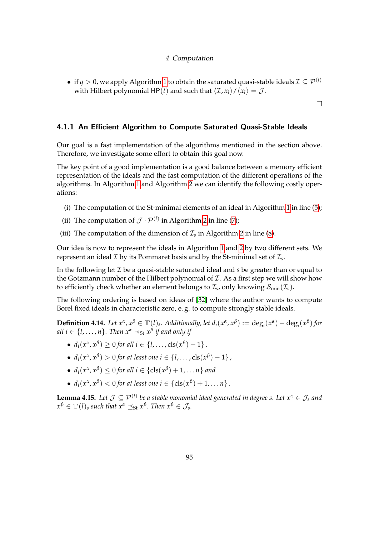• if  $q > 0$ , we apply Algorithm [1](#page-96-1) to obtain the saturated quasi-stable ideals  $\mathcal{I} \subseteq \mathcal{P}^{(l)}$ with Hilbert polynomial HP(*t*) and such that  $\langle \mathcal{I}, x_l \rangle / \langle x_l \rangle = \mathcal{J}$ .

 $\Box$ 

#### 4.1.1 An Efficient Algorithm to Compute Saturated Quasi-Stable Ideals

Our goal is a fast implementation of the algorithms mentioned in the section above. Therefore, we investigate some effort to obtain this goal now.

The key point of a good implementation is a good balance between a memory efficient representation of the ideals and the fast computation of the different operations of the algorithms. In Algorithm [1](#page-96-1) and Algorithm [2](#page-97-0) we can identify the following costly operations:

- (i) The computation of the St-minimal elements of an ideal in Algorithm [1](#page-96-1) in line [\(5\)](#page-96-1);
- (ii) The computation of  $\mathcal{J} \cdot \mathcal{P}^{(l)}$  in Algorithm [2](#page-97-0) in line [\(7\)](#page-97-0);
- (iii) The computation of the dimension of  $\mathcal{I}_s$  in Algorithm [2](#page-97-0) in line [\(8\)](#page-97-0).

Our idea is now to represent the ideals in Algorithm [1](#page-96-1) and [2](#page-97-0) by two different sets. We represent an ideal  $\mathcal I$  by its Pommaret basis and by the St-minimal set of  $\mathcal I_s$ .

In the following let I be a quasi-stable saturated ideal and *s* be greater than or equal to the Gotzmann number of the Hilbert polynomial of  $\mathcal I$ . As a first step we will show how to efficiently check whether an element belongs to  $\mathcal{I}_s$ , only knowing  $\mathcal{S}_{\min}(\mathcal{I}_s)$ .

The following ordering is based on ideas of [\[32\]](#page-161-3) where the author wants to compute Borel fixed ideals in characteristic zero, e. g. to compute strongly stable ideals.

<span id="page-99-0"></span>**Definition 4.14.** Let  $x^{\alpha}, x^{\beta} \in \mathbb{T}(l)$ , Additionally, let  $d_i(x^{\alpha}, x^{\beta}) := deg_i(x^{\alpha}) - deg_i(x^{\beta})$  for  $\mathcal{A}$  *all i*  $\in$  {*l,...,n*}. Then  $x^{\alpha} \prec_{\mathsf{St}} x^{\beta}$  if and only if

- $\bullet$  *d*<sub>*i*</sub>( $x^{\alpha}, x^{\beta}$ ) ≥ 0 *for all i* ∈ {*l*, . . . , cls( $x^{\beta}$ ) − 1} *,*
- $\bullet$  *d*<sub>*i*</sub>( $x^{\alpha}, x^{\beta}$ ) > 0 *for at least one i* ∈ {*l*,..., cls( $x^{\beta}$ ) − 1} *,*
- $d_i(x^\alpha, x^\beta) \leq 0$  for all  $i \in \{\text{cls}(x^\beta) + 1, \dots n\}$  and
- $d_i(x^\alpha, x^\beta) < 0$  for at least one  $i \in \{\text{cls}(x^\beta) + 1, \ldots n\}$ .

**Lemma 4.15.** Let  $\mathcal{J} \subseteq \mathcal{P}^{(l)}$  be a stable monomial ideal generated in degree s. Let  $x^{\alpha} \in \mathcal{J}_s$  and  $x^{\beta} \in \mathbb{T}(l)$ *s such that*  $x^{\alpha} \preceq_{\mathsf{St}} x^{\beta}$ *. Then*  $x^{\beta} \in \mathcal{J}_s$ *.*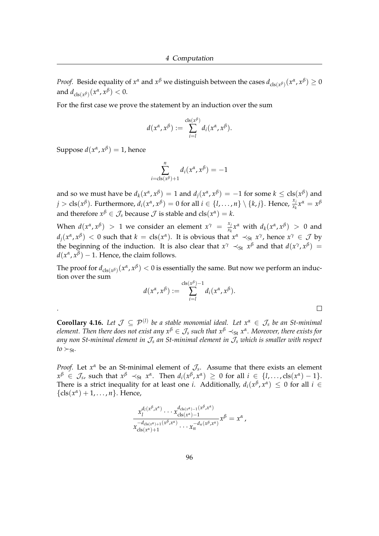*Proof.* Beside equality of  $x^{\alpha}$  and  $x^{\beta}$  we distinguish between the cases  $d_{\text{cls}(x^{\beta})}(x^{\alpha}, x^{\beta}) \geq 0$ and  $d_{\text{cls}(x^{\beta})}(x^{\alpha}, x^{\beta}) < 0$ .

For the first case we prove the statement by an induction over the sum

$$
d(x^{\alpha}, x^{\beta}) := \sum_{i=1}^{\text{cls}(x^{\beta})} d_i(x^{\alpha}, x^{\beta}).
$$

Suppose  $d(x^{\alpha}, x^{\beta}) = 1$ , hence

.

$$
\sum_{i=\mathrm{cls}(x^{\beta})+1}^{n} d_i(x^{\alpha}, x^{\beta}) = -1
$$

and so we must have be  $d_k(x^\alpha, x^\beta) = 1$  and  $d_j(x^\alpha, x^\beta) = -1$  for some  $k \leq \text{cls}(x^\beta)$  and  $j > \text{cls}(x^{\beta})$ . Furthermore,  $d_i(x^{\alpha}, x^{\beta}) = 0$  for all  $i \in \{l, ..., n\} \setminus \{k, j\}$ . Hence,  $\frac{x_j}{x_k}x^{\alpha} = x^{\beta}$ and therefore  $x^{\beta} \in \mathcal{J}_s$  because  $\mathcal{J}$  is stable and  $cls(x^{\alpha}) = k$ .

When  $d(x^{\alpha}, x^{\beta}) > 1$  we consider an element  $x^{\gamma} = \frac{x_j}{x^{\gamma}}$  $\frac{x_j}{x_k} x^{\alpha}$  with  $d_k(x^{\alpha}, x^{\beta}) > 0$  and  $d_j(x^\alpha, x^\beta) < 0$  such that  $k = \text{cls}(x^\alpha)$ . It is obvious that  $x^\alpha \prec_\text{St} x^\gamma$ , hence  $x^\gamma \in \mathcal{J}$  by the beginning of the induction. It is also clear that  $x^{\gamma} \prec_{St} x^{\beta}$  and that  $d(x^{\gamma}, x^{\beta}) =$  $d(x^{\alpha}, x^{\beta}) - 1$ . Hence, the claim follows.

The proof for  $d_{\text{cls}(x^\beta)}(x^\alpha, x^\beta) < 0$  is essentially the same. But now we perform an induction over the sum

$$
d(x^{\alpha}, x^{\beta}) := \sum_{i=1}^{\text{cls}(x^{\beta})-1} d_i(x^{\alpha}, x^{\beta}).
$$

 $\Box$ 

**Corollary 4.16.** Let  $\mathcal{J} \subseteq \mathcal{P}^{(l)}$  be a stable monomial ideal. Let  $x^{\alpha} \in \mathcal{J}_s$  be an St-minimal *element. Then there does not exist any x<sup>β</sup>* ∈ J*<sup>s</sup> such that x<sup>β</sup>* ≺St *x α . Moreover, there exists for any non St-minimal element in* J*<sup>s</sup> an St-minimal element in* J*<sup>s</sup> which is smaller with respect*  $to \succ_{S_t}$ .

*Proof.* Let  $x^{\alpha}$  be an St-minimal element of  $\mathcal{J}_s$ . Assume that there exists an element  $x^{\beta} \in \mathcal{J}_s$ , such that  $x^{\beta} \prec_{\mathsf{St}} x^{\alpha}$ . Then  $d_i(x^{\beta}, x^{\alpha}) \geq 0$  for all  $i \in \{l, \ldots, \text{cls}(x^{\alpha}) - 1\}$ . There is a strict inequality for at least one *i*. Additionally,  $d_i(x^{\beta}, x^{\alpha}) \leq 0$  for all  $i \in$  $\{\text{cls}(x^{\alpha})+1,\ldots,n\}$ . Hence,

$$
\frac{x_1^{d_1(x^\beta,x^\alpha)}\cdots x_{\text{cls}(x^\alpha)-1}^{d_{\text{cls}(x^\alpha)-1}(x^\beta,x^\alpha)}x^\beta=x^\alpha, \\
\frac{x_{\text{cls}(x^\alpha)+1}^{d_{\text{cls}(x^\alpha)+1}(x^\beta,x^\alpha)}\cdots x_n^{-d_n(x^\beta,x^\alpha)}}{x_{\text{cls}(x^\alpha)+1}}x^\beta=x^\alpha,
$$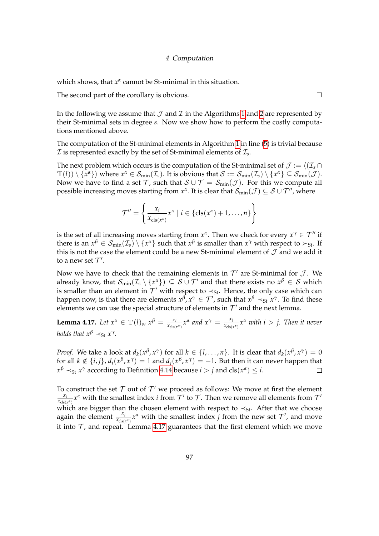which shows, that *x α* cannot be St-minimal in this situation.

The second part of the corollary is obvious.

 $\Box$ 

In the following we assume that  $\mathcal J$  and  $\mathcal I$  in the Algorithms [1](#page-96-1) and [2](#page-97-0) are represented by their St-minimal sets in degree *s*. Now we show how to perform the costly computations mentioned above.

The computation of the St-minimal elements in Algorithm [1](#page-96-1) in line [\(5\)](#page-96-1) is trivial because  ${\cal I}$  is represented exactly by the set of St-minimal elements of  ${\cal I}_s.$ 

The next problem which occurs is the computation of the St-minimal set of  $\mathcal{J} := \langle (\mathcal{I}_s \cap \mathcal{I}_s) \rangle$  $\mathbb{T}(l))\setminus\{x^{\alpha}\}\rangle$  where  $x^{\alpha}\in\mathcal{S}_{\text{min}}(\mathcal{I}_s)$ . It is obvious that  $\mathcal{S}:=\mathcal{S}_{\text{min}}(\mathcal{I}_s)\setminus\{x^{\alpha}\}\subseteq\mathcal{S}_{\text{min}}(\mathcal{J})$ . Now we have to find a set T, such that  $S \cup T = S_{min}(\mathcal{J})$ . For this we compute all possible increasing moves starting from  $x^\alpha$ . It is clear that  $\mathcal{S}_{\min}(\mathcal{J})\subseteq\mathcal{S}\cup\mathcal{T}'$  , where

$$
\mathcal{T}'' = \left\{ \frac{x_i}{x_{\text{cls}(x^{\alpha})}} x^{\alpha} \mid i \in \left\{ \text{cls}(x^{\alpha}) + 1, \dots, n \right\} \right\}
$$

is the set of all increasing moves starting from  $x^{\alpha}$ . Then we check for every  $x^{\gamma} \in \mathcal{T}''$  if there is an  $x^{\beta} \in S_{\min}(\mathcal{I}_s) \setminus \{x^{\alpha}\}\$  such that  $x^{\beta}$  is smaller than  $x^{\gamma}$  with respect to  $\succ_{St}$ . If this is not the case the element could be a new St-minimal element of  $J$  and we add it to a new set  $\mathcal{T}'$ .

Now we have to check that the remaining elements in  $\mathcal{T}'$  are St-minimal for  $\mathcal{J}$ . We already know, that  $\mathcal{S}_{\min}(\mathcal{I}_s\setminus\{x^\alpha\})\,\subseteq\,\mathcal{S}\cup\mathcal{T}'$  and that there exists no  $x^\beta\,\in\,\mathcal{S}$  which is smaller than an element in  $\mathcal{T}'$  with respect to  $\prec_{St}$ . Hence, the only case which can happen now, is that there are elements  $x^{\beta}$ ,  $x^{\gamma} \in \mathcal{T}'$ , such that  $x^{\beta} \prec_{St} x^{\gamma}$ . To find these elements we can use the special structure of elements in  $\mathcal{T}'$  and the next lemma.

<span id="page-101-0"></span>**Lemma 4.17.** *Let*  $x^{\alpha} \in \mathbb{T}({l})_s$ ,  $x^{\beta} = \frac{x_i}{x_{\text{obs}}}$  $\frac{x_i}{x_{\text{cls}(x^{\alpha})}} x^{\alpha}$  and  $x^{\gamma} = \frac{x_j}{x_{\text{cls}(x^{\alpha})}}$  $\frac{x_j}{x_{cls(x^{\alpha})}} x^{\alpha}$  *with*  $i > j$ . Then it never *holds that*  $x^{\beta} \prec_{\text{St}} x^{\gamma}$ *.* 

*Proof.* We take a look at  $d_k(x^{\beta}, x^{\gamma})$  for all  $k \in \{l, \ldots, n\}$ . It is clear that  $d_k(x^{\beta}, x^{\gamma}) = 0$ for all  $k \notin \{i, j\}$ ,  $d_i(x^\beta, x^\gamma) = 1$  and  $d_j(x^\beta, x^\gamma) = -1$ . But then it can never happen that  $x^{\beta} \prec_{\mathsf{St}} x^{\gamma}$  according to Definition [4.14](#page-99-0) because  $i > j$  and  $\text{cls}(x^{\alpha}) \leq i$ .  $\Box$ 

To construct the set  $T$  out of  $T'$  we proceed as follows: We move at first the element *xi*  $\frac{x_i}{x_{cls(x^{\alpha})}}x^{\alpha}$  with the smallest index *i* from  $\mathcal{T}'$  to  $\mathcal{T}$ . Then we remove all elements from  $\mathcal{T}'$ which are bigger than the chosen element with respect to  $\prec_{St}$ . After that we choose again the element  $\frac{x_j}{x_{\text{cls}(x^{\alpha})}} x^{\alpha}$  with the smallest index *j* from the new set  $\mathcal{T}'$ , and move it into  $\mathcal T$ , and repeat. Lemma [4.17](#page-101-0) guarantees that the first element which we move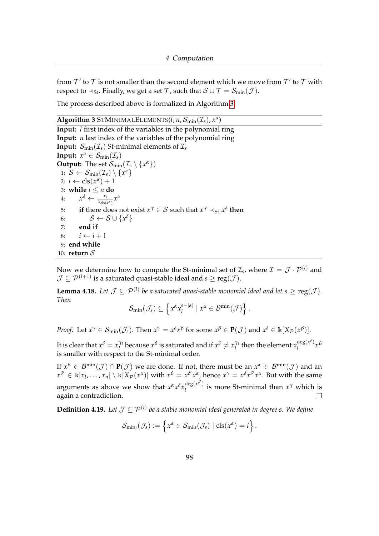from  $\mathcal{T}'$  to  $\mathcal T$  is not smaller than the second element which we move from  $\mathcal T'$  to  $\mathcal T$  with respect to  $\prec_{\text{St}}$ . Finally, we get a set T, such that  $S \cup T = S_{\text{min}}(\mathcal{J})$ .

The process described above is formalized in Algorithm [3.](#page-102-0)

<span id="page-102-0"></span>**Algorithm 3** STMINIMALELEMENTS( $l$ ,  $n$ ,  $\mathcal{S}_{\min}(\mathcal{I}_{s})$ ,  $x^{\alpha}$ )

**Input:** *l* first index of the variables in the polynomial ring **Input:** *n* last index of the variables of the polynomial ring **Input:**  $\mathcal{S}_{\text{min}}(\mathcal{I}_s)$  St-minimal elements of  $\mathcal{I}_s$ **Input:**  $x^{\alpha} \in S_{\min}(\mathcal{I}_s)$ **Output:** The set  $\mathcal{S}_{\text{min}}(\mathcal{I}_s \setminus \{x^{\alpha}\})$ 1:  $S \leftarrow S_{\text{min}}(\mathcal{I}_s) \setminus \{x^{\alpha}\}\$ 2:  $i \leftarrow \text{cls}(x^{\alpha}) + 1$ 3: **while**  $i \leq n$  **do** 4:  $x^{\delta} \leftarrow \frac{x_i}{x_{\text{cls}(x^{\alpha})}} x^{\alpha}$ 5: **if** there does not exist  $x^{\gamma} \in S$  such that  $x^{\gamma} \prec_{St} x^{\delta}$  then 6:  $S \leftarrow S \cup \{x^{\delta}\}$ 7: **end if** 8:  $i \leftarrow i + 1$ 9: **end while** 10: **return** S

Now we determine how to compute the St-minimal set of  $\mathcal{I}_s$ , where  $\mathcal{I} = \mathcal{J} \cdot \mathcal{P}^{(l)}$  and  $\mathcal{J} \subseteq \mathcal{P}^{(l+1)}$  is a saturated quasi-stable ideal and  $s \geq \mathrm{reg}(\mathcal{J}).$ 

<span id="page-102-1"></span>**Lemma 4.18.** Let  $\mathcal{J} \subseteq \mathcal{P}^{(l)}$  be a saturated quasi-stable monomial ideal and let  $s \geq \text{reg}(\mathcal{J})$ . *Then*

$$
\mathcal{S}_{\min}(\mathcal{J}_s) \subseteq \left\{ x^{\alpha} x_l^{s-|\alpha|} \mid x^{\alpha} \in \mathcal{B}^{\min}(\mathcal{J}) \right\}.
$$

*Proof.* Let  $x^{\gamma} \in S_{\min}(\mathcal{J}_s)$ . Then  $x^{\gamma} = x^{\delta}x^{\beta}$  for some  $x^{\beta} \in \mathbf{P}(\mathcal{J})$  and  $x^{\delta} \in \mathbb{k}[X_{\mathcal{P}}(x^{\beta})]$ .

It is clear that  $x^{\delta} = x_1^{\gamma_l}$  $\gamma_l$ <sup>*n*</sup> because  $x^{\beta}$  is saturated and if  $x^{\delta} \neq x_l^{\gamma_l}$  $\int_l^{\gamma_l}$  then the element  $x_l^{\deg(x^{\delta})}$  $\int_l^{\text{deg}(x)} x^{\beta}$ is smaller with respect to the St-minimal order.

If  $x^{\beta} \in B^{\min}(\mathcal{J}) \cap P(\mathcal{J})$  we are done. If not, there must be an  $x^{\alpha} \in B^{\min}(\mathcal{J})$  and an  $x^{\delta'}\in\Bbbk[x_l,\ldots,x_n]\setminus \Bbbk[X_\mathcal{P}(\mathit{x}^\alpha)]$  with  $x^\beta=x^{\delta'}x^\alpha$ , hence  $x^\gamma=x^\delta x^{\delta'}x^\alpha.$  But with the same arguments as above we show that  $x^{\alpha} x^{\delta} x_l^{\deg(x^{\delta'})}$  $\int_l^{\text{deg}(x)}$  is more St-minimal than  $x^{\gamma}$  which is again a contradiction.  $\Box$ 

**Definition 4.19.** Let  $\mathcal{J} \subseteq \mathcal{P}^{(l)}$  be a stable monomial ideal generated in degree s. We define

$$
\mathcal{S}_{\min_l}(\mathcal{J}_s) := \left\{ x^{\alpha} \in \mathcal{S}_{\min}(\mathcal{J}_s) \mid \text{cls}(x^{\alpha}) = l \right\}.
$$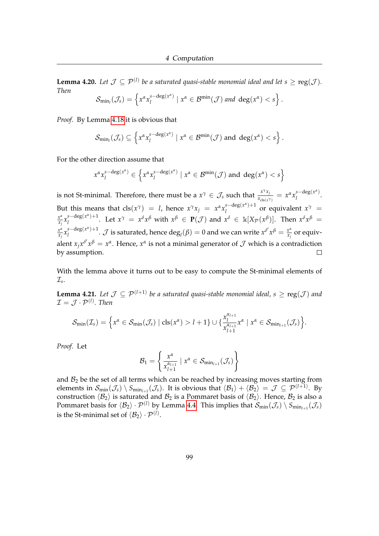<span id="page-103-0"></span>**Lemma 4.20.** Let  $\mathcal{J} \subseteq \mathcal{P}^{(l)}$  be a saturated quasi-stable monomial ideal and let  $s \geq \text{reg}(\mathcal{J})$ . *Then*

$$
\mathcal{S}_{\min_l}(\mathcal{J}_s)=\left\{x^{\alpha}x_l^{s-\deg(x^{\alpha})}\mid x^{\alpha}\in\mathcal{B}^{\min}(\mathcal{J})\text{ and }\deg(x^{\alpha})
$$

*Proof.* By Lemma [4.18](#page-102-1) it is obvious that

$$
\mathcal{S}_{\min_l}(\mathcal{J}_s) \subseteq \left\{ x^{\alpha} x_l^{s-\deg(x^{\alpha})} \mid x^{\alpha} \in \mathcal{B}^{\min}(\mathcal{J}) \text{ and } \deg(x^{\alpha}) < s \right\}.
$$

For the other direction assume that

$$
x^{\alpha} x_l^{s-\deg(x^{\alpha})} \in \left\{ x^{\alpha} x_l^{s-\deg(x^{\alpha})} \mid x^{\alpha} \in \mathcal{B}^{\min}(\mathcal{J}) \text{ and } \deg(x^{\alpha}) < s \right\}
$$

is not St-minimal. Therefore, there must be a  $x^{\gamma} \in \mathcal{J}_s$  such that  $\frac{x^{\gamma}x_j}{x_{\text{max}}}$  $\frac{x^{\gamma}x_j}{x_{\text{cls}(x^{\gamma})}} = x^{\alpha}x_l^{s-\text{deg}(x^{\alpha})}$  $\frac{1}{l}$  deg(x). But this means that  $\text{cls}(x^{\gamma}) = l$ , hence  $x^{\gamma}x_j = x^{\alpha}x_l^{s-\text{deg}(x^{\alpha})+1}$  $\int_l^{\infty} e^{-(x^2)^2 + 1}$  or equivalent  $x^{\gamma}$  =  $\frac{x^{\alpha}}{x_j} x_l^{s-\deg(x^{\alpha})+1}$ *x α*  $\int_l^{\sin(\theta)} f(x, y) dx$  =  $\int_l^{\sin(\theta)} f(x, y) dx$  with  $\int_l^{\theta} f(x, y) dx$  and  $\int_l^{\theta} f(x, y) dx$  =  $\int_l^{\sin(\theta)} f(x, y) dx$  =  $\int_l^{\sin(\theta)} f(x, y) dx$  =  $\int_l^{\sin(\theta)} f(x, y) dx$  =  $\int_l^{\sin(\theta)} f(x, y) dx$  =  $\int_l^{\sin(\theta)} f(x, y) dx$  =  $\int_l^{\sin(\theta)} f(x, y) dx$  =  $\int_l^{\sin(\theta)} f(x, y) dx$  =  $\frac{x^{\alpha}}{x_j} x_l^{s-\deg(x^{\alpha})+1}$  $\int_{l}^{s-\deg(x^{\alpha})+1}$ .  $\cal{J}$  is saturated, hence  $\deg_{l}(\beta)=0$  and we can write  $x^{\delta'}x^{\beta}=\frac{x^{\alpha}}{x_{\beta}}$ *x α*  $\frac{x^2}{x_j}$  or equivalent  $x_j x^{\delta'} x^{\beta} = x^{\alpha}$ . Hence,  $x^{\alpha}$  is not a minimal generator of  $\mathcal J$  which is a contradiction by assumption.  $\Box$ 

With the lemma above it turns out to be easy to compute the St-minimal elements of I*s* .

**Lemma 4.21.** Let  $\mathcal{J} \subseteq \mathcal{P}^{(l+1)}$  be a saturated quasi-stable monomial ideal,  $s \geq \text{reg}(\mathcal{J})$  and  $\mathcal{I} = \mathcal{J} \cdot \mathcal{P}^{(l)}.$  Then

$$
\mathcal{S}_{\min}(\mathcal{I}_s)=\Big\{x^\alpha\in\mathcal{S}_{\min}(\mathcal{J}_s)\mid \mathrm{cls}(x^\alpha)>l+1\}\cup\{\frac{x_l^{\alpha_{l+1}}}{x_{l+1}^{\alpha_{l+1}}}x^\alpha\mid x^\alpha\in\mathcal{S}_{\min_{l+1}}(\mathcal{J}_s)\Big\}.
$$

*Proof.* Let

$$
\mathcal{B}_1 = \left\{ \frac{x^{\alpha}}{x_{l+1}^{\alpha_{l+1}}} \mid x^{\alpha} \in \mathcal{S}_{\min_{l+1}}(\mathcal{J}_s) \right\}
$$

and  $B_2$  be the set of all terms which can be reached by increasing moves starting from elements in  $\mathcal{S}_{\min}(\mathcal{J}_s) \setminus \mathcal{S}_{\min_{l+1}}(\mathcal{J}_s)$ . It is obvious that  $\langle \mathcal{B}_1 \rangle + \langle \mathcal{B}_2 \rangle = \mathcal{J} \subseteq \mathcal{P}^{(l+1)}$ . By construction  $\langle B_2 \rangle$  is saturated and  $B_2$  is a Pommaret basis of  $\langle B_2 \rangle$ . Hence,  $B_2$  is also a Pommaret basis for  $\langle B_2\rangle \cdot P^{(l)}$  by Lemma [4.4.](#page-95-0) This implies that  $\mathcal{S}_{\min}(\mathcal{J}_s) \setminus S_{\min_{l+1}}(\mathcal{J}_s)$ is the St-minimal set of  $\langle\mathcal{B}_2\rangle\cdot\mathcal{P}^{(l)}.$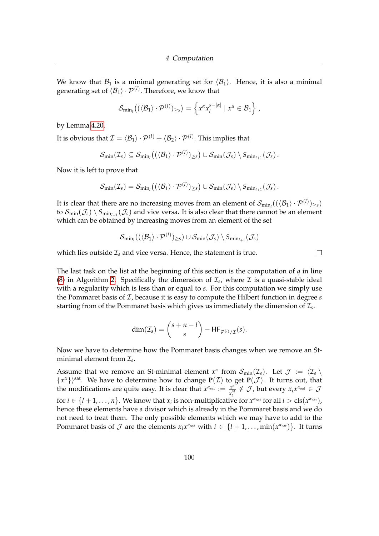We know that  $B_1$  is a minimal generating set for  $\langle B_1 \rangle$ . Hence, it is also a minimal generating set of  $\langle \mathcal{B}_1 \rangle \cdot \mathcal{P}^{(l)}$ . Therefore, we know that

$$
\mathcal{S}_{\min_{l}}\big((\langle \mathcal{B}_{1} \rangle \cdot \mathcal{P}^{(l)}\rangle_{\geq s}\big) = \left\{x^{\alpha}x_{l}^{s-|\alpha|} \mid x^{\alpha} \in \mathcal{B}_{1}\right\},\,
$$

by Lemma [4.20.](#page-103-0)

It is obvious that  $\mathcal{I} = \langle \mathcal{B}_1\rangle \cdot \mathcal{P}^{(l)} + \langle \mathcal{B}_2\rangle \cdot \mathcal{P}^{(l)}.$  This implies that

$$
\mathcal{S}_{\textup{min}}(\mathcal{I}_s) \subseteq \mathcal{S}_{\textup{min}_l}\big((\langle \mathcal{B}_1 \rangle \cdot \mathcal{P}^{(l)})_{\geq s}\big) \cup \mathcal{S}_{\textup{min}}(\mathcal{J}_s) \setminus S_{\textup{min}_{l+1}}(\mathcal{J}_s)\,.
$$

Now it is left to prove that

$$
\mathcal{S}_{\textup{min}}(\mathcal{I}_s) = \mathcal{S}_{\textup{min}_I}\big((\langle \mathcal{B}_1\rangle \cdot \mathcal{P}^{(l)})_{\geq s}\big) \cup \mathcal{S}_{\textup{min}}(\mathcal{J}_s) \setminus S_{\textup{min}_{l+1}}(\mathcal{J}_s)\,.
$$

It is clear that there are no increasing moves from an element of  $\mathcal{S}_{min_{l}}((\langle \mathcal{B}_{1}\rangle \cdot \mathcal{P}^{(l)})_{\geq s})$ to  $\mathcal{S}_{\min}(\mathcal{J}_s)\setminus\mathcal{S}_{\min_{l+1}}(\mathcal{J}_s)$  and vice versa. It is also clear that there cannot be an element which can be obtained by increasing moves from an element of the set

$$
\mathcal{S}_{\textsf{min}_l}((\langle \mathcal{B}_1 \rangle \cdot \mathcal{P}^{(l)})_{\geq s}) \cup \mathcal{S}_{\textsf{min}}(\mathcal{J}_s) \setminus S_{\textsf{min}_{l+1}}(\mathcal{J}_s)
$$

which lies outside  $\mathcal{I}_s$  and vice versa. Hence, the statement is true.

The last task on the list at the beginning of this section is the computation of *q* in line [\(8\)](#page-97-0) in Algorithm [2.](#page-97-0) Specifically the dimension of  $\mathcal{I}_s$ , where  $\mathcal I$  is a quasi-stable ideal with a regularity which is less than or equal to *s*. For this computation we simply use the Pommaret basis of  $\mathcal{I}$ , because it is easy to compute the Hilbert function in degree  $s$ starting from of the Pommaret basis which gives us immediately the dimension of  $\mathcal{I}_s$ .

$$
\dim(\mathcal{I}_s) = {s+n-l \choose s} - \mathsf{HF}_{\mathcal{P}^{(l)}/\mathcal{I}}(s).
$$

Now we have to determine how the Pommaret basis changes when we remove an Stminimal element from I*<sup>s</sup>* .

Assume that we remove an St-minimal element  $x^{\alpha}$  from  $\mathcal{S}_{min}(\mathcal{I}_s)$ . Let  $\mathcal{J} := \langle \mathcal{I}_s \setminus \mathcal{I}_s \rangle$  $\{x^{\alpha}\}\}$ <sup>sat</sup>. We have to determine how to change  $P(\mathcal{I})$  to get  $P(\mathcal{J})$ . It turns out, that the modifications are quite easy. It is clear that  $x^{\alpha_{sat}} := \frac{x^{\alpha}}{x^{\alpha}}$  $\frac{x^{\alpha}}{x_1^{\alpha_1}} \notin \mathcal{J}$ , but every  $x_i x^{\alpha_{\text{sat}}} \in \mathcal{J}$ *l* for  $i \in \{l + 1, ..., n\}$ . We know that  $x_i$  is non-multiplicative for  $x^{\alpha_{sat}}$  for all  $i > \text{cls}(x^{\alpha_{sat}})$ , hence these elements have a divisor which is already in the Pommaret basis and we do not need to treat them. The only possible elements which we may have to add to the Pommaret basis of  $\mathcal J$  are the elements  $x_ix^{\alpha_{\text{sat}}}$  with  $i\in\{l+1,\ldots,\min(x^{\alpha_{\text{sat}}})\}$ . It turns

 $\Box$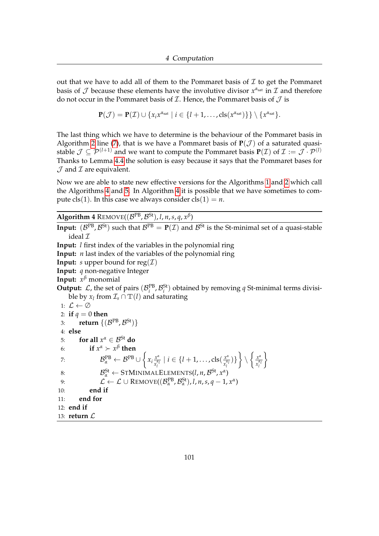out that we have to add all of them to the Pommaret basis of  $\mathcal I$  to get the Pommaret basis of  $\mathcal J$  because these elements have the involutive divisor  $x^{\alpha_{sat}}$  in  $\mathcal I$  and therefore do not occur in the Pommaret basis of  $I$ . Hence, the Pommaret basis of  $J$  is

$$
\mathbf{P}(\mathcal{J}) = \mathbf{P}(\mathcal{I}) \cup \{x_i x^{\alpha_{sat}} \mid i \in \{l+1,\ldots, \mathrm{cls}(x^{\alpha_{sat}})\}\} \setminus \{x^{\alpha_{sat}}\}.
$$

The last thing which we have to determine is the behaviour of the Pommaret basis in Algorithm [2](#page-97-0) line [\(7\)](#page-97-0), that is we have a Pommaret basis of  $P(\mathcal{J})$  of a saturated quasistable  $\mathcal{J} \subseteq \mathcal{P}^{(l+1)}$  and we want to compute the Pommaret basis  $P(\mathcal{I})$  of  $\mathcal{I} := \mathcal{J} \cdot \mathcal{P}^{(l)}$ Thanks to Lemma [4.4](#page-95-0) the solution is easy because it says that the Pommaret bases for  $J$  and  $I$  are equivalent.

Now we are able to state new effective versions for the Algorithms [1](#page-96-1) and [2](#page-97-0) which call the Algorithms [4](#page-105-0) and [5.](#page-106-0) In Algorithm [4](#page-105-0) it is possible that we have sometimes to compute cls(1). In this case we always consider  $cls(1) = n$ .

<span id="page-105-0"></span>**Algorithm 4** REMOVE( $(\mathcal{B}^{PB}, \mathcal{B}^{St})$ , *l*, *n*, *s*, *q*,  $x^{\beta}$ )

**Input:**  $(B^{PB}, B^{St})$  such that  $B^{PB} = P(\mathcal{I})$  and  $B^{St}$  is the St-minimal set of a quasi-stable ideal  $\mathcal I$ **Input:** *l* first index of the variables in the polynomial ring **Input:** *n* last index of the variables of the polynomial ring **Input:** *s* upper bound for reg( $I$ ) **Input:** *q* non-negative Integer **Input:** *x <sup>β</sup>* monomial **Output:**  $\mathcal{L}$ , the set of pairs  $(\mathcal{B}_i^{\text{PB}}, \mathcal{B}_i^{\text{St}})$  obtained by removing *q* St-minimal terms divisible by  $x_l$  from  $\mathcal{I}_s \cap \mathbb{T}(l)$  and saturating 1:  $\mathcal{L} \leftarrow \emptyset$ 2: **if**  $q = 0$  **then** 3: **return**  $\{(\mathcal{B}^{\text{PB}}, \mathcal{B}^{\text{St}})\}$ 4: **else** 5: **for all**  $x^{\alpha} \in \mathcal{B}^{\mathrm{St}}$  **do** 6: **if**  $x^{\alpha} > x^{\beta}$  then 7:  $\mathcal{B}_{\alpha}^{\text{PB}} \leftarrow \mathcal{B}^{\text{PB}} \cup \left\{$  $x_i \frac{x^{\alpha}}{x^{\alpha}}$  $\frac{x^{\alpha}}{x_l^{\alpha_l}} \mid i \in \{l+1, \ldots, \mathrm{cls}(\frac{x^{\alpha}}{x_l^{\alpha_l}}) \}$  $\left\{\frac{x^{\alpha}}{x_l^{\alpha_l}}\right\}\right\}\setminus\left\{\frac{x^{\alpha_l}}{x_l^{\alpha_l}}\right\}$  $\overline{x}_l^{\alpha_l}$  $\mathcal{L}$ 8:  $\mathcal{B}_{\alpha}^{\text{St}} \leftarrow \text{STMINIMALELEMENTS}(l, n, \mathcal{B}^{\text{St}}, x^{\alpha})$ 9:  $\mathcal{L} \leftarrow \mathcal{L} \cup \text{REMOVE}((\mathcal{B}_{\alpha}^{\text{PB}}, \mathcal{B}_{\alpha}^{\text{St}}), l, n, s, q-1, x^{\alpha})$ 10: **end if** 11: **end for** 12: **end if** 13: **return** L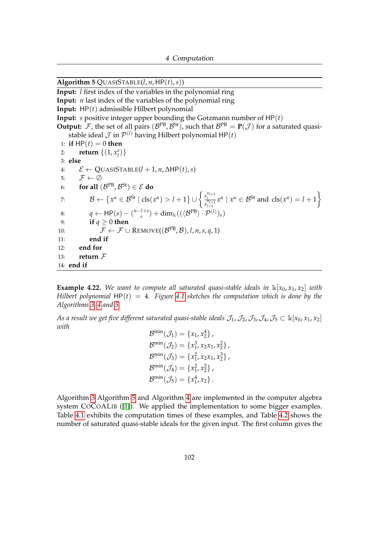<span id="page-106-0"></span>Algorithm 5 QUASISTABLE( $l, n$ , HP( $t$ ),  $s$ )) **Input:** *l* first index of the variables in the polynomial ring **Input:** *n* last index of the variables of the polynomial ring **Input:** HP(*t*) admissible Hilbert polynomial **Input:** *s* positive integer upper bounding the Gotzmann number of HP(*t*) **Output:** F, the set of all pairs ( $\mathcal{B}^{PB}$ ,  $\mathcal{B}^{St}$ ), such that  $\mathcal{B}^{PB} = P(\mathcal{J})$  for a saturated quasistable ideal  $\cal J$  in  ${\cal P}^{(l)}$  having Hilbert polynomial HP $(t)$ 1: **if**  $HP(t) = 0$  **then** 2: **return**  $\{(1, x_i^s)\}$ 3: **else** 4: E ← QUASISTABLE(*l* + 1, *n*, ∆HP(*t*),*s*) 5:  $\mathcal{F} \leftarrow \emptyset$ 6: **for all**  $(\mathcal{B}^{PB}, \mathcal{B}^{St}) \in \mathcal{E}$  do 7:  $\mathcal{B} \leftarrow \{x^{\alpha} \in \mathcal{B}^{\mathrm{St}} \mid \mathrm{cls}(x^{\alpha}) > l+1\} \cup \left\{\frac{x_l^{\alpha_{l+1}}}{x_{l+1}^{\alpha_{l+1}}}\right\}$  $\frac{\alpha_{l+1}}{x_{l+1}^{\alpha_{l+1}}}$  $x^{\alpha}$  |  $x^{\alpha} \in \mathcal{B}^{\text{St}}$  and  $\text{cls}(x^{\alpha}) = l + 1$ } 8:  $q \leftarrow \text{HP}(s) - \binom{n-l+s}{s}$  $\lim_{s}$  (( $\langle \mathcal{B}^{PB} \rangle \cdot \mathcal{P}^{(l)} \rangle_s$ ) 9: **if**  $q \ge 0$  **then** 10:  $\mathcal{F} \leftarrow \mathcal{F} \cup \text{REMOVE}((\mathcal{B}^{PB}, \mathcal{B}), l, n, s, q, 1)$ 11: **end if** 12: **end for** 13: **return** F 14: **end if**

**Example 4.22.** We want to compute all saturated quasi-stable ideals in  $\mathbb{K}[x_0, x_1, x_2]$  with *Hilbert polynomial* HP(*t*) = 4*. Figure [4.1](#page-107-0) sketches the computation which is done by the Algorithms [3,](#page-102-0) [4](#page-105-0) and [5.](#page-106-0)*

*As a result we get five different saturated quasi-stable ideals*  $\mathcal{J}_1$ ,  $\mathcal{J}_2$ ,  $\mathcal{J}_3$ ,  $\mathcal{J}_4$ ,  $\mathcal{J}_5 \subset \mathbb{K}[x_0, x_1, x_2]$ *with*

```
\mathcal{B}^{\min}(\mathcal{J}_1) = \{x_1, x_2^4\},
\mathcal{B}^{\min}(\mathcal{J}_2) = \{x_1^3, x_2x_1, x_2^2\},
\mathcal{B}^{\min}(\mathcal{J}_3) = \{x_1^2, x_2x_1, x_2^3\},
\mathcal{B}^{\min}(\mathcal{J}_4) = \{x_1^2, x_2^2\} ,
\mathcal{B}^{\min}(\mathcal{J}_5) = \{x_1^4, x_2\}.
```
Algorithm [3](#page-102-0) Algorithm [5](#page-106-0) and Algorithm [4](#page-105-0) are implemented in the computer algebra system COCOALIB ([\[1\]](#page-159-3)). We applied the implementation to some bigger examples. Table [4.1](#page-108-0) exhibits the computation times of these examples, and Table [4.2](#page-109-0) shows the number of saturated quasi-stable ideals for the given input. The first column gives the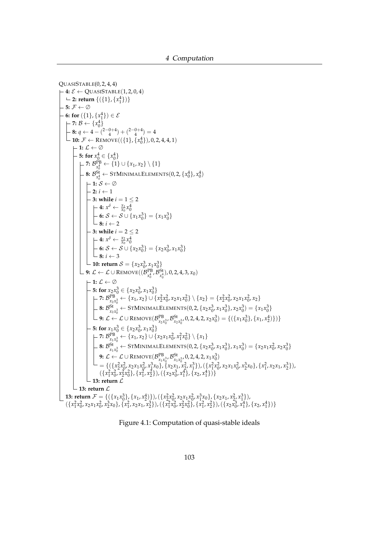```
QUASISTABLE(0, 2, 4, 4)-4: \mathcal{E} \leftarrow QUASISTABLE(1, 2, 0, 4)2: return \{(1, x_1^4)\}-5: \mathcal{F} \leftarrow \emptyset6: for ({1}, {x_1^4}) \in \mathcal{E}\mathcal{B} \leftarrow \{x_0^4\}\boldsymbol{0}8: q \leftarrow 4 - \binom{2-0+4}{4} + \binom{2-0+4}{4} = 410: \mathcal{F} \leftarrow \text{Remove}((\{1\}, \{x_0^4\}), 0, 2, 4, 4, 1)\vdash 1: \mathcal{L} \leftarrow \emptyset5: for x_0^4 \in \{x_0^4\}\mathcal{T}\colon \mathcal{B}_{x_0^4}^{\text{PB}} \leftarrow \{1\} \cup \{x_1, x_2\} \setminus \{1\}8: \mathcal{B}^{\text{S}^{\text{t}}}_{x_0^4} \leftarrow \text{STMINIMALELEMENTS}(0, 2, \{x_0^4\}, x_0^4)0
1: S ← ∅
                         \overline{\phantom{a}} 2: i \leftarrow 1
                         3: while i = 1 \leq 24: x^{\delta} \leftarrow \frac{x_1}{x_0} x_0^46: S \leftarrow S \cup \{x_1x_0^3\} = \{x_1x_0^3\}\mathsf{L} \mathbf{8}: i \leftarrow 2-3: while i = 2 < 24: x^{\delta} \leftarrow \frac{x_2}{x_0} x_0^46: S ← S ∪ {x_2x_0^3} = {x_2x_0^3, x_1x_0^3}
                             \perp 8: i \leftarrow 310: return S = \{x_2 x_0^3, x_1 x_0^3\}9: \mathcal{L} \leftarrow \mathcal{L} \cup \text{Remove}((\mathcal{B}^{\text{PB}}_{\mathbf{x}^4_0}, \mathcal{B}^{\text{St}}_{\mathbf{x}^4_0}), 0, 2, 4, 3, x_0)\vdash 1: \mathcal{L} \leftarrow \emptyset5: for x_2 x_0^3 \in \{x_2 x_0^3, x_1 x_0^3\}7: B_{x_2x_0^3}^{\text{PB}} \leftarrow \{x_1, x_2\} \cup \{x_2^2x_0^2, x_2x_1x_0^2\} \setminus \{x_2\} = \{x_2^2x_0^2, x_2x_1x_0^2, x_2\}8: B_{x_2x_0^3}^{\{32x_0\}} \leftarrow \text{STMINIMALELEMENTS}(0, 2, \{x_2x_0^3, x_1x_0^3\}, x_2x_0^3) = \{x_1x_0^3\}9: \mathcal{L} \leftarrow \mathcal{L} \cup \text{REMOVE}(\mathcal{B}_{x_2x_0^3}^{PB}, \mathcal{B}_{x_2x_0^3}^{St}, 0, 2, 4, 2, x_2x_0^3) = \{(\{x_1x_0^3\}, \{x_1, x_2^4\}\})5: for x_1 x_0^3 \in \{x_2 x_0^3, x_1 x_0^3\}\mathcal{T}: \mathcal{B}^{\text{PB}}_{x_1x_0^3} \leftarrow \{x_1, x_2\} \cup \{x_2x_1x_0^2, x_1^2x_0^2\} \setminus \{x_1\}8: \mathcal{B}^{\text{St}}_{x_1x_0^3} \leftarrow \text{STMINIMALELEMENTS}(0, 2, \{x_2x_0^3, x_1x_0^3\}, x_1x_0^3) = \{x_2x_1x_0^2, x_2x_0^3\}9: \mathcal{L} \leftarrow \mathcal{L} \cup \text{REMOVE}(\mathcal{B}_{x_1x_0^3}^{PB}, \mathcal{B}_{x_1x_0^3}^{St}, 0, 2, 4, 2, x_1x_0^3)= {({x_2^2x_0^2, x_2x_1x_0^2, x_1^3x_0}, {x_2x_1, x_2, x_1^3}), ({x_1^2x_0^2, x_2x_1x_0^2, x_2^3x_0}, {x_1^2, x_2x_1, x_2^3}),({x_1^2x_0^2, x_2^2x_0^2}, {x_1^2, x_2^2}), ({x_2x_0^3, x_1^4}, {x_2, x_1^4})13: return L
            \mathrel{\rule{0pt}{0pt}\text{--}} 13: return \mathrel{{\mathcal L}}13: return \mathcal{F} = \{ (\{x_1x_0^3\}, \{x_1, x_2^4\}) \}, (\{x_2^2x_0^2, x_2x_1x_0^2, x_1^3x_0\}, \{x_2x_1, x_2^2, x_1^3\})(\lbrace x_1^2x_0^2, x_2x_1x_0^2, x_2^3x_0 \rbrace, \lbrace x_1^2, x_2x_1, x_2^3 \rbrace), (\lbrace x_1^2x_0^2, x_2^2x_0^2 \rbrace, \lbrace x_1^2, x_2^2 \rbrace), (\lbrace x_2x_0^3, x_1^4 \rbrace, \lbrace x_2, x_1^4 \rbrace)\rbrace
```
<span id="page-107-0"></span>Figure 4.1: Computation of quasi-stable ideals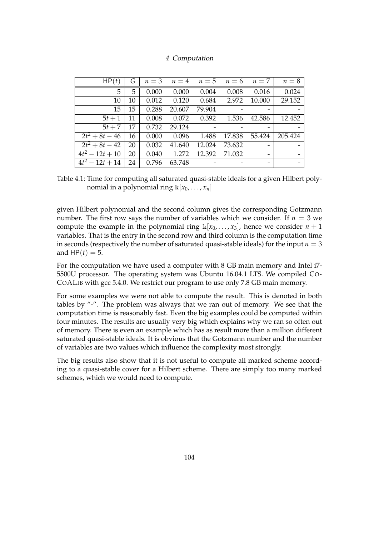| 4 Computation |  |
|---------------|--|
|---------------|--|

| HP(t)                | G  | $n=3$ | $n=4$  | $n=5$  | $n=6$  | $n=7$  | $n=8$   |
|----------------------|----|-------|--------|--------|--------|--------|---------|
| 5                    | 5  | 0.000 | 0.000  | 0.004  | 0.008  | 0.016  | 0.024   |
| 10                   | 10 | 0.012 | 0.120  | 0.684  | 2.972  | 10.000 | 29.152  |
| 15                   | 15 | 0.288 | 20.607 | 79.904 | -      |        |         |
| $5t+1$               | 11 | 0.008 | 0.072  | 0.392  | 1.536  | 42.586 | 12.452  |
| $5t+7$               | 17 | 0.732 | 29.124 |        |        |        |         |
| $\sqrt{2t^2+8t-46}$  | 16 | 0.000 | 0.096  | 1.488  | 17.838 | 55.424 | 205.424 |
| $\sqrt{2t^2+8t-42}$  | 20 | 0.032 | 41.640 | 12.024 | 73.632 |        |         |
| $4t^2-12t+10$        | 20 | 0.040 | 1.272  | 12.392 | 71.032 |        |         |
| $\sqrt{4t^2-12t+14}$ | 24 | 0.796 | 63.748 |        | -      |        |         |

<span id="page-108-0"></span>Table 4.1: Time for computing all saturated quasi-stable ideals for a given Hilbert polynomial in a polynomial ring  $\mathbb{K}[x_0, \ldots, x_n]$ 

given Hilbert polynomial and the second column gives the corresponding Gotzmann number. The first row says the number of variables which we consider. If  $n = 3$  we compute the example in the polynomial ring  $\mathbb{k}[x_0, \ldots, x_3]$ , hence we consider  $n+1$ variables. That is the entry in the second row and third column is the computation time in seconds (respectively the number of saturated quasi-stable ideals) for the input  $n = 3$ and  $HP(t) = 5$ .

For the computation we have used a computer with 8 GB main memory and Intel i7- 5500U processor. The operating system was Ubuntu 16.04.1 LTS. We compiled CO-COALIB with gcc 5.4.0. We restrict our program to use only 7.8 GB main memory.

For some examples we were not able to compute the result. This is denoted in both tables by "-". The problem was always that we ran out of memory. We see that the computation time is reasonably fast. Even the big examples could be computed within four minutes. The results are usually very big which explains why we ran so often out of memory. There is even an example which has as result more than a million different saturated quasi-stable ideals. It is obvious that the Gotzmann number and the number of variables are two values which influence the complexity most strongly.

The big results also show that it is not useful to compute all marked scheme according to a quasi-stable cover for a Hilbert scheme. There are simply too many marked schemes, which we would need to compute.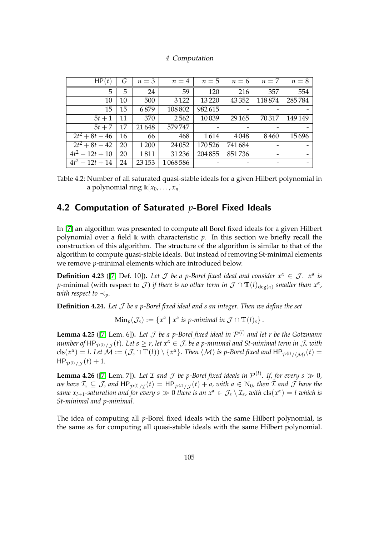4 Computation

| HP(t)               | G  | $n=3$   | $n=4$   | $n=5$           | $n=6$                    | $n=7$           | $n=8$   |
|---------------------|----|---------|---------|-----------------|--------------------------|-----------------|---------|
| 5                   | 5  | 24      | 59      | 120             | 216                      | 357             | 554     |
| 10                  | 10 | 500     | 3 1 2 2 | 13220           | 43352                    | 118874          | 285784  |
| 15                  | 15 | 6879    | 108802  | 982615          | $\overline{\phantom{0}}$ |                 |         |
| $5t+1$              | 11 | 370     | 2562    | 10039           | 29 1 65                  | 70317           | 149 149 |
| $5t+7$              | 17 | 21648   | 579747  | $\qquad \qquad$ |                          |                 |         |
| $2t^2+8t-46$        | 16 | 66      | 468     | 1614            | 4048                     | 8460            | 15696   |
| $\sqrt{2t^2+8t-42}$ | 20 | 1200    | 24 0 52 | 170526          | 741684                   | $\qquad \qquad$ |         |
| $4t^2-12t+10$       | 20 | 1811    | 31236   | 204 855         | 851736                   | -               |         |
| $4t^2-12t+14$       | 24 | 23 15 3 | 1068586 | -               | -                        | -               |         |

<span id="page-109-1"></span>Table 4.2: Number of all saturated quasi-stable ideals for a given Hilbert polynomial in a polynomial ring  $\mathbb{k}[x_0, \ldots, x_n]$ 

# 4.2 Computation of Saturated *p*-Borel Fixed Ideals

In [\[7\]](#page-159-0) an algorithm was presented to compute all Borel fixed ideals for a given Hilbert polynomial over a field  $\bf{k}$  with characteristic p. In this section we briefly recall the construction of this algorithm. The structure of the algorithm is similar to that of the algorithm to compute quasi-stable ideals. But instead of removing St-minimal elements we remove *p*-minimal elements which are introduced below.

**Definition 4.23** ([\[7,](#page-159-0) Def. 10]). Let  $\mathcal J$  be a p-Borel fixed ideal and consider  $x^{\alpha} \in \mathcal J$ .  $x^{\alpha}$  is *p*-minimal (with respect to  $\cal J$ ) *if there is no other term in*  $\cal J$   $\cap$   $\mathbb{T}(l)_{\deg(\alpha)}$  *smaller than*  $x^\alpha$ *, with respect to*  $\prec$ <sub>*p*</sub>.

**Definition 4.24.** *Let* J *be a p-Borel fixed ideal and s an integer. Then we define the set*

 $\text{Min}_p(\mathcal{J}_s) := \{x^\alpha \mid x^\alpha \text{ is } p\text{-minimal in } \mathcal{J} \cap \mathbb{T}(l)_s\}.$ 

<span id="page-109-0"></span>**Lemma 4.25** ([\[7,](#page-159-0) Lem. 6]). Let  $\mathcal J$  be a p-Borel fixed ideal in  $\mathcal P^{(l)}$  and let r be the Gotzmann  $n$ umber of  $\mathsf{HP}_{\mathcal{P}^{(l)}/\mathcal{J}}(t)$ . Let  $s\geq r$ , let  $x^{\alpha}\in\mathcal{J}_s$  be a p-minimal and St-minimal term in  $\mathcal{J}_s$  with  ${\rm cls}(x^\alpha)=l.$  Let  $\mathcal M:=(\mathcal J_s\cap \mathbb{T}(l))\setminus\{x^\alpha\}.$  Then  $\langle\mathcal M\rangle$  is p-Borel fixed and  ${\sf HP}_{\mathcal P^{(l)}/\langle\mathcal M\rangle}(t)=0$  $HP_{\mathcal{P}^{(l)}/\mathcal{J}}(t) + 1.$ 

**Lemma 4.26** ([\[7,](#page-159-0) Lem. 7]). Let  $\mathcal I$  and  $\mathcal J$  be p-Borel fixed ideals in  $\mathcal P^{(l)}$ . If, for every  $s \gg 0$ ,  $w$ e have  $\mathcal{I}_s\subseteq\mathcal{J}_s$  and  $\mathsf{HP}_{\mathcal{P}^{(l)}/\mathcal{I}}(t)=\mathsf{HP}_{\mathcal{P}^{(l)}/\mathcal{J}}(t)+a$ , with  $a\in\mathbb{N}_0$ , then  $\mathcal I$  and  $\mathcal J$  have the *same*  $x_{l+1}$ *-saturation and for every s*  $\gg 0$  *there is an*  $x^{\alpha} \in \mathcal{J}_s \setminus \mathcal{I}_s$ *, with*  ${\rm cls}(x^{\alpha}) = l$  *which is St-minimal and p-minimal.*

The idea of computing all *p*-Borel fixed ideals with the same Hilbert polynomial, is the same as for computing all quasi-stable ideals with the same Hilbert polynomial.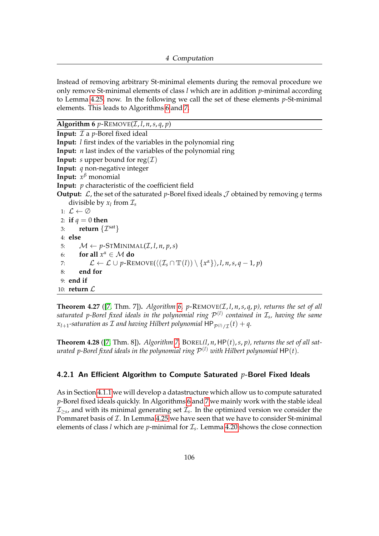Instead of removing arbitrary St-minimal elements during the removal procedure we only remove St-minimal elements of class *l* which are in addition *p*-minimal according to Lemma [4.25,](#page-109-0) now. In the following we call the set of these elements *p*-St-minimal elements. This leads to Algorithms [6](#page-110-0) and [7.](#page-111-0)

<span id="page-110-0"></span>**Algorithm 6**  $p$ -REMOVE(*I*, *l*, *n*, *s*, *q*, *p*)

**Input:**  $I$  a *p*-Borel fixed ideal **Input:** *l* first index of the variables in the polynomial ring **Input:** *n* last index of the variables of the polynomial ring **Input:** *s* upper bound for reg $(\mathcal{I})$ **Input:** *q* non-negative integer **Input:** *x <sup>β</sup>* monomial **Input:** *p* characteristic of the coefficient field **Output:**  $\mathcal{L}$ , the set of the saturated *p*-Borel fixed ideals  $\mathcal{J}$  obtained by removing *q* terms divisible by  $x_l$  from  $\mathcal{I}_s$ 1:  $\mathcal{L} \leftarrow \emptyset$ 2: **if**  $q = 0$  **then** 3: **return**  $\{\mathcal{I}^{\text{sat}}\}$ 4: **else** 5:  $M \leftarrow p\text{-STMINIMAL}(\mathcal{I}, l, n, p, s)$ 6: **for all**  $x^{\alpha} \in \mathcal{M}$  **do** 7:  $\mathcal{L} \leftarrow \mathcal{L} \cup p\text{-}\mathrm{REMOVE}(\langle (\mathcal{I}_s \cap \mathbb{T}(l)) \setminus {\{x^\alpha\}} \rangle, l, n, s, q-1, p)$ 8: **end for** 9: **end if** 10: **return** L

**Theorem 4.27** ([\[7,](#page-159-0) Thm. 7]). *Algorithm [6,](#page-110-0) p*-REMOVE $(I, l, n, s, q, p)$ , returns the set of all *saturated p-Borel fixed ideals in the polynomial ring* P (*l*) *contained in* I*<sup>s</sup> , having the same*  $x_{l+1}$ -saturation as  ${\cal I}$  and having Hilbert polynomial  $\mathsf{HP}_{\mathcal{P}^{(l)}/\mathcal{I}}(t) + q.$ 

**Theorem 4.28** ([\[7,](#page-159-0) Thm. 8])**.** *Algorithm [7,](#page-111-0)* BOREL*(l*, *n*, HP(*t*),*s*, *p), returns the set of all sat*urated p-Borel fixed ideals in the polynomial ring  $\mathcal{P}^{(l)}$  with Hilbert polynomial  $\mathsf{HP}(t)$ .

## 4.2.1 An Efficient Algorithm to Compute Saturated *p*-Borel Fixed Ideals

As in Section [4.1.1](#page-99-0) we will develop a datastructure which allow us to compute saturated *p*-Borel fixed ideals quickly. In Algorithms [6](#page-110-0) and [7](#page-111-0) we mainly work with the stable ideal  $\mathcal{I}_{\geq s}$ , and with its minimal generating set  $\mathcal{I}_s$ . In the optimized version we consider the Pommaret basis of  $I$ . In Lemma [4.25](#page-109-0) we have seen that we have to consider St-minimal elements of class *l* which are *p*-minimal for I*<sup>s</sup>* . Lemma [4.20](#page-103-0) shows the close connection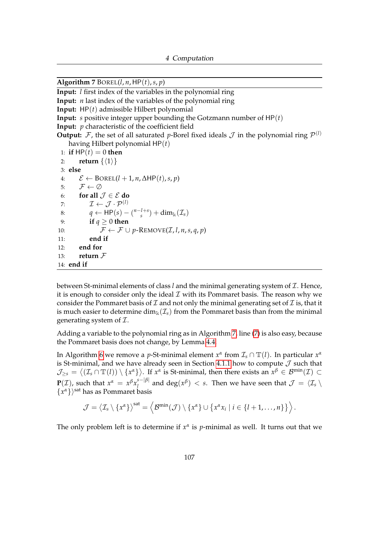<span id="page-111-0"></span>Algorithm 7 BOREL( $l, n$ , HP( $t$ ),  $s, p$ )

**Input:** *l* first index of the variables in the polynomial ring

**Input:** *n* last index of the variables of the polynomial ring

**Input:** HP(*t*) admissible Hilbert polynomial

**Input:** *s* positive integer upper bounding the Gotzmann number of HP(*t*)

**Input:** *p* characteristic of the coefficient field

**Output:** F, the set of all saturated p-Borel fixed ideals  $\mathcal{J}$  in the polynomial ring  $\mathcal{P}^{(l)}$ having Hilbert polynomial HP(*t*)

```
1: if HP(t) = 0 then
 2: return \{\langle 1 \rangle\}3: else
 4: \mathcal{E} \leftarrow \text{BOREL}(l + 1, n, \Delta \text{HP}(t), s, p)5: \mathcal{F} \leftarrow \emptyset6: for all \mathcal{J} \in \mathcal{E} do
 7: \mathcal{I} \leftarrow \mathcal{J} \cdot \mathcal{P}^{(l)}8: q \leftarrow \text{HP}(s) - \binom{n-l+s}{s}\sin^{(1+s)} + dim<sub>k</sub>(\mathcal{I}_s)
 9: if q \ge 0 then
10: \mathcal{F} \leftarrow \mathcal{F} \cup p\text{-REMOVE}(\mathcal{I}, l, n, s, q, p)11: end if
12: end for
13: return F
14: end if
```
between St-minimal elements of class *l* and the minimal generating system of *L*. Hence, it is enough to consider only the ideal  $\mathcal I$  with its Pommaret basis. The reason why we consider the Pommaret basis of  $\mathcal I$  and not only the minimal generating set of  $\mathcal I$  is, that it is much easier to determine  $\dim_k(\mathcal{I}_s)$  from the Pommaret basis than from the minimal generating system of  $\mathcal{I}$ .

Adding a variable to the polynomial ring as in Algorithm [7,](#page-111-0) line [\(7\)](#page-111-0) is also easy, because the Pommaret basis does not change, by Lemma [4.4.](#page-95-0)

In Algorithm [6](#page-110-0) we remove a *p*-St-minimal element  $x^{\alpha}$  from  $\mathcal{I}_s \cap \mathbb{T}(l)$ . In particular  $x^{\alpha}$ is St-minimal, and we have already seen in Section [4.1.1](#page-99-0) how to compute  $J$  such that  $\mathcal{J}_{\geq s}=\big\langle (\mathcal{I}_s\cap \mathbb{T}(l))\setminus\{x^\alpha\}\big\rangle.$  If  $x^\alpha$  is St-minimal, then there exists an  $x^\beta\in\mathcal{B}^{\min}(\mathcal{I})\subset\mathcal{I}$ **P**(*I*), such that  $x^{\alpha} = x^{\beta} x_i^{s-|\beta|}$  $\frac{a}{l}$  and  $\deg(x^{\beta}) < s$ . Then we have seen that  $\mathcal{J} = \langle \mathcal{I}_s \setminus \mathcal{I}_s \rangle$  $\{x^{\alpha}\}\$ <sup>sat</sup> has as Pommaret basis

$$
\mathcal{J} = \langle \mathcal{I}_s \setminus \{x^{\alpha}\}\rangle^{\text{sat}} = \langle \mathcal{B}^{\min}(\mathcal{J}) \setminus \{x^{\alpha}\} \cup \{x^{\alpha}x_i \mid i \in \{l+1,\ldots,n\}\}\rangle.
$$

The only problem left is to determine if  $x^{\alpha}$  is *p*-minimal as well. It turns out that we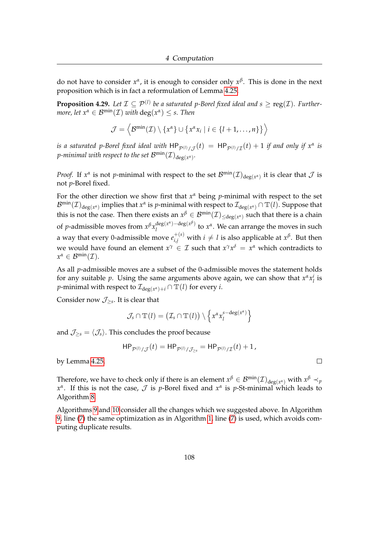do not have to consider  $x^{\alpha}$ , it is enough to consider only  $x^{\beta}$ . This is done in the next proposition which is in fact a reformulation of Lemma [4.25.](#page-109-0)

**Proposition 4.29.** Let  $\mathcal{I} \subseteq \mathcal{P}^{(l)}$  be a saturated p-Borel fixed ideal and  $s \geq \text{reg}(\mathcal{I})$ . Further*more, let*  $x^{\alpha} \in \mathcal{B}^{\min}(\mathcal{I})$  *with*  $\deg(x^{\alpha}) \leq s$ *. Then* 

$$
\mathcal{J} = \left\langle \mathcal{B}^{\min}(\mathcal{I}) \setminus \{x^{\alpha}\} \cup \{x^{\alpha}x_i \mid i \in \{l+1,\ldots,n\}\}\right\rangle
$$

*is a saturated p-Borel fixed ideal with*  $\mathsf{HP}_{\mathcal{P}^{(l)}/\mathcal{J}}(t) = \mathsf{HP}_{\mathcal{P}^{(l)}/\mathcal{I}}(t) + 1$  *<i>if and only if*  $x^\alpha$  *is p-minimal with respect to the set*  $\mathcal{B}^{\min}(\mathcal{I})_{\deg(\mathcal{X}^{\alpha})}.$ 

*Proof.* If  $x^{\alpha}$  is not *p*-minimal with respect to the set  $\mathcal{B}^{\min}(\mathcal{I})_{\deg(x^{\alpha})}$  it is clear that  $\mathcal{J}$  is not *p*-Borel fixed.

For the other direction we show first that *x <sup>α</sup>* being *p*-minimal with respect to the set  ${\cal B}^{\min}({\cal I})_{\deg(x^{\alpha})}$  implies that  $x^{\alpha}$  is  $p$ -minimal with respect to  ${\cal I}_{\deg(x^{\alpha})}\cap \mathbb{T}(l).$  Suppose that this is not the case. Then there exists an  $x^\beta\in{\cal B}^{\min}({\cal I})_{\leq\deg(x^\alpha)}$  such that there is a chain of *p*-admissible moves from  $x^{\beta}x_1^{\deg(x^{\alpha})-\deg(x^{\beta})}$  $\int_l^{\text{deg}(x^r)-\text{deg}(x^r)}$  to  $x^{\alpha}$ . We can arrange the moves in such a way that every 0-admissible move  $e_{i,j}^{+(s)}$  with  $i \neq l$  is also applicable at  $x^\beta$ . But then we would have found an element  $x^{\gamma} \in \mathcal{I}$  such that  $x^{\gamma}x^{\delta} = x^{\alpha}$  which contradicts to  $x^{\alpha} \in \mathcal{B}^{\min}(\mathcal{I}).$ 

As all *p*-admissible moves are a subset of the 0-admissible moves the statement holds for any suitable *p*. Using the same arguments above again, we can show that  $x^{\alpha}x_i^i$  is *p*-minimal with respect to  $\mathcal{I}_{\deg(x^{\alpha})+i} \cap \mathbb{T}(l)$  for every *i*.

Consider now  $\mathcal{J}_{\geq s}$ . It is clear that

$$
\mathcal{J}_s \cap \mathbb{T}(l) = (\mathcal{I}_s \cap \mathbb{T}(l)) \setminus \left\{ x^{\alpha} x_l^{s-\deg(x^{\alpha})} \right\}
$$

and  $\mathcal{J}_{\geq s} = \langle \mathcal{J}_s \rangle$ . This concludes the proof because

$$
\mathsf{HP}_{\mathcal{P}^{(l)} / \mathcal{J}}(t) = \mathsf{HP}_{\mathcal{P}^{(l)} / \mathcal{J}_{\geq s}} = \mathsf{HP}_{\mathcal{P}^{(l)} / \mathcal{I}}(t) + 1,
$$

 $\Box$ 

by Lemma [4.25.](#page-109-0)

Therefore, we have to check only if there is an element  $x^{\beta} \in B^{\min}(\mathcal{I})_{\deg(x^{\alpha})}$  with  $x^{\beta} \prec_p$ *x α* . If this is not the case, J is *p*-Borel fixed and *x α* is *p*-St-minimal which leads to Algorithm [8.](#page-113-0)

Algorithms [9](#page-114-0) and [10](#page-115-0) consider all the changes which we suggested above. In Algorithm [9,](#page-114-0) line [\(7\)](#page-114-0) the same optimization as in Algorithm [1,](#page-96-0) line [\(7\)](#page-96-0) is used, which avoids computing duplicate results.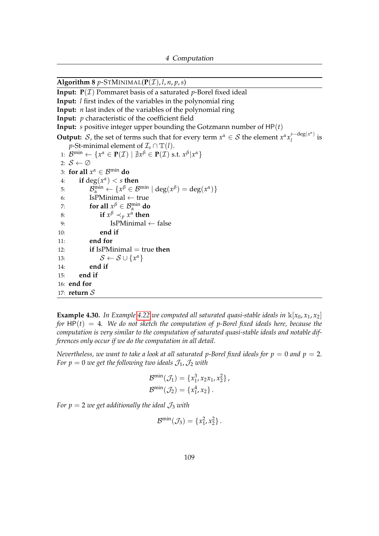<span id="page-113-0"></span>**Algorithm 8**  $p$ -STMINIMAL( $P(\mathcal{I})$ , *l*, *n*, *p*, *s*) **Input:**  $P(\mathcal{I})$  Pommaret basis of a saturated *p*-Borel fixed ideal **Input:** *l* first index of the variables in the polynomial ring **Input:** *n* last index of the variables of the polynomial ring **Input:** *p* characteristic of the coefficient field **Input:** *s* positive integer upper bounding the Gotzmann number of HP(*t*) **Output:** S, the set of terms such that for every term  $x^{\alpha} \in S$  the element  $x^{\alpha} x_j^{s-\deg(x^{\alpha})}$  $\frac{1}{l}$  deg(x) is *p*-St-minimal element of  $\mathcal{I}_s \cap \mathbb{T}(l)$ . 1:  $\mathcal{B}^{\min} \leftarrow \{x^{\alpha} \in \mathbf{P}(\mathcal{I}) \mid \nexists x^{\beta} \in \mathbf{P}(\mathcal{I}) \text{ s.t. } x^{\beta} | x^{\alpha} \}$ 2:  $S \leftarrow \emptyset$ 3: **for all**  $x^{\alpha} \in \mathcal{B}^{\min}$  **do** 4: **if**  $\deg(x^{\alpha}) < s$  **then** 5:  $\mathcal{B}_{\alpha}^{\min} \leftarrow \{x^{\beta} \in \mathcal{B}^{\min} \mid \deg(x^{\beta}) = \deg(x^{\alpha})\}$ 6: IsPMinimal  $\leftarrow$  true 7: **for all**  $\chi^{\beta} \in \mathcal{B}_{\alpha}^{\min}$  do 8: **if**  $x^{\beta} \prec_p x^{\alpha}$  then 9:  $I$ sPMinimal ← false 10: **end if** 11: **end for** 12: **if** IsPMinimal = true **then** 13:  $S \leftarrow S \cup \{x^{\alpha}\}\$ 14: **end if** 15: **end if** 16: **end for** 17: **return** S

**Example 4.30.** In Example [4.22](#page-106-0) we computed all saturated quasi-stable ideals in  $\mathbb{k}[x_0, x_1, x_2]$ *for*  $HP(t) = 4$ *. We do not sketch the computation of p-Borel fixed ideals here, because the computation is very similar to the computation of saturated quasi-stable ideals and notable differences only occur if we do the computation in all detail.*

*Nevertheless, we want to take a look at all saturated p-Borel fixed ideals for*  $p = 0$  *and*  $p = 2$ *. For p* = 0 *we get the following two ideals*  $\mathcal{J}_1$ ,  $\mathcal{J}_2$  *with* 

$$
\mathcal{B}^{\min}(\mathcal{J}_1) = \{x_1^3, x_2x_1, x_2^2\}, \mathcal{B}^{\min}(\mathcal{J}_2) = \{x_1^4, x_2\}.
$$

*For p* = 2 *we get additionally the ideal*  $\mathcal{J}_3$  *with* 

$$
\mathcal{B}^{\min}(\mathcal{J}_3) = \{x_1^2, x_2^2\}.
$$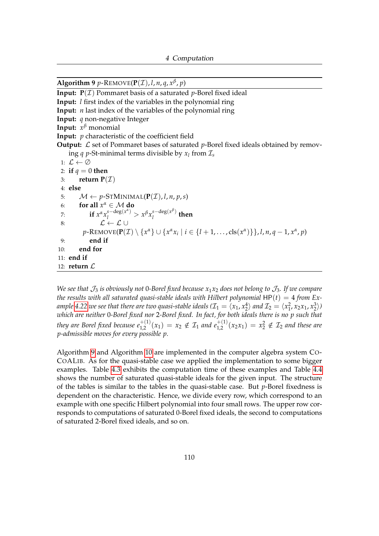<span id="page-114-0"></span>**Algorithm 9** *p*-REMOVE( $P(\mathcal{I})$ , *l*, *n*, *q*,  $x^{\beta}$ , *p*)

**Input:**  $P(\mathcal{I})$  Pommaret basis of a saturated *p*-Borel fixed ideal **Input:** *l* first index of the variables in the polynomial ring **Input:** *n* last index of the variables of the polynomial ring **Input:** *q* non-negative Integer **Input:** *x <sup>β</sup>* monomial **Input:** *p* characteristic of the coefficient field **Output:**  $\mathcal{L}$  set of Pommaret bases of saturated *p*-Borel fixed ideals obtained by removing *q p*-St-minimal terms divisible by  $x_l$  from  $\mathcal{I}_s$ 1:  $\mathcal{L} \leftarrow \emptyset$ 2: **if**  $q = 0$  **then** 3: **return P** $(\mathcal{I})$ 4: **else** 5:  $\mathcal{M} \leftarrow p\text{-STMINIMAL}(\mathbf{P}(\mathcal{I}), l, n, p, s)$ 6: **for all**  $x^{\alpha} \in \mathcal{M}$  do 7: **if**  $x^{\alpha} x_l^{s-\deg(x^{\alpha})} > x^{\beta} x_l^{s-\deg(x^{\beta})}$  $\int_l^{\cos(\lambda)}$  then 8:  $\mathcal{L} \leftarrow \mathcal{L} \cup$  $p$ -REMOVE( $P(\mathcal{I}) \setminus \{x^{\alpha}\} \cup \{x^{\alpha}x_i \mid i \in \{l+1,\ldots,\text{cls}(x^{\alpha})\}\}, l, n, q-1, x^{\alpha}, p$ ) 9: **end if** 10: **end for** 11: **end if** 12: **return**  $\mathcal{L}$ 

*We see that*  $\mathcal{J}_3$  *is obviously not* 0-Borel fixed because  $x_1x_2$  does not belong to  $\mathcal{J}_3$ . If we compare *the results with all saturated quasi-stable ideals with Hilbert polynomial*  $HP(t) = 4$  *from Ex-*ample [4.22](#page-106-0) we see that there are two quasi-stable ideals ( $\mathcal{I}_1=\langle x_1, x_2^4\rangle$  and  $\mathcal{I}_2=\langle x_1^2, x_2x_1, x_2^3\rangle$ ) *which are neither* 0*-Borel fixed nor* 2*-Borel fixed. In fact, for both ideals there is no p such that they are Borel fixed because*  $e_{1,2}^{+(1)}(x_1) = x_2 \notin \mathcal{I}_1$  *and*  $e_{1,2}^{+(1)}(x_2x_1) = x_2^2 \notin \mathcal{I}_2$  *and these are p-admissible moves for every possible p.*

Algorithm [9](#page-114-0) and Algorithm [10](#page-115-0) are implemented in the computer algebra system CO-COALIB. As for the quasi-stable case we applied the implementation to some bigger examples. Table [4.3](#page-116-0) exhibits the computation time of these examples and Table [4.4](#page-118-0) shows the number of saturated quasi-stable ideals for the given input. The structure of the tables is similar to the tables in the quasi-stable case. But *p*-Borel fixedness is dependent on the characteristic. Hence, we divide every row, which correspond to an example with one specific Hilbert polynomial into four small rows. The upper row corresponds to computations of saturated 0-Borel fixed ideals, the second to computations of saturated 2-Borel fixed ideals, and so on.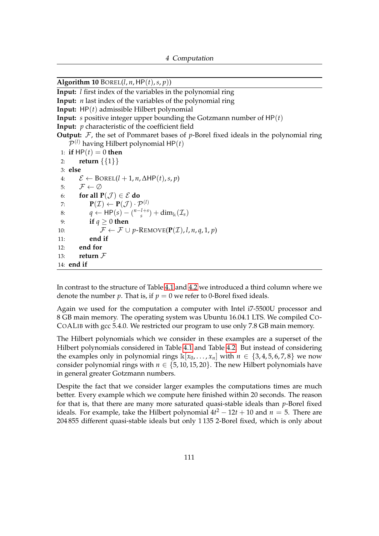<span id="page-115-0"></span> $\overline{\text{Algorithm 10 BOREL}(l, n, \text{HP}(t), s, p)}$ 

**Input:** *l* first index of the variables in the polynomial ring

**Input:** *n* last index of the variables of the polynomial ring

**Input:** HP(*t*) admissible Hilbert polynomial

**Input:** *s* positive integer upper bounding the Gotzmann number of HP(*t*)

**Input:** *p* characteristic of the coefficient field

**Output:**  $\mathcal{F}$ , the set of Pommaret bases of *p*-Borel fixed ideals in the polynomial ring  $\mathcal{P}^{(l)}$  having Hilbert polynomial HP $(t)$ 

```
1: if HP(t) = 0 then
 2: return {{1}}
 3: else
 4: \mathcal{E} \leftarrow \text{BOREL}(l + 1, n, \Delta \text{HP}(t), s, p)5: \mathcal{F} \leftarrow \emptyset6: for all P(\mathcal{J}) \in \mathcal{E} do
 7: P(\mathcal{I}) \leftarrow \mathbf{P}(\mathcal{J}) \cdot \mathcal{P}^{(l)}8: q \leftarrow \text{HP}(s) - \binom{n-l+s}{s}\sin^{(1+s)} + dim<sub>k</sub>(\mathcal{I}_s)
 9: if q ≥ 0 then
10: \mathcal{F} \leftarrow \mathcal{F} \cup p\text{-REMOVE}(\mathbf{P}(\mathcal{I}), l, n, q, 1, p)11: end if
12: end for
13: return F
14: end if
```
In contrast to the structure of Table [4.1](#page-108-0) and [4.2](#page-109-1) we introduced a third column where we denote the number *p*. That is, if  $p = 0$  we refer to 0-Borel fixed ideals.

Again we used for the computation a computer with Intel i7-5500U processor and 8 GB main memory. The operating system was Ubuntu 16.04.1 LTS. We compiled CO-COALIB with gcc 5.4.0. We restricted our program to use only 7.8 GB main memory.

The Hilbert polynomials which we consider in these examples are a superset of the Hilbert polynomials considered in Table [4.1](#page-108-0) and Table [4.2.](#page-109-1) But instead of considering the examples only in polynomial rings  $\mathbb{K}[x_0, \ldots, x_n]$  with  $n \in \{3, 4, 5, 6, 7, 8\}$  we now consider polynomial rings with  $n \in \{5, 10, 15, 20\}$ . The new Hilbert polynomials have in general greater Gotzmann numbers.

Despite the fact that we consider larger examples the computations times are much better. Every example which we compute here finished within 20 seconds. The reason for that is, that there are many more saturated quasi-stable ideals than *p*-Borel fixed ideals. For example, take the Hilbert polynomial  $4t^2 - 12t + 10$  and  $n = 5$ . There are 204 855 different quasi-stable ideals but only 1 135 2-Borel fixed, which is only about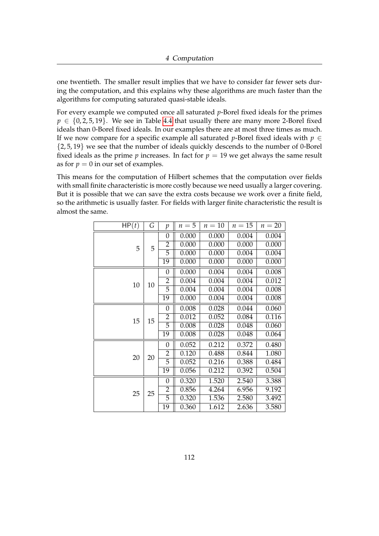one twentieth. The smaller result implies that we have to consider far fewer sets during the computation, and this explains why these algorithms are much faster than the algorithms for computing saturated quasi-stable ideals.

For every example we computed once all saturated *p*-Borel fixed ideals for the primes  $p \in \{0, 2, 5, 19\}$ . We see in Table [4.4](#page-118-0) that usually there are many more 2-Borel fixed ideals than 0-Borel fixed ideals. In our examples there are at most three times as much. If we now compare for a specific example all saturated *p*-Borel fixed ideals with  $p \in$ {2, 5, 19} we see that the number of ideals quickly descends to the number of 0-Borel fixed ideals as the prime  $p$  increases. In fact for  $p = 19$  we get always the same result as for  $p = 0$  in our set of examples.

This means for the computation of Hilbert schemes that the computation over fields with small finite characteristic is more costly because we need usually a larger covering. But it is possible that we can save the extra costs because we work over a finite field, so the arithmetic is usually faster. For fields with larger finite characteristic the result is almost the same.

<span id="page-116-0"></span>

| HP(t) | G  | p              | $n=5$ | $n=10$ | $n=15$ | $n=20$ |
|-------|----|----------------|-------|--------|--------|--------|
|       |    | $\theta$       | 0.000 | 0.000  | 0.004  | 0.004  |
| 5     | 5  | $\overline{2}$ | 0.000 | 0.000  | 0.000  | 0.000  |
|       |    | 5              | 0.000 | 0.000  | 0.004  | 0.004  |
|       |    | 19             | 0.000 | 0.000  | 0.000  | 0.000  |
|       |    | $\theta$       | 0.000 | 0.004  | 0.004  | 0.008  |
| 10    | 10 | $\overline{2}$ | 0.004 | 0.004  | 0.004  | 0.012  |
|       |    | 5              | 0.004 | 0.004  | 0.004  | 0.008  |
|       |    | 19             | 0.000 | 0.004  | 0.004  | 0.008  |
|       |    | 0              | 0.008 | 0.028  | 0.044  | 0.060  |
| 15    | 15 | $\overline{2}$ | 0.012 | 0.052  | 0.084  | 0.116  |
|       |    | 5              | 0.008 | 0.028  | 0.048  | 0.060  |
|       |    | 19             | 0.008 | 0.028  | 0.048  | 0.064  |
|       |    | $\theta$       | 0.052 | 0.212  | 0.372  | 0.480  |
| 20    | 20 | $\overline{2}$ | 0.120 | 0.488  | 0.844  | 1.080  |
|       |    | $\overline{5}$ | 0.052 | 0.216  | 0.388  | 0.484  |
|       |    | 19             | 0.056 | 0.212  | 0.392  | 0.504  |
|       |    | $\theta$       | 0.320 | 1.520  | 2.540  | 3.388  |
| 25    | 25 | $\overline{2}$ | 0.856 | 4.264  | 6.956  | 9.192  |
|       |    | 5              | 0.320 | 1.536  | 2.580  | 3.492  |
|       |    | 19             | 0.360 | 1.612  | 2.636  | 3.580  |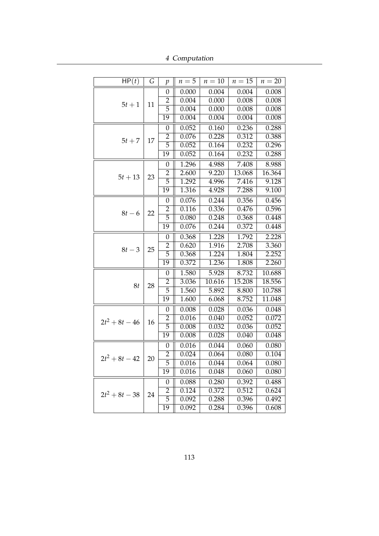4 Computation

| HP(t)            | G  | $\mathcal{p}$    | $n=5$              | $n=10$ | $n=15$ | $n=20$ |
|------------------|----|------------------|--------------------|--------|--------|--------|
|                  |    | 0                | 0.000              | 0.004  | 0.004  | 0.008  |
|                  | 11 | $\overline{2}$   | 0.004              | 0.000  | 0.008  | 0.008  |
| $5t+1$           |    | 5                | 0.004              | 0.000  | 0.008  | 0.008  |
|                  |    | 19               | 0.004              | 0.004  | 0.004  | 0.008  |
|                  |    | 0                | 0.052              | 0.160  | 0.236  | 0.288  |
| $5t+7$           | 17 | 2                | 0.076              | 0.228  | 0.312  | 0.388  |
|                  |    | 5                | 0.052              | 0.164  | 0.232  | 0.296  |
|                  |    | $\overline{19}$  | 0.052              | 0.164  | 0.232  | 0.288  |
|                  |    | 0                | $\overline{1.296}$ | 4.988  | 7.408  | 8.988  |
|                  | 23 | $\overline{2}$   | 2.600              | 9.220  | 13.068 | 16.364 |
| $5t + 13$        |    | 5                | 1.292              | 4.996  | 7.416  | 9.128  |
|                  |    | 19               | 1.316              | 4.928  | 7.288  | 9.100  |
|                  |    | 0                | 0.076              | 0.244  | 0.356  | 0.456  |
| $8t-6$           | 22 | 2                | 0.116              | 0.336  | 0.476  | 0.596  |
|                  |    | $\overline{5}$   | 0.080              | 0.248  | 0.368  | 0.448  |
|                  |    | $\overline{19}$  | 0.076              | 0.244  | 0.372  | 0.448  |
|                  | 25 | $\mathbf{0}$     | 0.368              | 1.228  | 1.792  | 2.228  |
| $8t-3$           |    | $\overline{2}$   | 0.620              | 1.916  | 2.708  | 3.360  |
|                  |    | 5                | 0.368              | 1.224  | 1.804  | 2.252  |
|                  |    | 19               | 0.372              | 1.236  | 1.808  | 2.260  |
|                  |    | 0                | 1.580              | 5.928  | 8.732  | 10.688 |
| 8t               | 28 | 2                | 3.036              | 10.616 | 15.208 | 18.556 |
|                  |    | 5                | 1.560              | 5.892  | 8.800  | 10.788 |
|                  |    | 19               | 1.600              | 6.068  | 8.752  | 11.048 |
|                  |    | 0                | 0.008              | 0.028  | 0.036  | 0.048  |
| $2t^2+8t-46$     | 16 | $\overline{2}$   | 0.016              | 0.040  | 0.052  | 0.072  |
|                  |    | $\overline{5}$   | 0.008              | 0.032  | 0.036  | 0.052  |
|                  |    | 19               | 0.008              | 0.028  | 0.040  | 0.048  |
|                  |    | 0                | 0.016              | 0.044  | 0.060  | 0.080  |
| $2t^2 + 8t - 42$ | 20 | $\overline{2}$   | 0.024              | 0.064  | 0.080  | 0.104  |
|                  |    | 5                | 0.016              | 0.044  | 0.064  | 0.080  |
|                  |    | 19               | 0.016              | 0.048  | 0.060  | 0.080  |
|                  |    | $\boldsymbol{0}$ | 0.088              | 0.280  | 0.392  | 0.488  |
| $2t^2 + 8t - 38$ | 24 | $\overline{2}$   | 0.124              | 0.372  | 0.512  | 0.624  |
|                  |    | $\overline{5}$   | 0.092              | 0.288  | 0.396  | 0.492  |
|                  |    | 19               | $\overline{0.092}$ | 0.284  | 0.396  | 0.608  |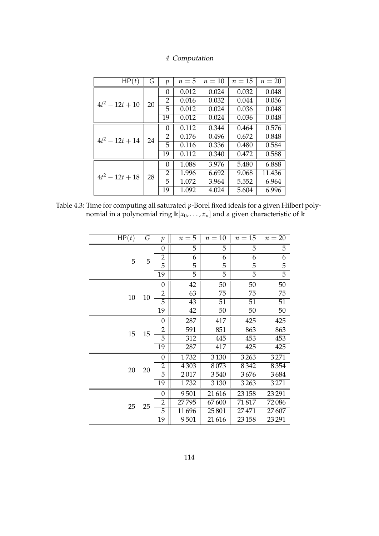4 Computation

| HP(t)             | G  | $\mathcal{D}$ | $n=5$ | $n=10$ | $n=15$ | $n=20$ |
|-------------------|----|---------------|-------|--------|--------|--------|
|                   |    | 0             | 0.012 | 0.024  | 0.032  | 0.048  |
| $4t^2 - 12t + 10$ | 20 | 2             | 0.016 | 0.032  | 0.044  | 0.056  |
|                   |    | 5             | 0.012 | 0.024  | 0.036  | 0.048  |
|                   |    | 19            | 0.012 | 0.024  | 0.036  | 0.048  |
|                   | 24 | 0             | 0.112 | 0.344  | 0.464  | 0.576  |
| $4t^2-12t+14$     |    | 2             | 0.176 | 0.496  | 0.672  | 0.848  |
|                   |    | 5             | 0.116 | 0.336  | 0.480  | 0.584  |
|                   |    | 19            | 0.112 | 0.340  | 0.472  | 0.588  |
|                   | 28 | 0             | 1.088 | 3.976  | 5.480  | 6.888  |
| $4t^2-12t+18$     |    | 2             | 1.996 | 6.692  | 9.068  | 11.436 |
|                   |    | 5.            | 1.072 | 3.964  | 5.552  | 6.964  |
|                   |    | 19            | 1.092 | 4.024  | 5.604  | 6.996  |

<span id="page-118-0"></span>Table 4.3: Time for computing all saturated *p*-Borel fixed ideals for a given Hilbert polynomial in a polynomial ring k[*x*0, . . . , *xn*] and a given characteristic of k

| HP(t) | G  | $\mathfrak{p}$   | $n=5$ | $n=10$ | $n=15$ | $n=20$         |
|-------|----|------------------|-------|--------|--------|----------------|
|       |    | $\boldsymbol{0}$ | 5     | 5      | 5      | 5              |
| 5     | 5  | $\overline{2}$   | 6     | 6      | 6      | 6              |
|       |    | 5                | 5     | 5      | 5      | 5              |
|       |    | 19               | 5     | 5      | 5      | $\overline{5}$ |
|       |    | $\overline{0}$   | 42    | 50     | 50     | 50             |
| 10    | 10 | $\overline{2}$   | 63    | 75     | 75     | 75             |
|       |    | 5                | 43    | 51     | 51     | 51             |
|       |    | 19               | 42    | 50     | 50     | 50             |
|       |    | $\boldsymbol{0}$ | 287   | 417    | 425    | 425            |
| 15    | 15 | $\overline{2}$   | 591   | 851    | 863    | 863            |
|       |    | 5                | 312   | 445    | 453    | 453            |
|       |    | 19               | 287   | 417    | 425    | 425            |
|       |    | $\boldsymbol{0}$ | 1732  | 3130   | 3263   | 3271           |
| 20    | 20 | $\overline{2}$   | 4303  | 8073   | 8342   | 8354           |
|       |    | 5                | 2017  | 3540   | 3676   | 3684           |
|       |    | 19               | 1732  | 3130   | 3263   | 3271           |
|       |    | 0                | 9501  | 21616  | 23 158 | 23291          |
| 25    | 25 | $\overline{2}$   | 27795 | 67600  | 71817  | 72086          |
|       |    | 5                | 11696 | 25801  | 27471  | 27607          |
|       |    | 19               | 9501  | 21616  | 23 158 | 23291          |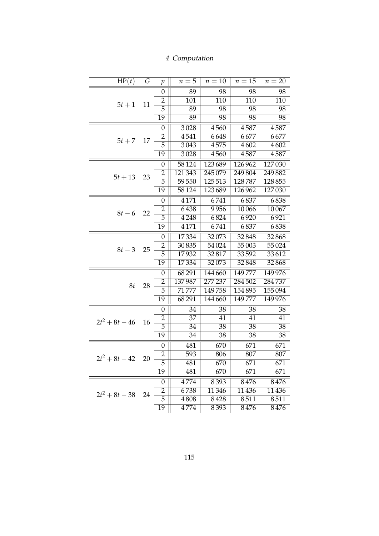4 Computation

| HP(t)            | G  | p                | $n=5$              | $n=10$  | $n=15$ | $n=20$ |
|------------------|----|------------------|--------------------|---------|--------|--------|
|                  | 11 | $\boldsymbol{0}$ | 89                 | 98      | 98     | 98     |
| $5t+1$           |    | $\overline{2}$   | 101                | 110     | 110    | 110    |
|                  |    | 5                | 89                 | 98      | 98     | 98     |
|                  |    | $\overline{19}$  | 89                 | 98      | 98     | 98     |
|                  |    | $\boldsymbol{0}$ | 3028               | 4560    | 4587   | 4587   |
|                  | 17 | $\overline{c}$   | 4541               | 6648    | 6677   | 6677   |
| $5t+7$           |    | 5                | 3043               | 4575    | 4602   | 4602   |
|                  |    | $\overline{19}$  | 3028               | 4560    | 4587   | 4587   |
|                  |    | $\boldsymbol{0}$ | 58124              | 123689  | 126962 | 127030 |
| $5t + 13$        | 23 | $\overline{2}$   | 121343             | 245079  | 249804 | 249882 |
|                  |    | 5                | $\overline{59550}$ | 125513  | 128787 | 128855 |
|                  |    | $\overline{19}$  | 58124              | 123689  | 126962 | 127030 |
|                  |    | $\boldsymbol{0}$ | $\overline{4}171$  | 6741    | 6837   | 6838   |
| $8t-6$           | 22 | $\overline{2}$   | 6438               | 9956    | 10066  | 10067  |
|                  |    | $\overline{5}$   | 4248               | 6824    | 6920   | 6921   |
|                  |    | $\overline{19}$  | 4171               | 6741    | 6837   | 6838   |
|                  |    | $\boldsymbol{0}$ | 17334              | 32073   | 32848  | 32868  |
| $8t-3$           | 25 | $\overline{2}$   | 30835              | 54024   | 55003  | 55024  |
|                  |    | 5                | 17932              | 32817   | 33592  | 33612  |
|                  |    | 19               | 17334              | 32073   | 32848  | 32868  |
|                  |    | $\boldsymbol{0}$ | 68291              | 144660  | 149777 | 149976 |
| 8t               | 28 | $\overline{2}$   | 137987             | 277 237 | 284502 | 284737 |
|                  |    | $\overline{5}$   | 71777              | 149758  | 154895 | 155094 |
|                  |    | 19               | 68291              | 144 660 | 149777 | 149976 |
|                  |    | $\boldsymbol{0}$ | 34                 | 38      | 38     | 38     |
| $2t^2+8t-46$     | 16 | $\overline{2}$   | 37                 | 41      | 41     | 41     |
|                  |    | $\overline{5}$   | 34                 | 38      | 38     | 38     |
|                  |    | 19               | 34                 | 38      | 38     | 38     |
|                  |    | $\boldsymbol{0}$ | 481                | 670     | 671    | 671    |
| $2t^2 + 8t - 42$ | 20 | $\overline{2}$   | 593                | 806     | 807    | 807    |
|                  |    | 5                | 481                | 670     | 671    | 671    |
|                  |    | 19               | 481                | 670     | 671    | 671    |
|                  |    | $\boldsymbol{0}$ | 4774               | 8393    | 8476   | 8476   |
| $2t^2+8t-38$     | 24 | $\overline{2}$   | 6738               | 11346   | 11436  | 11436  |
|                  |    | $\overline{5}$   | 4808               | 8428    | 8511   | 8511   |
|                  |    | 19               | 4774               | 8393    | 8476   | 8476   |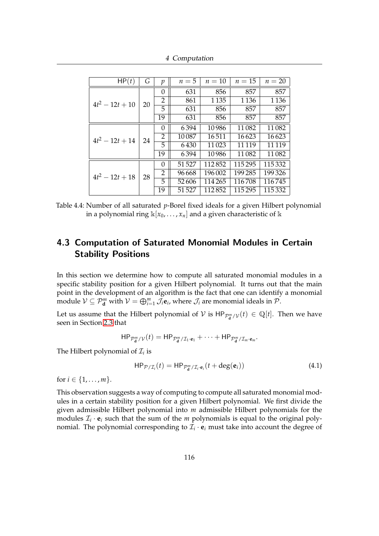4 Computation

| HP(t)             | G  | р        | $n=5$  | $n=10$  | $n=15$  | $n=20$   |
|-------------------|----|----------|--------|---------|---------|----------|
|                   |    | 0        | 631    | 856     | 857     | 857      |
| $4t^2 - 12t + 10$ | 20 | 2        | 861    | 1 1 3 5 | 1 1 3 6 | 1 1 3 6  |
|                   |    | 5        | 631    | 856     | 857     | 857      |
|                   |    | 19       | 631    | 856     | 857     | 857      |
| $4t^2 - 12t + 14$ | 24 | $\Omega$ | 6394   | 10986   | 11082   | 11082    |
|                   |    | 2        | 10087  | 16511   | 16623   | 16623    |
|                   |    | 5        | 6430   | 11023   | 11 1 19 | 11 1 19  |
|                   |    | 19       | 6394   | 10986   | 11082   | 11082    |
|                   |    | $\theta$ | 51 527 | 112852  | 115295  | 115 332  |
| $4t^2 - 12t + 18$ | 28 | 2        | 96 668 | 196 002 | 199285  | 199326   |
|                   |    | 5        | 52606  | 114 265 | 116708  | 116745   |
|                   |    | 19       | 51527  | 112852  | 115295  | 115 3 32 |

Table 4.4: Number of all saturated *p*-Borel fixed ideals for a given Hilbert polynomial in a polynomial ring  $\mathbb{k}[x_0, \ldots, x_n]$  and a given characteristic of  $\mathbb{k}$ 

# 4.3 Computation of Saturated Monomial Modules in Certain Stability Positions

In this section we determine how to compute all saturated monomial modules in a specific stability position for a given Hilbert polynomial. It turns out that the main point in the development of an algorithm is the fact that one can identify a monomial module  $V \subseteq \mathcal{P}_{\mathbf{d}}^m$  with  $V = \bigoplus_{i=1}^m \mathcal{J}_i \mathbf{e}_i$ , where  $\mathcal{J}_i$  are monomial ideals in  $\mathcal{P}$ .

Let us assume that the Hilbert polynomial of  $V$  is  $HP_{\mathcal{P}_d^m/\mathcal{V}}(t) \in \mathbb{Q}[t]$ . Then we have seen in Section [2.3](#page-62-0) that

$$
\mathsf{HP}_{\mathcal{P}_{\mathbf{d}}^m/\mathcal{V}}(t) = \mathsf{HP}_{\mathcal{P}_{\mathbf{d}}^m/\mathcal{I}_1 \cdot \mathbf{e}_1} + \cdots + \mathsf{HP}_{\mathcal{P}_{\mathbf{d}}^m/\mathcal{I}_m \cdot \mathbf{e}_m}.
$$

The Hilbert polynomial of  $\mathcal{I}_i$  is

<span id="page-120-0"></span>
$$
\mathsf{HP}_{\mathcal{P}/\mathcal{I}_i}(t) = \mathsf{HP}_{\mathcal{P}_\mathbf{d}^m/\mathcal{I}_i \cdot \mathbf{e}_i}(t + \deg(\mathbf{e}_i)) \tag{4.1}
$$

for  $i \in \{1, ..., m\}$ .

This observation suggests a way of computing to compute all saturated monomial modules in a certain stability position for a given Hilbert polynomial. We first divide the given admissible Hilbert polynomial into *m* admissible Hilbert polynomials for the modules  $\mathcal{I}_i \cdot \mathbf{e}_i$  such that the sum of the  $m$  polynomials is equal to the original polynomial. The polynomial corresponding to  $\mathcal{I}_i \cdot \mathbf{e}_i$  must take into account the degree of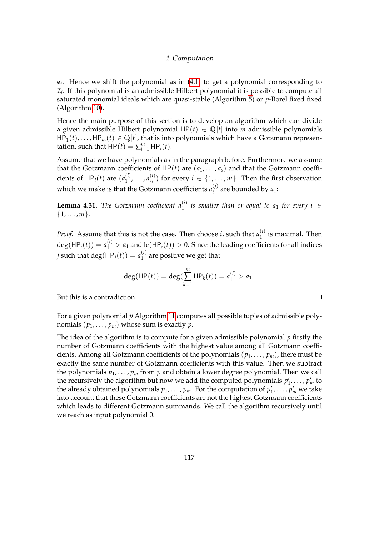**e***i* . Hence we shift the polynomial as in [\(4.1\)](#page-120-0) to get a polynomial corresponding to  $\mathcal{I}_i$ . If this polynomial is an admissible Hilbert polynomial it is possible to compute all saturated monomial ideals which are quasi-stable (Algorithm [5\)](#page-106-1) or *p*-Borel fixed fixed (Algorithm [10\)](#page-115-0).

Hence the main purpose of this section is to develop an algorithm which can divide a given admissible Hilbert polynomial  $HP(t) \in \mathbb{Q}[t]$  into *m* admissible polynomials  $HP_1(t), \ldots, HP_m(t) \in \mathbb{Q}[t]$ , that is into polynomials which have a Gotzmann representation, such that  $HP(t) = \sum_{i=1}^{m} HP_i(t)$ .

Assume that we have polynomials as in the paragraph before. Furthermore we assume that the Gotzmann coefficients of  $HP(t)$  are  $(a_1, \ldots, a_s)$  and that the Gotzmann coefficients of  $HP_i(t)$  are  $(a_1^{(i)}$  $\binom{i}{1}, \ldots, \binom{i}{s_i}$  $S_i^{(1)}$  for every  $i \in \{1, ..., m\}$ . Then the first observation which we make is that the Gotzmann coefficients  $a_i^{(j)}$  $a_i^{(1)}$  are bounded by  $a_1$ :

**Lemma 4.31.** The Gotzmann coefficient  $a_1^{(i)}$  is smaller than or equal to  $a_1$  for every  $i \in$  $\{1, \ldots, m\}.$ 

*Proof.* Assume that this is not the case. Then choose *i*, such that  $a_1^{(i)}$  $i'$  is maximal. Then  $deg(HP_i(t)) = a_1^{(i)} > a_1$  and  $lc(HP_i(t)) > 0$ . Since the leading coefficients for all indices  $j$  such that  $\deg({\sf HP}_j(t)) = a_1^{(i)}$  $1^{(1)}$  are positive we get that

$$
\deg(\mathsf{HP}(t)) = \deg(\sum_{k=1}^m \mathsf{HP}_k(t)) = a_1^{(i)} > a_1.
$$

 $\Box$ 

But this is a contradiction.

For a given polynomial *p* Algorithm [11](#page-122-0) computes all possible tuples of admissible polynomials  $(p_1, \ldots, p_m)$  whose sum is exactly  $p$ .

The idea of the algorithm is to compute for a given admissible polynomial *p* firstly the number of Gotzmann coefficients with the highest value among all Gotzmann coefficients. Among all Gotzmann coefficients of the polynomials (*p*1, . . . , *pm*), there must be exactly the same number of Gotzmann coefficients with this value. Then we subtract the polynomials  $p_1, \ldots, p_m$  from  $p$  and obtain a lower degree polynomial. Then we call the recursively the algorithm but now we add the computed polynomials  $p'_1, \ldots, p'_m$  to the already obtained polynomials  $p_1, \ldots, p_m$ . For the computation of  $p'_1, \ldots, p'_m$  we take into account that these Gotzmann coefficients are not the highest Gotzmann coefficients which leads to different Gotzmann summands. We call the algorithm recursively until we reach as input polynomial 0.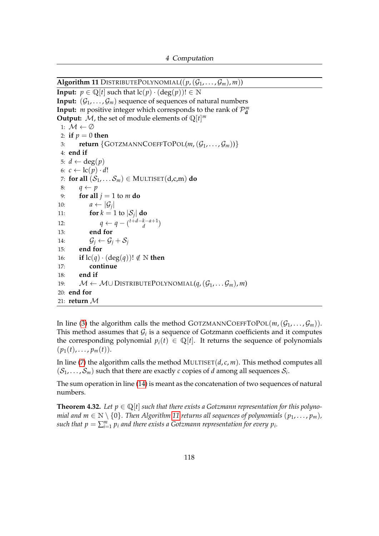<span id="page-122-0"></span> $\overline{\text{Algorithm 11}}$  DISTRIBUTEPOLYNOMIAL $((p,(\mathcal{G}_1,\ldots,\mathcal{G}_m),m))$ 

**Input:**  $p \in \mathbb{Q}[t]$  such that  $\text{lc}(p) \cdot (\text{deg}(p))! \in \mathbb{N}$ **Input:**  $(\mathcal{G}_1, \ldots, \mathcal{G}_m)$  sequence of sequences of natural numbers **Input:** *m* positive integer which corresponds to the rank of  $\mathcal{P}_{d}^{m}$ **Output:** *M*, the set of module elements of  $\mathbb{Q}[t]^m$ 1:  $\mathcal{M} \leftarrow \emptyset$ 2: **if**  $p = 0$  **then** 3: **return**  $\{GOTZMANNCOEFFTOPOL(m, (G_1, \ldots, G_m))\}$ 4: **end if** 5:  $d \leftarrow \deg(p)$ 6:  $c \leftarrow lc(p) \cdot d!$ 7: **for all**  $(S_1, \ldots, S_m) \in \text{MULTISET}(d, c, m)$  **do** 8:  $q \leftarrow p$ 9: **for all**  $j = 1$  to  $m$  **do** 10:  $a \leftarrow |\mathcal{G}_j|$ 11: **for**  $k = 1$  to  $|\mathcal{S}_j|$  **do** 12:  $q \leftarrow q - \binom{t+d-k-a+1}{d}$ *d* ) 13: **end for** 14:  $\mathcal{G}_i \leftarrow \mathcal{G}_i + \mathcal{S}_i$ 15: **end for** 16: **if**  $lc(q) \cdot (deg(q))! \notin \mathbb{N}$  then 17: **continue** 18: **end if** 19:  $M \leftarrow M \cup \text{DISTRIBUTEPOLYNOMIAL}(q, (G_1, \ldots, G_m), m)$ 20: **end for** 21: **return** M

In line [\(3\)](#page-122-0) the algorithm calls the method GOTZMANNCOEFFTOPOL( $m$ , ( $\mathcal{G}_1, \ldots, \mathcal{G}_m$ )). This method assumes that  $\mathcal{G}_i$  is a sequence of Gotzmann coefficients and it computes the corresponding polynomial  $p_i(t) \in \mathbb{Q}[t]$ . It returns the sequence of polynomials  $(p_1(t), \ldots, p_m(t)).$ 

In line [\(7\)](#page-122-0) the algorithm calls the method MULTISET(*d*, *c*, *m*). This method computes all  $(\mathcal{S}_1, \ldots, \mathcal{S}_m)$  such that there are exactly *c* copies of *d* among all sequences  $\mathcal{S}_i$ .

The sum operation in line [\(14\)](#page-122-0) is meant as the concatenation of two sequences of natural numbers.

**Theorem 4.32.** Let  $p \in \mathbb{Q}[t]$  such that there exists a Gotzmann representation for this polyno*mial and m*  $\in \mathbb{N} \setminus \{0\}$ . Then Algorithm [11](#page-122-0) returns all sequences of polynomials  $(p_1, \ldots, p_m)$ , such that  $p = \sum_{i=1}^{m} p_i$  and there exists a Gotzmann representation for every  $p_i$ .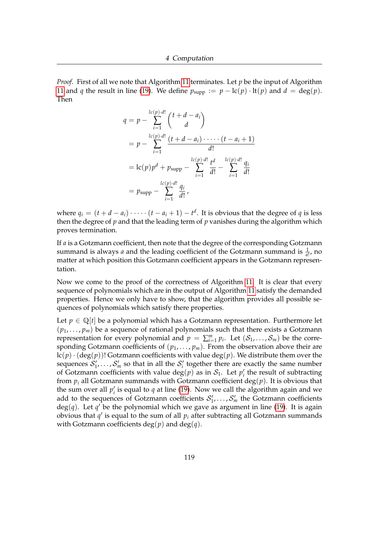*Proof.* First of all we note that Algorithm [11](#page-122-0) terminates. Let *p* be the input of Algorithm [11](#page-122-0) and *q* the result in line [\(19\)](#page-122-0). We define  $p_{\text{supp}} := p - \text{lc}(p) \cdot \text{lt}(p)$  and  $d = \text{deg}(p)$ . Then

$$
q = p - \sum_{i=1}^{lc(p) \cdot d!} {t + d - a_i \choose d}
$$
  
=  $p - \sum_{i=1}^{lc(p) \cdot d!} \frac{(t + d - a_i) \cdot \dots \cdot (t - a_i + 1)}{d!}$   
=  $lc(p)p^d + p_{\text{supp}} - \sum_{i=1}^{lc(p) \cdot d!} \frac{t^d}{d!} - \sum_{i=1}^{lc(p) \cdot d!} \frac{q_i}{d!}$   
=  $p_{\text{supp}} - \sum_{i=1}^{lc(p) \cdot d!} \frac{q_i}{d!}$ ,

where  $q_i = (t + d - a_i) \cdot \cdots (t - a_i + 1) - t^d$ . It is obvious that the degree of *q* is less then the degree of *p* and that the leading term of *p* vanishes during the algorithm which proves termination.

If *a* is a Gotzmann coefficient, then note that the degree of the corresponding Gotzmann summand is always *a* and the leading coefficient of the Gotzmann summand is  $\frac{1}{a!}$ , no matter at which position this Gotzmann coefficient appears in the Gotzmann representation.

Now we come to the proof of the correctness of Algorithm [11.](#page-122-0) It is clear that every sequence of polynomials which are in the output of Algorithm [11](#page-122-0) satisfy the demanded properties. Hence we only have to show, that the algorithm provides all possible sequences of polynomials which satisfy there properties.

Let  $p \in \mathbb{Q}[t]$  be a polynomial which has a Gotzmann representation. Furthermore let  $(p_1, \ldots, p_m)$  be a sequence of rational polynomials such that there exists a Gotzmann representation for every polynomial and  $p = \sum_{i=1}^{m} p_i$ . Let  $(S_1, \ldots, S_m)$  be the corresponding Gotzmann coefficients of  $(p_1, \ldots, p_m)$ . From the observation above their are  $lc(p) \cdot (deg(p))!$  Gotzmann coefficients with value  $deg(p)$ . We distribute them over the sequences  $S'_1, \ldots, S'_m$  so that in all the  $S'_i$  together there are exactly the same number of Gotzmann coefficients with value  $deg(p)$  as in  $S_1$ . Let  $p'_i$  the result of subtracting from  $p_i$  all Gotzmann summands with Gotzmann coefficient deg( $p$ ). It is obvious that the sum over all  $p'_i$  is equal to  $q$  at line [\(19\)](#page-122-0). Now we call the algorithm again and we add to the sequences of Gotzmann coefficients  $S'_1, \ldots, S'_m$  the Gotzmann coefficients  $deg(q)$ . Let  $q^{\prime}$  be the polynomial which we gave as argument in line [\(19\)](#page-122-0). It is again obvious that  $q'$  is equal to the sum of all  $p_i$  after subtracting all Gotzmann summands with Gotzmann coefficients  $deg(p)$  and  $deg(q)$ .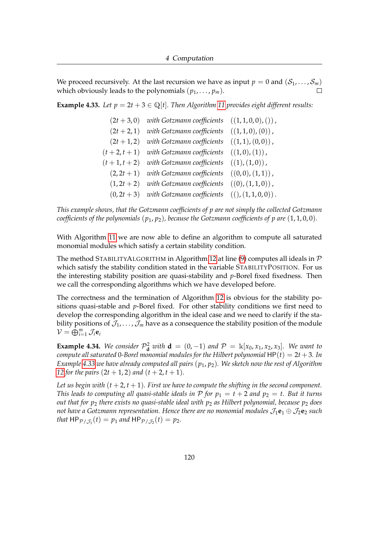We proceed recursively. At the last recursion we have as input  $p = 0$  and  $(S_1, \ldots, S_m)$ which obviously leads to the polynomials  $(p_1, \ldots, p_m)$ .

<span id="page-124-0"></span>**Example 4.33.** Let  $p = 2t + 3 \in \mathbb{Q}[t]$ . Then Algorithm [11](#page-122-0) provides eight different results:

 $(2t + 3, 0)$  *with Gotzmann coefficients*  $((1, 1, 0, 0),())$ ,  $(2t + 2, 1)$  *with Gotzmann coefficients*  $((1, 1, 0), (0))$ ,  $(2t+1, 2)$  *with Gotzmann coefficients*  $((1, 1), (0, 0))$ ,  $(t+2, t+1)$  *with Gotzmann coefficients*  $((1, 0), (1))$ ,  $(t+1, t+2)$  *with Gotzmann coefficients*  $((1), (1, 0))$ ,  $(2, 2t + 1)$  *with Gotzmann coefficients*  $((0, 0), (1, 1))$ ,  $(1, 2t + 2)$  *with Gotzmann coefficients*  $((0), (1, 1, 0))$ ,  $(0, 2t + 3)$  *with Gotzmann coefficients*  $((), (1, 1, 0, 0))$ .

*This example shows, that the Gotzmann coefficients of p are not simply the collected Gotzmann coefficients of the polynomials*  $(p_1, p_2)$ *, because the Gotzmann coefficients of p are*  $(1, 1, 0, 0)$ *.* 

With Algorithm [11](#page-122-0) we are now able to define an algorithm to compute all saturated monomial modules which satisfy a certain stability condition.

The method STABILITYALGORITHM in Algorithm [12](#page-125-0) at line [\(9\)](#page-125-0) computes all ideals in  $\mathcal P$ which satisfy the stability condition stated in the variable STABILITYPOSITION. For us the interesting stability position are quasi-stability and *p*-Borel fixed fixedness. Then we call the corresponding algorithms which we have developed before.

The correctness and the termination of Algorithm [12](#page-125-0) is obvious for the stability positions quasi-stable and *p*-Borel fixed. For other stability conditions we first need to develop the corresponding algorithm in the ideal case and we need to clarify if the stability positions of  $\mathcal{J}_1, \ldots, \mathcal{J}_m$  have as a consequence the stability position of the module  $\mathcal{V} = \bigoplus_{i=1}^m \mathcal{J}_i$ **e**<sub>*i*</sub>

**Example 4.34.** We consider  $\mathcal{P}_{d}^2$  with  $d = (0, -1)$  and  $\mathcal{P} = \mathbb{k}[x_0, x_1, x_2, x_3]$ . We want to *compute all saturated* 0-Borel monomial modules for the Hilbert polynomial  $HP(t) = 2t + 3$ . In *Example [4.33](#page-124-0) we have already computed all pairs* (*p*1, *p*2)*. We sketch now the rest of Algorithm [12](#page-125-0) for the pairs*  $(2t + 1, 2)$  *and*  $(t + 2, t + 1)$ *.* 

Let us begin with  $(t+2, t+1)$ . First we have to compute the shifting in the second component. *This leads to computing all quasi-stable ideals in*  $P$  *for*  $p_1 = t + 2$  *and*  $p_2 = t$ *. But it turns out that for p*<sup>2</sup> *there exists no quasi-stable ideal with p*<sup>2</sup> *as Hilbert polynomial, because p*<sup>2</sup> *does not have a Gotzmann representation. Hence there are no monomial modules*  $\mathcal{J}_1e_1 \oplus \mathcal{J}_2e_2$  *such that*  $HP_{\mathcal{P}/\mathcal{J}_1}(t) = p_1$  *and*  $HP_{\mathcal{P}/\mathcal{J}_2}(t) = p_2$ *.*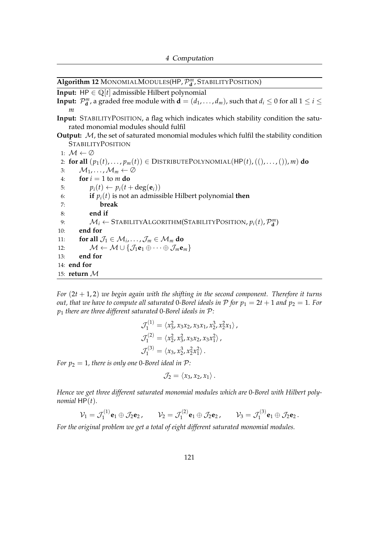<span id="page-125-0"></span>**Algorithm 12** MONOMIALMODULES(HP,P *m* **d** , STABILITYPOSITION)

**Input:** HP  $\in \mathbb{Q}[t]$  admissible Hilbert polynomial

**Input:**  $\mathcal{P}_{\mathbf{d}}^m$ , a graded free module with  $\mathbf{d} = (d_1, \ldots, d_m)$ , such that  $d_i \leq 0$  for all  $1 \leq i \leq$ *m*

**Input:** STABILITYPOSITION, a flag which indicates which stability condition the saturated monomial modules should fulfil

**Output:** M, the set of saturated monomial modules which fulfil the stability condition **STABILITYPOSITION** 

1:  $\mathcal{M} \leftarrow \emptyset$ 2: **for all**  $(p_1(t), \ldots, p_m(t)) \in \text{DISTRIBUTEPOLYNOMIAL}(HP(t), ((), \ldots, ()), m)$  **do** 3:  $\mathcal{M}_1, \ldots, \mathcal{M}_m \leftarrow \emptyset$ 4: **for**  $i = 1$  to *m* **do** 5:  $p_i(t) \leftarrow p_i(t + \text{deg}(\mathbf{e}_i))$ 6: **if**  $p_i(t)$  is not an admissible Hilbert polynomial **then** 7: **break** 8: **end if** 9:  $\mathcal{M}_i \leftarrow \text{STABILITYALGORITHM}(\text{STABILITYPOSITION}, p_i(t), \mathcal{P}_{\mathbf{d}}^m)$ 10: **end for** 11: **for all**  $\mathcal{J}_1 \in \mathcal{M}_i, \ldots, \mathcal{J}_m \in \mathcal{M}_m$  do 12:  $\mathcal{M} \leftarrow \mathcal{M} \cup \{ \mathcal{J}_1 \mathbf{e}_1 \oplus \cdots \oplus \mathcal{J}_m \mathbf{e}_m \}$ 13: **end for** 14: **end for** 15: **return** M

*For* (2*t* + 1, 2) *we begin again with the shifting in the second component. Therefore it turns out, that we have to compute all saturated* 0-Borel ideals in P for  $p_1 = 2t + 1$  and  $p_2 = 1$ . For *p*<sup>1</sup> *there are three different saturated* 0*-Borel ideals in* P*:*

$$
\mathcal{J}_1^{(1)} = \langle x_3^2, x_3x_2, x_3x_1, x_2^3, x_2^2x_1 \rangle,
$$
  
\n
$$
\mathcal{J}_1^{(2)} = \langle x_2^2, x_3^2, x_3x_2, x_3x_1^2 \rangle,
$$
  
\n
$$
\mathcal{J}_1^{(3)} = \langle x_3, x_2^3, x_2^2x_1^2 \rangle.
$$

*For*  $p_2 = 1$ *, there is only one* 0-*Borel ideal in*  $P$ *:* 

$$
\mathcal{J}_2=\langle x_3,x_2,x_1\rangle.
$$

*Hence we get three different saturated monomial modules which are* 0*-Borel with Hilbert polynomial*  $HP(t)$ *.* 

$$
\mathcal{V}_1=\mathcal{J}_1^{(1)}\mathbf{e}_1\oplus\mathcal{J}_2\mathbf{e}_2, \qquad \mathcal{V}_2=\mathcal{J}_1^{(2)}\mathbf{e}_1\oplus\mathcal{J}_2\mathbf{e}_2, \qquad \mathcal{V}_3=\mathcal{J}_1^{(3)}\mathbf{e}_1\oplus\mathcal{J}_2\mathbf{e}_2.
$$

*For the original problem we get a total of eight different saturated monomial modules.*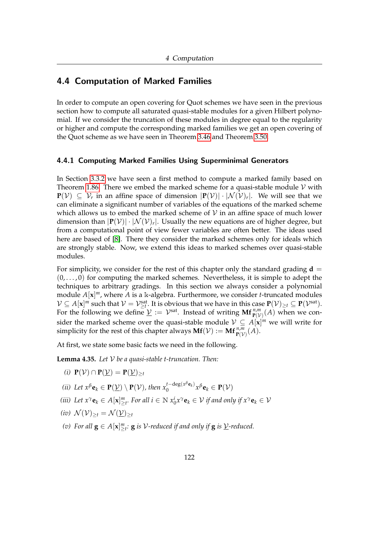# 4.4 Computation of Marked Families

In order to compute an open covering for Quot schemes we have seen in the previous section how to compute all saturated quasi-stable modules for a given Hilbert polynomial. If we consider the truncation of these modules in degree equal to the regularity or higher and compute the corresponding marked families we get an open covering of the Quot scheme as we have seen in Theorem [3.46](#page-90-0) and Theorem [3.50.](#page-91-0)

#### 4.4.1 Computing Marked Families Using Superminimal Generators

In Section [3.3.2](#page-87-0) we have seen a first method to compute a marked family based on Theorem [1.86.](#page-45-0) There we embed the marked scheme for a quasi-stable module  $\mathcal V$  with  ${\bf P}(\mathcal V)$  ⊆  $\mathcal V_r$  in an affine space of dimension  $|{\bf P}(\mathcal V)|\cdot |\mathcal N(\mathcal V)_r|.$  We will see that we can eliminate a significant number of variables of the equations of the marked scheme which allows us to embed the marked scheme of  $V$  in an affine space of much lower dimension than  $|\mathbf{P}(\mathcal{V})| \cdot |\mathcal{N}(\mathcal{V})_r|$ . Usually the new equations are of higher degree, but from a computational point of view fewer variables are often better. The ideas used here are based of [\[8\]](#page-159-1). There they consider the marked schemes only for ideals which are strongly stable. Now, we extend this ideas to marked schemes over quasi-stable modules.

For simplicity, we consider for the rest of this chapter only the standard grading  $\mathbf{d} =$  $(0, \ldots, 0)$  for computing the marked schemes. Nevertheless, it is simple to adept the techniques to arbitrary gradings. In this section we always consider a polynomial module *A*[**x**] *<sup>m</sup>*, where *A* is a k-algebra. Furthermore, we consider *t*-truncated modules  $\mathcal{V} \subseteq A[\mathbf{x}]^m$  such that  $\mathcal{V} = \mathcal{V}_{\geq t}^{\text{sat}}$ . It is obvious that we have in this case  $\mathbf{P}(\mathcal{V})_{\geq t} \subseteq \mathbf{P}(\mathcal{V}^{\text{sat}})$ . For the following we define  $\underline{\mathcal{V}} := \mathcal{V}^{\text{sat}}$ . Instead of writing  $\mathbf{Mf}^{n,m}_{\mathbf{P}(\mathcal{V})}(A)$  when we consider the marked scheme over the quasi-stable module  $V \subseteq A[\mathbf{x}]^m$  we will write for simplicity for the rest of this chapter always  $\mathbf{Mf}(\mathcal{V}) := \mathbf{Mf}_{\mathbf{P}(\mathcal{V})}^{n,m}(A)$ .

At first, we state some basic facts we need in the following.

<span id="page-126-3"></span><span id="page-126-0"></span>**Lemma 4.35.** *Let* V *be a quasi-stable t-truncation. Then:*

- *(i)*  $P(V) ∩ P(V) = P(V)_{\geq t}$
- *(ii)* Let  $x^{\beta}$ **e**<sub>*k*</sub>  $\in$  **P**( $\underline{V}$ )  $\setminus$  **P**( $V$ ), then  $x_0^{t-\deg(x^{\beta}e_k)}$  $\sum_{0}^{\tau-\alpha\mathbf{eg}(x^r\mathbf{e}_k)}x^{\beta}\mathbf{e}_k \in \mathbf{P}(\mathcal{V})$
- <span id="page-126-2"></span>*(iii)* Let  $x^{\gamma} \mathbf{e}_k \in A[\mathbf{x}]_{\geq t}^m$ . For all  $i \in \mathbb{N}$   $x_0^i x^{\gamma} \mathbf{e}_k \in V$  if and only if  $x^{\gamma} \mathbf{e}_k \in V$
- <span id="page-126-1"></span>*(iv)*  $\mathcal{N}(\mathcal{V})_{\geq t} = \mathcal{N}(\mathcal{V})_{\geq t}$
- *(v)* For all  $\mathbf{g} \in A[\mathbf{x}]_{\geq t}^m$ :  $\mathbf{g}$  is  $\mathcal{V}\text{-reduced if and only if } \mathbf{g}$  is  $\underline{\mathcal{V}}\text{-reduced}.$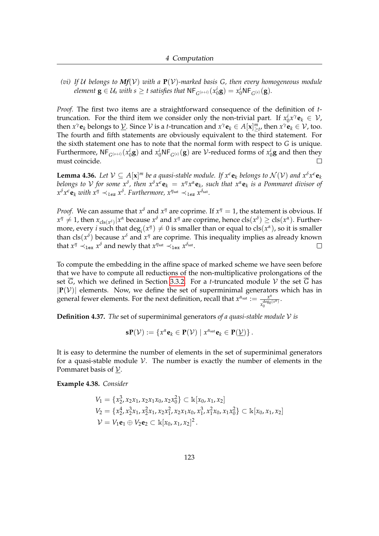*(vi) If* U *belongs to Mf*(V) *with a* **P**(V)*-marked basis G, then every homogeneous module element*  $\mathbf{g} \in \mathcal{U}_s$  *with*  $s \geq t$  *satisfies that*  $\mathsf{NF}_{G^{(s+i)}}(x^i_{0}\mathbf{g}) = x^i_{0}\mathsf{NF}_{G^{(s)}}(\mathbf{g})$ *.* 

*Proof.* The first two items are a straightforward consequence of the definition of *t*truncation. For the third item we consider only the non-trivial part. If  $x_0^i x^\gamma \mathbf{e}_k \in \mathcal{V}$ , then  $x^{\gamma}$ **e**<sub>*k*</sub> belongs to <u> $Y$ </u>. Since  $V$  is a *t*-truncation and  $x^{\gamma}$ **e**<sub>*k*</sub>  $\in$  *A*[**x**] $\frac{m}{2}$ *t*, then  $x^{\gamma}$ **e**<sub>*k*</sub>  $\in$   $V$ *,* too. The fourth and fifth statements are obviously equivalent to the third statement. For the sixth statement one has to note that the normal form with respect to *G* is unique. Furthermore,  $NF_{G^{(s+i)}}(x_0^i\mathbf{g})$  and  $x_0^iNF_{G^{(s)}}(\mathbf{g})$  are  $\mathcal V$ -reduced forms of  $x_0^i\mathbf{g}$  and then they must coincide.  $\Box$ 

<span id="page-127-0"></span>**Lemma 4.36.** Let  $V \subseteq A[x]^m$  be a quasi-stable module. If  $x^{\epsilon}e_k$  belongs to  $\mathcal{N}(V)$  and  $x^{\delta}x^{\epsilon}e_k$ belongs to V for some  $x^\delta$ , then  $x^\delta x^\epsilon \mathbf{e}_k = x^\eta x^\alpha \mathbf{e}_k$ , such that  $x^\alpha \mathbf{e}_k$  is a Pommaret divisor of  $x^{\delta}$  *x*<sup>*e*</sup> **e**<sub>*k*</sub> *with*  $x^{\eta} \prec_{lex} x^{\delta}$ . Furthermore,  $x^{\eta_{sat}} \prec_{lex} x^{\delta_{sat}}$ .

*Proof.* We can assume that  $x^{\delta}$  and  $x^{\eta}$  are coprime. If  $x^{\eta} = 1$ , the statement is obvious. If  $x'' \neq 1$ , then  $x_{\text{cls}(x^{\delta})}|x^{\alpha}$  because  $x^{\delta}$  and  $x''$  are coprime, hence  $\text{cls}(x^{\delta}) \geq \text{cls}(x^{\alpha})$ . Furthermore, every *i* such that  $\deg_i(x^{\eta}) \neq 0$  is smaller than or equal to  $\text{cls}(x^{\alpha})$ , so it is smaller than cls(*x*<sup>δ</sup>) because *x*<sup>δ</sup> and *x<sup>η</sup>* are coprime. This inequality implies as already known that  $x^{\eta} \prec_{\text{lex}} x^{\delta}$  and newly that  $x^{\eta_{\text{sat}}} \prec_{\text{lex}} x^{\delta_{\text{sat}}}$ .  $\Box$ 

To compute the embedding in the affine space of marked scheme we have seen before that we have to compute all reductions of the non-multiplicative prolongations of the set  $\overline{G}$ , which we defined in Section [3.3.2.](#page-87-0) For a *t*-truncated module V the set  $\overline{G}$  has  $|\mathbf{P}(V)|$  elements. Now, we define the set of superminimal generators which has in general fewer elements. For the next definition, recall that  $x^{\alpha_{sat}} := \frac{x^{\alpha}}{deg(\alpha)}$  $\frac{deg_0(x^{\alpha})}{x_0^{\alpha}}$ .

**Definition 4.37.** *The* set of superminimal generators *of a quasi-stable module* V *is*

 $\mathbf{s}(\mathcal{V}) := \{x^{\alpha} \mathbf{e}_k \in \mathbf{P}(\mathcal{V}) \mid x^{\alpha_{\text{sat}}} \mathbf{e}_k \in \mathbf{P}(\mathcal{V})\}.$ 

It is easy to determine the number of elements in the set of superminimal generators for a quasi-stable module  $V$ . The number is exactly the number of elements in the Pommaret basis of  $V$ .

**Example 4.38.** *Consider*

$$
V_1 = \{x_2^3, x_2x_1, x_2x_1x_0, x_2x_0^2\} \subset \mathbb{k}[x_0, x_1, x_2]
$$
  
\n
$$
V_2 = \{x_2^4, x_2^3x_1, x_2^2x_1, x_2x_1^2, x_2x_1x_0, x_1^3, x_1^2x_0, x_1x_0^2\} \subset \mathbb{k}[x_0, x_1, x_2]
$$
  
\n
$$
V = V_1 \mathbf{e}_1 \oplus V_2 \mathbf{e}_2 \subset \mathbb{k}[x_0, x_1, x_2]^2.
$$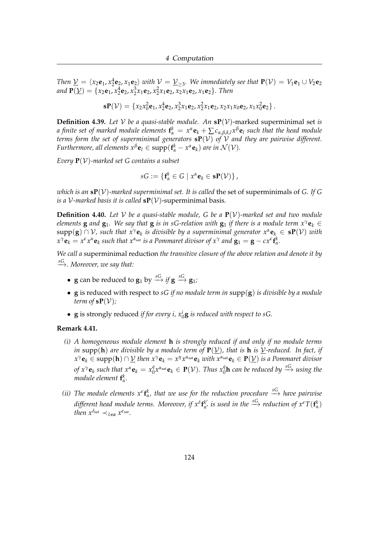*Then*  $\underline{V} = \langle x_2 e_1, x_2^4 e_2, x_1 e_2 \rangle$  *with*  $V = \underline{V}_{\geq 3}$ *. We immediately see that*  $P(V) = V_1 e_1 \cup V_2 e_2$ *and*  $P(\underline{V}) = \{x_2e_1, x_2^4e_2, x_2^3x_1e_2, x_2^2x_1e_2, x_2x_1e_2, x_1e_2\}$ . Then

$$
\mathbf{s}P(\mathcal{V}) = \{x_2x_0^2\mathbf{e}_1, x_2^4\mathbf{e}_2, x_2^3x_1\mathbf{e}_2, x_2^2x_1\mathbf{e}_2, x_2x_1x_0\mathbf{e}_2, x_1x_0^2\mathbf{e}_2\}.
$$

<span id="page-128-2"></span>**Definition 4.39.** Let V be a quasi-stable module. An  $sP(V)$ -marked superminimal set *is a finite set of marked module elements*  $\mathbf{f}_\alpha^k = x^\alpha \mathbf{e}_k + \sum c_{\alpha,\beta,k,l} x^\beta \mathbf{e}_l$  such that the head module *terms form the set of superminimal generators* **sP**(V) *of* V *and they are pairwise different. Furthermore, all elements*  $x^{\beta}$ **e**<sub>*l*</sub>  $\in$  supp $(f_{\alpha}^{k} - x^{\alpha}$ **e**<sub>*k*</sub> $)$  *are in*  $\mathcal{N}(\mathcal{V})$ *.* 

*Every* **P**(V)*-marked set G contains a subset*

$$
sG:=\{\mathbf{f}_{\alpha}^{k}\in G\mid x^{\alpha}\mathbf{e}_{k}\in\mathbf{s}\mathbf{P}(\mathcal{V})\},\,
$$

*which is an*  $\mathbf{s}P(\mathcal{V})$ *-marked superminimal set. It is called the set of superminimals of G. If G is a*  $V$ *-marked basis it is called*  $sP(V)$ *-superminimal basis.* 

**Definition 4.40.** Let V be a quasi-stable module, G be a  $P(V)$ -marked set and two module *elements* **g** *and* **g**<sub>1</sub>*.* We say that **g** *is in sG-relation with* **g**<sub>1</sub> *if there is a module term*  $x^{\gamma}$ **e**<sub>*k*</sub> ∈ supp(**g**) ∩ V*, such that xγ***e***<sup>k</sup> is divisible by a superminimal generator xα***e***<sup>k</sup>* ∈ **sP**(V) *with*  $x^{\gamma}$ **e**<sub>k</sub> =  $x^{\epsilon}x^{\alpha}$ **e**<sub>k</sub> such that  $x^{\alpha_{sat}}$  is a Pommaret divisor of  $x^{\gamma}$  and  $\mathbf{g}_1 = \mathbf{g} - c x^{\epsilon} \mathbf{f}_{\alpha}^k$ .

*We call a* superminimal reduction *the transitive closure of the above relation and denote it by sG* −→*. Moreover, we say that:*

- $\mathbf{g}$  can be reduced to  $\mathbf{g}_1$  by  $\overset{sG}{\longrightarrow}$  *if*  $\mathbf{g} \overset{sG}{\longrightarrow} \mathbf{g}_1$ *;*
- **g** is reduced with respect to *sG if no module term in* supp(**g**) *is divisible by a module term of*  $sP(V)$ *;*
- $\bf{g}$  is strongly reduced *if for every i,*  $x_0^i$  $\bf{g}$  *is reduced with respect to sG.*

#### <span id="page-128-0"></span>**Remark 4.41.**

- *(i) A homogeneous module element* **h** *is strongly reduced if and only if no module terms in* supp(**h**) *are divisible by a module term of*  $P(\underline{V})$ *, that is* **h** *is*  $\underline{V}$ *-reduced. In fact, if*  $x^\gamma\mathbf{e}_k\in\text{supp}(\mathbf{h})\cap\underline{\mathcal{V}}$  then  $x^\gamma\mathbf{e}_k=x^\eta x^{\alpha_{\text{sat}}}\mathbf{e}_k$  with  $x^{\alpha_{\text{sat}}}\mathbf{e}_k\in\mathbf{P}(\underline{\mathcal{V}})$  is a Pommaret divisor *of*  $x^{\gamma}$ **e**<sub>*k*</sub> *such that*  $x^{\alpha}$ **e**<sub>*k*</sub> =  $x_0^q$  ${}^q_0 x^{\alpha_{\rm sat}}$ **e**<sub>k</sub>  $\in$  **P**(V). Thus  $x^q_0$ **h** can be reduced by  $\stackrel{SG}{\longrightarrow}$  using the *module element*  $\mathbf{f}^k_\alpha$ .
- <span id="page-128-1"></span>*(ii)* The module elements  $x^{\epsilon}$ **f**<sub>*k*</sub>, that we use for the reduction procedure  $\stackrel{SG}{\longrightarrow}$  have pairwise *different head module terms. Moreover, if x<sup>δ</sup>* **f** *k* 0  $\alpha'$  *is used in the*  $\xrightarrow{SG}$  *reduction of*  $x^{\epsilon}T(\mathbf{f}_{\alpha}^{k})$ *then*  $x^{\delta_{\text{sat}}} \prec_{\text{lex}} x^{\epsilon_{\text{sat}}}$ .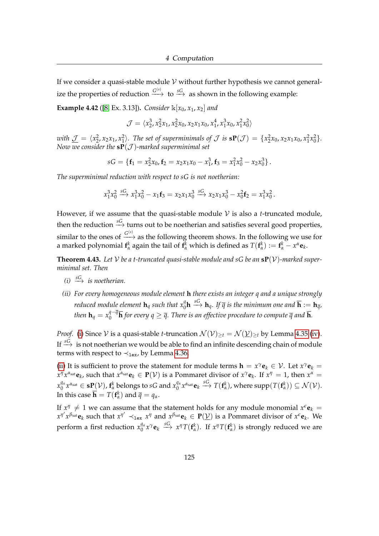If we consider a quasi-stable module  $V$  without further hypothesis we cannot generalize the properties of reduction  $\xrightarrow{G^{(s)}}$  to  $\xrightarrow{sG}$  as shown in the following example:

**Example 4.42** ([\[8,](#page-159-1) Ex. 3.13]). *Consider*  $\mathbb{K}[x_0, x_1, x_2]$  *and* 

$$
\mathcal{J} = \langle x_2^3, x_2^2 x_1, x_2^2 x_0, x_2 x_1 x_0, x_1^4, x_1^3 x_0, x_1^2 x_0^2 \rangle
$$

with  $\underline{\mathcal{J}} = \langle x_2^2, x_2x_1, x_1^2 \rangle$ . The set of superminimals of  $\mathcal{J}$  is  $\mathbf{sp}(\mathcal{J}) = \{x_2^2x_0, x_2x_1x_0, x_1^2x_0^2\}$ . *Now we consider the* **sP**(J )*-marked superminimal set*

$$
sG = \{ \mathbf{f}_1 = x_2^2 x_0, \mathbf{f}_2 = x_2 x_1 x_0 - x_1^3, \mathbf{f}_3 = x_1^2 x_0^2 - x_2 x_0^3 \}.
$$

*The superminimal reduction with respect to sG is not noetherian:*

$$
x_1^3 x_0^2 \xrightarrow{sG} x_1^3 x_0^2 - x_1 \mathbf{f}_3 = x_2 x_1 x_0^3 \xrightarrow{sG} x_2 x_1 x_0^3 - x_0^2 \mathbf{f}_2 = x_1^3 x_0^2.
$$

However, if we assume that the quasi-stable module  $V$  is also a *t*-truncated module, then the reduction  $\stackrel{sG}{\longrightarrow}$  turns out to be noetherian and satisfies several good properties, similar to the ones of  $\xrightarrow{G^{(s)}}$  as the following theorem shows. In the following we use for a marked polynomial  $f^k_\alpha$  again the tail of  $f^k_\alpha$  which is defined as  $T(f^k_\alpha) := f^k_\alpha - x^\alpha \mathbf{e}_k$ .

<span id="page-129-2"></span>**Theorem 4.43.** Let V be a t-truncated quasi-stable module and  $sG$  be an  $\mathbf{s}P(V)$ -marked super*minimal set. Then*

- <span id="page-129-0"></span> $(i) \stackrel{sG}{\longrightarrow}$  *is noetherian.*
- <span id="page-129-1"></span>*(ii) For every homogeneous module element* **h** *there exists an integer q and a unique strongly*  $r$ educed module element  $\mathbf{h}_q$  such that  $x_0^q\mathbf{h} \stackrel{SG}{\longrightarrow} \mathbf{h}_q$ . If  $\overline{q}$  is the minimum one and  $\overline{\mathbf{h}}:=\mathbf{h}_{\overline{q}},$ *then*  $\mathbf{h}_q = x_0^{q-\overline{q}}$  $\frac{q - q}{\mathbf{h}}$  for every  $q \ge \overline{q}$ . There is an effective procedure to compute  $\overline{q}$  and  $\overline{\mathbf{h}}$ .

*Proof.* [\(i\)](#page-129-0) Since  $V$  is a quasi-stable *t*-truncation  $\mathcal{N}(V)_{\geq t} = \mathcal{N}(\underline{V})_{\geq t}$  by Lemma [4.35](#page-126-0) [\(iv\)](#page-126-1). If  $\stackrel{sG}{\longrightarrow}$  is not noetherian we would be able to find an infinite descending chain of module terms with respect to  $\prec_{\text{lex}}$ , by Lemma [4.36.](#page-127-0)

[\(ii\)](#page-129-1) It is sufficient to prove the statement for module terms  $\mathbf{h} = x^{\gamma} \mathbf{e}_k \in \mathcal{V}$ . Let  $x^{\gamma} \mathbf{e}_k =$  $x^\eta x^{\alpha_{\text{sat}}}$ **e**<sub>k</sub>, such that  $x^{\alpha_{\text{sat}}}$ **e**<sub>k</sub>  $\in$  **P**( $\mathcal{V}$ ) is a Pommaret divisor of  $x^\gamma$ **e**<sub>k</sub>. If  $x^\eta = 1$ , then  $x^\alpha =$ *x qα*  $\mathbf{q}^a_\alpha x^{\alpha_{\text{sat}}} \in \mathbf{sp}(\mathcal{V})$ ,  $\mathbf{f}^k_\alpha$  belongs to  $sG$  and  $x_0^{q_\alpha}$  $\int_0^{q_\alpha} x^{\alpha_{\text{sat}}} \mathbf{e}_k \stackrel{sG}{\longrightarrow} T(\mathbf{f}_\alpha^k)$ , where  $\text{supp}(T(\mathbf{f}_\alpha^k)) \subseteq \mathcal{N}(\mathcal{V})$ . In this case  $\overline{\mathbf{h}} = T(\mathbf{f}_{\alpha}^{k})$  and  $\overline{q} = q_{\alpha}$ .

If  $x^{\eta} \neq 1$  we can assume that the statement holds for any module monomial  $x^{\epsilon}$ **e**<sub>*k*</sub> =  $x^{\eta'} x^{\beta_{\text{sat}}} e_k$  such that  $x^{\eta'} \prec_{\text{lex}} x^{\eta}$  and  $x^{\beta_{\text{sat}}} e_k \in P(\underline{\mathcal{V}})$  is a Pommaret divisor of  $x^{\epsilon} e_k$ . We perform a first reduction  $x_0^{q_\alpha}$  $\int_0^{q_\alpha} x^\gamma \mathbf{e}_k \stackrel{SG}{\longrightarrow} x^\eta T(\mathbf{f}_\alpha^k)$ . If  $x^\eta T(\mathbf{f}_\alpha^k)$  is strongly reduced we are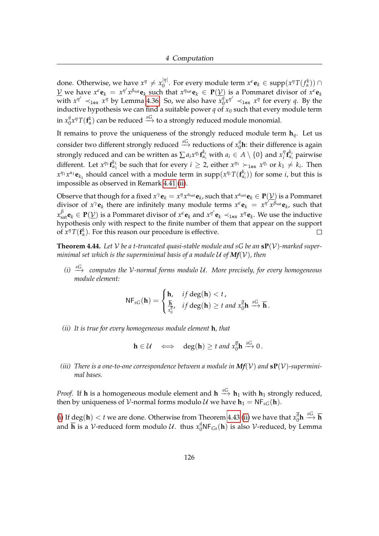done. Otherwise, we have  $x^{\eta} \neq x_0^{|\eta|}$  $\int_0^{|\eta|}$ . For every module term  $x^{\epsilon}$ **e**<sub>*k*</sub>  $\in$  supp $(x^{\eta}T(f_{\alpha}^k)) \cap$  $\underline{V}$  we have  $x^{\epsilon}e_k = x^{\eta'}x^{\beta_{sat}}e_k$  such that  $x^{\eta_{sat}}e_k \in P(\underline{V})$  is a Pommaret divisor of  $x^{\epsilon}e_k$ with  $x^{\eta'} \prec_{\text{lex}} x^{\eta}$  by Lemma [4.36.](#page-127-0) So, we also have  $x_0^{\hat{q}}$  $\int_0^{\hat{q}} x^{\eta'} \prec_{\text{lex}} x^{\eta}$  for every *q*. By the inductive hypothesis we can find a suitable power  $q$  of  $x_0$  such that every module term in  $x_0^q$  $\int_{0}^{q}$ *x*<sup>*n*</sup>  $T(\mathbf{f}_{\alpha}^{k})$  can be reduced  $\stackrel{SG}{\longrightarrow}$  to a strongly reduced module monomial.

It remains to prove the uniqueness of the strongly reduced module term  $\mathbf{h}_q$ . Let us consider two different strongly reduced  $\stackrel{sG}{\longrightarrow}$  reductions of  $x_0^q$  $\int_0^{\eta}$ **h**: their difference is again strongly reduced and can be written as  $\sum a_i x^{\eta_i} \mathbf{f}_{\alpha_i}^{k_i}$  with  $a_i \in A \setminus \{0\}$  and  $x_i^{\eta}$ *i* **f** *ki αi* pairwise different. Let  $x^{\eta_1} f_{\alpha_1}^{k_1}$  be such that for every  $i \geq 2$ , either  $x^{\eta_1} \succ_{1 \text{ex}} x^{\eta_i}$  or  $k_1 \neq k_i$ . Then  $x^{\eta_1}x^{\alpha_1}$ **e**<sub>*k*1</sub></sub> should cancel with a module term in  $\text{supp}(x^{\eta_i}T(\mathbf{f}_{\alpha_i}^{k_i}))$  for some *i*, but this is impossible as observed in Remark [4.41](#page-128-0) [\(ii\)](#page-128-1).

Observe that though for a fixed  $x^\gamma \mathbf{e}_k = x^\eta x^{\alpha_{\rm sat}} \mathbf{e}_k$ , such that  $x^{\alpha_{\rm sat}} \mathbf{e}_k \in \mathbf{P}(\underline{\mathcal{V}})$  is a Pommaret divisor of  $x^{\gamma}$ **e**<sub>k</sub> there are infinitely many module terms  $x^{\epsilon}$ **e**<sub>k</sub> =  $x^{\eta}$ <sup>*n*</sup> $\chi$ <sup>*β*sat</sup>**e**<sub>k</sub>, such that  $x_{\text{sat}}^{\beta}$ **e**<sub>*k*</sub>  $\in$  **P**( $\underline{V}$ ) is a Pommaret divisor of  $x^{\epsilon}$ **e**<sub>*k*</sub> and  $x^{\eta'}$ **e**<sub>*k*</sub>  $\prec$ <sub>lex</sub>  $x^{\eta}$ **e**<sub>*k*</sub>. We use the inductive hypothesis only with respect to the finite number of them that appear on the support of  $x^{\eta}T(\mathbf{f}_{\alpha}^{k})$ . For this reason our procedure is effective.  $\Box$ 

<span id="page-130-3"></span>**Theorem 4.44.** Let  $V$  be a t-truncated quasi-stable module and  $sG$  be an  $sP(V)$ -marked super*minimal set which is the superminimal basis of a module*  $U$  *of*  $Mf(V)$ *, then* 

<span id="page-130-0"></span>*(i) sG* −→ *computes the* V*-normal forms modulo* U*. More precisely, for every homogeneous module element:*

$$
\mathsf{NF}_{sG}(\mathbf{h}) = \begin{cases} \mathbf{h}, & \text{if } \deg(\mathbf{h}) < t, \\ \frac{\overline{\mathbf{h}}}{x_0^{\overline{\eta}}}, & \text{if } \deg(\mathbf{h}) \geq t \text{ and } x_0^{\overline{\eta}} \mathbf{h} \stackrel{sG}{\longrightarrow} \overline{\mathbf{h}}. \end{cases}
$$

<span id="page-130-1"></span>*(ii) It is true for every homogeneous module element* **h***, that*

$$
\mathbf{h} \in \mathcal{U} \quad \Longleftrightarrow \quad \deg(\mathbf{h}) \geq t \text{ and } x_0^{\overline{q}} \mathbf{h} \stackrel{sG}{\longrightarrow} 0.
$$

<span id="page-130-2"></span>(*iii*) There is a one-to-one correspondence between a module in  $Mf(V)$  and  $sP(V)$ -supermini*mal bases.*

*Proof.* If **h** is a homogeneous module element and  $h \stackrel{sG}{\rightarrow} h_1$  with  $h_1$  strongly reduced, then by uniqueness of V-normal forms modulo U we have  $h_1 = NF_{sG}(h)$ .

[\(i\)](#page-130-0) If  $deg(h) < t$  we are done. Otherwise from Theorem [4.43](#page-129-2) [\(ii\)](#page-129-1) we have that  $x_0^{\bar{q}}$  $\frac{\overline{q}}{0}$ h  $\overset{sG}{\longrightarrow}$  h and  $\overline{\mathbf{h}}$  is a *V*-reduced form modulo *U*. thus  $x_0^q$ NF<sub>*Gs*</sub>(**h**) is also *V*-reduced, by Lemma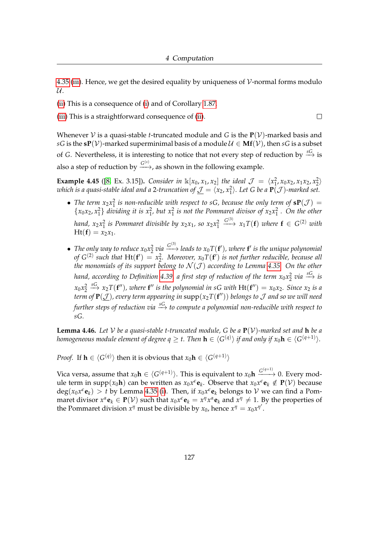[4.35](#page-126-0) [\(iii\)](#page-126-2). Hence, we get the desired equality by uniqueness of  $\mathcal V$ -normal forms modulo  $\mathcal{U}.$ 

[\(ii\)](#page-130-1) This is a consequence of [\(i\)](#page-130-0) and of Corollary [1.87.](#page-46-0)

[\(iii\)](#page-130-2) This is a straightforward consequence of [\(ii\)](#page-130-1).

Whenever  $V$  is a quasi-stable *t*-truncated module and *G* is the  $P(V)$ -marked basis and *sG* is the **sP**( $V$ )-marked superminimal basis of a module  $U \in Mf(V)$ , then *sG* is a subset of *G*. Nevertheless, it is interesting to notice that not every step of reduction by  $\stackrel{sG}{\longrightarrow}$  is also a step of reduction by  $\xrightarrow{G^{(s)}}$ , as shown in the following example.

**Example 4.45** ([\[8,](#page-159-1) Ex. 3.15]). *Consider in*  $\mathbb{K}[x_0, x_1, x_2]$  *the ideal*  $\mathcal{J} = \langle x_1^2, x_0x_2, x_1x_2, x_2^2 \rangle$  $i$  *which is a quasi-stable ideal and a* 2-truncation of  $\mathcal{J} = \langle x_2, x_1^2 \rangle$ . Let G be a  $\mathbf{P}(\mathcal{J})$ -marked set.

- The term  $x_2x_1^2$  is non-reducible with respect to sG, because the only term of  $sP(\mathcal{J}) =$  $\{x_0x_2, x_1^2\}$  *dividing it is*  $x_1^2$ , *but*  $x_1^2$  *is not the Pommaret divisor of*  $x_2x_1^2$ . *On the other hand,*  $x_2x_1^2$  *is Pommaret divisible by*  $x_2x_1$ *, so*  $x_2x_1^2$  $\xrightarrow{G^{(3)}} x_1 T(\mathbf{f})$  *where*  $\mathbf{f} \in G^{(2)}$  *with*  $Ht(f) = x_2x_1$ .
- The only way to reduce  $x_0x_2^2$  via  $\xrightarrow{G^{(3)}}$  leads to  $x_0T(f')$ , where  $f'$  is the unique polynomial *of*  $G^{(2)}$  such that  $Ht(f') = x_2^2$ . Moreover,  $x_0T(f')$  is not further reducible, because all *the monomials of its support belong to*  $\mathcal{N}(\mathcal{J})$  *according to Lemma [4.35.](#page-126-0)* On the other hand, according to Definition [4.39,](#page-128-2) a first step of reduction of the term  $x_0x_2^2$  via  $\overset{SC}{\longrightarrow}$  is  $x_0 x_2^2$  $\stackrel{sG}{\longrightarrow} x_2T(\mathbf{f}'')$ , where  $\mathbf{f}''$  is the polynomial in sG with  $H\mathbf{t}(\mathbf{f}'') = x_0x_2$ . Since  $x_2$  is a *term of*  $\mathbf{P}(\mathcal{J})$ *, every term appearing in*  $\mathrm{supp}(x_2T(\mathbf{f}''))$  *belongs to*  $\mathcal J$  *and so we will need further steps of reduction via sG* −→ *to compute a polynomial non-reducible with respect to sG.*

<span id="page-131-0"></span>**Lemma 4.46.** Let V be a quasi-stable t-truncated module, G be a  $P(V)$ -marked set and **h** be a *homogeneous module element of degree*  $q\geq t.$  *Then*  $\mathbf{h}\in\langle G^{(q)}\rangle$  *if and only if*  $x_0\mathbf{h}\in\langle G^{(q+1)}\rangle.$ 

*Proof.* If  $\mathbf{h} \in \langle G^{(q)} \rangle$  then it is obvious that  $x_0 \mathbf{h} \in \langle G^{(q+1)} \rangle$ 

Vica versa, assume that  $x_0 \mathbf{h} \in \langle G^{(q+1)} \rangle$ . This is equivalent to  $x_0 \mathbf{h} \xrightarrow{G^{(q+1)}} 0$ . Every module term in supp $(x_0 h)$  can be written as  $x_0 x^{\epsilon} e_k$ . Observe that  $x_0 x^{\epsilon} e_k \notin P(\mathcal{V})$  because  $\deg(x_0 x^{\epsilon} \mathbf{e}_k) > t$  by Lemma [4.35](#page-126-0) [\(i\)](#page-126-3). Then, if  $x_0 x^{\epsilon} \mathbf{e}_k$  belongs to  $\mathcal V$  we can find a Pom- $\max$  and  $x^n$  **e**  $x^a$  **e**<sub>*k*</sub>  $\in$  **P**( $\mathcal{V}$ ) such that  $x_0x^c$  **e**<sub>*k*</sub> =  $x^{\eta}x^{\alpha}$  **e**<sub>*k*</sub> and  $x^{\eta} \neq 1$ . By the properties of the Pommaret division  $x^{\eta}$  must be divisible by  $x_0$ , hence  $x^{\eta} = x_0 x^{\eta}$ .

 $\Box$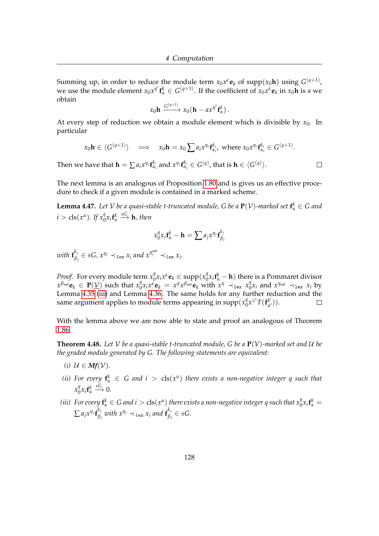Summing up, in order to reduce the module term  $x_0x^{\epsilon}\mathbf{e}_k$  of  $\mathrm{supp}(x_0\mathbf{h})$  using  $G^{(q+1)}$ , we use the module element  $x_0 x^{\eta'} \mathbf{f}_\alpha^k \in G^{(q+1)}$ . If the coefficient of  $x_0 x^\epsilon \mathbf{e}_k$  in  $x_0 \mathbf{h}$  is *a* we obtain

$$
x_0\mathbf{h} \xrightarrow{G^{(q+1)}} x_0(\mathbf{h} - a x^{\eta'} \mathbf{f}_{\alpha}^k).
$$

At every step of reduction we obtain a module element which is divisible by  $x_0$ . In particular

$$
x_0 \mathbf{h} \in \langle G^{(q+1)} \rangle \implies x_0 \mathbf{h} = x_0 \sum a_i x^{\eta_i} \mathbf{f}_{\alpha_i}^{k_i}
$$
 where  $x_0 x^{\eta_i} \mathbf{f}_{\alpha_i}^{k_i} \in G^{(q+1)}$ .

Then we have that  $\mathbf{h} = \sum a_i x^{\eta_i} \mathbf{f}_{\alpha_i}^{k_i}$  and  $x^{\eta_i} \mathbf{f}_{\alpha_i}^{k_i} \in G^{(q)}$ , that is  $\mathbf{h} \in \langle G^{(q)} \rangle$ .

The next lemma is an analogous of Proposition [1.80](#page-43-0) and is gives us an effective procedure to check if a given module is contained in a marked scheme.

<span id="page-132-2"></span>**Lemma 4.47.** Let  $V$  be a quasi-stable t-truncated module, G be a  $P(V)$ -marked set  $f^k_\alpha \in G$  and  $i > \text{cls}(x^{\alpha})$ *. If*  $x_0^q x_i \mathbf{f}_{\alpha}^k$  $\stackrel{sG}{\longrightarrow}$ **h***, then* 

$$
x_0^q x_i \mathbf{f}_\alpha^k - \mathbf{h} = \sum a_j x^{\eta_j} \mathbf{f}_{\beta_j}^{k_j}
$$

with  $\mathbf{f}_{\beta}^{k_j}$  $\beta_j^{k_j} \in sG$ ,  $x^{\eta_j} \prec_{lex} x_i$  and  $x^{\eta_j^{\text{sat}}} \prec_{lex} x_i$ .

*Proof.* For every module term  $x_0^q$  $\int_0^q x_i x^{\epsilon} \mathbf{e}_k \in \text{supp}(x_0^q)$  $\int_{0}^{q} x_i \mathbf{f}_\alpha^k - \mathbf{h}$ ) there is a Pommaret divisor  $\alpha^{\beta_{\text{sat}}}$ **e**<sub>*k*</sub>  $\in$  **P**( $\underline{V}$ ) such that  $x_0^q$  $\int_0^q x_i x^{\epsilon} \mathbf{e}_k = x^{\eta} x^{\beta_{\text{sat}}} \mathbf{e}_k \text{ with } x^{\eta} \prec_{\text{lex}} x^{\eta}_{0}$  $\int_{0}^{q} x_i$  and  $x^{\eta_{sat}} \prec_{\text{lex}} x_i$  by Lemma [4.35](#page-126-0) [\(iii\)](#page-126-2) and Lemma [4.36.](#page-127-0) The same holds for any further reduction and the same argument applies to module terms appearing in  $\text{supp}(\chi^q_0)$  $\int_0^q x^{\gamma'} T(f_{\alpha'}^{k'})$ *α* <sup>0</sup>)).  $\Box$ 

With the lemma above we are now able to state and proof an analogous of Theorem [1.86.](#page-45-0)

<span id="page-132-3"></span>**Theorem 4.48.** Let V be a quasi-stable t-truncated module, G be a  $P(V)$ -marked set and U be *the graded module generated by G. The following statements are equivalent:*

- *(i)*  $U \in Mf(V)$ *.*
- <span id="page-132-0"></span>*(ii)* For every  $f^k_\alpha \in G$  and  $i > \text{cls}(x^\alpha)$  there exists a non-negative integer q such that  $x_0^q$  ${}^q_0x_i$ **f**<sup>*k*</sup><sub>α</sub>  $\xrightarrow{sG} 0.$
- <span id="page-132-1"></span>*(iii)* For every  $f^k_\alpha \in G$  and  $i > \text{cls}(x^\alpha)$  there exists a non-negative integer q such that  $x^q_0 x_i f^k_\alpha =$  $\sum a_j x^{\eta_j} \mathbf{f}_{\beta}^{k_j}$  $\beta_j$  with  $x^{\eta_j} \prec$ <sub>lex</sub>  $x_i$  and  $\mathbf{f}_{\beta_j}^{k_j}$ *βj* ∈ *sG.*

 $\Box$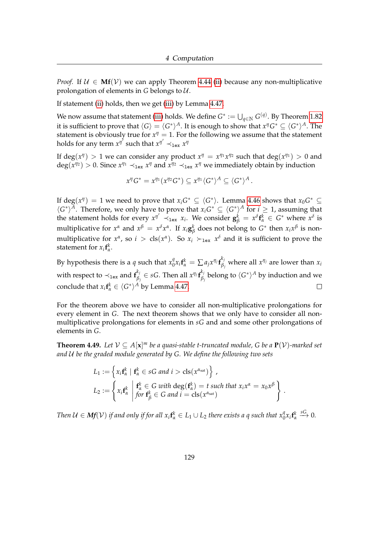*Proof.* If  $U \in Mf(V)$  we can apply Theorem [4.44](#page-130-3) [\(ii\)](#page-130-1) because any non-multiplicative prolongation of elements in *G* belongs to U.

If statement [\(ii\)](#page-132-0) holds, then we get [\(iii\)](#page-132-1) by Lemma [4.47.](#page-132-2)

We now assume that statement [\(iii\)](#page-132-1) holds. We define  $G^*:=\bigcup_{q\in\mathbb{N}}G^{(q)}.$  By Theorem [1.82](#page-43-1) it is sufficient to prove that  $\langle G \rangle = \langle G^* \rangle^A.$  It is enough to show that  $x^{\eta}G^* \subseteq \langle G^* \rangle^A.$  The statement is obviously true for  $x^{\eta} = 1$ . For the following we assume that the statement holds for any term  $x^{\eta'}$  such that  $x^{\eta'} \prec_{\mathtt{lex}} x^\eta$ 

If  $deg(x^n) > 1$  we can consider any product  $x^n = x^{\eta_1}x^{\eta_2}$  such that  $deg(x^{\eta_1}) > 0$  and  $deg(x^{\eta_2}) > 0$ . Since  $x^{\eta_1} \prec_{\text{lex}} x^{\eta}$  and  $x^{\eta_2} \prec_{\text{lex}} x^{\eta}$  we immediately obtain by induction

$$
x^{\eta}G^*=x^{\eta_1}(x^{\eta_2}G^*)\subseteq x^{\eta_1}\langle G^*\rangle^A\subseteq \langle G^*\rangle^A\,.
$$

If  $deg(x^n) = 1$  we need to prove that  $x_i G^* \subseteq \langle G^* \rangle$ . Lemma [4.46](#page-131-0) shows that  $x_0 G^* \subseteq$  $\langle G^* \rangle^A$ . Therefore, we only have to prove that  $x_i G^* \subseteq \langle G^* \rangle^A$  for  $i \geq 1$ , assuming that the statement holds for every  $x^{\eta'} \prec_{\text{lex}} x_i$ . We consider  $\mathbf{g}_{\beta}^k = x^{\delta} \mathbf{f}_{\alpha}^k \in G^*$  where  $x^{\delta}$  is multiplicative for  $x^{\alpha}$  and  $x^{\beta} = x^{\delta}x^{\alpha}$ . If  $x_i\mathbf{g}_{\beta}^{\mathbf{k}}$ *β* does not belong to  $G^*$  then  $x_i x^β$  is nonmultiplicative for  $x^{\alpha}$ , so  $i > \text{cls}(x^{\alpha})$ . So  $x_i \succ_{\text{lex}} x^{\delta}$  and it is sufficient to prove the statement for  $x_i$ **f**<sup>*k*</sup><sub>*a*</sub>.

 $\int_0^q x_i \mathbf{f}_\alpha^k = \sum a_j x^{\eta_j} \mathbf{f}_\beta^{k_j}$ By hypothesis there is a *q* such that  $x_0^q$ *β*<sub>*j*</sub> where all  $x^η$ *j* are lower than  $x_i$ with respect to  $\prec_{\texttt{lex}}$  and  $f_\beta^{k_j}$  $\beta_j \in sG$ . Then all  $x^{\eta_j} \mathbf{f}_{\beta_j}^{k_j}$  $\frac{\kappa_j}{\beta_j}$  belong to  $\langle G^*\rangle^A$  by induction and we conclude that  $x_i$ **f**<sup> $k$ </sup> $\in \langle G^* \rangle^A$  by Lemma [4.47.](#page-132-2)  $\Box$ 

For the theorem above we have to consider all non-multiplicative prolongations for every element in *G*. The next theorem shows that we only have to consider all nonmultiplicative prolongations for elements in *sG* and and some other prolongations of elements in *G*.

<span id="page-133-0"></span>**Theorem 4.49.** Let  $V \subseteq A[x]^m$  be a quasi-stable t-truncated module, G be a  $P(V)$ -marked set *and* U *be the graded module generated by G. We define the following two sets*

$$
L_1 := \left\{ x_i \mathbf{f}_{\alpha}^k \mid \mathbf{f}_{\alpha}^k \in sG \text{ and } i > \text{cls}(x^{\alpha_{\text{sat}}}) \right\},
$$
  
\n
$$
L_2 := \left\{ x_i \mathbf{f}_{\alpha}^k \mid \begin{matrix} \mathbf{f}_{\alpha}^k \in G \text{ with } \text{deg}(\mathbf{f}_{\alpha}^k) = t \text{ such that } x_i x^{\alpha} = x_0 x^{\beta} \\ \text{for } \mathbf{f}_{\beta}^k \in G \text{ and } i = \text{cls}(x^{\alpha_{\text{sat}}}) \end{matrix} \right\}.
$$

*Then*  $\mathcal{U} \in Mf(\mathcal{V})$  *if and only if for all*  $x_i\mathbf{f}_\alpha^k \in L_1 \cup L_2$  *there exists a q such that*  $x_0^q x_i\mathbf{f}_\alpha^k$  $\xrightarrow{sG} 0.$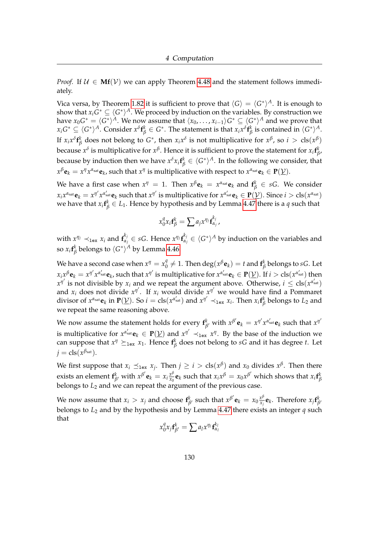*Proof.* If  $U \in \mathbf{Mf}(\mathcal{V})$  we can apply Theorem [4.48](#page-132-3) and the statement follows immediately.

Vica versa, by Theorem [1.82](#page-43-1) it is sufficient to prove that  $\langle G \rangle = \langle G^* \rangle^A$ . It is enough to show that  $x_i G^* \subseteq \langle G^* \rangle^A$ . We proceed by induction on the variables. By construction we have  $x_0 G^* = \langle G^* \rangle^A$ . We now assume that  $\langle x_0, \ldots, x_{i-1} \rangle G^* \subseteq \langle G^* \rangle^A$  and we prove that  $x_iG^*\subseteq\langle G^*\rangle^A.$  Consider  $x^\delta\mathbf{f}_\beta^k\in G^*.$  The statement is that  $x_ix^\delta\mathbf{f}_\beta^k$  $^k_\beta$  is contained in  $\langle G^*\rangle^A$ . If  $x_i x^{\delta} \mathbf{f}_{\beta}^k$ *β* does not belong to  $G^*$ , then  $x_ix^{\delta}$  is not multiplicative for  $x^{\beta}$ , so  $i > \text{cls}(x^{\beta})$ because  $x^{\delta}$  is multiplicative for  $x^{\beta}$ . Hence it is sufficient to prove the statement for  $x_i$  f $^k_f$ *β* , because by induction then we have  $x^\delta x_i$  **f** $^k_\beta \in \langle G^*\rangle^A$ . In the following we consider, that  $x^\beta$ **e** $_k = x^\eta x^{\alpha_{\text{sat}}}$ **e** $_k$ , such that  $x^\eta$  is multiplicative with respect to  $x^{\alpha_{\text{sat}}}$ **e** $_k \in \mathbf{P}(\underline{\mathcal{V}})$ .

We have a first case when  $x^{\eta} = 1$ . Then  $x^{\beta} \mathbf{e}_k = x^{\alpha_{\text{sat}}} \mathbf{e}_k$  and  $\mathbf{f}^k_{\beta} \in sG$ . We consider  $x_ix^{\alpha_{\rm sat}}\mathbf{e}_k=x^{\eta'}x^{\alpha'_{\rm sat}}\mathbf{e}_k$  such that  $x^{\eta'}$  is multiplicative for  $x^{\alpha'_{\rm sat}}\mathbf{e}_k\in\mathbf{P}(\underline{\mathcal{V}}).$  Since  $i>\text{cls}(x^{\alpha_{\rm sat}})$ we have that  $x_i \mathbf{f}_{\beta}^k \in L_1$ . Hence by hypothesis and by Lemma [4.47](#page-132-2) there is a  $q$  such that

$$
x_0^q x_i \mathbf{f}_{\beta}^k = \sum a_j x^{\eta_j} \mathbf{f}_{\alpha_j}^{k_j},
$$

with  $x^{\eta_j} \prec_{\texttt{lex}} x_i$  and  $\mathbf{f}_{\alpha_j}^{k_j} \in sG$ . Hence  $x^{\eta_j}\mathbf{f}_{\alpha_j}^{k_j} \in \langle G^*\rangle^A$  by induction on the variables and so  $x_i$ **f** $^k_\beta$  $^k_\beta$  belongs to  $\langle G^\ast \rangle^A$  by Lemma [4.46.](#page-131-0)

We have a second case when  $x^\eta = x_0^\eta$  $\frac{q}{0}\neq 1.$  Then  $\deg(x^\beta \mathbf{e}_k) = t$  and  $\mathbf{f}_\beta^k$ *β* belongs to *sG*. Let  $x_ix^\beta\mathbf{e}_k=x^{\eta'}x^{\alpha'_{\rm sat}}\mathbf{e}_k$ , such that  $x^{\eta'}$  is multiplicative for  $x^{\alpha'_{\rm sat}}\mathbf{e}_k\in\mathbf{P}(\underline{\mathcal{V}}).$  If  $i>\text{cls}(x^{\alpha'_{\rm sat}})$  then  $x^{\eta'}$  is not divisible by  $x_i$  and we repeat the argument above. Otherwise,  $i \leq \text{cls}(x^{\alpha'_{\text{sat}}})$ and  $x_i$  does not divide  $x^{\eta'}$ . If  $x_i$  would divide  $x^{\eta'}$  we would have find a Pommaret divisor of  $x^{\alpha_{sat}}e_k$  in  $P(\underline{V})$ . So  $i = \text{cls}(x^{\alpha'_{sat}})$  and  $x^{\eta'} \prec_{\text{lex}} x_i$ . Then  $x_i \mathbf{f}_k^k$ *β* belongs to *L*<sup>2</sup> and we repeat the same reasoning above.

We now assume the statement holds for every  $f^k_\beta$ *β*<sup>*t*</sup> with  $x^{\beta'}$ **e**<sub>*k*</sub> =  $x^{\eta'}$ *x*<sup>α'<sub>sat</sub></sup>**e**<sub>*k*</sub> such that  $x^{\eta'}$ is multiplicative for  $x^{\alpha'_{sat}}\mathbf{e}_k \in \mathbf{P}(\underline{V})$  and  $x^{\eta'} \prec_{\text{lex}} x^{\eta}$ . By the base of the induction we can suppose that  $x^{\eta} \succeq_{\text{lex}} x_1$ . Hence  $\mathbf{f}_{\beta}^k$ *β* does not belong to *sG* and it has degree *t*. Let  $j = \text{cls}(x^{\beta_{\text{sat}}}).$ 

We first suppose that  $x_i \preceq_{\text{lex}} x_j$ . Then  $j \geq i > \text{cls}(x^\beta)$  and  $x_0$  divides  $x^\beta$ . Then there exists an element **f** *k k*<sub>β</sub> with  $x^{\beta'}$ **e**<sub>*k*</sub> =  $x_i \frac{x^{\beta}}{x_0}$  $\frac{x^{\beta}}{x_0}$ **e**<sub>*k*</sub> such that  $x_ix^{\beta} = x_0x^{\beta'}$  which shows that  $x_i$ **f**<sup>*k*</sup><sub>*f*</sub> *β* belongs to *L*<sup>2</sup> and we can repeat the argument of the previous case.

We now assume that  $x_i > x_j$  and choose  $f_k^k$ *k*<sub>β</sub> *e*<sub>*k*</sub> = *x*<sub>0</sub> $\frac{x^{\beta}}{x_j}$  $\frac{x^p}{x_j}$ **e**<sub>*k*</sub>. Therefore  $x_j$ **f**<sup>*k*</sup><sub>*f*</sub> *β* 0 belongs to *L*<sup>2</sup> and by the hypothesis and by Lemma [4.47](#page-132-2) there exists an integer *q* such that

$$
x_0^q x_j \mathbf{f}_{\beta'}^k = \sum a_l x^{\eta_l} \mathbf{f}_{\alpha_l}^{k_l}
$$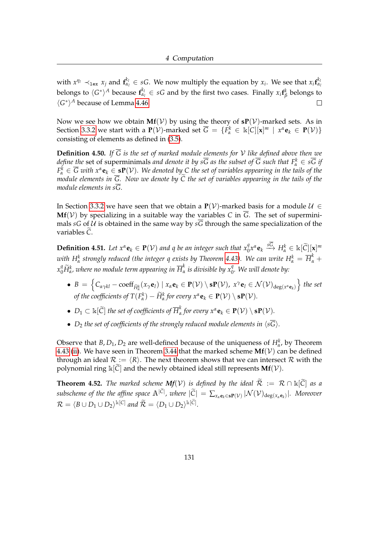with  $x^{\eta_1} \prec_{\texttt{lex}} x_j$  and  $f_{\alpha_l}^{k_l} \in sG$ . We now multiply the equation by  $x_i$ . We see that  $x_i f_{\alpha_l}^{k_l}$ belongs to  $\langle G^* \rangle^A$  because  $\mathbf{f}_{\alpha_l}^{k_l} \in sG$  and by the first two cases. Finally  $x_i \mathbf{f}_{\beta_l}^{k_l}$ *β* belongs to  $\langle G^* \rangle^A$  because of Lemma [4.46.](#page-131-0)  $\Box$ 

Now we see how we obtain  $Mf(V)$  by using the theory of  $sP(V)$ -marked sets. As in Section [3.3.2](#page-87-0) we start with a  $P(V)$ -marked set  $\overline{G} = \{F^k_\alpha \in \mathbb{k}[C][\mathbf{x}]^m \mid x^\alpha \mathbf{e}_k \in P(V)\}$ consisting of elements as defined in [\(3.5\)](#page-88-0).

**Definition 4.50.** If  $\overline{G}$  is the set of marked module elements for V like defined above then we *define the* set of superminimals *and denote it by*  $s\overline{G}$  *as the subset of*  $\overline{G}$  *such that*  $F^k_\alpha \in s\overline{G}$  *if*  $F^k_\alpha\in\overline{G}$  with  $x^\alpha{\bf e}_k\in$   ${\bf sP}(\mathcal{V})$ . We denoted by  $\subset$  the set of variables appearing in the tails of the *module elements in G. Now we denote by C the set of variables appearing in the tails of the module elements in sG.*

In Section [3.3.2](#page-87-0) we have seen that we obtain a **P**(V)-marked basis for a module  $U$  ∈ **Mf**(V) by specializing in a suitable way the variables C in  $\overline{G}$ . The set of superminimals *sG* of  $U$  is obtained in the same way by *sG* through the same specialization of the variables  $\tilde{C}$ .

<span id="page-135-0"></span>**Definition 4.51.** Let  $x^{\alpha}$ **e**<sub>k</sub>  $\in$  **P**(V) and q be an integer such that  $x_0^q x^{\alpha}$ **e**<sub>k</sub>  $\stackrel{sG}{\longrightarrow} H^k_{\alpha} \in \mathbb{k}[\widetilde{C}][x]^m$ *with H*<sup>k</sup> strongly reduced (the integer q exists by Theorem [4.43\)](#page-129-2). We can write  $H^k_\alpha = \overline{H}^k_\alpha +$  $x_0^q \widetilde{H}_{\alpha}^k$ , where no module term appearing in  $\overline{H}_{\alpha}^k$ *α is divisible by x<sup>q</sup>* 0 *. We will denote by:*

- $B = \left\{ C_{\alpha\gamma kl} \mathrm{coeff}_{\widetilde{H}_\alpha^k}(x_\gamma \mathbf{e}_l) \mid x_\alpha \mathbf{e}_k \in \mathbf{P}(\mathcal{V}) \setminus \mathbf{s} \mathbf{P}(\mathcal{V}), x^\gamma \mathbf{e}_l \in \mathcal{N}(\mathcal{V})_{\deg(x^\alpha \mathbf{e}_k)} \right\}$  the set *of the coefficients of*  $T(F^k_\alpha) - \widetilde{H}^k_\alpha$  for every  $x^\alpha \mathbf{e}_k \in \mathbf{P}(\mathcal{V}) \setminus \mathbf{s}\mathbf{P}(\mathcal{V})$ .
- $D_1 \subset \Bbbk[\widetilde{C}]$  *the set of coefficients of*  $\overline{H}_\alpha^k$  $\int_{\alpha}^{\alpha}$  for every  $x^{\alpha}$ **e**<sub>*k*</sub>  $\in$  **P**( $V$ )  $\setminus$  **sP**( $V$ ).
- $D_2$  *the set of coefficients of the strongly reduced module elements in*  $\langle s\overline{G}\rangle$ *.*

Observe that *B*,  $D_1$ ,  $D_2$  are well-defined because of the uniqueness of  $H^k_{\alpha}$ , by Theorem [4.43](#page-129-2) [\(ii\)](#page-129-1). We have seen in Theorem [3.44](#page-89-0) that the marked scheme  $Mf(V)$  can be defined through an ideal  $\mathcal{R} := \langle R \rangle$ . The next theorem shows that we can intersect  $\mathcal{R}$  with the polynomial ring  $\Bbbk[\tilde{C}]$  and the newly obtained ideal still represents **Mf**(*V*).

<span id="page-135-1"></span>**Theorem 4.52.** *The marked scheme Mf*(V) *is defined by the ideal*  $\widetilde{\mathcal{R}} := \mathcal{R} \cap \mathbb{K}[\widetilde{C}]$  *as a*  $\sup$  *subscheme of the the affine space*  $\mathbb{A}^{|C|}$ , where  $|\widetilde{C}| = \sum_{x_\alpha \mathbf{e}_k \in \mathbf{sP}(\mathcal{V})} |\mathcal{N}(\mathcal{V})_{\deg(x_\alpha \mathbf{e}_k)}|$ . Moreover  $\mathcal{R} = \langle B \cup D_1 \cup D_2 \rangle^{k[C]}$  and  $\widetilde{\mathcal{R}} = \langle D_1 \cup D_2 \rangle^{k[\widetilde{C}]}$ .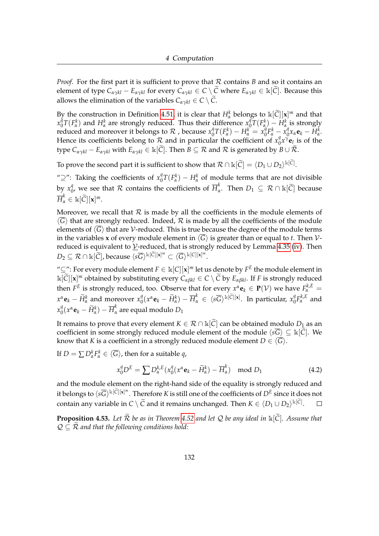*Proof.* For the first part it is sufficient to prove that  $R$  contains *B* and so it contains an element of type  $C_{\alpha\gamma k l} - E_{\alpha\gamma k l}$  for every  $C_{\alpha\gamma k l} \in C \setminus \tilde{C}$  where  $E_{\alpha\gamma k l} \in \mathbb{k}[\tilde{C}]$ . Because this allows the elimination of the variables  $C_{\alpha\gamma kl} \in C \setminus \widetilde{C}$ .

By the construction in Definition [4.51,](#page-135-0) it is clear that  $H^k_\alpha$  belongs to  $\kappa[\tilde{C}] [\mathbf{x}]^m$  and that  $x_0^{\tilde{q}}$  $\frac{q}{q}T(F_\alpha^k)$  and  $H_\alpha^k$  are strongly reduced. Thus their difference  $x_q^q$  $\frac{q}{0}T(F^k_\alpha)-H^k_\alpha$  is strongly reduced and moreover it belongs to  $\mathcal R$  , because  $x_0^q$  $\frac{q}{0}T(F_{\alpha}^{k}) - H_{\alpha}^{k} = x_0^{q}$  $\int_{0}^{\tilde{q}} F_{\alpha}^{k} - x_{0}^{q}$  $\int_0^q x_\alpha \mathbf{e}_k - H_\alpha^k$ . Hence its coefficients belong to  $\mathcal R$  and in particular the coefficient of  $x_0^q$  $\int_0^q x^{\gamma} \mathbf{e}_l$  is of the type  $C_{\alpha\gamma k l} - E_{\alpha\gamma k l}$  with  $E_{\alpha\gamma k l} \in \mathbb{k}[\tilde{C}]$ . Then  $B \subseteq \mathcal{R}$  and  $\mathcal{R}$  is generated by  $B \cup \tilde{\mathcal{R}}$ .

To prove the second part it is sufficient to show that  $\mathcal{R} \cap \mathbb{k}[\widetilde{C}] = \langle D_1 \cup D_2 \rangle^{\mathbb{k}[\widetilde{C}]}$ .

" $\supseteq$ ": Taking the coefficients of  $x_0^q$  $\int_{0}^{q} T(F_{\alpha}^{k}) - H_{\alpha}^{k}$  of module terms that are not divisible by  $x_0^q$  $\frac{q}{0}$ , we see that  $\mathcal R$  contains the coefficients of  $\overline{H}_\alpha^k$  $\alpha_{\alpha}^{\kappa}$ . Then  $D_1 \subseteq \mathcal{R} \cap \mathbb{k}[C]$  because  $\overline{H}^k_\alpha \in \, \Bbbk[\widetilde{C}] [\mathbf{x}]^m.$ 

Moreover, we recall that  $R$  is made by all the coefficients in the module elements of  $\langle \overline{G} \rangle$  that are strongly reduced. Indeed,  $\mathcal R$  is made by all the coefficients of the module elements of  $\langle \overline{G} \rangle$  that are V-reduced. This is true because the degree of the module terms in the variables **x** of every module element in  $\langle \overline{G} \rangle$  is greater than or equal to *t*. Then  $V$ reduced is equivalent to  $V$ -reduced, that is strongly reduced by Lemma [4.35](#page-126-0) [\(iv\)](#page-126-1). Then</u>  $D_2 \subseteq \mathcal{R} \cap \mathbb{k}[\widetilde{C}],$  because  $\langle s\overline{G} \rangle^{\mathbb{k}[\widetilde{C}][\mathbf{x}]^m} \subset \langle \overline{G} \rangle^{\mathbb{k}[C][\mathbf{x}]^m}.$ 

 $\text{``} ⊆ \text{''}:$  For every module element  $F \in \Bbbk[C][\mathbf{x}]^m$  let us denote by  $F^E$  the module element in  $\mathbb{E}[\widetilde{C}][\mathbf{x}]^m$  obtained by substituting every  $C_{\alpha\beta kl} \in C \setminus \widetilde{C}$  by  $E_{\alpha\beta kl}$ . If *F* is strongly reduced then  $F^E$  is strongly reduced, too. Observe that for every  $x^{\alpha} \mathbf{e}_k \in \mathbf{P}(\mathcal{V})$  we have  $F^{\mathbf{k},E}_{\alpha} =$  $x^{\alpha}$ **e**<sub>*k*</sub> −  $\widetilde{H}_{\alpha}^{k}$  and moreover  $x_0^q$  $\frac{q}{0}(x^{\alpha}\mathbf{e}_k - \widetilde{H}_{\alpha}^k) - \overline{H}_{\alpha}^k \in \langle s\overline{G} \rangle^{k[\widetilde{C}][\mathbf{x}]}$ . In particular,  $x_0^q$  ${}^q_0F^{k,E}_\alpha$  and  $x_0^q$  $\frac{q}{0}(x^{\alpha}\mathbf{e}_k - \widetilde{H}_{\alpha}^k) - \overline{H}_{\alpha}^k$  are equal modulo  $D_1$ 

It remains to prove that every element  $K \in \mathcal{R} \cap \mathbb{k}[\tilde{C}]$  can be obtained modulo  $D_1$  as an coefficient in some strongly reduced module element of the module  $\langle s\overline{G} \rangle \subseteq k[\overline{C}]$ . We know that *K* is a coefficient in a strongly reduced module element  $D \in \langle \overline{G} \rangle$ .

If  $D = \sum D_{\alpha}^{k} F_{\alpha}^{k} \in \langle \overline{G} \rangle$ , then for a suitable  $q$ ,

$$
x_0^q D^E = \sum D_{\alpha}^{k,E} (x_0^q (x^{\alpha} \mathbf{e}_k - \widetilde{H}_\alpha^k) - \overline{H}_\alpha^k) \mod D_1 \tag{4.2}
$$

and the module element on the right-hand side of the equality is strongly reduced and it belongs to  $\langle s\overline{G}\rangle^{\Bbbk[\widetilde{C}][{\bf x}]^m}.$  Therefore  $K$  is still one of the coefficients of  $D^E$  since it does not contain any variable in  $C \setminus \widetilde{C}$  and it remains unchanged. Then  $K \in \langle D_1 \cup D_2 \rangle^{\Bbbk[\widetilde{C}]}$ .  $\Box$ 

<span id="page-136-0"></span>**Proposition 4.53.** Let  $\widetilde{\mathcal{R}}$  be as in Theorem [4.52](#page-135-1) and let Q be any ideal in  $\mathbb{k}[\widetilde{\mathcal{C}}]$ . Assume that  $\mathcal{Q} \subseteq \mathcal{R}$  and that the following conditions hold: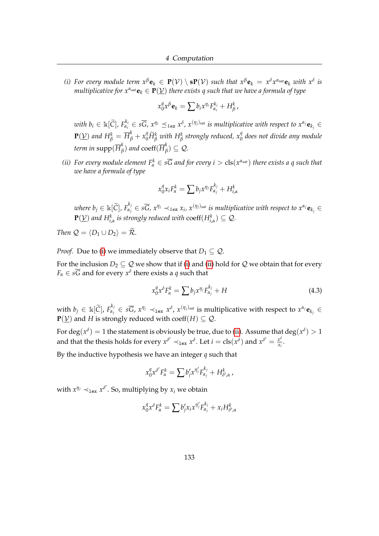<span id="page-137-0"></span>*(i)* For every module term  $x^{\beta}$ **e**<sub>*k*</sub>  $\in$  **P**(V)  $\setminus$  **sP**(V) such that  $x^{\beta}$ **e**<sub>*k*</sub> =  $x^{\delta}$ *x*<sup>α</sup><sub>sat</sub>**e**<sub>*k*</sub> with  $x^{\delta}$  is *multiplicative for*  $x^{\alpha_{sat}}e_k \in P(\underline{V})$  *there exists q such that we have a formula of type* 

$$
x_0^q x^{\beta} \mathbf{e}_k = \sum b_i x^{\eta_i} F_{\alpha_i}^{k_i} + H_{\beta}^k,
$$

with  $b_i\in\Bbbk[\widetilde{C}]$ ,  $F^{k_i}_{\alpha_i}\in s\overline{G}$ ,  $x^{\eta_i}\preceq_{lex} x^\delta$ ,  $x^{(\eta_j)_{\rm sat}}$  is multiplicative with respect to  $x^{\alpha_j}\mathbf{e}_{k_j}\in$  $\mathbf{P}(\underline{\mathcal{V}})$  and  $H^k_\beta = \overline{H}^k_\beta + x^q_0 \widetilde{H}^k_\beta$  with  $H^k_\beta$  strongly reduced,  $x^q_0$  does not divide any module term in  $\operatorname{supp}(\overline{H}_{\ell}^k)$  $\binom{k}{\beta}$  and  $\mathrm{coeff}(\overline{H}_{\beta}^k)$  $\binom{\kappa}{\beta} \subseteq \mathcal{Q}$ .

<span id="page-137-1"></span>*(ii)* For every module element  $F^k_\alpha \in s\overline{G}$  and for every  $i > \text{cls}(x^{\alpha_{\text{sat}}})$  there exists a q such that *we have a formula of type*

$$
x_0^q x_i F_\alpha^k = \sum b_j x^{\eta_j} F_{\alpha_j}^{k_j} + H_{i,\alpha}^k
$$

where  $b_j\in\mathbb{k}[\widetilde{C}]$ ,  $F^{k_j}_{\alpha_j}\in s\overline{G}$ ,  $x^{\eta_j}\prec_{lex} x_i$ ,  $x^{(\eta_j)_{\text{sat}}}$  is multiplicative with respect to  $x^{\alpha_j}\mathbf{e}_{k_j}\in$  $\mathbf{P}(\underline{\mathcal{V}})$  and  $H_{i,\alpha}^k$  is strongly reduced with  $\mathrm{coeff}(H_{i,\alpha}^k)\subseteq \mathcal{Q}$ .

*Then*  $Q = \langle D_1 \cup D_2 \rangle = \tilde{\mathcal{R}}$ *.* 

*Proof.* Due to [\(i\)](#page-137-0) we immediately observe that  $D_1 \subseteq Q$ .

For the inclusion  $D_2 \subseteq Q$  we show that if [\(i\)](#page-137-0) and [\(ii\)](#page-137-1) hold for Q we obtain that for every  $F_\alpha \in sG$  and for every  $x^\delta$  there exists a *q* such that

<span id="page-137-2"></span>
$$
x_0^q x^\delta F_\alpha^k = \sum b_j x^{\eta_j} F_{\alpha_j}^{k_j} + H \tag{4.3}
$$

with  $b_j \in \mathbb{k}[\widetilde{C}]$ ,  $F_{\alpha_j}^{k_j} \in s\overline{G}$ ,  $x^{\eta_j} \prec_{1\mathbf{ex}} x^{\delta}$ ,  $x^{(\eta_j)_{\text{sat}}}$  is multiplicative with respect to  $x^{\alpha_j} \mathbf{e}_{k_j} \in$  $P(\underline{V})$  and *H* is strongly reduced with coeff(*H*)  $\subseteq$  *Q*.

For  $\deg(x^\delta) = 1$  the statement is obviously be true, due to [\(ii\)](#page-137-1). Assume that  $\deg(x^\delta) > 1$ and that the thesis holds for every  $x^{\delta'} \prec_{\text{lex}} x^{\delta}$ . Let  $i = \text{cls}(x^{\delta})$  and  $x^{\delta'} = \frac{x^{\delta}}{x^{\delta}}$  $\frac{x^2}{x_i}$ .

By the inductive hypothesis we have an integer *q* such that

$$
x_0^q x^{\delta'} F_\alpha^k = \sum b'_j x^{\eta'_j} F_{\alpha_j}^{k_j} + H_{\delta',\alpha}^k,
$$

with  $x^{\eta_j} \prec_{\texttt{lex}} x^{\delta'}$ . So, multiplying by  $x_i$  we obtain

$$
x_0^q x^\delta F_\alpha^k = \sum b_j' x_i x^{\eta_j'} F_{\alpha_j}^{k_j} + x_i H_{\delta',\alpha}^k
$$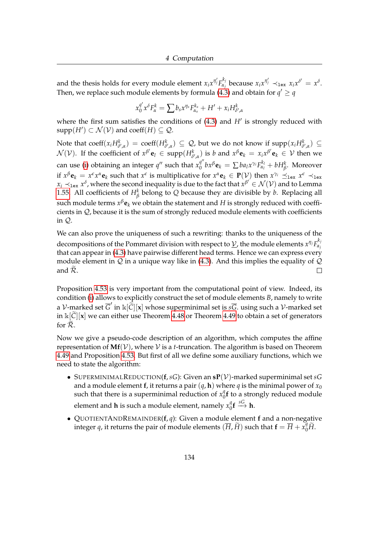and the thesis holds for every module element  $x_i x^{\eta'_j} F_{\alpha_j}^{k_j}$  $\alpha_j^{k_j}$  because  $x_i x^{\eta'_j} \prec_{\texttt{lex}} x_i x^{\delta'} = x^{\delta}.$ Then, we replace such module elements by formula [\(4.3\)](#page-137-2) and obtain for  $q' \geq q$ 

$$
x_0^{q'}x^{\delta}F_{\alpha}^k = \sum b_s x^{\eta_s} F_{\alpha_s}^{k_s} + H' + x_i H_{\delta',\alpha}^k
$$

where the first sum satisfies the conditions of  $(4.3)$  and  $H'$  is strongly reduced with  $supp(H') \subset \mathcal{N}(\mathcal{V})$  and  $coeff(H) \subseteq \mathcal{Q}$ .

Note that  $\mathrm{coeff}(x_iH^k_{\delta',\alpha}) = \mathrm{coeff}(H^k_{\delta',\alpha}) \subseteq \mathcal{Q}$ , but we do not know if  $\mathrm{supp}(x_iH^k_{\delta',\alpha}) \subseteq$  $\mathcal{N}(\mathcal{V})$ . If the coefficient of  $x^{\beta'}\mathbf{e}_l \in \text{supp}(H_{\delta',\alpha}^k)$  is b and  $x^{\beta}\mathbf{e}_k = x_ix^{\beta'}\mathbf{e}_k \in \mathcal{V}$  then we can use [\(i\)](#page-137-0) obtaining an integer  $q''$  such that  $x_0^{q''}$  $\int_0^{q''} bx^{\beta} \mathbf{e}_k = \sum ba_l x^{\gamma_i} F_{\alpha_l}^{k_l} + bH_{\beta}^k$ . Moreover if  $x^{\beta}$ **e**<sub>k</sub> =  $x^{\epsilon}x^{\alpha}$ **e**<sub>k</sub> such that  $x^{\epsilon}$  is multiplicative for  $x^{\alpha}$ **e**<sub>k</sub>  $\in$  **P**(*V*) then  $x^{\gamma_i} \preceq_{\text{lex}} x^{\epsilon} \prec_{\text{lex}} x$  $x_i\prec_{\texttt{lex}} x^{\delta}$ , where the second inequality is due to the fact that  $x^{\beta'}\in\mathcal{N}(\mathcal{V})$  and to Lemma [1.55.](#page-34-0) All coefficients of  $H^k_\beta$  belong to *Q* because they are divisible by *b*. Replacing all such module terms  $x^\beta \mathbf{e}_k$  we obtain the statement and  $H$  is strongly reduced with coefficients in Q, because it is the sum of strongly reduced module elements with coefficients in Q.

We can also prove the uniqueness of such a rewriting: thanks to the uniqueness of the decompositions of the Pommaret division with respect to  $\underline{\mathcal{V}}$ , the module elements  $x^{\eta_j}F_{\alpha_j}^{k_j}$ *αj* that can appear in [\(4.3\)](#page-137-2) have pairwise different head terms. Hence we can express every module element in  $Q$  in a unique way like in [\(4.3\)](#page-137-2). And this implies the equality of  $Q$ and  $\widetilde{\mathcal{R}}$ .  $\Box$ 

Proposition [4.53](#page-136-0) is very important from the computational point of view. Indeed, its condition [\(i\)](#page-137-0) allows to explicitly construct the set of module elements *B*, namely to write a *V*-marked set  $\overline{G}'$  in  $\Bbbk[\tilde{C}][x]$  whose superminimal set is  $s\overline{G}$ . using such a *V*-marked set in  $\kappa$ [*C*][**x**] we can either use Theorem [4.48](#page-132-3) or Theorem [4.49](#page-133-0) to obtain a set of generators for  $\overline{\mathcal{R}}$ .

Now we give a pseudo-code description of an algorithm, which computes the affine representation of  $Mf(V)$ , where V is a *t*-truncation. The algorithm is based on Theorem [4.49](#page-133-0) and Proposition [4.53.](#page-136-0) But first of all we define some auxiliary functions, which we need to state the algorithm:

- SUPERMINIMALREDUCTION(**f**,*sG*): Given an **sP**(V)-marked superminimal set *sG* and a module element **f**, it returns a pair  $(q, \mathbf{h})$  where q is the minimal power of  $x_0$ such that there is a superminimal reduction of  $x_0^q$  $\int_{0}^{\eta}$ f to a strongly reduced module element and **h** is such a module element, namely  $x_0^q$  ${}^g_0$ **f**  $\overset{sG}{\longrightarrow}$  **h**.
- QUOTIENTANDREMAINDER(**f**, *q*): Given a module element **f** and a non-negative integer *q*, it returns the pair of module elements  $(\overline{H}, \widetilde{H})$  such that  $\mathbf{f} = \overline{H} + x_0^q \widetilde{H}$ .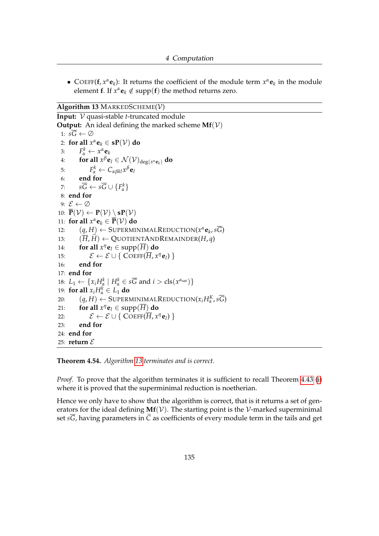• COEFF( $f, x^{\alpha}e_k$ ): It returns the coefficient of the module term  $x^{\alpha}e_k$  in the module element **f**. If  $x^{\alpha}$ **e**<sub>*k*</sub>  $\notin$  supp(**f**) the method returns zero.

### <span id="page-139-0"></span>**Algorithm 13** MARKEDSCHEME(V)

```
Input: V quasi-stable t-truncated module
Output: An ideal defining the marked scheme Mf(V)1: s\overline{G} \leftarrow \emptyset2: for all x^{\alpha}e<sub>k</sub> \in sP(V) do
  3: F^k_\alpha \leftarrow x^\alpha \mathbf{e}_k4: for all x^{\beta}e<sub>l</sub> \in \mathcal{N}(\mathcal{V})_{\text{deg}(x^{\alpha}e<sub>k</sub>)</sub> do
  5: F^k_\alpha \leftarrow C_{\alpha\beta kl} x^\beta \mathbf{e}_l6: end for
  7: s\overline{G} \leftarrow s\overline{G} \cup \{F_{\alpha}^{k}\}\8: end for
  9: \mathcal{E} \leftarrow \emptyset10: \overline{\mathbf{P}}(\mathcal{V}) \leftarrow \mathbf{P}(\mathcal{V}) \setminus \mathbf{s} \mathbf{P}(\mathcal{V})11: for all x^{\alpha}e<sub>k</sub> \in P(V) do
 12: (q, H) \leftarrow \text{SUPERMINIMALREDUCTION}(x^{\alpha} \mathbf{e}_k, s\overline{G})13: (\overline{H}, \widetilde{H}) \leftarrow \text{QUOTIENTANDREMAINDER}(H, q)<br>14: for all x^{\eta}e_1 \in \text{supp}(\overline{H}) do
 14: for all x^{\eta}e<sub>l</sub> \in supp(\overline{H}) do
 15: \mathcal{E} \leftarrow \mathcal{E} \cup \{ \text{COEFF}(\overline{H}, x^n \mathbf{e}_l) \}16: end for
17: end for
 18: L_1 \leftarrow \{x_i H_{\alpha}^k \mid H_{\alpha}^k \in s\overline{G} \text{ and } i > \text{cls}(x^{\alpha_{\text{sat}}})\}19: for all x_i H^k_\alpha \in L_1 do
 20: (q, H) \leftarrow \text{SuperminimalReduction}(x_i H_\alpha^K, s\overline{G})21: for all x^{\eta}e<sub>l</sub> \in supp(\overline{H}) do
 22: \mathcal{E} \leftarrow \mathcal{E} \cup \{ \text{ Coeff}(\overline{H}, x^n \mathbf{e}_l) \}23: end for
24: end for
25: return \mathcal{E}
```
**Theorem 4.54.** *Algorithm [13](#page-139-0) terminates and is correct.*

*Proof.* To prove that the algorithm terminates it is sufficient to recall Theorem [4.43](#page-129-2) [\(i\)](#page-129-0) where it is proved that the superminimal reduction is noetherian.

Hence we only have to show that the algorithm is correct, that is it returns a set of generators for the ideal defining  $Mf(V)$ . The starting point is the V-marked superminimal set  $s\overline{G}$ , having parameters in  $\widetilde{C}$  as coefficients of every module term in the tails and get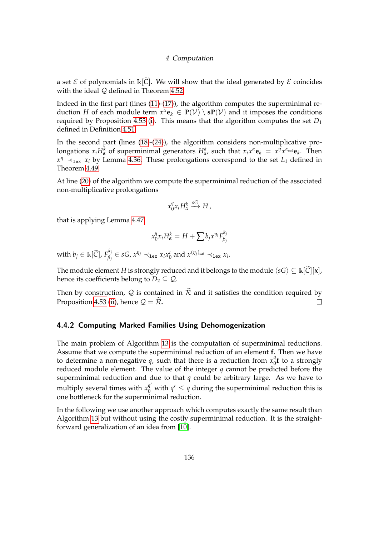a set  $\mathcal E$  of polynomials in  $\mathbb K[\widetilde{\mathcal C}]$ . We will show that the ideal generated by  $\mathcal E$  coincides with the ideal  $Q$  defined in Theorem [4.52.](#page-135-1)

Indeed in the first part (lines [\(11\)](#page-139-0)-[\(17\)](#page-139-0)), the algorithm computes the superminimal reduction *H* of each module term  $x^{\alpha}$ **e**<sub>*k*</sub>  $\in$  **P**( $V$ ) \ **sP**( $V$ ) and it imposes the conditions required by Proposition [4.53](#page-136-0) [\(i\)](#page-137-0). This means that the algorithm computes the set *D*<sup>1</sup> defined in Definition [4.51.](#page-135-0)

In the second part (lines [\(18\)](#page-139-0)-[\(24\)](#page-139-0)), the algorithm considers non-multiplicative prolongations  $x_iH_\alpha^k$  of superminimal generators  $H_\alpha^k$ , such that  $x_ix^\alpha \mathbf{e}_k = x^\eta x^{\alpha_{\text{sat}}} \mathbf{e}_k$ . Then  $x^{\eta} \prec_{\texttt{lex}} x_i$  by Lemma [4.36.](#page-127-0) These prolongations correspond to the set *L*<sub>1</sub> defined in Theorem [4.49.](#page-133-0)

At line [\(20\)](#page-139-0) of the algorithm we compute the superminimal reduction of the associated non-multiplicative prolongations

$$
x_0^q x_i H_\alpha^k \xrightarrow{sG} H,
$$

that is applying Lemma [4.47:](#page-132-2)

$$
x_0^q x_i H_\alpha^k = H + \sum b_j x^{\eta_j} F_{\beta_j}^{k_j}
$$

with  $b_j \in \mathbb{R}[\widetilde{\text{C}}]$ ,  $F_{\beta_j}^{k_j}$  $\beta_j \in s\overline{G}$ ,  $x^{\eta_j} \prec_{\texttt{lex}} x_i x_0^t$  and  $x^{(\eta_j)_{\text{sat}}} \prec_{\texttt{lex}} x_i$ .

The module element *H* is strongly reduced and it belongs to the module  $\langle s\overline{G} \rangle \subseteq \Bbbk[\widetilde{C}][\mathbf{x}]$ , hence its coefficients belong to  $D_2 \subseteq Q$ .

Then by construction, Q is contained in  $\tilde{\mathcal{R}}$  and it satisfies the condition required by Proposition 4.53 (ii), hence  $\mathcal{Q} = \tilde{\mathcal{R}}$ . Proposition [4.53](#page-136-0) [\(ii\)](#page-137-1), hence  $\mathcal{Q} = \tilde{\mathcal{R}}$ .

## 4.4.2 Computing Marked Families Using Dehomogenization

The main problem of Algorithm [13](#page-139-0) is the computation of superminimal reductions. Assume that we compute the superminimal reduction of an element **f**. Then we have to determine a non-negative q, such that there is a reduction from  $x_0^q$  $\int_0^q f$  to a strongly reduced module element. The value of the integer *q* cannot be predicted before the superminimal reduction and due to that *q* could be arbitrary large. As we have to multiply several times with  $x_0^{q'}$  with  $q' \leq q$  during the superminimal reduction this is one bottleneck for the superminimal reduction.

In the following we use another approach which computes exactly the same result than Algorithm [13](#page-139-0) but without using the costly superminimal reduction. It is the straightforward generalization of an idea from [\[10\]](#page-159-2).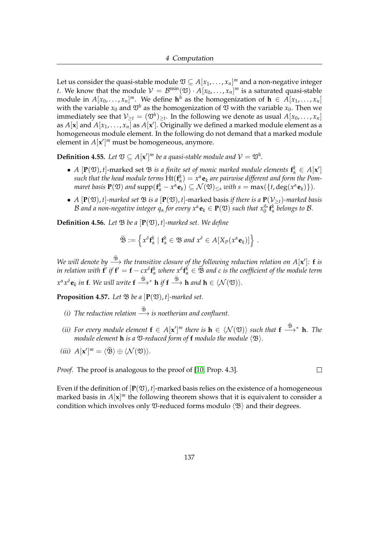Let us consider the quasi-stable module  $\mathfrak{V} \subseteq A[x_1,\ldots,x_n]^m$  and a non-negative integer *t*. We know that the module  $\mathcal{V} = \mathcal{B}^{\min}(\mathfrak{V}) \cdot A[x_0, \ldots, x_n]^m$  is a saturated quasi-stable module in  $A[x_0, \ldots, x_n]^m$ . We define  $\mathbf{h}^h$  as the homogenization of  $\mathbf{h} \in A[x_1, \ldots, x_n]$ with the variable  $x_0$  and  $\mathfrak{V}^h$  as the homogenization of  $\mathfrak V$  with the variable  $x_0$ . Then we immediately see that  $\mathcal{V}_{\geq t} = (\mathfrak{V}^h)_{\geq t}$ . In the following we denote as usual  $A[x_0,\ldots,x_n]$ as  $A[\mathbf{x}]$  and  $A[x_1, \ldots, x_n]$  as  $A[\mathbf{x}']$ . Originally we defined a marked module element as a homogeneous module element. In the following do not demand that a marked module element in  $A[x']^m$  must be homogeneous, anymore.

**Definition 4.55.** Let  $\mathfrak{V} \subseteq A[\mathbf{x}']^m$  be a quasi-stable module and  $\mathcal{V} = \mathfrak{V}^h$ .

- *A*  $[\mathbf{P}(\mathfrak{V}), t]$ -marked set  $\mathfrak{B}$  *is a finite set of monic marked module elements*  $\mathbf{f}_\alpha^k \in A[\mathbf{x}']$  $s$ uch that the head module terms  $\mathrm{Ht}(\mathbf{f}_\alpha^k) = x^\alpha \mathbf{e}_k$  are pairwise different and form the Pom*maret basis*  $P(\mathfrak{V})$  *and*  $\text{supp}(\mathbf{f}^k_{\alpha} - x^{\alpha} \mathbf{e}_k) \subseteq \mathcal{N}(\mathfrak{V})_{\leq s}$  with  $s = \max(\{t, \deg(x^{\alpha} \mathbf{e}_k)\}).$
- *A*  $[P(\mathfrak{V}), t]$ -marked set  $\mathfrak{B}$  *is a*  $[P(\mathfrak{V}), t]$ -marked basis *if there is a*  $P(\mathcal{V}_{\geq t})$ -marked basis  $B$  and a non-negative integer  $q_\alpha$  for every  $x^\alpha \mathbf{e}_k \in \mathbf{P}(\mathfrak{V})$  such that  $x_0^{q_\alpha} \mathbf{f}_\alpha^k$  belongs to  $B$ .

**Definition 4.56.** Let  $\mathfrak{B}$  be a  $[\mathbf{P}(\mathfrak{V}), t]$ -marked set. We define

$$
\widetilde{\mathfrak{B}} := \left\{ x^{\delta} \mathbf{f}_{\alpha}^{k} \mid \mathbf{f}_{\alpha}^{k} \in \mathfrak{B} \text{ and } x^{\delta} \in A[X_{P}(x^{\alpha} \mathbf{e}_{k})] \right\}.
$$

*We will denote by*  $\stackrel{\mathcal{B}}{\longrightarrow}$  *the transitive closure of the following reduction relation on A[x']: f <i>is*  $\int f(x) \, dx$  *in relation with*  $f'$  *if*  $f' = f - c x^\delta f_\alpha^k$  *where*  $x^\delta f_\alpha^k \in \widetilde{\mathfrak{B}}$  *and c is the coefficient of the module term*  $x^{\alpha}x^{\delta}$ **e**<sub>*k*</sub> in **f**. We will write **f**  $\xrightarrow{\mathfrak{B}}*$  **h** if **f**  $\xrightarrow{\mathfrak{B}}$  **h** and **h** ∈  $\langle \mathcal{N}(\mathfrak{V}) \rangle$ *.* 

**Proposition 4.57.** *Let*  $\mathcal{B}$  *be a*  $[P(\mathfrak{V}), t]$ *-marked set.* 

- *(i)* The reduction relation  $\stackrel{\mathfrak{B}}{\longrightarrow}$  is noetherian and confluent.
- *(ii)* For every module element  $f \in A[x']^m$  there is  $h \in \langle \mathcal{N}(\mathfrak{V}) \rangle$  such that  $f \stackrel{\mathfrak{B}}{\longrightarrow}^* h$ . The *module element* **h** *is a*  $\mathfrak{V}$ -reduced form of **f** *modulo the module*  $\langle \mathfrak{B} \rangle$ *.*

 $\Box$ 

(*iii*)  $A[\mathbf{x}']^m = \langle \widetilde{\mathfrak{B}} \rangle \oplus \langle \mathcal{N}(\mathfrak{V}) \rangle.$ 

*Proof.* The proof is analogous to the proof of [\[10,](#page-159-2) Prop. 4.3].

Even if the definition of  $[P(\mathfrak{V}), t]$ -marked basis relies on the existence of a homogeneous marked basis in  $A[x]^m$  the following theorem shows that it is equivalent to consider a condition which involves only  $\mathfrak{V}\text{-reduced forms modulo } \langle \mathfrak{B} \rangle$  and their degrees.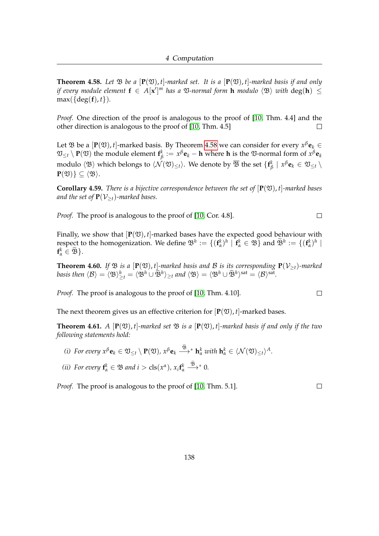<span id="page-142-0"></span>**Theorem 4.58.** Let  $\mathfrak{B}$  be a  $[\mathbf{P}(\mathfrak{V}), t]$ -marked set. It is a  $[\mathbf{P}(\mathfrak{V}), t]$ -marked basis if and only *if every module element*  $f \in A[x']^m$  *has a*  $\mathfrak{V}\text{-}normal form$  **h** *modulo*  $\langle \mathfrak{B} \rangle$  *with*  $\text{deg}(\mathbf{h}) \leq \frac{1}{\sqrt{2}}$  $max({\{deg(f), t\}}).$ 

*Proof.* One direction of the proof is analogous to the proof of [\[10,](#page-159-2) Thm. 4.4] and the other direction is analogous to the proof of [\[10,](#page-159-2) Thm. 4.5]  $\Box$ 

Let  $\mathfrak{B}$  be a  $[\mathbf{P}(\mathfrak{V}), t]$ -marked basis. By Theorem [4.58](#page-142-0) we can consider for every  $x^{\beta} \mathbf{e}_k \in$  $\mathfrak{V}_{\leq t} \setminus \mathbf{P}(\mathfrak{V})$  the module element  $\mathbf{f}_{\beta}^k$ *β* := *x <sup>β</sup>***e***<sup>k</sup>* − **h** where **h** is the V-normal form of *x <sup>β</sup>***e***<sup>k</sup>* modulo  $\langle {\frak B} \rangle$  which belongs to  $\langle {\cal N}({\frak V})_{\leq t}\rangle.$  We denote by  $\overline{\frak B}$  the set  $\{{\bf f}_\ell^k\}$  $\frac{k}{\beta}$  |  $x^{\beta}$ **e**<sub>*k*</sub>  $\in$   $\mathfrak{V}_{\leq t} \setminus$  $P(\mathfrak{V})\}\subset \langle \mathfrak{B}\rangle.$ 

**Corollary 4.59.** *There is a bijective correspondence between the set of*  $[P(\mathfrak{V}), t]$ *-marked bases and the set of*  $P(V_{\geq t})$ -marked bases.

*Proof.* The proof is analogous to the proof of [\[10,](#page-159-2) Cor. 4.8].

Finally, we show that  $[P(\mathfrak{V}), t]$ -marked bases have the expected good behaviour with respect to the homogenization. We define  $\mathfrak{B}^h := \{ (\mathbf{f}_\alpha^k)^h \mid \mathbf{f}_\alpha^k \in \mathfrak{B} \}$  and  $\widetilde{\mathfrak{B}}^h := \{ (\mathbf{f}_\alpha^k)^h \mid \mathbf{f}_\alpha^k \in \widetilde{\mathfrak{B}} \}$  $f^k_\alpha \in \widetilde{\mathfrak{B}}$ .

**Theorem 4.60.** *If*  $\mathfrak{B}$  *is a* [ $P(\mathfrak{V})$ *, t*]*-marked basis and*  $\mathcal{B}$  *is its corresponding*  $P(\mathcal{V}_{\geq t})$ *-marked*  $\text{basis then } \langle \mathcal{B} \rangle = \langle \mathfrak{B} \rangle_{\geq t}^h = \langle \mathfrak{B}^h \cup \widetilde{\mathfrak{B}}^h \rangle_{\geq t}$  and  $\langle \mathfrak{B} \rangle = \langle \mathfrak{B}^h \cup \widetilde{\mathfrak{B}}^h \rangle^{\text{sat}} = \langle \mathcal{B} \rangle^{\text{sat}}$ .

*Proof.* The proof is analogous to the proof of [\[10,](#page-159-2) Thm. 4.10].

The next theorem gives us an effective criterion for  $[\mathbf{P}(\mathfrak{V}), t]$ -marked bases.

<span id="page-142-1"></span>**Theorem 4.61.** *A*  $[P(\mathfrak{V}), t]$ -marked set  $\mathfrak{B}$  is a  $[P(\mathfrak{V}), t]$ -marked basis if and only if the two *following statements hold:*

- *(i)* For every  $x^{\beta}$ **e**<sub>*k*</sub>  $\in \mathfrak{V}_{\leq t} \setminus \mathbf{P}(\mathfrak{V})$ ,  $x^{\beta}$ **e**<sub>*k*</sub>  $\stackrel{\mathfrak{B}}{\longrightarrow}^*$  **h**<sub>*a*</sub><sup>*k*</sup> *with* **h**<sub>*a*</sub><sup>*k*</sup>  $\in \langle \mathcal{N}(\mathfrak{V})_{\leq t} \rangle^A$ .
- *(ii)* For every  $f^k_\alpha \in \mathfrak{B}$  and  $i > \text{cls}(x^\alpha)$ ,  $x_i f^k_\alpha \stackrel{\mathfrak{B}}{\longrightarrow}^* 0$ .

*Proof.* The proof is analogous to the proof of [\[10,](#page-159-2) Thm. 5.1].

 $\Box$ 

 $\Box$ 

 $\Box$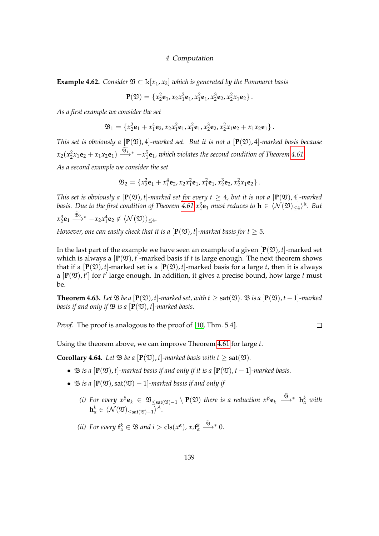**Example 4.62.** *Consider*  $\mathfrak{V} \subset \mathbb{k}[x_1, x_2]$  *which is generated by the Pommaret basis* 

$$
\mathbf{P}(\mathfrak{V}) = \{x_2^2\mathbf{e}_1, x_2x_1^2\mathbf{e}_1, x_1^2\mathbf{e}_1, x_2^3\mathbf{e}_2, x_2^2x_1\mathbf{e}_2\}.
$$

*As a first example we consider the set*

$$
\mathfrak{B}_1 = \{x_2^2 \mathbf{e}_1 + x_1^4 \mathbf{e}_2, x_2 x_1^2 \mathbf{e}_1, x_1^2 \mathbf{e}_1, x_2^3 \mathbf{e}_2, x_2^2 x_1 \mathbf{e}_2 + x_1 x_2 \mathbf{e}_1\}.
$$

*This set is obviously a*  $[P(\mathfrak{V}), 4]$ *-marked set. But it is not a*  $[P(\mathfrak{V}), 4]$ *-marked basis because*  $x_2(x_2^2x_1\mathbf{e}_2 + x_1x_2\mathbf{e}_1) \stackrel{\mathfrak{B}_1}{\longrightarrow}{}^* - x_1^5\mathbf{e}_1$ , which violates the second condition of Theorem [4.61.](#page-142-1)

*As a second example we consider the set*

$$
\mathfrak{B}_2 = \{x_2^2 \mathbf{e}_1 + x_1^4 \mathbf{e}_2, x_2 x_1^2 \mathbf{e}_1, x_1^2 \mathbf{e}_1, x_2^3 \mathbf{e}_2, x_2^2 x_1 \mathbf{e}_2\}.
$$

*This set is obviously a*  $[P(\mathfrak{V}), t]$ *-marked set for every t*  $\geq 4$ *, but it is not a*  $[P(\mathfrak{V}), 4]$ *-marked basis. Due to the first condition of Theorem*  $4.61 \ x_2^3$   $\mathbf{e}_1$  *must reduces to*  $\mathbf{h} \in \langle \mathcal{N}(\mathfrak{V})_{\leq 4} \rangle^{\mathbb{k}}$ *. But*  $x_2^3$ **e**<sub>1</sub>  $\xrightarrow{\mathfrak{B}_{2}}$  \*  $-x_2x_1^4$ **e**<sub>2</sub>  $\notin \langle \mathcal{N}(\mathfrak{V}) \rangle_{\leq 4}$ .

*However, one can easily check that it is a*  $[P(\mathfrak{V}), t]$ *-marked basis for t*  $\geq$  5.

In the last part of the example we have seen an example of a given  $[P(\mathfrak{V}), t]$ -marked set which is always a  $[\mathbf{P}(\mathfrak{V}), t]$ -marked basis if t is large enough. The next theorem shows that if a  $[P(\mathfrak{V}), t]$ -marked set is a  $[P(\mathfrak{V}), t]$ -marked basis for a large *t*, then it is always a  $[P(\mathfrak{V}), t']$  for  $t'$  large enough. In addition, it gives a precise bound, how large  $t$  must be.

**Theorem 4.63.** Let  $\mathfrak{B}$  be a  $[\mathbf{P}(\mathfrak{V}), t]$ *-marked set, with*  $t > \text{sat}(\mathfrak{V})$ *.*  $\mathfrak{B}$  *is a*  $[\mathbf{P}(\mathfrak{V}), t - 1]$ *-marked basis if and only if*  $\mathfrak{B}$  *is a*  $[P(\mathfrak{V}), t]$ *-marked basis.* 

*Proof.* The proof is analogous to the proof of [\[10,](#page-159-2) Thm. 5.4].

$$
\Box
$$

Using the theorem above, we can improve Theorem [4.61](#page-142-1) for large *t*.

**Corollary 4.64.** Let  $\mathfrak{B}$  be a  $[\mathbf{P}(\mathfrak{V}), t]$ -marked basis with  $t \geq \text{sat}(\mathfrak{V})$ .

- $\mathfrak{B}$  *is a*  $[\mathbf{P}(\mathfrak{V}), t]$ *-marked basis if and only if it is a*  $[\mathbf{P}(\mathfrak{V}), t 1]$ *-marked basis.*
- $\mathfrak{B}$  *is a*  $[\mathbf{P}(\mathfrak{V}), \mathrm{sat}(\mathfrak{V})-1]$ *-marked basis if and only if* 
	- *(i)* For every  $x^{\beta}$ **e**<sub>*k*</sub>  $\in \mathfrak{V}_{\leq \text{sat}(\mathfrak{V})-1} \setminus \mathbf{P}(\mathfrak{V})$  there is a reduction  $x^{\beta}$ **e**<sub>*k*</sub>  $\xrightarrow{\mathfrak{B}}^*$  **h**<sup>*k*</sup><sub>*a*</sub> *with*  $\mathbf{h}^k_{\alpha} \in \langle \mathcal{N}(\mathfrak{V})_{\leq \mathrm{sat}(\mathfrak{V})-1} \rangle^A.$
	- *(ii)* For every  $f^k_\alpha \in \mathfrak{B}$  and  $i > \text{cls}(x^\alpha)$ ,  $x_i f^k_\alpha \stackrel{\mathfrak{B}}{\longrightarrow}^* 0$ .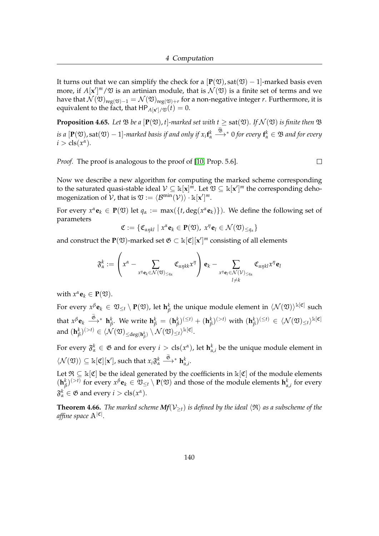It turns out that we can simplify the check for a  $[\mathbf{P}(\mathfrak{V}), \text{sat}(\mathfrak{V}) - 1]$ -marked basis even more, if  $A[\mathbf{x}']^m/\mathfrak{V}$  is an artinian module, that is  $\mathcal{N}(\mathfrak{V})$  is a finite set of terms and we have that  $\mathcal{N}(\mathfrak{V})_{\text{reg}(\mathfrak{V})-1}=\mathcal{N}(\mathfrak{V})_{\text{reg}(\mathfrak{V})+r}$  for a non-negative integer  $r.$  Furthermore, it is equivalent to the fact, that  $\mathsf{HP}_{A[\mathbf{x}']/\mathfrak{V}}(t) = 0.$ 

**Proposition 4.65.** Let  $\mathfrak{B}$  be a  $[\mathbf{P}(\mathfrak{V}), t]$ -marked set with  $t \geq$  sat $(\mathfrak{V})$ *. If*  $\mathcal{N}(\mathfrak{V})$  *is finite then*  $\mathfrak{B}$  $i$ *s*  $a$   $[\mathbf{P}(\mathfrak{V}), \text{sat}(\mathfrak{V})-1]$ -marked basis if and only if  $x_i \mathbf{f}^k_\alpha \overset{\mathfrak{B}}{\longrightarrow} ^* 0$  for every  $\mathbf{f}^k_\alpha \in \mathfrak{B}$  and for every  $i > \text{cls}(x^{\alpha})$ .

*Proof.* The proof is analogous to the proof of [\[10,](#page-159-0) Prop. 5.6].

 $\Box$ 

Now we describe a new algorithm for computing the marked scheme corresponding to the saturated quasi-stable ideal  $V\subseteq \Bbbk[\mathbf{x}]^m$ . Let  $\mathfrak{V}\subseteq \Bbbk[\mathbf{x}']^m$  the corresponding dehomogenization of  $V$ , that is  $\mathfrak{V} := \langle \mathcal{B}^{\min}(\mathcal{V}) \rangle \cdot \mathbb{k}[\mathbf{x}']^m$ .

For every  $x^{\alpha}$ **e**<sub>*k*</sub>  $\in$  **P**( $\mathfrak{V}$ ) let  $q_{\alpha} := max({f, deg(x^{\alpha}e_{k})})$ . We define the following set of parameters

$$
\mathfrak{C} := \{ \mathfrak{C}_{\alpha\eta kl} \mid x^{\alpha} \mathbf{e}_k \in \mathbf{P}(\mathfrak{V}), \ x^{\eta} \mathbf{e}_l \in \mathcal{N}(\mathfrak{V})_{\leq q_{\alpha}} \}
$$

and construct the  $P(\mathfrak{V})$ -marked set  $\mathfrak{G} \subset \Bbbk[\mathfrak{C}][x']^m$  consisting of all elements

$$
\mathfrak{F}^k_\alpha:=\left(x^\alpha-\sum_{x^\eta\mathbf{e}_k\in\mathcal{N}(\mathfrak{V})_{\leq q_\alpha}}\mathfrak{C}_{\alpha\eta k k}x^\eta\right)\mathbf{e}_k-\sum_{\substack{x^\eta\mathbf{e}_l\in\mathcal{N}(\mathcal{V})_{\leq q_\alpha}}}\mathfrak{C}_{\alpha\eta k l}x^\eta\mathbf{e}_l
$$

with  $x^{\alpha}$ **e**<sub>*k*</sub>  $\in$  **P**( $\mathfrak{V}$ ).

 $\text{For every } x^\beta \mathbf{e}_k \, \in \, \mathfrak{V}_{\leq t} \setminus \mathbf{P}(\mathfrak{V}), \text{ let } \mathbf{h}^k_\beta$  $\frac{k}{\beta}$  the unique module element in  $\langle \mathcal{N}(\mathfrak{V}) \rangle^{\Bbbk[\mathfrak{C}]}$  such that  $x^{\beta}$ **e**<sub>*k*</sub>  $\xrightarrow{\mathfrak{G}}^*$  **h**<sup>*k*</sup><sub>*f*</sub>  $\iota_{\beta}^k$ . We write  $\mathbf{h}_{\beta}^k = (\mathbf{h}_{\beta}^k)$  $(\mathbf{h}^k_\beta)^{(\leq t)} + (\mathbf{h}^k_\beta)$  $\binom{k}{\beta}^{(>t)}$  with  $(\mathbf{h}_{\beta}^{k})$  $\mathcal{L}_{\beta}^{k}$ )<sup>(≤*t*)</sup> ∈  $\langle \mathcal{N}(\mathfrak{V})_{\leq t} \rangle^{\Bbbk[\mathfrak{C}]}$ and (**h** *k*  $\mathcal{P}^{(k)}_{\beta}{}^{(>t)} \in \langle \mathcal{N}(\mathfrak{V})_{\leq \deg(\mathbf{h}^k_{\beta})} \setminus \mathcal{N}(\mathfrak{V})_{\leq t} \rangle^{\Bbbk[\mathfrak{C}]}.$ 

For every  $\mathfrak{F}_{\alpha}^k \in \mathfrak{G}$  and for every  $i > \text{cls}(x^{\alpha})$ , let  $\mathbf{h}_{\alpha,i}^k$  be the unique module element in  $\langle \mathcal{N}(\mathfrak{V}) \rangle \subseteq \mathbb{k}[\mathfrak{C}][\mathbf{x}'], \text{such that } x_i \mathfrak{F}_\alpha^k \stackrel{\mathfrak{G}}{\longrightarrow}^* \mathbf{h}_{\alpha,i}^k.$ 

Let  $\mathfrak{R} \subseteq \mathbb{k}[\mathfrak{C}]$  be the ideal generated by the coefficients in  $\mathbb{k}[\mathfrak{C}]$  of the module elements  $({\bf h}^k_\beta$ *β*)<sup>(>*t*)</sup> for every  $x^\beta$ **e***k*  $\in$   $\mathfrak{V}_{\leq t} \setminus$  **P**( $\mathfrak{V}$ ) and those of the module elements  $\mathbf{h}_{\alpha,i}^k$  for every  $\mathfrak{F}_{\alpha}^{k} \in \mathfrak{G}$  and every  $i > \text{cls}(x^{\alpha})$ .

**Theorem 4.66.** *The marked scheme*  $Mf(V_{\geq t})$  *is defined by the ideal*  $\langle \Re \rangle$  *as a subscheme of the affine space* A|C<sup>|</sup> *.*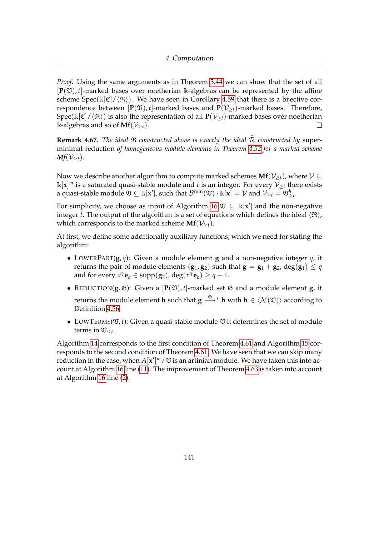*Proof.* Using the same arguments as in Theorem [3.44](#page-89-0) we can show that the set of all  $[\mathbf{P}(\mathfrak{V}), t]$ -marked bases over noetherian k-algebras can be represented by the affine scheme Spec(k[C]/ $\langle \Re \rangle$ ). We have seen in Corollary [4.59](#page-142-0) that there is a bijective correspondence between  $[P(\mathfrak{V}), t]$ -marked bases and  $P(\mathcal{V}_{\geq t})$ -marked bases. Therefore, Spec( $\Bbbk[\mathfrak{C}]/\langle\mathfrak{R}\rangle$ ) is also the representation of all  $\mathbf{P}(\mathcal{V}_{\geq t})$ -marked bases over noetherian k-algebras and so of  $Mf(\mathcal{V}_{\geq t})$ .  $\Box$ 

**Remark 4.67.** *The ideal*  $\Re$  *constructed above is exactly the ideal*  $\widetilde{R}$  *constructed by* superminimal reduction *of homogeneous module elements in Theorem [4.52](#page-135-0) for a marked scheme*  $Mf(\mathcal{V}_{\geq t})$ .

Now we describe another algorithm to compute marked schemes  $Mf(\mathcal{V}_{\geq t})$ , where  $\mathcal{V} \subseteq$  $\mathbb{k}[x]^m$  is a saturated quasi-stable module and *t* is an integer. For every  $\mathcal{V}_{\geq t}$  there exists a quasi-stable module  $\mathfrak{V}\subseteq \Bbbk[\mathbf{x}'],$  such that  $\mathcal{B}^{\min}(\mathfrak{V})\cdot \Bbbk[\mathbf{x}]=\mathcal{V}$  and  $\mathcal{V}_{\geq t}=\mathfrak{V}_{\geq t}^h.$ 

For simplicity, we choose as input of Algorithm [16](#page-148-0)  $\mathfrak{V} \subseteq \mathbb{k}[\mathbf{x}']$  and the non-negative integer *t*. The output of the algorithm is a set of equations which defines the ideal  $\langle \mathfrak{R} \rangle$ , which corresponds to the marked scheme  $Mf(V_{\geq t})$ .

At first, we define some additionally auxiliary functions, which we need for stating the algorithm:

- LOWERPART(**g**, *q*): Given a module element **g** and a non-negative integer *q*, it returns the pair of module elements  $(\mathbf{g}_1, \mathbf{g}_2)$  such that  $\mathbf{g} = \mathbf{g}_1 + \mathbf{g}_2$ ,  $\deg(\mathbf{g}_1) \leq q$ and for every  $x^{\gamma}$ **e**<sub>*k*</sub>  $\in$  supp(**g**<sub>2</sub>), deg( $x^{\gamma}$ **e**<sub>*k*</sub>)  $\geq$  *q* + 1.
- REDUCTION( $g$ ,  $\mathfrak{G}$ ): Given a  $[P(\mathfrak{V}), t]$ -marked set  $\mathfrak{G}$  and a module element  $g$ , it returns the module element  $\textbf{h}$  such that  $\textbf{g} \stackrel{\mathfrak{G}}{\longrightarrow}{}^*$   $\textbf{h}$  with  $\textbf{h} \in \langle \mathcal{N}(\mathfrak{V}) \rangle$  according to Definition [4.56.](#page-141-0)
- LOWTERMS( $\mathfrak{V}, t$ ): Given a quasi-stable module  $\mathfrak V$  it determines the set of module terms in  $\mathfrak{V}_{\leq t}$ .

Algorithm [14](#page-146-0) corresponds to the first condition of Theorem [4.61](#page-142-1) and Algorithm [15](#page-147-0) corresponds to the second condition of Theorem [4.61.](#page-142-1) We have seen that we can skip many reduction in the case, when  $A[x']^m/\mathfrak V$  is an artinian module. We have taken this into account at Algorithm [16](#page-148-0) line [\(11\)](#page-148-0). The improvement of Theorem [4.63](#page-143-0) is taken into account at Algorithm [16](#page-148-0) line [\(2\)](#page-148-0).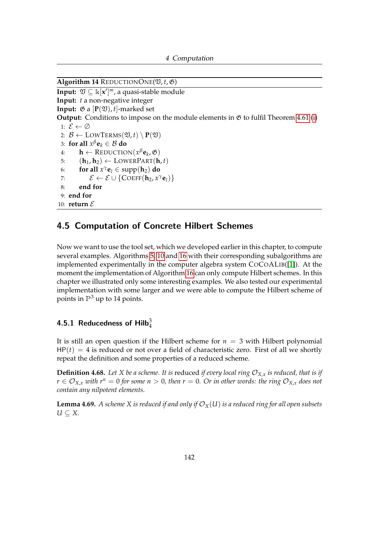```
4 Computation
```

```
\overline{\text{Algorithm 14 REDUCTIONONE}(\mathfrak{V}, t, \mathfrak{G})}Input: \mathfrak{V} \subseteq \mathbb{k}[\mathbf{x}']^m, a quasi-stable module
Input: t a non-negative integer
Input: \mathfrak{G} a [\mathbf{P}(\mathfrak{V}), t]-marked set
Output: Conditions to impose on the module elements in \mathfrak{G} 4.61(i)
  1: \mathcal{E} \leftarrow \emptyset2: \mathcal{B} \leftarrow \text{LOWTERMS}(\mathfrak{V}, t) \setminus \mathbf{P}(\mathfrak{V})3: for all x^{\beta}e<sub>k</sub> \in B do
  4: h ← REDUCTION(x
βek
, G)
 5: (h_1, h_2) \leftarrow \text{LOWERPART}(h, t)6: for all x^{\gamma}e<sub>l</sub> \in supp(h<sub>2</sub>) do
  7: \mathcal{E} \leftarrow \mathcal{E} \cup \{\text{COEFF}(\mathbf{h}_2, x^{\gamma} \mathbf{e}_l)\}\8: end for
 9: end for
10: return \mathcal{E}
```
### <span id="page-146-2"></span>4.5 Computation of Concrete Hilbert Schemes

Now we want to use the tool set, which we developed earlier in this chapter, to compute several examples. Algorithms [5,](#page-106-0) [10](#page-115-0) and [16](#page-148-0) with their corresponding subalgorithms are implemented experimentally in the computer algebra system COCOALIB([\[1\]](#page-159-1)). At the moment the implementation of Algorithm [16](#page-148-0) can only compute Hilbert schemes. In this chapter we illustrated only some interesting examples. We also tested our experimental implementation with some larger and we were able to compute the Hilbert scheme of points in  $\mathbb{P}^3$  up to 14 points.

### 4.5.1 Reducedness of Hilb $_4^3$

It is still an open question if the Hilbert scheme for  $n = 3$  with Hilbert polynomial  $HP(t) = 4$  is reduced or not over a field of characteristic zero. First of all we shortly repeat the definition and some properties of a reduced scheme.

**Definition 4.68.** Let X be a scheme. It is reduced if every local ring  $\mathcal{O}_{X,x}$  is reduced, that is if  $r \in \mathcal{O}_{X,x}$  *with*  $r^n = 0$  *for some*  $n > 0$ *, then*  $r = 0$ *. Or in other words: the ring*  $\mathcal{O}_{X,x}$  *does not contain any nilpotent elements.*

<span id="page-146-1"></span>**Lemma 4.69.** *A scheme X is reduced if and only if*  $\mathcal{O}_X(U)$  *is a reduced ring for all open subsets U* ⊆ *X.*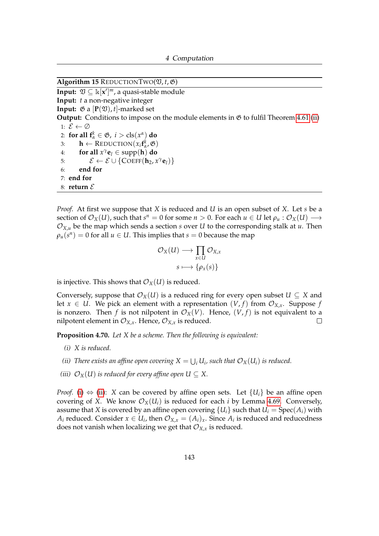<span id="page-147-0"></span>Algorithm 15 REDUCTIONTWO( $\mathfrak{V}, t, \mathfrak{G}$ )

**Input:**  $\mathfrak{V} \subseteq \mathbb{k}[\mathbf{x}']^m$ , a quasi-stable module **Input:** *t* a non-negative integer **Input:**  $\mathfrak{G}$  a  $[\mathbf{P}(\mathfrak{V}), t]$ -marked set **Output:** Conditions to impose on the module elements in  $\mathfrak{G}$  to fulfil Theorem [4.61](#page-142-1) [\(ii\)](#page-142-3) 1:  $\mathcal{E} \leftarrow \emptyset$ 2: **for all**  $f^k_\alpha \in \mathfrak{G}$ ,  $i > \text{cls}(x^\alpha)$  **do** 3: **h** ← REDUCTION $(x_i f^k_\alpha, \mathfrak{G})$ 4: **for all**  $x^{\gamma}$ **e**<sub>*l*</sub>  $\in$  supp(**h**) **do** 5:  $\mathcal{E} \leftarrow \mathcal{E} \cup \{\text{COEFF}(\mathbf{h}_2, x^{\gamma} \mathbf{e}_l)\}\$ 6: **end for** 7: **end for** 8: **return**  $\mathcal{E}$ 

*Proof.* At first we suppose that *X* is reduced and *U* is an open subset of *X*. Let *s* be a section of  $\mathcal{O}_X(U)$ , such that  $s^n = 0$  for some  $n > 0$ . For each  $u \in U$  let  $\rho_u : \mathcal{O}_X(U) \longrightarrow$  $\mathcal{O}_{X,u}$  be the map which sends a section *s* over *U* to the corresponding stalk at *u*. Then  $\rho_u(s^n) = 0$  for all  $u \in U$ . This implies that  $s = 0$  because the map

$$
\mathcal{O}_X(U) \longrightarrow \prod_{x \in U} \mathcal{O}_{X,x}
$$

$$
s \longmapsto {\rho_x(s)}
$$

is injective. This shows that  $\mathcal{O}_X(U)$  is reduced.

Conversely, suppose that  $\mathcal{O}_X(U)$  is a reduced ring for every open subset  $U \subseteq X$  and let  $x \in U$ . We pick an element with a representation  $(V, f)$  from  $\mathcal{O}_{X,x}$ . Suppose f is nonzero. Then *f* is not nilpotent in  $\mathcal{O}_X(V)$ . Hence,  $(V, f)$  is not equivalent to a nilpotent element in  $\mathcal{O}_{X,x}$ . Hence,  $\mathcal{O}_{X,x}$  is reduced.  $\Box$ 

<span id="page-147-1"></span>**Proposition 4.70.** *Let X be a scheme. Then the following is equivalent:*

- *(i) X is reduced.*
- <span id="page-147-2"></span>*(ii)* There exists an affine open covering  $X = \bigcup_i U_i$ , such that  $\mathcal{O}_X(U_i)$  is reduced.
- <span id="page-147-3"></span>*(iii)*  $\mathcal{O}_X(U)$  *is reduced for every affine open*  $U \subseteq X$ .

*Proof.* [\(i\)](#page-147-1)  $\Leftrightarrow$  [\(ii\)](#page-147-2): *X* can be covered by affine open sets. Let  ${U_i}$  be an affine open covering of *X*. We know  $\mathcal{O}_X(U_i)$  is reduced for each *i* by Lemma [4.69.](#page-146-1) Conversely, assume that *X* is covered by an affine open covering  ${U_i}$  such that  $U_i = Spec(A_i)$  with *A*<sub>*i*</sub> reduced. Consider  $x \in U_i$ , then  $\mathcal{O}_{X,x} = (A_i)_x$ . Since  $A_i$  is reduced and reducedness does not vanish when localizing we get that  $\mathcal{O}_{X,x}$  is reduced.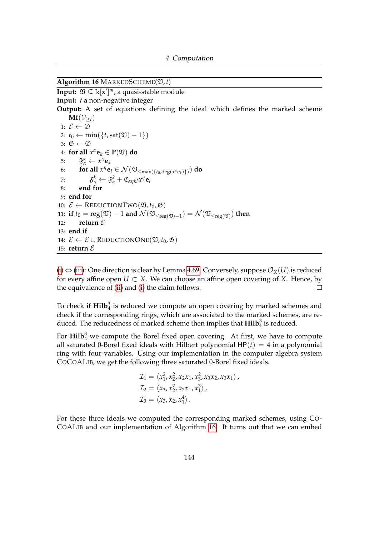<span id="page-148-0"></span> $\overline{\text{Algorithm 16} \text{ MARKEDSCHEME}(\mathfrak{V}, t)}$ 

```
Input: \mathfrak{V} \subseteq \mathbb{k}[\mathbf{x}']^m, a quasi-stable module
Input: t a non-negative integer
Output: A set of equations defining the ideal which defines the marked scheme
       Mf(\mathcal{V}_{>t})1: \mathcal{E} \leftarrow \emptyset2: t_0 \leftarrow \min(\{t, \text{sat}(\mathfrak{V}) - 1\})3: \mathfrak{G} \leftarrow \emptyset4: for all x^{\alpha}e<sub>k</sub> \in P(\mathfrak{V}) do
   5: \mathfrak{F}_{\alpha}^k \leftarrow x^{\alpha} \mathbf{e}_k6: for all x^{\eta} \mathbf{e}_{l} \in \mathcal{N}(\mathfrak{V}_{\leq \max(\lbrace t_{0}, \deg(x^{\alpha} \mathbf{e}_{k}) \rbrace)}) do
   7: \mathfrak{F}_{\alpha}^k \leftarrow \mathfrak{F}_{\alpha}^k + \mathfrak{C}_{\alpha\eta kl} x^{\eta} \mathbf{e}_l8: end for
  9: end for
10: \mathcal{E} \leftarrow \text{REDUCTIONTwo}(\mathfrak{V}, t_0, \mathfrak{G})11: if t_0 = \text{reg}(\mathfrak{V}) - 1 and \mathcal{N}(\mathfrak{V}_{\leq \text{reg}(\mathfrak{V})-1}) = \mathcal{N}(\mathfrak{V}_{\leq \text{reg}(\mathfrak{V})}) then
12: return \mathcal{E}13: end if
14: \mathcal{E} \leftarrow \mathcal{E} \cup \text{REDUCTIONONE}(\mathfrak{V}, t_0, \mathfrak{G})15: return \mathcal{E}
```
[\(i\)](#page-147-1)  $\Leftrightarrow$  [\(iii\)](#page-147-3): One direction is clear by Lemma [4.69.](#page-146-1) Conversely, suppose  $\mathcal{O}_X(U)$  is reduced for every affine open  $U \subset X$ . We can choose an affine open covering of *X*. Hence, by the equivalence of [\(ii\)](#page-147-2) and [\(i\)](#page-147-1) the claim follows.  $\Box$ 

To check if  $\text{Hilb}_4^3$  is reduced we compute an open covering by marked schemes and check if the corresponding rings, which are associated to the marked schemes, are reduced. The reducedness of marked scheme then implies that  $\text{Hilb}_4^3$  is reduced.

For  $\text{Hilb}_4^3$  we compute the Borel fixed open covering. At first, we have to compute all saturated 0-Borel fixed ideals with Hilbert polynomial  $HP(t) = 4$  in a polynomial ring with four variables. Using our implementation in the computer algebra system COCOALIB, we get the following three saturated 0-Borel fixed ideals.

$$
\mathcal{I}_1 = \langle x_1^2, x_2^2, x_2x_1, x_3^2, x_3x_2, x_3x_1 \rangle,
$$
  
\n
$$
\mathcal{I}_2 = \langle x_3, x_2^2, x_2x_1, x_1^3 \rangle,
$$
  
\n
$$
\mathcal{I}_3 = \langle x_3, x_2, x_1^4 \rangle.
$$

For these three ideals we computed the corresponding marked schemes, using CO-COALIB and our implementation of Algorithm [16.](#page-148-0) It turns out that we can embed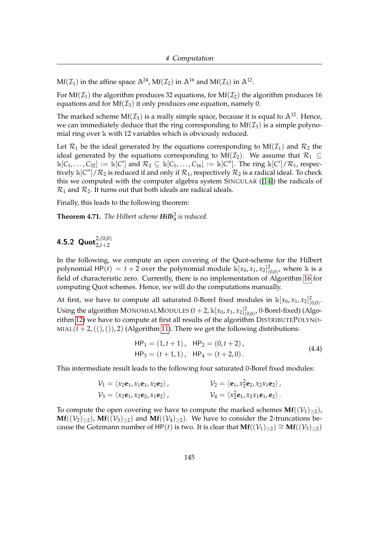$Mf(\mathcal{I}_1)$  in the affine space  $\mathbb{A}^{24}$ ,  $Mf(\mathcal{I}_2)$  in  $\mathbb{A}^{16}$  and  $Mf(\mathcal{I}_3)$  in  $\mathbb{A}^{12}$ .

For Mf( $\mathcal{I}_1$ ) the algorithm produces 32 equations, for Mf( $\mathcal{I}_2$ ) the algorithm produces 16 equations and for  $Mf(\mathcal{I}_3)$  it only produces one equation, namely 0.

The marked scheme Mf( $\mathcal{I}_3$ ) is a really simple space, because it is equal to  $\mathbb{A}^{12}$ . Hence, we can immediately deduce that the ring corresponding to  $Mf(\mathcal{I}_3)$  is a simple polynomial ring over k with 12 variables which is obviously reduced.

Let  $\mathcal{R}_1$  be the ideal generated by the equations corresponding to  $Mf(\mathcal{I}_1)$  and  $\mathcal{R}_2$  the ideal generated by the equations corresponding to Mf( $\mathcal{I}_2$ ). We assume that  $\mathcal{R}_1 \subseteq$  $\Bbbk[C_1,\ldots,C_{32}] := \Bbbk[C']$  and  $\mathcal{R}_2 \subseteq \Bbbk[C_1,\ldots,C_{16}] := \Bbbk[C'']$ . The ring  $\Bbbk[C']/\mathcal{R}_1$ , respectively  $\Bbbk[C'']/R_2$  is reduced if and only if  $\mathcal{R}_1$ , respectively  $\mathcal{R}_2$  is a radical ideal. To check this we computed with the computer algebra system SINGULAR ([\[14\]](#page-160-0)) the radicals of  $\mathcal{R}_1$  and  $\mathcal{R}_2$ . It turns out that both ideals are radical ideals.

Finally, this leads to the following theorem:

**Theorem 4.71.** *The Hilbert scheme Hilb*<sup>3</sup> 4 *is reduced.*

## **4.5.2 Quot** $_{2,t+2}^{2,(0,0)}$

In the following, we compute an open covering of the Quot-scheme for the Hilbert polynomial HP(*t*) = *t* + 2 over the polynomial module  $\mathbb{k}[x_0, x_1, x_2]_{(0,0)}^2$ , where  $\mathbb{k}$  is a field of characteristic zero. Currently, there is no implementation of Algorithm [16](#page-148-0) for computing Quot schemes. Hence, we will do the computations manually.

At first, we have to compute all saturated 0-Borel fixed modules in  $\mathbb{k}[x_0, x_1, x_2]_{(0,0)}^2$ . Using the algorithm MONOMIALMODULES  $(t + 2, \mathbb{k}[x_0, x_1, x_2]_{(0,0)}^2$ , 0-Borel-fixed) (Algorithm [12\)](#page-125-0) we have to compute at first all results of the algorithm DISTRIBUTEPOLYNO-MIAL( $t + 2$ , ((), ()), 2) (Algorithm [11\)](#page-122-0). There we get the following distributions:

<span id="page-149-0"></span>
$$
HP1 = (1, t + 1), HP2 = (0, t + 2),HP3 = (t + 1, 1), HP4 = (t + 2, 0).
$$
 (4.4)

This intermediate result leads to the following four saturated 0-Borel fixed modules:

$$
\mathcal{V}_1 = \langle x_2 \mathbf{e}_1, x_1 \mathbf{e}_1, x_2 \mathbf{e}_2 \rangle, \qquad \qquad \mathcal{V}_2 = \langle \mathbf{e}_1, x_2^2 \mathbf{e}_2, x_2 x_1 \mathbf{e}_2 \rangle, \n\mathcal{V}_3 = \langle x_2 \mathbf{e}_1, x_2 \mathbf{e}_2, x_1 \mathbf{e}_2 \rangle, \qquad \qquad \mathcal{V}_4 = \langle x_2^2 \mathbf{e}_1, x_2 x_1 \mathbf{e}_1, \mathbf{e}_2 \rangle.
$$

To compute the open covering we have to compute the marked schemes  $Mf((\mathcal{V}_1)_{\geq 2})$ , **Mf**( $(V_2)_{>2}$ ), **Mf**( $(V_3)_{>2}$ ) and **Mf**( $(V_4)_{>2}$ ). We have to consider the 2-truncations because the Gotzmann number of HP(*t*) is two. It is clear that  $Mf((\mathcal{V}_1)_{\geq 2}) \cong Mf((\mathcal{V}_3)_{\geq 2})$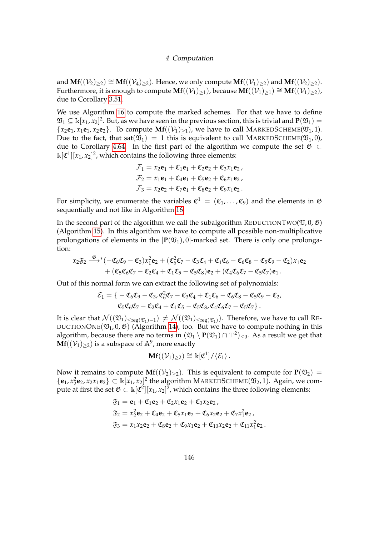and **Mf**( $(\mathcal{V}_2)_{>2}$ ) ≅ **Mf**( $(\mathcal{V}_4)_{>2}$ ). Hence, we only compute **Mf**( $(\mathcal{V}_1)_{>2}$ ) and **Mf**( $(\mathcal{V}_2)_{>2}$ ). Furthermore, it is enough to compute  $\mathbf{Mf}((\mathcal{V}_1)_{\geq 1})$ , because  $\mathbf{Mf}((\mathcal{V}_1)_{\geq 1}) \cong \mathbf{Mf}((\mathcal{V}_1)_{\geq 2})$ , due to Corollary [3.51.](#page-93-0)

We use Algorithm [16](#page-148-0) to compute the marked schemes. For that we have to define  $\mathfrak{V}_1\subseteq\Bbbk[x_1,x_2]^2.$  But, as we have seen in the previous section, this is trivial and  $\mathbf{P}(\mathfrak{V}_1)=$  ${x_2e_1, x_1e_1, x_2e_2}$ . To compute  $\mathbf{Mf}((\mathcal{V}_1)_{\geq 1})$ , we have to call MARKEDSCHEME( $\mathfrak{V}_1$ , 1). Due to the fact, that sat( $\mathfrak{V}_1$ ) = 1 this is equivalent to call MARKEDSCHEME( $\mathfrak{V}_1$ , 0), due to Corollary [4.64.](#page-143-1) In the first part of the algorithm we compute the set  $\mathfrak{G} \subset$  $\mathbb{k}[\mathfrak{C}^1][x_1,x_2]^2$ , which contains the following three elements:

$$
\mathcal{F}_1 = x_2 \mathbf{e}_1 + \mathfrak{C}_1 \mathbf{e}_1 + \mathfrak{C}_2 \mathbf{e}_2 + \mathfrak{C}_3 x_1 \mathbf{e}_2, \n\mathcal{F}_2 = x_1 \mathbf{e}_1 + \mathfrak{C}_4 \mathbf{e}_1 + \mathfrak{C}_5 \mathbf{e}_2 + \mathfrak{C}_6 x_1 \mathbf{e}_2, \n\mathcal{F}_3 = x_2 \mathbf{e}_2 + \mathfrak{C}_7 \mathbf{e}_1 + \mathfrak{C}_8 \mathbf{e}_2 + \mathfrak{C}_9 x_1 \mathbf{e}_2.
$$

For simplicity, we enumerate the variables  $\mathfrak{C}^1 = (\mathfrak{C}_1, \ldots, \mathfrak{C}_9)$  and the elements in  $\mathfrak G$ sequentially and not like in Algorithm [16.](#page-148-0)

In the second part of the algorithm we call the subalgorithm REDUCTIONTWO( $\mathfrak{V}, \mathfrak{0}, \mathfrak{G}$ ) (Algorithm [15\)](#page-147-0). In this algorithm we have to compute all possible non-multiplicative prolongations of elements in the  $[P(\mathfrak{V}_1), 0]$ -marked set. There is only one prolongation:

$$
x_2\mathfrak{F}_2 \xrightarrow{\mathfrak{G}}^{\mathfrak{G}} (-\mathfrak{C}_6\mathfrak{C}_9 - \mathfrak{C}_3)x_1^2\mathbf{e}_2 + (\mathfrak{C}_6^2\mathfrak{C}_7 - \mathfrak{C}_3\mathfrak{C}_4 + \mathfrak{C}_1\mathfrak{C}_6 - \mathfrak{C}_6\mathfrak{C}_8 - \mathfrak{C}_5\mathfrak{C}_9 - \mathfrak{C}_2)x_1\mathbf{e}_2 + (\mathfrak{C}_5\mathfrak{C}_6\mathfrak{C}_7 - \mathfrak{C}_2\mathfrak{C}_4 + \mathfrak{C}_1\mathfrak{C}_5 - \mathfrak{C}_5\mathfrak{C}_8)\mathbf{e}_2 + (\mathfrak{C}_4\mathfrak{C}_6\mathfrak{C}_7 - \mathfrak{C}_5\mathfrak{C}_7)\mathbf{e}_1.
$$

Out of this normal form we can extract the following set of polynomials:

$$
\mathcal{E}_1 = \left\{ -\mathfrak{C}_6 \mathfrak{C}_9 - \mathfrak{C}_3, \mathfrak{C}_6^2 \mathfrak{C}_7 - \mathfrak{C}_3 \mathfrak{C}_4 + \mathfrak{C}_1 \mathfrak{C}_6 - \mathfrak{C}_6 \mathfrak{C}_8 - \mathfrak{C}_5 \mathfrak{C}_9 - \mathfrak{C}_2, \n\mathfrak{C}_5 \mathfrak{C}_6 \mathfrak{C}_7 - \mathfrak{C}_2 \mathfrak{C}_4 + \mathfrak{C}_1 \mathfrak{C}_5 - \mathfrak{C}_5 \mathfrak{C}_8, \mathfrak{C}_4 \mathfrak{C}_6 \mathfrak{C}_7 - \mathfrak{C}_5 \mathfrak{C}_7 \right\}.
$$

It is clear that  $\mathcal{N}((\mathfrak{V}_1)_{\leq \mathrm{reg}(\mathfrak{V}_1)-1})\neq \mathcal{N}((\mathfrak{V}_1)_{\leq \mathrm{reg}(\mathfrak{V}_1)}).$  Therefore, we have to call RE-DUCTIONONE( $\mathfrak{V}_1$ , 0,  $\mathfrak{G}$ ) (Algorithm [14\)](#page-146-0), too. But we have to compute nothing in this algorithm, because there are no terms in  $(\frak{V}_1\setminus\mathbf{P}(\frak{V}_1)\cap\mathbb{T}^2)_{\leq 0}$ . As a result we get that  $\mathbf{Mf}((\mathcal{V}_1)_{\geq 2})$  is a subspace of  $\mathbb{A}^9$ , more exactly

$$
\mathbf{Mf}((\mathcal{V}_1)_{\geq 2}) \cong \Bbbk[\mathfrak{C}^1]/\langle \mathcal{E}_1 \rangle \,.
$$

Now it remains to compute  $Mf((V_2)_{\geq 2})$ . This is equivalent to compute for  $P(\mathfrak{V}_2)$  =  $\{e_1, x_2^2e_2, x_2x_1e_2\} \subset \mathbb{k}[x_1, x_2]^2$  the algorithm MARKEDSCHEME( $\mathfrak{V}_2$ , 1). Again, we compute at first the set  $\mathfrak{G} \subset \Bbbk[\mathfrak{C}^2][x_1,x_2]^2$ , which contains the three following elements:

$$
\begin{aligned}\n\mathfrak{F}_1 &= \mathbf{e}_1 + \mathfrak{C}_1 \mathbf{e}_2 + \mathfrak{C}_2 x_1 \mathbf{e}_2 + \mathfrak{C}_3 x_2 \mathbf{e}_2, \\
\mathfrak{F}_2 &= x_2^2 \mathbf{e}_2 + \mathfrak{C}_4 \mathbf{e}_2 + \mathfrak{C}_5 x_1 \mathbf{e}_2 + \mathfrak{C}_6 x_2 \mathbf{e}_2 + \mathfrak{C}_7 x_1^2 \mathbf{e}_2, \\
\mathfrak{F}_3 &= x_1 x_2 \mathbf{e}_2 + \mathfrak{C}_8 \mathbf{e}_2 + \mathfrak{C}_9 x_1 \mathbf{e}_2 + \mathfrak{C}_{10} x_2 \mathbf{e}_2 + \mathfrak{C}_{11} x_1^2 \mathbf{e}_2.\n\end{aligned}
$$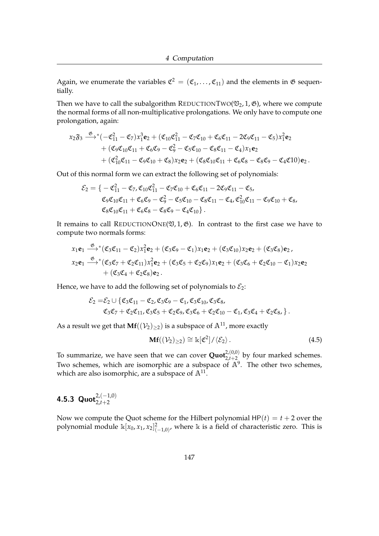Again, we enumerate the variables  $\mathfrak{C}^2 = (\mathfrak{C}_1, \ldots, \mathfrak{C}_{11})$  and the elements in  $\mathfrak G$  sequentially.

Then we have to call the subalgorithm REDUCTIONTWO( $\mathfrak{V}_2$ , 1,  $\mathfrak{G}$ ), where we compute the normal forms of all non-multiplicative prolongations. We only have to compute one prolongation, again:

$$
x_2\mathfrak{F}_3 \xrightarrow{\mathfrak{G}}^* (-\mathfrak{C}_{11}^2 - \mathfrak{C}_7)x_1^3\mathbf{e}_2 + (\mathfrak{C}_{10}\mathfrak{C}_{11}^2 - \mathfrak{C}_7\mathfrak{C}_{10} + \mathfrak{C}_6\mathfrak{C}_{11} - 2\mathfrak{C}_9\mathfrak{C}_{11} - \mathfrak{C}_5)x_1^2\mathbf{e}_2 + (\mathfrak{C}_9\mathfrak{C}_{10}\mathfrak{C}_{11} + \mathfrak{C}_6\mathfrak{C}_9 - \mathfrak{C}_9^2 - \mathfrak{C}_5\mathfrak{C}_{10} - \mathfrak{C}_8\mathfrak{C}_{11} - \mathfrak{C}_4)x_1\mathbf{e}_2 + (\mathfrak{C}_{10}^2\mathfrak{C}_{11} - \mathfrak{C}_9\mathfrak{C}_{10} + \mathfrak{C}_8)x_2\mathbf{e}_2 + (\mathfrak{C}_8\mathfrak{C}_{10}\mathfrak{C}_{11} + \mathfrak{C}_6\mathfrak{C}_8 - \mathfrak{C}_8\mathfrak{C}_9 - \mathfrak{C}_4\mathfrak{C}_{10})\mathbf{e}_2.
$$

Out of this normal form we can extract the following set of polynomials:

$$
\mathcal{E}_2 = \{-\mathfrak{C}_{11}^2 - \mathfrak{C}_{7}, \mathfrak{C}_{10}\mathfrak{C}_{11}^2 - \mathfrak{C}_{7}\mathfrak{C}_{10} + \mathfrak{C}_{6}\mathfrak{C}_{11} - 2\mathfrak{C}_{9}\mathfrak{C}_{11} - \mathfrak{C}_{5}, \n\mathfrak{C}_{9}\mathfrak{C}_{10}\mathfrak{C}_{11} + \mathfrak{C}_{6}\mathfrak{C}_{9} - \mathfrak{C}_{9}^2 - \mathfrak{C}_{5}\mathfrak{C}_{10} - \mathfrak{C}_{8}\mathfrak{C}_{11} - \mathfrak{C}_{4}, \mathfrak{C}_{10}^2\mathfrak{C}_{11} - \mathfrak{C}_{9}\mathfrak{C}_{10} + \mathfrak{C}_{8}, \n\mathfrak{C}_{8}\mathfrak{C}_{10}\mathfrak{C}_{11} + \mathfrak{C}_{6}\mathfrak{C}_{8} - \mathfrak{C}_{8}\mathfrak{C}_{9} - \mathfrak{C}_{4}\mathfrak{C}_{10}\}.
$$

It remains to call REDUCTIONONE( $\mathfrak{V}, 1, \mathfrak{G}$ ). In contrast to the first case we have to compute two normals forms:

$$
x_1\mathbf{e}_1 \xrightarrow{\mathfrak{G}} (\mathfrak{C}_3\mathfrak{C}_{11} - \mathfrak{C}_2)x_1^2\mathbf{e}_2 + (\mathfrak{C}_3\mathfrak{C}_9 - \mathfrak{C}_1)x_1\mathbf{e}_2 + (\mathfrak{C}_3\mathfrak{C}_{10})x_2\mathbf{e}_2 + (\mathfrak{C}_3\mathfrak{C}_8)\mathbf{e}_2,
$$
  
\n
$$
x_2\mathbf{e}_1 \xrightarrow{\mathfrak{G}} (\mathfrak{C}_3\mathfrak{C}_7 + \mathfrak{C}_2\mathfrak{C}_{11})x_1^2\mathbf{e}_2 + (\mathfrak{C}_3\mathfrak{C}_5 + \mathfrak{C}_2\mathfrak{C}_9)x_1\mathbf{e}_2 + (\mathfrak{C}_3\mathfrak{C}_6 + \mathfrak{C}_2\mathfrak{C}_{10} - \mathfrak{C}_1)x_2\mathbf{e}_2
$$
  
\n
$$
+ (\mathfrak{C}_3\mathfrak{C}_4 + \mathfrak{C}_2\mathfrak{C}_8)\mathbf{e}_2.
$$

Hence, we have to add the following set of polynomials to  $\mathcal{E}_2$ :

$$
\mathcal{E}_2 = \mathcal{E}_2 \cup \{ \mathfrak{C}_3 \mathfrak{C}_{11} - \mathfrak{C}_2, \mathfrak{C}_3 \mathfrak{C}_9 - \mathfrak{C}_1, \mathfrak{C}_3 \mathfrak{C}_{10}, \mathfrak{C}_3 \mathfrak{C}_8, \\ \mathfrak{C}_3 \mathfrak{C}_7 + \mathfrak{C}_2 \mathfrak{C}_{11}, \mathfrak{C}_3 \mathfrak{C}_5 + \mathfrak{C}_2 \mathfrak{C}_9, \mathfrak{C}_3 \mathfrak{C}_6 + \mathfrak{C}_2 \mathfrak{C}_{10} - \mathfrak{C}_1, \mathfrak{C}_3 \mathfrak{C}_4 + \mathfrak{C}_2 \mathfrak{C}_8, \}.
$$

As a result we get that  $Mf((\mathcal{V}_2)_{>2})$  is a subspace of  $\mathbb{A}^{11}$ , more exactly

<span id="page-151-0"></span>
$$
\mathbf{Mf}((\mathcal{V}_2)_{\geq 2}) \cong \mathbb{k}[\mathfrak{C}^2]/\langle \mathcal{E}_2 \rangle. \tag{4.5}
$$

To summarize, we have seen that we can cover  $\mathbf{Quot}_{2,t+2}^{2,(0,0)}$  by four marked schemes. Two schemes, which are isomorphic are a subspace of  $\mathbb{A}^9$ . The other two schemes, which are also isomorphic, are a subspace of  $\mathbb{A}^{11}.$ 

## **4.5.3 Quot** $_{2,t+2}^{2,(-1,0)}$

Now we compute the Quot scheme for the Hilbert polynomial  $HP(t) = t + 2$  over the polynomial module  $\Bbbk[x_0, x_1, x_2]_{(-1,0)}^2$ , where  $\Bbbk$  is a field of characteristic zero. This is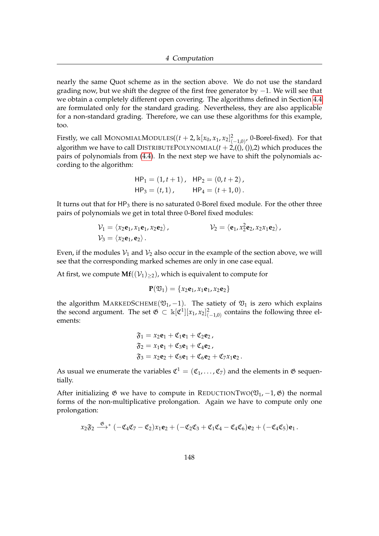nearly the same Quot scheme as in the section above. We do not use the standard grading now, but we shift the degree of the first free generator by  $-1$ . We will see that we obtain a completely different open covering. The algorithms defined in Section [4.4](#page-126-0) are formulated only for the standard grading. Nevertheless, they are also applicable for a non-standard grading. Therefore, we can use these algorithms for this example, too.

Firstly, we call MONOMIALMODULES(( $t + 2$ ,  $\mathbb{K}[x_0, x_1, x_2]_{(-1,0)}^2$ , 0-Borel-fixed). For that algorithm we have to call DISTRIBUTEPOLYNOMIAL $(t + 2, (0, 0), 2)$  which produces the pairs of polynomials from [\(4.4\)](#page-149-0). In the next step we have to shift the polynomials according to the algorithm:

$$
HP1 = (1, t + 1), HP2 = (0, t + 2),
$$
  

$$
HP3 = (t, 1), HP4 = (t + 1, 0).
$$

It turns out that for  $HP_3$  there is no saturated 0-Borel fixed module. For the other three pairs of polynomials we get in total three 0-Borel fixed modules:

$$
\mathcal{V}_1 = \langle x_2 \mathbf{e}_1, x_1 \mathbf{e}_1, x_2 \mathbf{e}_2 \rangle, \qquad \qquad \mathcal{V}_2 = \langle \mathbf{e}_1, x_2^2 \mathbf{e}_2, x_2 x_1 \mathbf{e}_2 \rangle, \n\mathcal{V}_3 = \langle x_2 \mathbf{e}_1, \mathbf{e}_2 \rangle.
$$

Even, if the modules  $V_1$  and  $V_2$  also occur in the example of the section above, we will see that the corresponding marked schemes are only in one case equal.

At first, we compute  $Mf((\mathcal{V}_1)_{\geq 2})$ , which is equivalent to compute for

$$
\mathbf{P}(\mathfrak{V}_1)=\{x_2\mathbf{e}_1,x_1\mathbf{e}_1,x_2\mathbf{e}_2\}
$$

the algorithm MARKEDSCHEME( $\mathfrak{V}_1$ , -1). The satiety of  $\mathfrak{V}_1$  is zero which explains the second argument. The set  $\mathfrak{G} \subset \mathbb{k}[\mathfrak{C}^1][x_1, x_2]_{(-1,0)}^2$  contains the following three elements:

$$
\begin{aligned}\n\mathfrak{F}_1 &= x_2 \mathbf{e}_1 + \mathfrak{C}_1 \mathbf{e}_1 + \mathfrak{C}_2 \mathbf{e}_2, \\
\mathfrak{F}_2 &= x_1 \mathbf{e}_1 + \mathfrak{C}_3 \mathbf{e}_1 + \mathfrak{C}_4 \mathbf{e}_2, \\
\mathfrak{F}_3 &= x_2 \mathbf{e}_2 + \mathfrak{C}_5 \mathbf{e}_1 + \mathfrak{C}_6 \mathbf{e}_2 + \mathfrak{C}_7 x_1 \mathbf{e}_2.\n\end{aligned}
$$

As usual we enumerate the variables  $\mathfrak{C}^1 = (\mathfrak{C}_1, \ldots, \mathfrak{C}_7)$  and the elements in  $\mathfrak G$  sequentially.

After initializing  $\mathfrak G$  we have to compute in REDUCTIONTWO( $\mathfrak V_1$ , -1,  $\mathfrak G$ ) the normal forms of the non-multiplicative prolongation. Again we have to compute only one prolongation:

$$
x_2\mathfrak{F}_2 \stackrel{\mathfrak{G}}{\longrightarrow}^* (-\mathfrak{C}_4 \mathfrak{C}_7 - \mathfrak{C}_2)x_1\mathbf{e}_2 + (-\mathfrak{C}_2 \mathfrak{C}_3 + \mathfrak{C}_1 \mathfrak{C}_4 - \mathfrak{C}_4 \mathfrak{C}_6)\mathbf{e}_2 + (-\mathfrak{C}_4 \mathfrak{C}_5)\mathbf{e}_1.
$$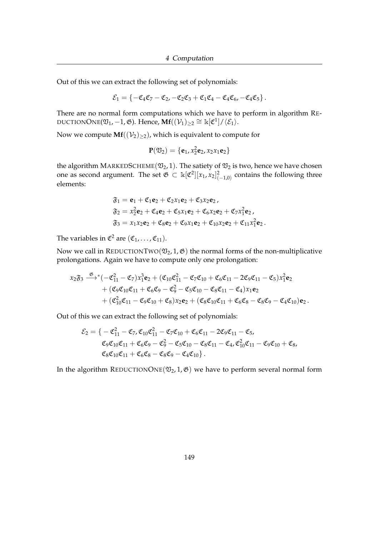Out of this we can extract the following set of polynomials:

$$
\mathcal{E}_1=\left\{-\mathfrak{C}_4\mathfrak{C}_7-\mathfrak{C}_2, -\mathfrak{C}_2\mathfrak{C}_3+\mathfrak{C}_1\mathfrak{C}_4-\mathfrak{C}_4\mathfrak{C}_6, -\mathfrak{C}_4\mathfrak{C}_5\right\}.
$$

There are no normal form computations which we have to perform in algorithm RE-DUCTIONONE( $\mathfrak{V}_1$ , -1,  $\mathfrak{G}$ ). Hence, **Mf**( $(\mathcal{V}_1)_{\geq 2} \cong \mathbb{k}[\mathfrak{C}^1]/\langle \mathcal{E}_1 \rangle$ .

Now we compute  $\mathbf{Mf}((\mathcal{V}_2)_{>2})$ , which is equivalent to compute for

$$
\mathbf{P}(\mathfrak{V}_2) = \{ \mathbf{e}_1, x_2^2 \mathbf{e}_2, x_2 x_1 \mathbf{e}_2 \}
$$

the algorithm MARKEDSCHEME( $\mathfrak{V}_2$ , 1). The satiety of  $\mathfrak{V}_2$  is two, hence we have chosen one as second argument. The set  $\mathfrak{G} \subset \mathbb{k}[\mathfrak{C}^2][x_1, x_2]_{(-1,0)}^2$  contains the following three elements:

$$
\mathfrak{F}_1 = \mathbf{e}_1 + \mathfrak{C}_1 \mathbf{e}_2 + \mathfrak{C}_2 x_1 \mathbf{e}_2 + \mathfrak{C}_3 x_2 \mathbf{e}_2, \n\mathfrak{F}_2 = x_2^2 \mathbf{e}_2 + \mathfrak{C}_4 \mathbf{e}_2 + \mathfrak{C}_5 x_1 \mathbf{e}_2 + \mathfrak{C}_6 x_2 \mathbf{e}_2 + \mathfrak{C}_7 x_1^2 \mathbf{e}_2, \n\mathfrak{F}_3 = x_1 x_2 \mathbf{e}_2 + \mathfrak{C}_8 \mathbf{e}_2 + \mathfrak{C}_9 x_1 \mathbf{e}_2 + \mathfrak{C}_{10} x_2 \mathbf{e}_2 + \mathfrak{C}_{11} x_1^2 \mathbf{e}_2.
$$

The variables in  $\mathfrak{C}^2$  are  $(\mathfrak{C}_1,\ldots,\mathfrak{C}_{11}).$ 

Now we call in REDUCTIONTWO( $\mathfrak{V}_2$ , 1,  $\mathfrak{G}$ ) the normal forms of the non-multiplicative prolongations. Again we have to compute only one prolongation:

$$
x_2\mathfrak{F}_3 \xrightarrow{\mathfrak{G}} (-\mathfrak{C}_{11}^2 - \mathfrak{C}_7)x_1^3\mathbf{e}_2 + (\mathfrak{C}_{10}\mathfrak{C}_{11}^2 - \mathfrak{C}_7\mathfrak{C}_{10} + \mathfrak{C}_6\mathfrak{C}_{11} - 2\mathfrak{C}_9\mathfrak{C}_{11} - \mathfrak{C}_5)x_1^2\mathbf{e}_2 + (\mathfrak{C}_9\mathfrak{C}_{10}\mathfrak{C}_{11} + \mathfrak{C}_6\mathfrak{C}_9 - \mathfrak{C}_9^2 - \mathfrak{C}_5\mathfrak{C}_{10} - \mathfrak{C}_8\mathfrak{C}_{11} - \mathfrak{C}_4)x_1\mathbf{e}_2 + (\mathfrak{C}_{10}^2\mathfrak{C}_{11} - \mathfrak{C}_9\mathfrak{C}_{10} + \mathfrak{C}_8)x_2\mathbf{e}_2 + (\mathfrak{C}_8\mathfrak{C}_{10}\mathfrak{C}_{11} + \mathfrak{C}_6\mathfrak{C}_8 - \mathfrak{C}_8\mathfrak{C}_9 - \mathfrak{C}_4\mathfrak{C}_{10})\mathbf{e}_2.
$$

Out of this we can extract the following set of polynomials:

$$
\mathcal{E}_2 = \{-\mathfrak{C}_{11}^2 - \mathfrak{C}_7, \mathfrak{C}_{10}\mathfrak{C}_{11}^2 - \mathfrak{C}_7\mathfrak{C}_{10} + \mathfrak{C}_6\mathfrak{C}_{11} - 2\mathfrak{C}_9\mathfrak{C}_{11} - \mathfrak{C}_5, \n\mathfrak{C}_9\mathfrak{C}_{10}\mathfrak{C}_{11} + \mathfrak{C}_6\mathfrak{C}_9 - \mathfrak{C}_9^2 - \mathfrak{C}_5\mathfrak{C}_{10} - \mathfrak{C}_8\mathfrak{C}_{11} - \mathfrak{C}_4, \mathfrak{C}_{10}^2\mathfrak{C}_{11} - \mathfrak{C}_9\mathfrak{C}_{10} + \mathfrak{C}_8, \n\mathfrak{C}_8\mathfrak{C}_{10}\mathfrak{C}_{11} + \mathfrak{C}_6\mathfrak{C}_8 - \mathfrak{C}_8\mathfrak{C}_9 - \mathfrak{C}_4\mathfrak{C}_{10} \}.
$$

In the algorithm REDUCTIONONE( $\mathfrak{V}_2$ , 1,  $\mathfrak{G}$ ) we have to perform several normal form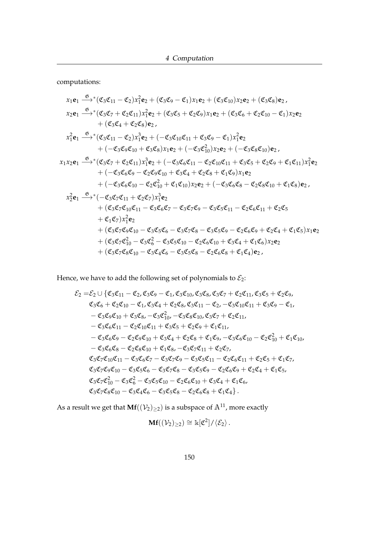computations:

$$
x_1e_1 \xrightarrow{\Phi} (\mathfrak{C}_3\mathfrak{C}_{11} - \mathfrak{C}_2)x_1^2e_2 + (\mathfrak{C}_3\mathfrak{C}_9 - \mathfrak{C}_1)x_1e_2 + (\mathfrak{C}_3\mathfrak{C}_{10})x_2e_2 + (\mathfrak{C}_3\mathfrak{C}_8)e_2, \n x_2e_1 \xrightarrow{\Phi} (\mathfrak{C}_3\mathfrak{C}_7 + \mathfrak{C}_2\mathfrak{C}_{11})x_1^2e_2 + (\mathfrak{C}_3\mathfrak{C}_5 + \mathfrak{C}_2\mathfrak{C}_9)x_1e_2 + (\mathfrak{C}_3\mathfrak{C}_6 + \mathfrak{C}_2\mathfrak{C}_{10} - \mathfrak{C}_1)x_2e_2 \n+ (\mathfrak{C}_3\mathfrak{C}_4 + \mathfrak{C}_2\mathfrak{C}_8)e_2, \n x_1^2e_1 \xrightarrow{\Phi} (\mathfrak{C}_3\mathfrak{C}_{11} - \mathfrak{C}_2)x_1^3e_2 + (-\mathfrak{C}_3\mathfrak{C}_{10}\mathfrak{C}_{11} + \mathfrak{C}_3\mathfrak{C}_9 - \mathfrak{C}_1)x_1^2e_2 \n+ (-\mathfrak{C}_3\mathfrak{C}_9\mathfrak{C}_{10} + \mathfrak{C}_3\mathfrak{C}_8)x_1e_2 + (-\mathfrak{C}_3\mathfrak{C}_1\mathfrak{C}_1)x_2e_2 + (-\mathfrak{C}_3\mathfrak{C}_8\mathfrak{C}_{10})e_2, \n x_1x_2e_1 \xrightarrow{\Phi} (\mathfrak{C}_3\mathfrak{C}_7 + \mathfrak{C}_2\mathfrak{C}_{11})x_1^3e_2 + (-\mathfrak{C}_3\mathfrak{C}_6\mathfrak{C}_{11} - \mathfrak{C}_2\mathfrak{C}_{10}\mathfrak{C}_{11} + \mathfrak{C}_3\mathfrak{C}_5 + \mathfrak{C}_2\mathfrak{C}_9 + \mathfrak{C}_1\mathfrak{C}_{11})x_1^2e_2 \n+ (-\mathfrak{C}_3\mathfrak{C}_6\mathfrak{C
$$

Hence, we have to add the following set of polynomials to  $\mathcal{E}_2$ :

$$
\mathcal{E}_2 = \mathcal{E}_2 \cup \{ \mathfrak{C}_3 \mathfrak{C}_{11} - \mathfrak{C}_2, \mathfrak{C}_3 \mathfrak{C}_9 - \mathfrak{C}_1, \mathfrak{C}_3 \mathfrak{C}_{10}, \mathfrak{C}_3 \mathfrak{C}_8, \mathfrak{C}_3 \mathfrak{C}_7 + \mathfrak{C}_2 \mathfrak{C}_{11}, \mathfrak{C}_3 \mathfrak{C}_5 + \mathfrak{C}_2 \mathfrak{C}_9, \n\mathfrak{C}_3 \mathfrak{C}_6 + \mathfrak{C}_2 \mathfrak{C}_{10} - \mathfrak{C}_1, \mathfrak{C}_3 \mathfrak{C}_4 + \mathfrak{C}_2 \mathfrak{C}_8, \mathfrak{C}_3 \mathfrak{C}_{11} - \mathfrak{C}_2, -\mathfrak{C}_3 \mathfrak{C}_{10} \mathfrak{C}_{11} + \mathfrak{C}_3 \mathfrak{C}_9 - \mathfrak{C}_1, \n- \mathfrak{C}_3 \mathfrak{C}_9 \mathfrak{C}_{10} + \mathfrak{C}_3 \mathfrak{C}_8, -\mathfrak{C}_3 \mathfrak{C}_1^2 - \mathfrak{C}_3 \mathfrak{C}_8 \mathfrak{C}_{10}, \mathfrak{C}_3 \mathfrak{C}_7 + \mathfrak{C}_2 \mathfrak{C}_{11}, \n- \mathfrak{C}_3 \mathfrak{C}_6 \mathfrak{C}_{11} - \mathfrak{C}_2 \mathfrak{C}_{10} \mathfrak{C}_{11} + \mathfrak{C}_3 \mathfrak{C}_5 + \mathfrak{C}_2 \mathfrak{C}_9 + \mathfrak{C}_1 \mathfrak{C}_{11}, \n- \mathfrak{C}_3 \mathfrak{C}_6 \mathfrak{C}_9 - \mathfrak{C}_2 \mathfrak{C}_9 \mathfrak{C}_{10} + \mathfrak{C}_3 \mathfrak{C}_4 + \mathfrak{C}_2 \mathfrak{C}_8 + \mathfrak{C}_1 \mathfrak{C}_9, -\mathfrak{C}_3 \mathfrak{C}_6 \mathfrak{C}_{10} - \mathfrak{C}_2 \mathfrak{C}_1^2 + \mathfrak{C}_1 \mathfrak{C}_{10},
$$

As a result we get that  $\mathbf{Mf}((\mathcal{V}_2)_{\geq 2})$  is a subspace of  $\mathbb{A}^{11}$ , more exactly

$$
\mathbf{Mf}((\mathcal{V}_2)_{\geq 2}) \cong \Bbbk[\mathfrak{C}^2]/\langle \mathcal{E}_2 \rangle \,.
$$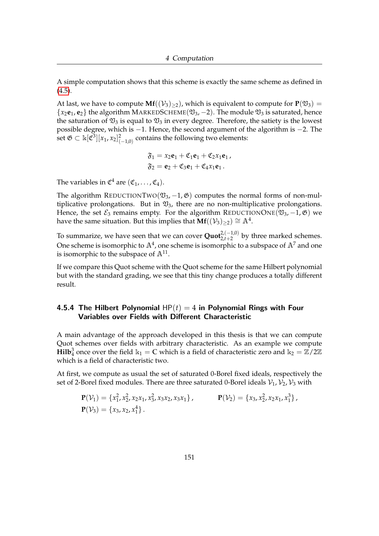A simple computation shows that this scheme is exactly the same scheme as defined in  $(4.5).$  $(4.5).$ 

At last, we have to compute  $\mathbf{Mf}((\mathcal{V}_3)_{>2})$ , which is equivalent to compute for  $\mathbf{P}(\mathfrak{V}_3)$  =  $\{x_2e_1, e_2\}$  the algorithm MARKEDSCHEME( $\mathfrak{V}_3$ , -2). The module  $\mathfrak{V}_3$  is saturated, hence the saturation of  $\mathfrak{V}_3$  is equal to  $\mathfrak{V}_3$  in every degree. Therefore, the satiety is the lowest possible degree, which is −1. Hence, the second argument of the algorithm is −2. The set  $\mathfrak{G} \subset \Bbbk[\mathfrak{C}^3][x_1,x_2]_{(-1,0)}^2$  contains the following two elements:

$$
\mathfrak{F}_1 = x_2 \mathbf{e}_1 + \mathfrak{C}_1 \mathbf{e}_1 + \mathfrak{C}_2 x_1 \mathbf{e}_1 ,
$$
  

$$
\mathfrak{F}_2 = \mathbf{e}_2 + \mathfrak{C}_3 \mathbf{e}_1 + \mathfrak{C}_4 x_1 \mathbf{e}_1 .
$$

The variables in  $\mathfrak{C}^4$  are  $(\mathfrak{C}_1,\ldots,\mathfrak{C}_4)$ .

The algorithm REDUCTIONTWO( $\mathfrak{V}_3$ , -1,  $\mathfrak{G}$ ) computes the normal forms of non-multiplicative prolongations. But in  $\mathfrak{V}_3$ , there are no non-multiplicative prolongations. Hence, the set  $\mathcal{E}_3$  remains empty. For the algorithm REDUCTIONONE( $\mathfrak{V}_3$ , -1,  $\mathfrak{G}$ ) we have the same situation. But this implies that  $\mathbf{Mf}((\mathcal{V}_3)_{\geq 2}) \cong \mathbb{A}^4$ .

To summarize, we have seen that we can cover **Quot**<sup>2,(-1,0)</sup> by three marked schemes. One scheme is isomorphic to  $\mathbb{A}^4$ , one scheme is isomorphic to a subspace of  $\mathbb{A}^7$  and one is isomorphic to the subspace of  $\mathbb{A}^{11}$ .

If we compare this Quot scheme with the Quot scheme for the same Hilbert polynomial but with the standard grading, we see that this tiny change produces a totally different result.

#### 4.5.4 The Hilbert Polynomial  $HP(t) = 4$  in Polynomial Rings with Four Variables over Fields with Different Characteristic

A main advantage of the approach developed in this thesis is that we can compute Quot schemes over fields with arbitrary characteristic. As an example we compute **Hilb**<sup>3</sup> once over the field  $k_1 = C$  which is a field of characteristic zero and  $k_2 = \mathbb{Z}/2\mathbb{Z}$ which is a field of characteristic two.

At first, we compute as usual the set of saturated 0-Borel fixed ideals, respectively the set of 2-Borel fixed modules. There are three saturated 0-Borel ideals  $V_1$ ,  $V_2$ ,  $V_3$  with

$$
\mathbf{P}(\mathcal{V}_1) = \{x_1^2, x_2^2, x_2x_1, x_3^2, x_3x_2, x_3x_1\}, \qquad \mathbf{P}(\mathcal{V}_2) = \{x_3, x_2^2, x_2x_1, x_1^3\},
$$
  

$$
\mathbf{P}(\mathcal{V}_3) = \{x_3, x_2, x_1^4\}.
$$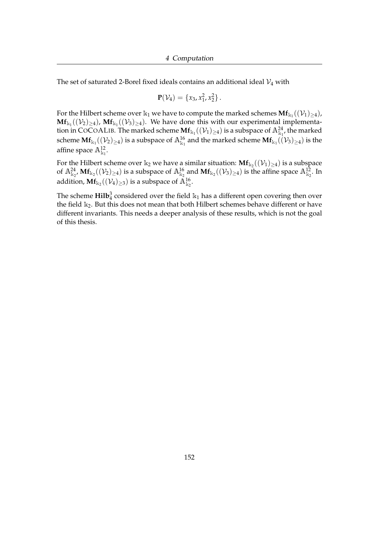The set of saturated 2-Borel fixed ideals contains an additional ideal  $\mathcal{V}_4$  with

$$
\mathbf{P}(\mathcal{V}_4)=\{x_3,x_1^2,x_2^2\}.
$$

For the Hilbert scheme over  $\Bbbk_1$  we have to compute the marked schemes  $\mathbf{Mf}_{\Bbbk_1}((\mathcal{V}_1)_{\geq 4})$ ,  $Mf_{k_1}((\mathcal{V}_2)_{\geq 4})$ ,  $Mf_{k_1}((\mathcal{V}_3)_{\geq 4})$ . We have done this with our experimental implementation in COCOALIB. The marked scheme  $\mathbf{Mf}_{k_1}((\mathcal{V}_1)_{\geq 4})$  is a subspace of  $\mathbb{A}^{24}_{k_1}$ , the marked scheme  $\mathbf{Mf}_{k_1}((\mathcal{V}_2)_{\geq 4})$  is a subspace of  $\mathbb{A}^{16}_{k_1}$  and the marked scheme  $\mathbf{Mf}_{k_1}((\mathcal{V}_3)_{\geq 4})$  is the affine space  $\mathbb{A}^{12}_{\mathbb{k}_1}$ .

For the Hilbert scheme over  $\Bbbk_2$  we have a similar situation:  $\mathbf{Mf}_{\Bbbk_2}((\mathcal{V}_1)_{\geq 4})$  is a subspace of  $\mathbb{A}^{24}_{k_2}$ ,  $\mathbf{Mf}_{k_2}((\mathcal{V}_2)_{\geq 4})$  is a subspace of  $\mathbb{A}^{16}_{k_2}$  and  $\mathbf{Mf}_{k_2}((\mathcal{V}_3)_{\geq 4})$  is the affine space  $\mathbb{A}^{12}_{k_2}$ . In addition,  $\mathbf{Mf}_{\Bbbk_2}((\mathcal{V}_4)_{\geq 3})$  is a subspace of  $\mathbb{A}^{16}_{\Bbbk_2}.$ 

The scheme  $\text{Hilb}_4^3$  considered over the field  $k_1$  has a different open covering then over the field  $k_2$ . But this does not mean that both Hilbert schemes behave different or have different invariants. This needs a deeper analysis of these results, which is not the goal of this thesis.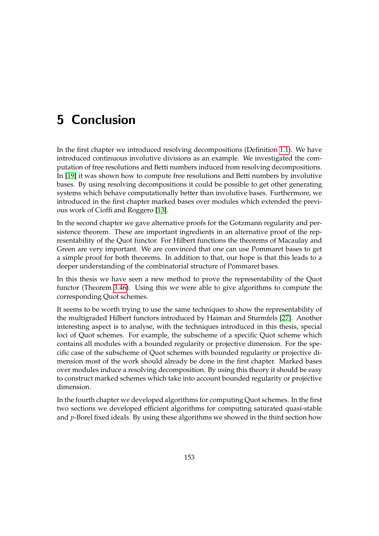# 5 Conclusion

In the first chapter we introduced resolving decompositions (Definition [1.1\)](#page-10-0). We have introduced continuous involutive divisions as an example. We investigated the computation of free resolutions and Betti numbers induced from resolving decompositions. In [\[19\]](#page-160-1) it was shown how to compute free resolutions and Betti numbers by involutive bases. By using resolving decompositions it could be possible to get other generating systems which behave computationally better than involutive bases. Furthermore, we introduced in the first chapter marked bases over modules which extended the previous work of Cioffi and Roggero [\[13\]](#page-160-2).

In the second chapter we gave alternative proofs for the Gotzmann regularity and persistence theorem. These are important ingredients in an alternative proof of the representability of the Quot functor. For Hilbert functions the theorems of Macaulay and Green are very important. We are convinced that one can use Pommaret bases to get a simple proof for both theorems. In addition to that, our hope is that this leads to a deeper understanding of the combinatorial structure of Pommaret bases.

In this thesis we have seen a new method to prove the representability of the Quot functor (Theorem [3.46\)](#page-90-0). Using this we were able to give algorithms to compute the corresponding Quot schemes.

It seems to be worth trying to use the same techniques to show the representability of the multigraded Hilbert functors introduced by Haiman and Sturmfels [\[27\]](#page-161-0). Another interesting aspect is to analyse, with the techniques introduced in this thesis, special loci of Quot schemes. For example, the subscheme of a specific Quot scheme which contains all modules with a bounded regularity or projective dimension. For the specific case of the subscheme of Quot schemes with bounded regularity or projective dimension most of the work should already be done in the first chapter. Marked bases over modules induce a resolving decomposition. By using this theory it should be easy to construct marked schemes which take into account bounded regularity or projective dimension.

In the fourth chapter we developed algorithms for computing Quot schemes. In the first two sections we developed efficient algorithms for computing saturated quasi-stable and *p*-Borel fixed ideals. By using these algorithms we showed in the third section how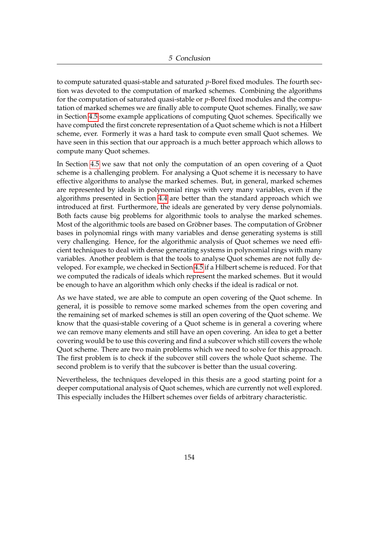to compute saturated quasi-stable and saturated *p*-Borel fixed modules. The fourth section was devoted to the computation of marked schemes. Combining the algorithms for the computation of saturated quasi-stable or *p*-Borel fixed modules and the computation of marked schemes we are finally able to compute Quot schemes. Finally, we saw in Section [4.5](#page-146-2) some example applications of computing Quot schemes. Specifically we have computed the first concrete representation of a Quot scheme which is not a Hilbert scheme, ever. Formerly it was a hard task to compute even small Quot schemes. We have seen in this section that our approach is a much better approach which allows to compute many Quot schemes.

In Section [4.5](#page-146-2) we saw that not only the computation of an open covering of a Quot scheme is a challenging problem. For analysing a Quot scheme it is necessary to have effective algorithms to analyse the marked schemes. But, in general, marked schemes are represented by ideals in polynomial rings with very many variables, even if the algorithms presented in Section [4.4](#page-126-0) are better than the standard approach which we introduced at first. Furthermore, the ideals are generated by very dense polynomials. Both facts cause big problems for algorithmic tools to analyse the marked schemes. Most of the algorithmic tools are based on Gröbner bases. The computation of Gröbner bases in polynomial rings with many variables and dense generating systems is still very challenging. Hence, for the algorithmic analysis of Quot schemes we need efficient techniques to deal with dense generating systems in polynomial rings with many variables. Another problem is that the tools to analyse Quot schemes are not fully developed. For example, we checked in Section [4.5](#page-146-2) if a Hilbert scheme is reduced. For that we computed the radicals of ideals which represent the marked schemes. But it would be enough to have an algorithm which only checks if the ideal is radical or not.

As we have stated, we are able to compute an open covering of the Quot scheme. In general, it is possible to remove some marked schemes from the open covering and the remaining set of marked schemes is still an open covering of the Quot scheme. We know that the quasi-stable covering of a Quot scheme is in general a covering where we can remove many elements and still have an open covering. An idea to get a better covering would be to use this covering and find a subcover which still covers the whole Quot scheme. There are two main problems which we need to solve for this approach. The first problem is to check if the subcover still covers the whole Quot scheme. The second problem is to verify that the subcover is better than the usual covering.

Nevertheless, the techniques developed in this thesis are a good starting point for a deeper computational analysis of Quot schemes, which are currently not well explored. This especially includes the Hilbert schemes over fields of arbitrary characteristic.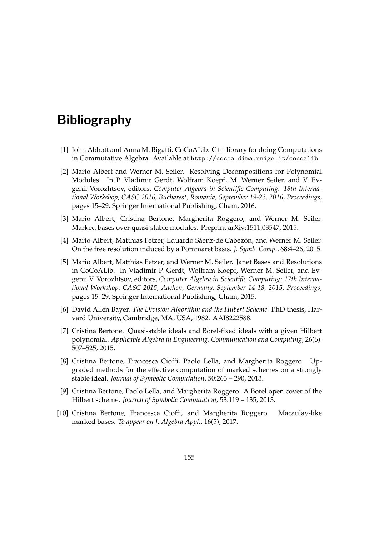## Bibliography

- <span id="page-159-1"></span>[1] John Abbott and Anna M. Bigatti. CoCoALib: C++ library for doing Computations in Commutative Algebra. Available at http://cocoa.dima.unige.it/cocoalib.
- [2] Mario Albert and Werner M. Seiler. Resolving Decompositions for Polynomial Modules. In P. Vladimir Gerdt, Wolfram Koepf, M. Werner Seiler, and V. Evgenii Vorozhtsov, editors, *Computer Algebra in Scientific Computing: 18th International Workshop, CASC 2016, Bucharest, Romania, September 19-23, 2016, Proceedings*, pages 15–29. Springer International Publishing, Cham, 2016.
- [3] Mario Albert, Cristina Bertone, Margherita Roggero, and Werner M. Seiler. Marked bases over quasi-stable modules. Preprint arXiv:1511.03547, 2015.
- [4] Mario Albert, Matthias Fetzer, Eduardo Sáenz-de Cabezón, and Werner M. Seiler. On the free resolution induced by a Pommaret basis. *J. Symb. Comp.*, 68:4–26, 2015.
- [5] Mario Albert, Matthias Fetzer, and Werner M. Seiler. Janet Bases and Resolutions in CoCoALib. In Vladimir P. Gerdt, Wolfram Koepf, Werner M. Seiler, and Evgenii V. Vorozhtsov, editors, *Computer Algebra in Scientific Computing: 17th International Workshop, CASC 2015, Aachen, Germany, September 14-18, 2015, Proceedings*, pages 15–29. Springer International Publishing, Cham, 2015.
- [6] David Allen Bayer. *The Division Algorithm and the Hilbert Scheme*. PhD thesis, Harvard University, Cambridge, MA, USA, 1982. AAI8222588.
- [7] Cristina Bertone. Quasi-stable ideals and Borel-fixed ideals with a given Hilbert polynomial. *Applicable Algebra in Engineering, Communication and Computing*, 26(6): 507–525, 2015.
- [8] Cristina Bertone, Francesca Cioffi, Paolo Lella, and Margherita Roggero. Upgraded methods for the effective computation of marked schemes on a strongly stable ideal. *Journal of Symbolic Computation*, 50:263 – 290, 2013.
- [9] Cristina Bertone, Paolo Lella, and Margherita Roggero. A Borel open cover of the Hilbert scheme. *Journal of Symbolic Computation*, 53:119 – 135, 2013.
- <span id="page-159-0"></span>[10] Cristina Bertone, Francesca Cioffi, and Margherita Roggero. Macaulay-like marked bases. *To appear on J. Algebra Appl.*, 16(5), 2017.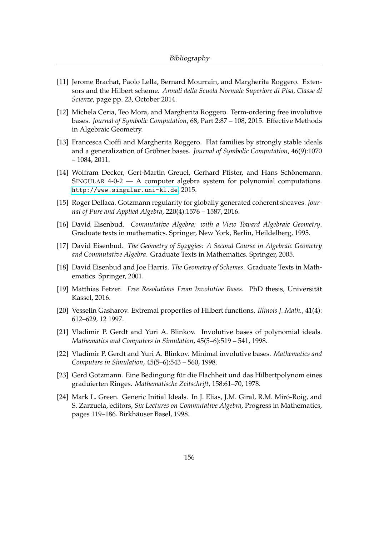- [11] Jerome Brachat, Paolo Lella, Bernard Mourrain, and Margherita Roggero. Extensors and the Hilbert scheme. *Annali della Scuola Normale Superiore di Pisa, Classe di Scienze*, page pp. 23, October 2014.
- [12] Michela Ceria, Teo Mora, and Margherita Roggero. Term-ordering free involutive bases. *Journal of Symbolic Computation*, 68, Part 2:87 – 108, 2015. Effective Methods in Algebraic Geometry.
- <span id="page-160-2"></span>[13] Francesca Cioffi and Margherita Roggero. Flat families by strongly stable ideals and a generalization of Gröbner bases. *Journal of Symbolic Computation*, 46(9):1070 – 1084, 2011.
- <span id="page-160-0"></span>[14] Wolfram Decker, Gert-Martin Greuel, Gerhard Pfister, and Hans Schönemann. SINGULAR 4-0-2 — A computer algebra system for polynomial computations. <http://www.singular.uni-kl.de>, 2015.
- [15] Roger Dellaca. Gotzmann regularity for globally generated coherent sheaves. *Journal of Pure and Applied Algebra*, 220(4):1576 – 1587, 2016.
- [16] David Eisenbud. *Commutative Algebra: with a View Toward Algebraic Geometry*. Graduate texts in mathematics. Springer, New York, Berlin, Heildelberg, 1995.
- [17] David Eisenbud. *The Geometry of Syzygies: A Second Course in Algebraic Geometry and Commutative Algebra*. Graduate Texts in Mathematics. Springer, 2005.
- [18] David Eisenbud and Joe Harris. *The Geometry of Schemes*. Graduate Texts in Mathematics. Springer, 2001.
- <span id="page-160-1"></span>[19] Matthias Fetzer. *Free Resolutions From Involutive Bases*. PhD thesis, Universität Kassel, 2016.
- [20] Vesselin Gasharov. Extremal properties of Hilbert functions. *Illinois J. Math.*, 41(4): 612–629, 12 1997.
- [21] Vladimir P. Gerdt and Yuri A. Blinkov. Involutive bases of polynomial ideals. *Mathematics and Computers in Simulation*, 45(5–6):519 – 541, 1998.
- [22] Vladimir P. Gerdt and Yuri A. Blinkov. Minimal involutive bases. *Mathematics and Computers in Simulation*, 45(5–6):543 – 560, 1998.
- [23] Gerd Gotzmann. Eine Bedingung für die Flachheit und das Hilbertpolynom eines graduierten Ringes. *Mathematische Zeitschrift*, 158:61–70, 1978.
- [24] Mark L. Green. Generic Initial Ideals. In J. Elias, J.M. Giral, R.M. Miró-Roig, and S. Zarzuela, editors, *Six Lectures on Commutative Algebra*, Progress in Mathematics, pages 119–186. Birkhäuser Basel, 1998.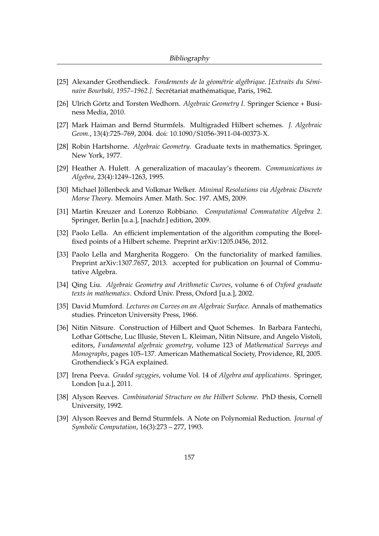- [25] Alexander Grothendieck. *Fondements de la géométrie algébrique. [Extraits du Séminaire Bourbaki, 1957–1962.]*. Secrétariat mathématique, Paris, 1962.
- [26] Ulrich Görtz and Torsten Wedhorn. *Algebraic Geometry I*. Springer Science + Business Media, 2010.
- <span id="page-161-0"></span>[27] Mark Haiman and Bernd Sturmfels. Multigraded Hilbert schemes. *J. Algebraic Geom.*, 13(4):725–769, 2004. doi: 10.1090/S1056-3911-04-00373-X.
- [28] Robin Hartshorne. *Algebraic Geometry*. Graduate texts in mathematics. Springer, New York, 1977.
- [29] Heather A. Hulett. A generalization of macaulay's theorem. *Communications in Algebra*, 23(4):1249–1263, 1995.
- [30] Michael Jöllenbeck and Volkmar Welker. *Minimal Resolutions via Algebraic Discrete Morse Theory*. Memoirs Amer. Math. Soc. 197. AMS, 2009.
- [31] Martin Kreuzer and Lorenzo Robbiano. *Computational Commutative Algebra 2*. Springer, Berlin [u.a.], [nachdr.] edition, 2009.
- [32] Paolo Lella. An efficient implementation of the algorithm computing the Borelfixed points of a Hilbert scheme. Preprint arXiv:1205.0456, 2012.
- [33] Paolo Lella and Margherita Roggero. On the functoriality of marked families. Preprint arXiv:1307.7657, 2013. accepted for publication on Journal of Commutative Algebra.
- [34] Qing Liu. *Algebraic Geometry and Arithmetic Curves*, volume 6 of *Oxford graduate texts in mathematics*. Oxford Univ. Press, Oxford [u.a.], 2002.
- [35] David Mumford. *Lectures on Curves on an Algebraic Surface*. Annals of mathematics studies. Princeton University Press, 1966.
- [36] Nitin Nitsure. Construction of Hilbert and Quot Schemes. In Barbara Fantechi, Lothar Göttsche, Luc Illusie, Steven L. Kleiman, Nitin Nitsure, and Angelo Vistoli, editors, *Fundamental algebraic geometry*, volume 123 of *Mathematical Surveys and Monographs*, pages 105–137. American Mathematical Society, Providence, RI, 2005. Grothendieck's FGA explained.
- [37] Irena Peeva. *Graded syzygies*, volume Vol. 14 of *Algebra and applications*. Springer, London [u.a.], 2011.
- [38] Alyson Reeves. *Combinatorial Structure on the Hilbert Scheme*. PhD thesis, Cornell University, 1992.
- [39] Alyson Reeves and Bernd Sturmfels. A Note on Polynomial Reduction. *Journal of Symbolic Computation*, 16(3):273 – 277, 1993.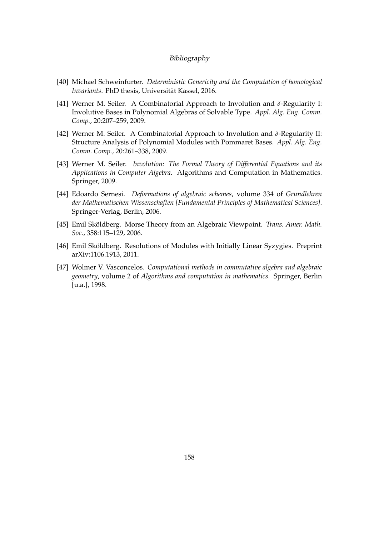- [40] Michael Schweinfurter. *Deterministic Genericity and the Computation of homological Invariants*. PhD thesis, Universität Kassel, 2016.
- [41] Werner M. Seiler. A Combinatorial Approach to Involution and *δ*-Regularity I: Involutive Bases in Polynomial Algebras of Solvable Type. *Appl. Alg. Eng. Comm. Comp.*, 20:207–259, 2009.
- [42] Werner M. Seiler. A Combinatorial Approach to Involution and *δ*-Regularity II: Structure Analysis of Polynomial Modules with Pommaret Bases. *Appl. Alg. Eng. Comm. Comp.*, 20:261–338, 2009.
- [43] Werner M. Seiler. *Involution: The Formal Theory of Differential Equations and its Applications in Computer Algebra*. Algorithms and Computation in Mathematics. Springer, 2009.
- [44] Edoardo Sernesi. *Deformations of algebraic schemes*, volume 334 of *Grundlehren der Mathematischen Wissenschaften [Fundamental Principles of Mathematical Sciences]*. Springer-Verlag, Berlin, 2006.
- [45] Emil Sköldberg. Morse Theory from an Algebraic Viewpoint. *Trans. Amer. Math. Soc.*, 358:115–129, 2006.
- [46] Emil Sköldberg. Resolutions of Modules with Initially Linear Syzygies. Preprint arXiv:1106.1913, 2011.
- [47] Wolmer V. Vasconcelos. *Computational methods in commutative algebra and algebraic geometry*, volume 2 of *Algorithms and computation in mathematics*. Springer, Berlin [u.a.], 1998.